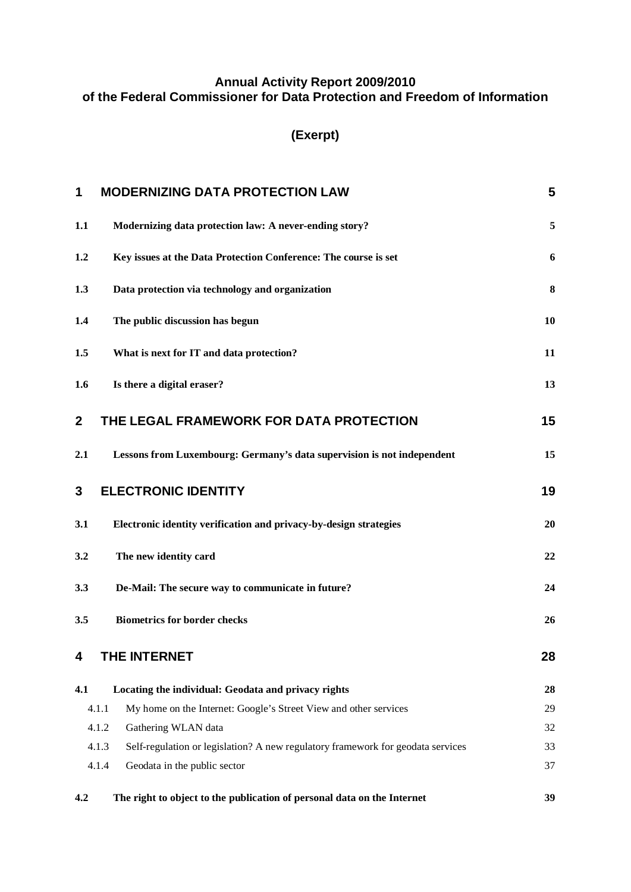#### **Annual Activity Report 2009/2010 of the Federal Commissioner for Data Protection and Freedom of Information**

# **(Exerpt)**

| 1                                                                             | <b>MODERNIZING DATA PROTECTION LAW</b>                                                   |    |
|-------------------------------------------------------------------------------|------------------------------------------------------------------------------------------|----|
| 1.1                                                                           | Modernizing data protection law: A never-ending story?                                   |    |
| 1.2                                                                           | Key issues at the Data Protection Conference: The course is set                          |    |
| 1.3                                                                           | Data protection via technology and organization                                          |    |
| 1.4                                                                           | The public discussion has begun                                                          | 10 |
| 1.5                                                                           | What is next for IT and data protection?                                                 | 11 |
| Is there a digital eraser?<br>1.6                                             |                                                                                          | 13 |
| $\mathbf{2}$                                                                  | THE LEGAL FRAMEWORK FOR DATA PROTECTION                                                  |    |
| 2.1<br>Lessons from Luxembourg: Germany's data supervision is not independent |                                                                                          | 15 |
| <b>ELECTRONIC IDENTITY</b><br>3                                               |                                                                                          | 19 |
| Electronic identity verification and privacy-by-design strategies<br>3.1      |                                                                                          | 20 |
| 3.2                                                                           | The new identity card                                                                    | 22 |
| De-Mail: The secure way to communicate in future?<br>3.3                      |                                                                                          | 24 |
| <b>Biometrics for border checks</b><br>3.5                                    |                                                                                          | 26 |
| 4                                                                             | <b>THE INTERNET</b>                                                                      | 28 |
| 4.1                                                                           | Locating the individual: Geodata and privacy rights                                      | 28 |
|                                                                               | 4.1.1<br>My home on the Internet: Google's Street View and other services                | 29 |
|                                                                               | 4.1.2<br>Gathering WLAN data                                                             | 32 |
|                                                                               | 4.1.3<br>Self-regulation or legislation? A new regulatory framework for geodata services | 33 |
|                                                                               | 4.1.4<br>Geodata in the public sector                                                    | 37 |
| 4.2                                                                           | The right to object to the publication of personal data on the Internet                  | 39 |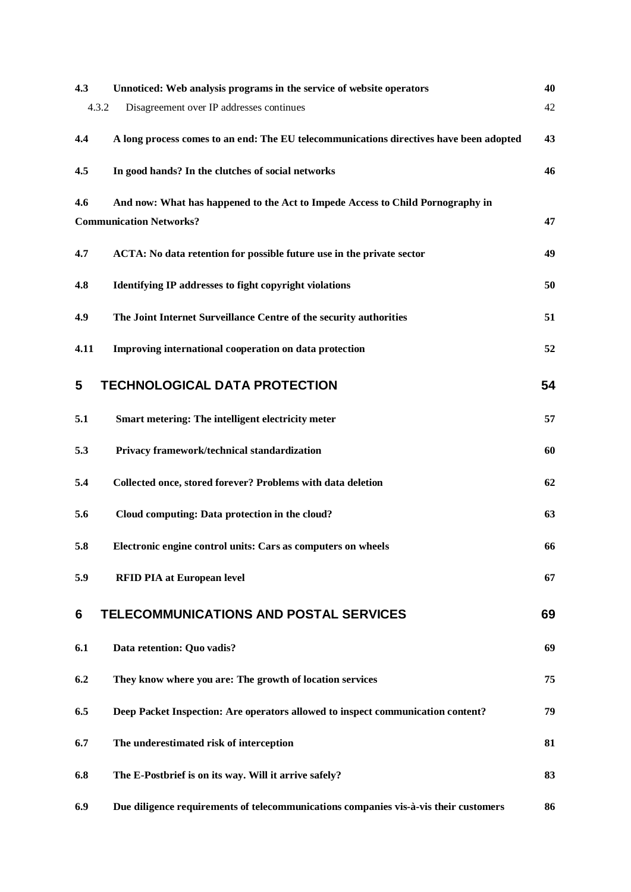| 4.3                            | Unnoticed: Web analysis programs in the service of website operators                   | 40 |
|--------------------------------|----------------------------------------------------------------------------------------|----|
| 4.3.2                          | Disagreement over IP addresses continues                                               | 42 |
| 4,4                            | A long process comes to an end: The EU telecommunications directives have been adopted | 43 |
| 4.5                            | In good hands? In the clutches of social networks                                      | 46 |
| 4.6                            | And now: What has happened to the Act to Impede Access to Child Pornography in         |    |
| <b>Communication Networks?</b> |                                                                                        |    |
| 4.7                            | ACTA: No data retention for possible future use in the private sector                  | 49 |
| 4.8                            | <b>Identifying IP addresses to fight copyright violations</b>                          | 50 |
| 4.9                            | The Joint Internet Surveillance Centre of the security authorities                     | 51 |
| 4.11                           | Improving international cooperation on data protection                                 | 52 |
| 5                              | <b>TECHNOLOGICAL DATA PROTECTION</b>                                                   | 54 |
| 5.1                            | Smart metering: The intelligent electricity meter                                      | 57 |
| 5.3                            | Privacy framework/technical standardization                                            | 60 |
| 5.4                            | Collected once, stored forever? Problems with data deletion                            | 62 |
| 5.6                            | Cloud computing: Data protection in the cloud?                                         | 63 |
| 5.8                            | Electronic engine control units: Cars as computers on wheels                           | 66 |
| 5.9                            | <b>RFID PIA at European level</b>                                                      | 67 |
| 6                              | <b>TELECOMMUNICATIONS AND POSTAL SERVICES</b>                                          | 69 |
| 6.1                            | Data retention: Quo vadis?                                                             | 69 |
| 6.2                            | They know where you are: The growth of location services                               | 75 |
| 6.5                            | Deep Packet Inspection: Are operators allowed to inspect communication content?        | 79 |
| 6.7                            | The underestimated risk of interception                                                | 81 |
| 6.8                            | The E-Postbrief is on its way. Will it arrive safely?                                  | 83 |
| 6.9                            | Due diligence requirements of telecommunications companies vis-à-vis their customers   | 86 |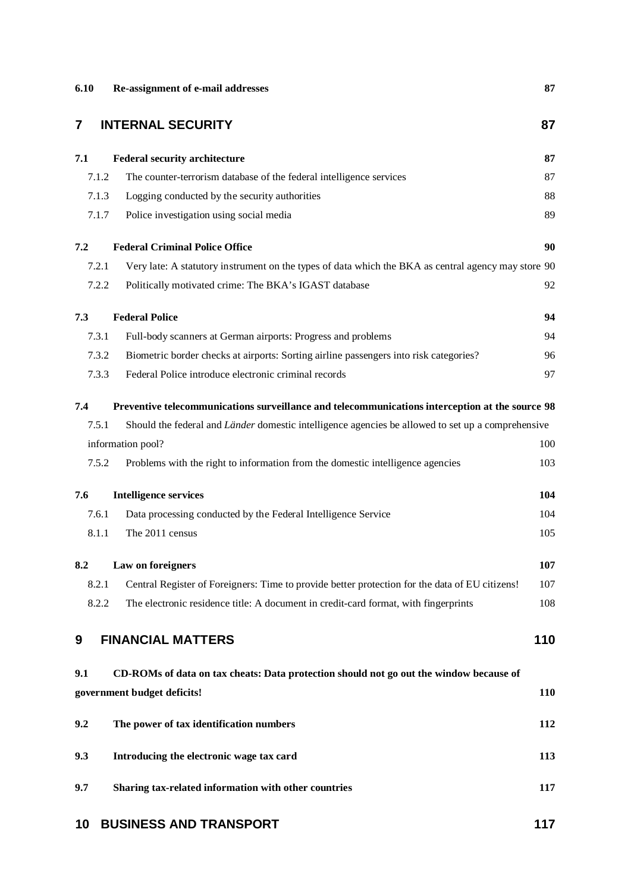| 6.10  | Re-assignment of e-mail addresses                                                                   | 87         |  |  |  |
|-------|-----------------------------------------------------------------------------------------------------|------------|--|--|--|
| 7     | <b>INTERNAL SECURITY</b><br>87                                                                      |            |  |  |  |
| 7.1   | <b>Federal security architecture</b>                                                                | 87         |  |  |  |
| 7.1.2 | The counter-terrorism database of the federal intelligence services                                 | 87         |  |  |  |
| 7.1.3 | Logging conducted by the security authorities                                                       | 88         |  |  |  |
| 7.1.7 | Police investigation using social media                                                             | 89         |  |  |  |
| 7.2   | <b>Federal Criminal Police Office</b>                                                               | 90         |  |  |  |
| 7.2.1 | Very late: A statutory instrument on the types of data which the BKA as central agency may store 90 |            |  |  |  |
| 7.2.2 | Politically motivated crime: The BKA's IGAST database                                               | 92         |  |  |  |
| 7.3   | <b>Federal Police</b>                                                                               | 94         |  |  |  |
| 7.3.1 | Full-body scanners at German airports: Progress and problems                                        | 94         |  |  |  |
| 7.3.2 | Biometric border checks at airports: Sorting airline passengers into risk categories?               | 96         |  |  |  |
| 7.3.3 | Federal Police introduce electronic criminal records                                                | 97         |  |  |  |
| 7.4   | Preventive telecommunications surveillance and telecommunications interception at the source 98     |            |  |  |  |
| 7.5.1 | Should the federal and Länder domestic intelligence agencies be allowed to set up a comprehensive   |            |  |  |  |
|       | information pool?                                                                                   | 100        |  |  |  |
| 7.5.2 | Problems with the right to information from the domestic intelligence agencies                      | 103        |  |  |  |
| 7.6   | <b>Intelligence services</b>                                                                        | 104        |  |  |  |
| 7.6.1 | Data processing conducted by the Federal Intelligence Service                                       | 104        |  |  |  |
| 8.1.1 | The 2011 census                                                                                     | 105        |  |  |  |
| 8.2   | Law on foreigners                                                                                   | 107        |  |  |  |
| 8.2.1 | Central Register of Foreigners: Time to provide better protection for the data of EU citizens!      | 107        |  |  |  |
| 8.2.2 | The electronic residence title: A document in credit-card format, with fingerprints                 | 108        |  |  |  |
| 9     | <b>FINANCIAL MATTERS</b>                                                                            | 110        |  |  |  |
| 9.1   | CD-ROMs of data on tax cheats: Data protection should not go out the window because of              |            |  |  |  |
|       | government budget deficits!                                                                         | <b>110</b> |  |  |  |
| 9.2   | The power of tax identification numbers                                                             | 112        |  |  |  |
| 9.3   | Introducing the electronic wage tax card                                                            | 113        |  |  |  |
| 9.7   | Sharing tax-related information with other countries                                                | 117        |  |  |  |
| 10    | <b>BUSINESS AND TRANSPORT</b>                                                                       | 117        |  |  |  |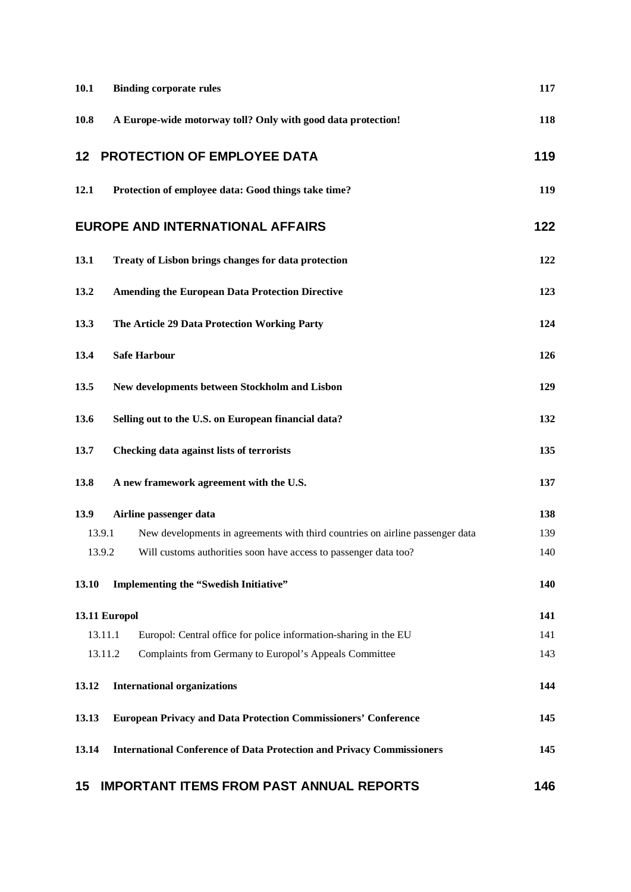| 10.1                                                     | <b>Binding corporate rules</b>                                                | 117 |  |  |
|----------------------------------------------------------|-------------------------------------------------------------------------------|-----|--|--|
| 10.8                                                     | A Europe-wide motorway toll? Only with good data protection!                  |     |  |  |
| 12                                                       | <b>PROTECTION OF EMPLOYEE DATA</b>                                            | 119 |  |  |
| 12.1                                                     | Protection of employee data: Good things take time?                           |     |  |  |
| <b>EUROPE AND INTERNATIONAL AFFAIRS</b>                  |                                                                               |     |  |  |
| 13.1                                                     | Treaty of Lisbon brings changes for data protection                           |     |  |  |
| 13.2                                                     | <b>Amending the European Data Protection Directive</b>                        |     |  |  |
| 13.3                                                     | The Article 29 Data Protection Working Party                                  |     |  |  |
| 13.4                                                     | <b>Safe Harbour</b>                                                           |     |  |  |
| New developments between Stockholm and Lisbon<br>13.5    |                                                                               |     |  |  |
| 13.6                                                     | 132                                                                           |     |  |  |
| 13.7<br><b>Checking data against lists of terrorists</b> |                                                                               | 135 |  |  |
| 13.8                                                     | A new framework agreement with the U.S.                                       | 137 |  |  |
| 13.9                                                     | Airline passenger data                                                        | 138 |  |  |
| 13.9.1                                                   | New developments in agreements with third countries on airline passenger data | 139 |  |  |
| 13.9.2                                                   | Will customs authorities soon have access to passenger data too?              | 140 |  |  |
| 13.10                                                    | Implementing the "Swedish Initiative"                                         | 140 |  |  |
|                                                          | 13.11 Europol                                                                 | 141 |  |  |
|                                                          | 13.11.1<br>Europol: Central office for police information-sharing in the EU   | 141 |  |  |
|                                                          | 13.11.2<br>Complaints from Germany to Europol's Appeals Committee             | 143 |  |  |
| 13.12                                                    | <b>International organizations</b>                                            | 144 |  |  |
| 13.13                                                    | <b>European Privacy and Data Protection Commissioners' Conference</b>         | 145 |  |  |
| 13.14                                                    | <b>International Conference of Data Protection and Privacy Commissioners</b>  | 145 |  |  |
|                                                          |                                                                               |     |  |  |

# **15 IMPORTANT ITEMS FROM PAST ANNUAL REPORTS 146**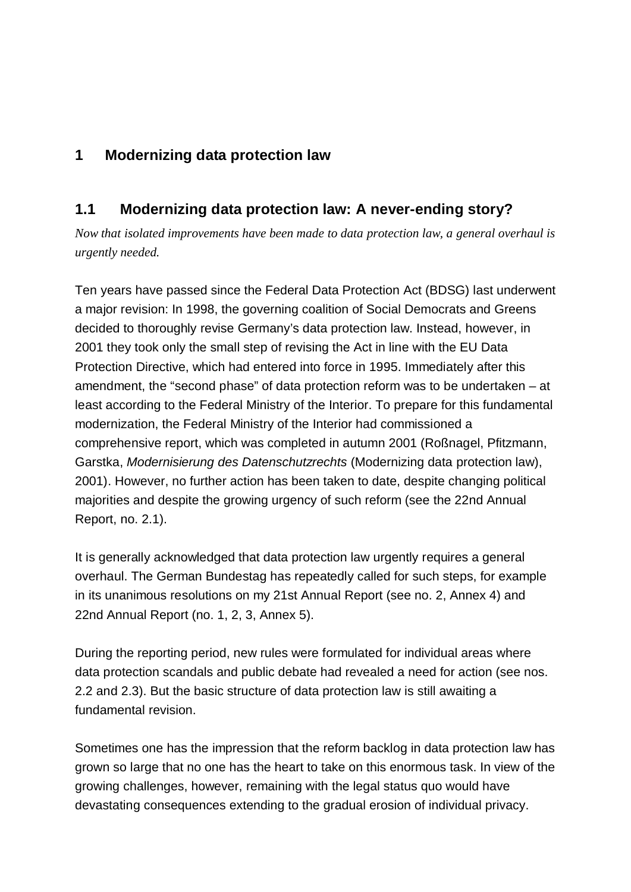# **1 Modernizing data protection law**

## **1.1 Modernizing data protection law: A never-ending story?**

*Now that isolated improvements have been made to data protection law, a general overhaul is urgently needed.*

Ten years have passed since the Federal Data Protection Act (BDSG) last underwent a major revision: In 1998, the governing coalition of Social Democrats and Greens decided to thoroughly revise Germany's data protection law. Instead, however, in 2001 they took only the small step of revising the Act in line with the EU Data Protection Directive, which had entered into force in 1995. Immediately after this amendment, the "second phase" of data protection reform was to be undertaken – at least according to the Federal Ministry of the Interior. To prepare for this fundamental modernization, the Federal Ministry of the Interior had commissioned a comprehensive report, which was completed in autumn 2001 (Roßnagel, Pfitzmann, Garstka, *Modernisierung des Datenschutzrechts* (Modernizing data protection law), 2001). However, no further action has been taken to date, despite changing political majorities and despite the growing urgency of such reform (see the 22nd Annual Report, no. 2.1).

It is generally acknowledged that data protection law urgently requires a general overhaul. The German Bundestag has repeatedly called for such steps, for example in its unanimous resolutions on my 21st Annual Report (see no. 2, Annex 4) and 22nd Annual Report (no. 1, 2, 3, Annex 5).

During the reporting period, new rules were formulated for individual areas where data protection scandals and public debate had revealed a need for action (see nos. 2.2 and 2.3). But the basic structure of data protection law is still awaiting a fundamental revision.

Sometimes one has the impression that the reform backlog in data protection law has grown so large that no one has the heart to take on this enormous task. In view of the growing challenges, however, remaining with the legal status quo would have devastating consequences extending to the gradual erosion of individual privacy.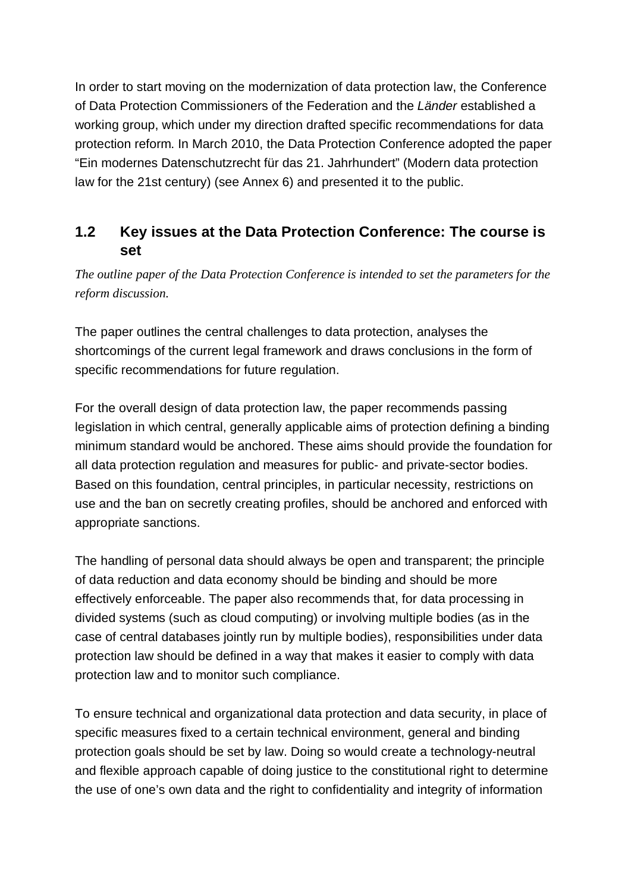In order to start moving on the modernization of data protection law, the Conference of Data Protection Commissioners of the Federation and the *Länder* established a working group, which under my direction drafted specific recommendations for data protection reform. In March 2010, the Data Protection Conference adopted the paper "Ein modernes Datenschutzrecht für das 21. Jahrhundert" (Modern data protection law for the 21st century) (see Annex 6) and presented it to the public.

# **1.2 Key issues at the Data Protection Conference: The course is set**

*The outline paper of the Data Protection Conference is intended to set the parameters for the reform discussion.*

The paper outlines the central challenges to data protection, analyses the shortcomings of the current legal framework and draws conclusions in the form of specific recommendations for future regulation.

For the overall design of data protection law, the paper recommends passing legislation in which central, generally applicable aims of protection defining a binding minimum standard would be anchored. These aims should provide the foundation for all data protection regulation and measures for public- and private-sector bodies. Based on this foundation, central principles, in particular necessity, restrictions on use and the ban on secretly creating profiles, should be anchored and enforced with appropriate sanctions.

The handling of personal data should always be open and transparent; the principle of data reduction and data economy should be binding and should be more effectively enforceable. The paper also recommends that, for data processing in divided systems (such as cloud computing) or involving multiple bodies (as in the case of central databases jointly run by multiple bodies), responsibilities under data protection law should be defined in a way that makes it easier to comply with data protection law and to monitor such compliance.

To ensure technical and organizational data protection and data security, in place of specific measures fixed to a certain technical environment, general and binding protection goals should be set by law. Doing so would create a technology-neutral and flexible approach capable of doing justice to the constitutional right to determine the use of one's own data and the right to confidentiality and integrity of information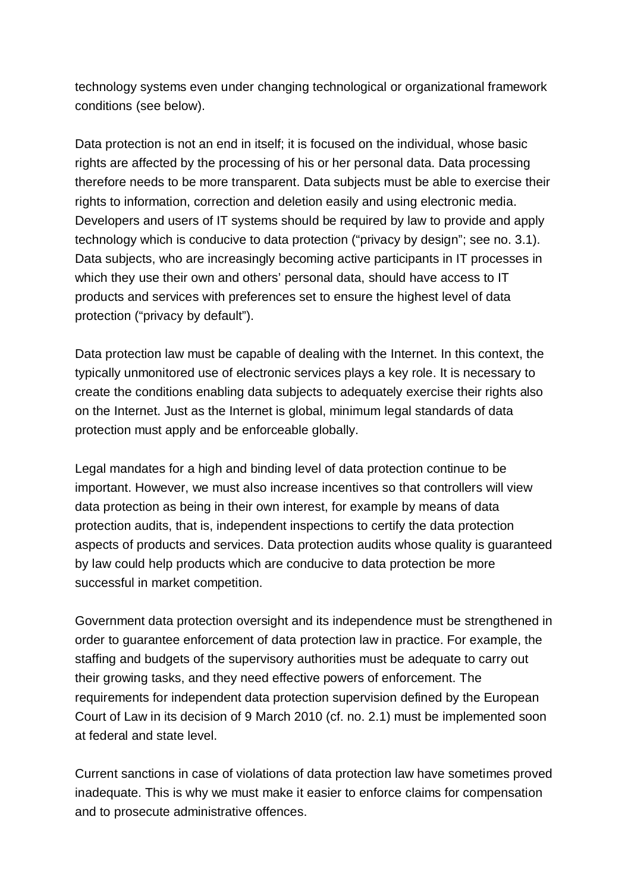technology systems even under changing technological or organizational framework conditions (see below).

Data protection is not an end in itself; it is focused on the individual, whose basic rights are affected by the processing of his or her personal data. Data processing therefore needs to be more transparent. Data subjects must be able to exercise their rights to information, correction and deletion easily and using electronic media. Developers and users of IT systems should be required by law to provide and apply technology which is conducive to data protection ("privacy by design"; see no. 3.1). Data subjects, who are increasingly becoming active participants in IT processes in which they use their own and others' personal data, should have access to IT products and services with preferences set to ensure the highest level of data protection ("privacy by default").

Data protection law must be capable of dealing with the Internet. In this context, the typically unmonitored use of electronic services plays a key role. It is necessary to create the conditions enabling data subjects to adequately exercise their rights also on the Internet. Just as the Internet is global, minimum legal standards of data protection must apply and be enforceable globally.

Legal mandates for a high and binding level of data protection continue to be important. However, we must also increase incentives so that controllers will view data protection as being in their own interest, for example by means of data protection audits, that is, independent inspections to certify the data protection aspects of products and services. Data protection audits whose quality is guaranteed by law could help products which are conducive to data protection be more successful in market competition.

Government data protection oversight and its independence must be strengthened in order to guarantee enforcement of data protection law in practice. For example, the staffing and budgets of the supervisory authorities must be adequate to carry out their growing tasks, and they need effective powers of enforcement. The requirements for independent data protection supervision defined by the European Court of Law in its decision of 9 March 2010 (cf. no. 2.1) must be implemented soon at federal and state level.

Current sanctions in case of violations of data protection law have sometimes proved inadequate. This is why we must make it easier to enforce claims for compensation and to prosecute administrative offences.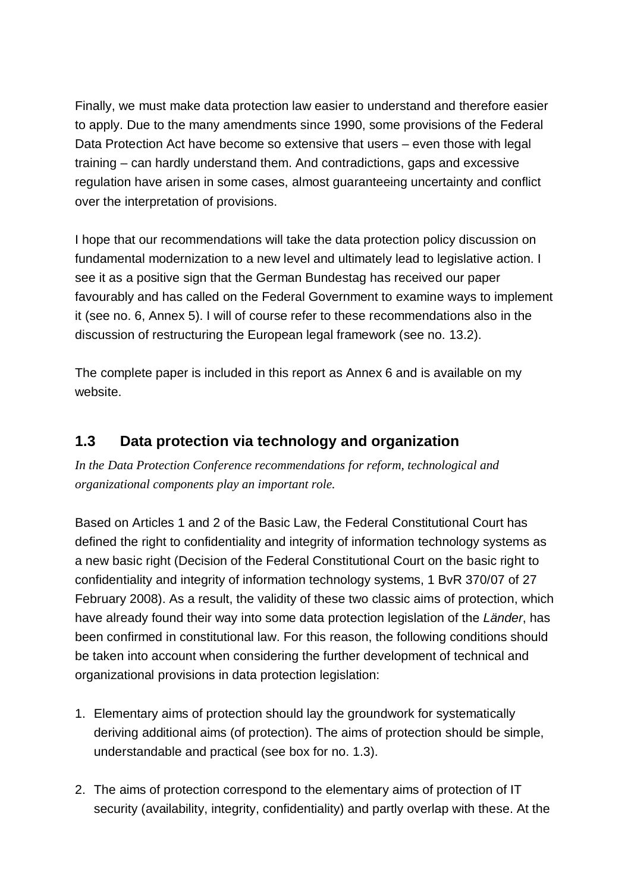Finally, we must make data protection law easier to understand and therefore easier to apply. Due to the many amendments since 1990, some provisions of the Federal Data Protection Act have become so extensive that users – even those with legal training – can hardly understand them. And contradictions, gaps and excessive regulation have arisen in some cases, almost guaranteeing uncertainty and conflict over the interpretation of provisions.

I hope that our recommendations will take the data protection policy discussion on fundamental modernization to a new level and ultimately lead to legislative action. I see it as a positive sign that the German Bundestag has received our paper favourably and has called on the Federal Government to examine ways to implement it (see no. 6, Annex 5). I will of course refer to these recommendations also in the discussion of restructuring the European legal framework (see no. 13.2).

The complete paper is included in this report as Annex 6 and is available on my website.

# **1.3 Data protection via technology and organization**

*In the Data Protection Conference recommendations for reform, technological and organizational components play an important role.*

Based on Articles 1 and 2 of the Basic Law, the Federal Constitutional Court has defined the right to confidentiality and integrity of information technology systems as a new basic right (Decision of the Federal Constitutional Court on the basic right to confidentiality and integrity of information technology systems, 1 BvR 370/07 of 27 February 2008). As a result, the validity of these two classic aims of protection, which have already found their way into some data protection legislation of the *Länder*, has been confirmed in constitutional law. For this reason, the following conditions should be taken into account when considering the further development of technical and organizational provisions in data protection legislation:

- 1. Elementary aims of protection should lay the groundwork for systematically deriving additional aims (of protection). The aims of protection should be simple, understandable and practical (see box for no. 1.3).
- 2. The aims of protection correspond to the elementary aims of protection of IT security (availability, integrity, confidentiality) and partly overlap with these. At the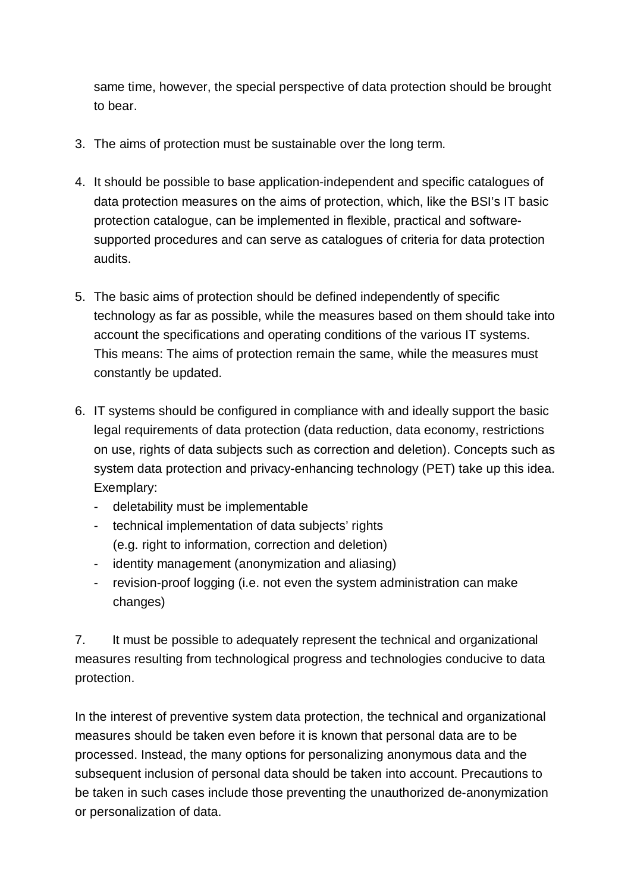same time, however, the special perspective of data protection should be brought to bear.

- 3. The aims of protection must be sustainable over the long term.
- 4. It should be possible to base application-independent and specific catalogues of data protection measures on the aims of protection, which, like the BSI's IT basic protection catalogue, can be implemented in flexible, practical and software supported procedures and can serve as catalogues of criteria for data protection audits.
- 5. The basic aims of protection should be defined independently of specific technology as far as possible, while the measures based on them should take into account the specifications and operating conditions of the various IT systems. This means: The aims of protection remain the same, while the measures must constantly be updated.
- 6. IT systems should be configured in compliance with and ideally support the basic legal requirements of data protection (data reduction, data economy, restrictions on use, rights of data subjects such as correction and deletion). Concepts such as system data protection and privacy-enhancing technology (PET) take up this idea. Exemplary:
	- deletability must be implementable
	- technical implementation of data subjects' rights (e.g. right to information, correction and deletion)
	- identity management (anonymization and aliasing)
	- revision-proof logging (i.e. not even the system administration can make changes)

7. It must be possible to adequately represent the technical and organizational measures resulting from technological progress and technologies conducive to data protection.

In the interest of preventive system data protection, the technical and organizational measures should be taken even before it is known that personal data are to be processed. Instead, the many options for personalizing anonymous data and the subsequent inclusion of personal data should be taken into account. Precautions to be taken in such cases include those preventing the unauthorized de-anonymization or personalization of data.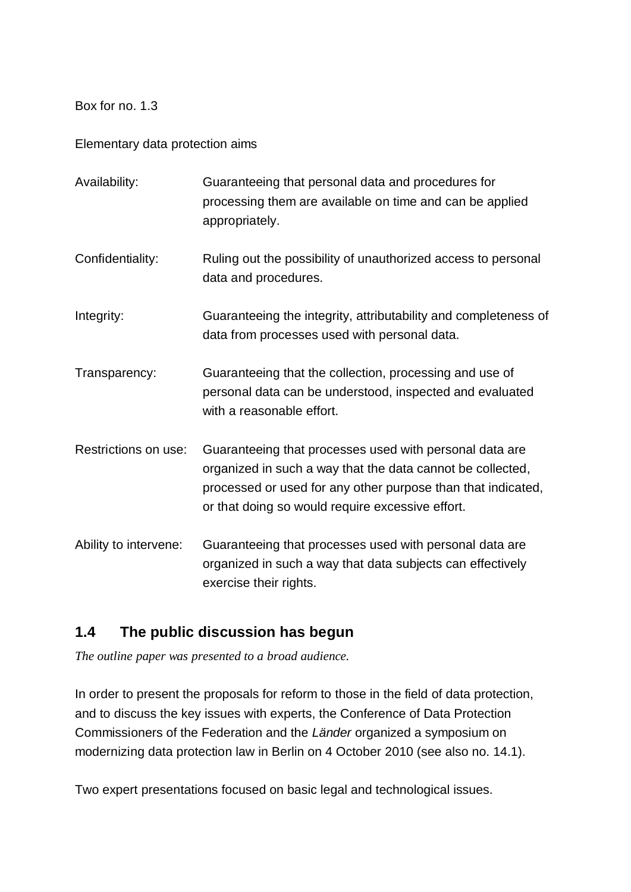Box for no. 1.3

Elementary data protection aims

| Availability:         | Guaranteeing that personal data and procedures for<br>processing them are available on time and can be applied<br>appropriately.                                                                                                          |
|-----------------------|-------------------------------------------------------------------------------------------------------------------------------------------------------------------------------------------------------------------------------------------|
| Confidentiality:      | Ruling out the possibility of unauthorized access to personal<br>data and procedures.                                                                                                                                                     |
| Integrity:            | Guaranteeing the integrity, attributability and completeness of<br>data from processes used with personal data.                                                                                                                           |
| Transparency:         | Guaranteeing that the collection, processing and use of<br>personal data can be understood, inspected and evaluated<br>with a reasonable effort.                                                                                          |
| Restrictions on use:  | Guaranteeing that processes used with personal data are<br>organized in such a way that the data cannot be collected,<br>processed or used for any other purpose than that indicated,<br>or that doing so would require excessive effort. |
| Ability to intervene: | Guaranteeing that processes used with personal data are<br>organized in such a way that data subjects can effectively<br>exercise their rights.                                                                                           |

# **1.4 The public discussion has begun**

*The outline paper was presented to a broad audience.*

In order to present the proposals for reform to those in the field of data protection, and to discuss the key issues with experts, the Conference of Data Protection Commissioners of the Federation and the *Länder* organized a symposium on modernizing data protection law in Berlin on 4 October 2010 (see also no. 14.1).

Two expert presentations focused on basic legal and technological issues.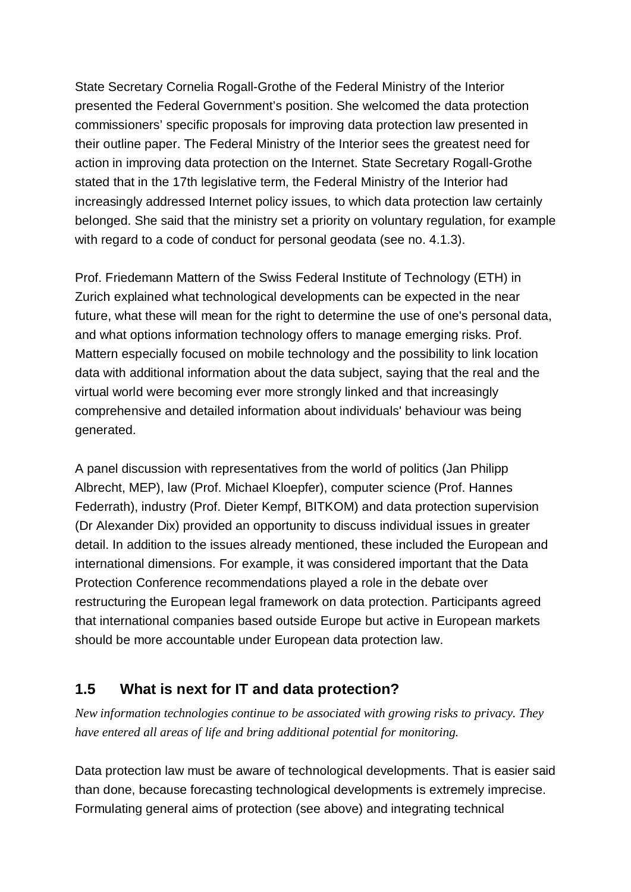State Secretary Cornelia Rogall-Grothe of the Federal Ministry of the Interior presented the Federal Government's position. She welcomed the data protection commissioners' specific proposals for improving data protection law presented in their outline paper. The Federal Ministry of the Interior sees the greatest need for action in improving data protection on the Internet. State Secretary Rogall-Grothe stated that in the 17th legislative term, the Federal Ministry of the Interior had increasingly addressed Internet policy issues, to which data protection law certainly belonged. She said that the ministry set a priority on voluntary regulation, for example with regard to a code of conduct for personal geodata (see no. 4.1.3).

Prof. Friedemann Mattern of the Swiss Federal Institute of Technology (ETH) in Zurich explained what technological developments can be expected in the near future, what these will mean for the right to determine the use of one's personal data, and what options information technology offers to manage emerging risks. Prof. Mattern especially focused on mobile technology and the possibility to link location data with additional information about the data subject, saying that the real and the virtual world were becoming ever more strongly linked and that increasingly comprehensive and detailed information about individuals' behaviour was being generated.

A panel discussion with representatives from the world of politics (Jan Philipp Albrecht, MEP), law (Prof. Michael Kloepfer), computer science (Prof. Hannes Federrath), industry (Prof. Dieter Kempf, BITKOM) and data protection supervision (Dr Alexander Dix) provided an opportunity to discuss individual issues in greater detail. In addition to the issues already mentioned, these included the European and international dimensions. For example, it was considered important that the Data Protection Conference recommendations played a role in the debate over restructuring the European legal framework on data protection. Participants agreed that international companies based outside Europe but active in European markets should be more accountable under European data protection law.

# **1.5 What is next for IT and data protection?**

*New information technologies continue to be associated with growing risks to privacy. They have entered all areas of life and bring additional potential for monitoring.*

Data protection law must be aware of technological developments. That is easier said than done, because forecasting technological developments is extremely imprecise. Formulating general aims of protection (see above) and integrating technical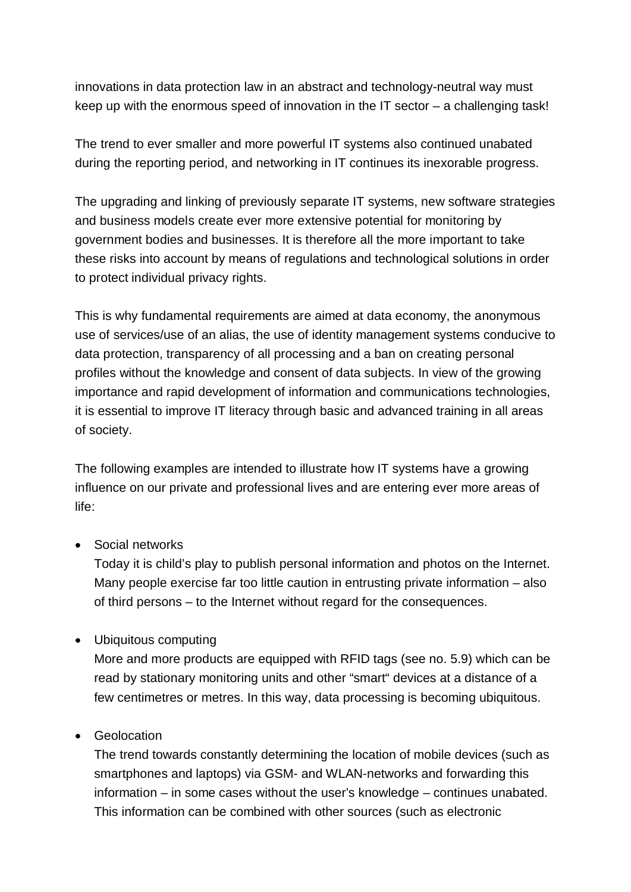innovations in data protection law in an abstract and technology-neutral way must keep up with the enormous speed of innovation in the IT sector – a challenging task!

The trend to ever smaller and more powerful IT systems also continued unabated during the reporting period, and networking in IT continues its inexorable progress.

The upgrading and linking of previously separate IT systems, new software strategies and business models create ever more extensive potential for monitoring by government bodies and businesses. It is therefore all the more important to take these risks into account by means of regulations and technological solutions in order to protect individual privacy rights.

This is why fundamental requirements are aimed at data economy, the anonymous use of services/use of an alias, the use of identity management systems conducive to data protection, transparency of all processing and a ban on creating personal profiles without the knowledge and consent of data subjects. In view of the growing importance and rapid development of information and communications technologies, it is essential to improve IT literacy through basic and advanced training in all areas of society.

The following examples are intended to illustrate how IT systems have a growing influence on our private and professional lives and are entering ever more areas of life:

• Social networks

Today it is child's play to publish personal information and photos on the Internet. Many people exercise far too little caution in entrusting private information – also of third persons – to the Internet without regard for the consequences.

· Ubiquitous computing

More and more products are equipped with RFID tags (see no. 5.9) which can be read by stationary monitoring units and other "smart" devices at a distance of a few centimetres or metres. In this way, data processing is becoming ubiquitous.

· Geolocation

The trend towards constantly determining the location of mobile devices (such as smartphones and laptops) via GSM- and WLAN-networks and forwarding this information – in some cases without the user's knowledge – continues unabated. This information can be combined with other sources (such as electronic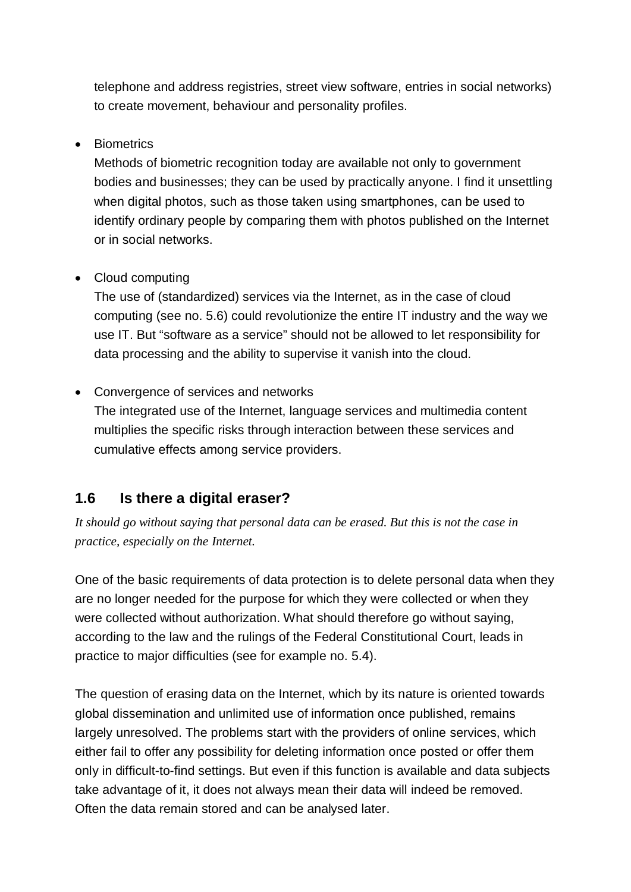telephone and address registries, street view software, entries in social networks) to create movement, behaviour and personality profiles.

### · Biometrics

Methods of biometric recognition today are available not only to government bodies and businesses; they can be used by practically anyone. I find it unsettling when digital photos, such as those taken using smartphones, can be used to identify ordinary people by comparing them with photos published on the Internet or in social networks.

### • Cloud computing

The use of (standardized) services via the Internet, as in the case of cloud computing (see no. 5.6) could revolutionize the entire IT industry and the way we use IT. But "software as a service" should not be allowed to let responsibility for data processing and the ability to supervise it vanish into the cloud.

### · Convergence of services and networks

The integrated use of the Internet, language services and multimedia content multiplies the specific risks through interaction between these services and cumulative effects among service providers.

### **1.6 Is there a digital eraser?**

*It should go without saying that personal data can be erased. But this is not the case in practice, especially on the Internet.*

One of the basic requirements of data protection is to delete personal data when they are no longer needed for the purpose for which they were collected or when they were collected without authorization. What should therefore go without saying, according to the law and the rulings of the Federal Constitutional Court, leads in practice to major difficulties (see for example no. 5.4).

The question of erasing data on the Internet, which by its nature is oriented towards global dissemination and unlimited use of information once published, remains largely unresolved. The problems start with the providers of online services, which either fail to offer any possibility for deleting information once posted or offer them only in difficult-to-find settings. But even if this function is available and data subjects take advantage of it, it does not always mean their data will indeed be removed. Often the data remain stored and can be analysed later.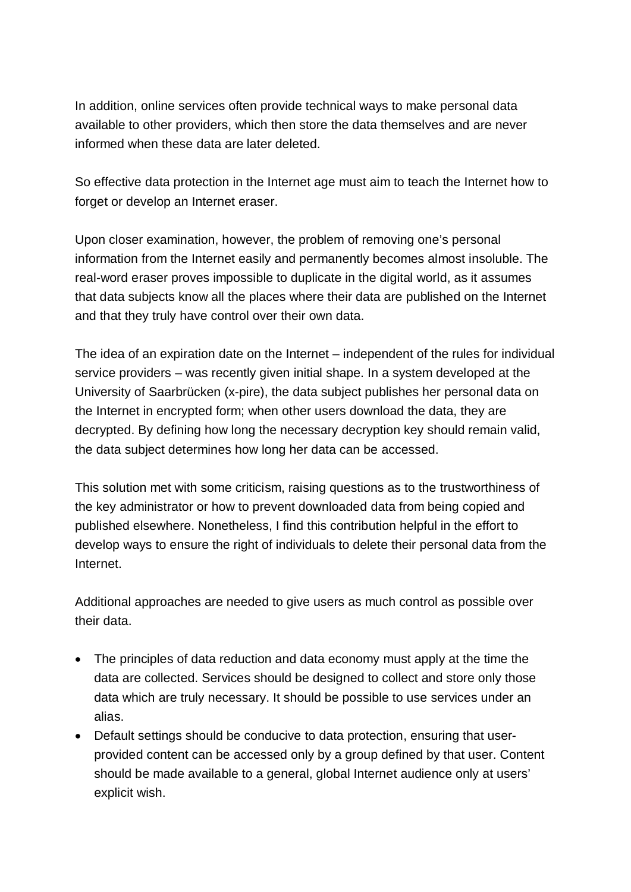In addition, online services often provide technical ways to make personal data available to other providers, which then store the data themselves and are never informed when these data are later deleted.

So effective data protection in the Internet age must aim to teach the Internet how to forget or develop an Internet eraser.

Upon closer examination, however, the problem of removing one's personal information from the Internet easily and permanently becomes almost insoluble. The real-word eraser proves impossible to duplicate in the digital world, as it assumes that data subjects know all the places where their data are published on the Internet and that they truly have control over their own data.

The idea of an expiration date on the Internet – independent of the rules for individual service providers – was recently given initial shape. In a system developed at the University of Saarbrücken (x-pire), the data subject publishes her personal data on the Internet in encrypted form; when other users download the data, they are decrypted. By defining how long the necessary decryption key should remain valid, the data subject determines how long her data can be accessed.

This solution met with some criticism, raising questions as to the trustworthiness of the key administrator or how to prevent downloaded data from being copied and published elsewhere. Nonetheless, I find this contribution helpful in the effort to develop ways to ensure the right of individuals to delete their personal data from the Internet.

Additional approaches are needed to give users as much control as possible over their data.

- · The principles of data reduction and data economy must apply at the time the data are collected. Services should be designed to collect and store only those data which are truly necessary. It should be possible to use services under an alias.
- · Default settings should be conducive to data protection, ensuring that user provided content can be accessed only by a group defined by that user. Content should be made available to a general, global Internet audience only at users' explicit wish.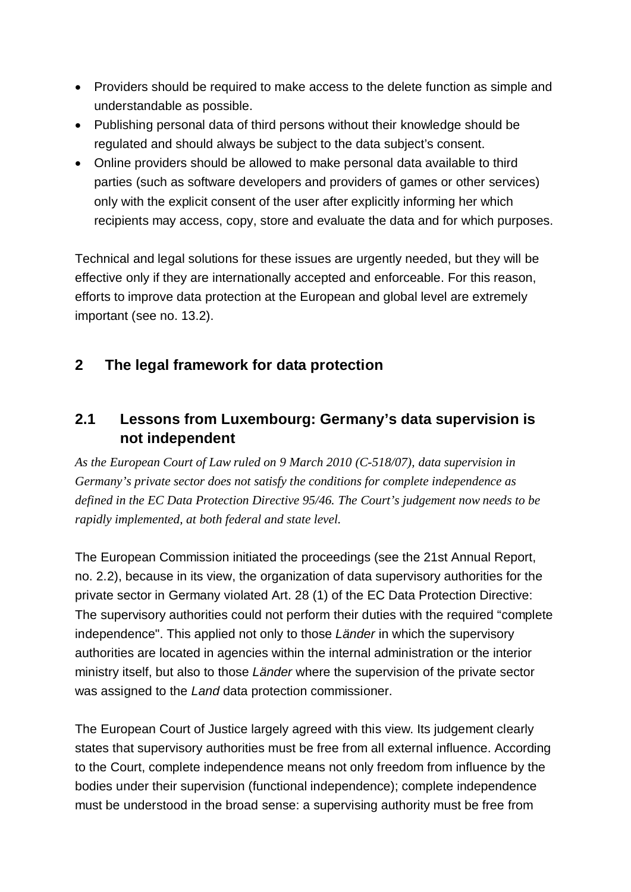- · Providers should be required to make access to the delete function as simple and understandable as possible.
- · Publishing personal data of third persons without their knowledge should be regulated and should always be subject to the data subject's consent.
- · Online providers should be allowed to make personal data available to third parties (such as software developers and providers of games or other services) only with the explicit consent of the user after explicitly informing her which recipients may access, copy, store and evaluate the data and for which purposes.

Technical and legal solutions for these issues are urgently needed, but they will be effective only if they are internationally accepted and enforceable. For this reason, efforts to improve data protection at the European and global level are extremely important (see no. 13.2).

# **2 The legal framework for data protection**

# **2.1 Lessons from Luxembourg: Germany's data supervision is not independent**

*As the European Court of Law ruled on 9 March 2010 (C-518/07), data supervision in Germany's private sector does not satisfy the conditions for complete independence as defined in the EC Data Protection Directive 95/46. The Court's judgement now needs to be rapidly implemented, at both federal and state level.*

The European Commission initiated the proceedings (see the 21st Annual Report, no. 2.2), because in its view, the organization of data supervisory authorities for the private sector in Germany violated Art. 28 (1) of the EC Data Protection Directive: The supervisory authorities could not perform their duties with the required "complete independence". This applied not only to those *Länder* in which the supervisory authorities are located in agencies within the internal administration or the interior ministry itself, but also to those *Länder* where the supervision of the private sector was assigned to the *Land* data protection commissioner.

The European Court of Justice largely agreed with this view. Its judgement clearly states that supervisory authorities must be free from all external influence. According to the Court, complete independence means not only freedom from influence by the bodies under their supervision (functional independence); complete independence must be understood in the broad sense: a supervising authority must be free from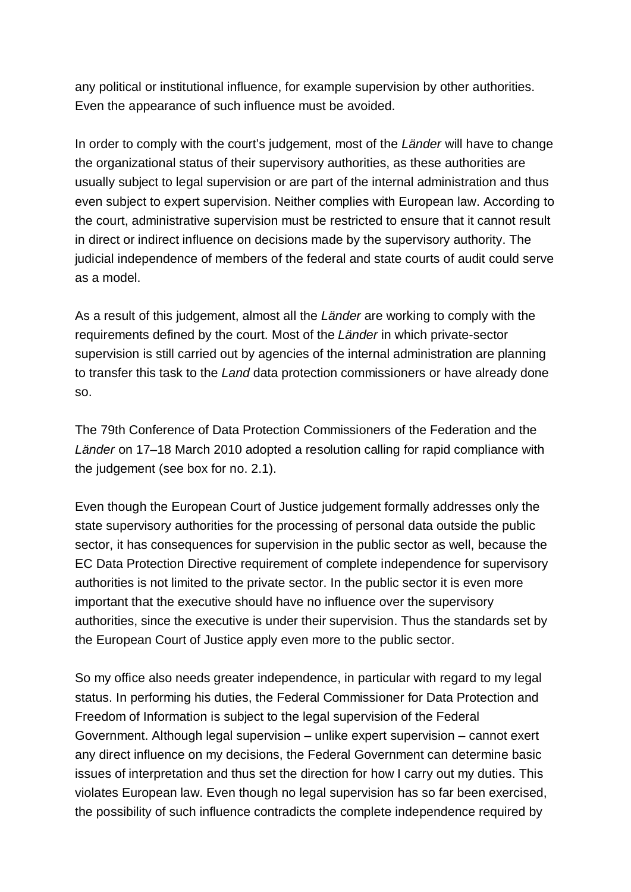any political or institutional influence, for example supervision by other authorities. Even the appearance of such influence must be avoided.

In order to comply with the court's judgement, most of the *Länder* will have to change the organizational status of their supervisory authorities, as these authorities are usually subject to legal supervision or are part of the internal administration and thus even subject to expert supervision. Neither complies with European law. According to the court, administrative supervision must be restricted to ensure that it cannot result in direct or indirect influence on decisions made by the supervisory authority. The judicial independence of members of the federal and state courts of audit could serve as a model.

As a result of this judgement, almost all the *Länder* are working to comply with the requirements defined by the court. Most of the *Länder* in which private-sector supervision is still carried out by agencies of the internal administration are planning to transfer this task to the *Land* data protection commissioners or have already done so.

The 79th Conference of Data Protection Commissioners of the Federation and the *Länder* on 17–18 March 2010 adopted a resolution calling for rapid compliance with the judgement (see box for no. 2.1).

Even though the European Court of Justice judgement formally addresses only the state supervisory authorities for the processing of personal data outside the public sector, it has consequences for supervision in the public sector as well, because the EC Data Protection Directive requirement of complete independence for supervisory authorities is not limited to the private sector. In the public sector it is even more important that the executive should have no influence over the supervisory authorities, since the executive is under their supervision. Thus the standards set by the European Court of Justice apply even more to the public sector.

So my office also needs greater independence, in particular with regard to my legal status. In performing his duties, the Federal Commissioner for Data Protection and Freedom of Information is subject to the legal supervision of the Federal Government. Although legal supervision – unlike expert supervision – cannot exert any direct influence on my decisions, the Federal Government can determine basic issues of interpretation and thus set the direction for how I carry out my duties. This violates European law. Even though no legal supervision has so far been exercised, the possibility of such influence contradicts the complete independence required by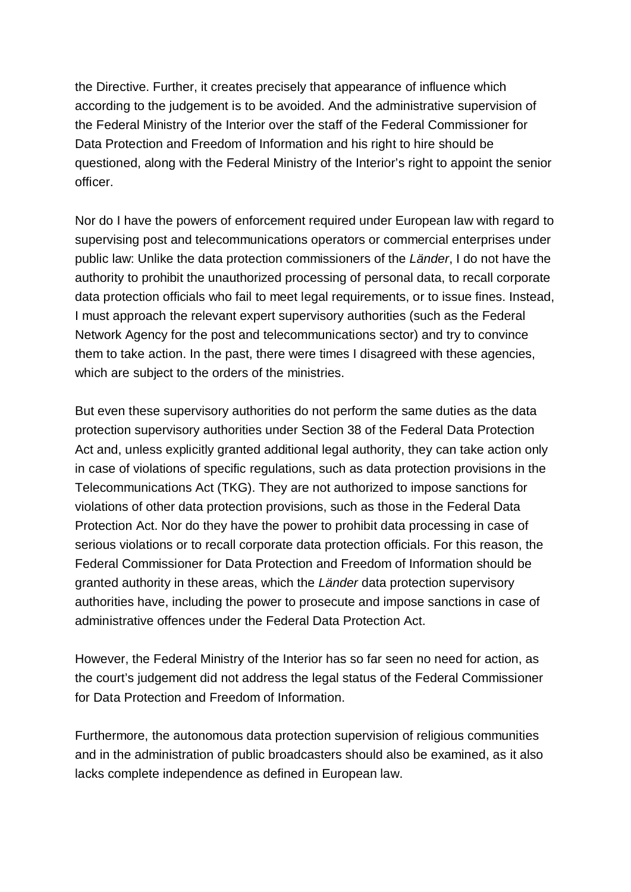the Directive. Further, it creates precisely that appearance of influence which according to the judgement is to be avoided. And the administrative supervision of the Federal Ministry of the Interior over the staff of the Federal Commissioner for Data Protection and Freedom of Information and his right to hire should be questioned, along with the Federal Ministry of the Interior's right to appoint the senior officer.

Nor do I have the powers of enforcement required under European law with regard to supervising post and telecommunications operators or commercial enterprises under public law: Unlike the data protection commissioners of the *Länder*, I do not have the authority to prohibit the unauthorized processing of personal data, to recall corporate data protection officials who fail to meet legal requirements, or to issue fines. Instead, I must approach the relevant expert supervisory authorities (such as the Federal Network Agency for the post and telecommunications sector) and try to convince them to take action. In the past, there were times I disagreed with these agencies, which are subject to the orders of the ministries.

But even these supervisory authorities do not perform the same duties as the data protection supervisory authorities under Section 38 of the Federal Data Protection Act and, unless explicitly granted additional legal authority, they can take action only in case of violations of specific regulations, such as data protection provisions in the Telecommunications Act (TKG). They are not authorized to impose sanctions for violations of other data protection provisions, such as those in the Federal Data Protection Act. Nor do they have the power to prohibit data processing in case of serious violations or to recall corporate data protection officials. For this reason, the Federal Commissioner for Data Protection and Freedom of Information should be granted authority in these areas, which the *Länder* data protection supervisory authorities have, including the power to prosecute and impose sanctions in case of administrative offences under the Federal Data Protection Act.

However, the Federal Ministry of the Interior has so far seen no need for action, as the court's judgement did not address the legal status of the Federal Commissioner for Data Protection and Freedom of Information.

Furthermore, the autonomous data protection supervision of religious communities and in the administration of public broadcasters should also be examined, as it also lacks complete independence as defined in European law.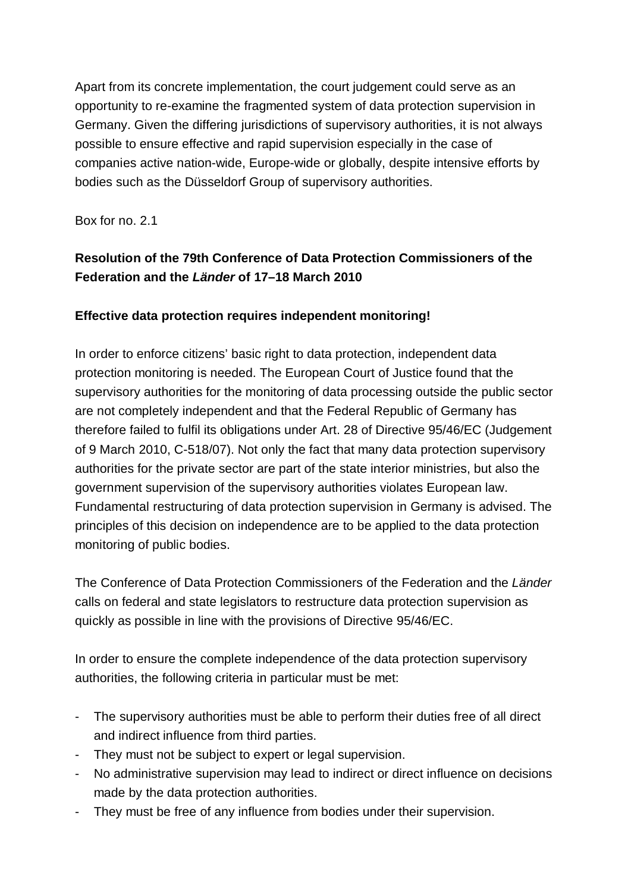Apart from its concrete implementation, the court judgement could serve as an opportunity to re-examine the fragmented system of data protection supervision in Germany. Given the differing jurisdictions of supervisory authorities, it is not always possible to ensure effective and rapid supervision especially in the case of companies active nation-wide, Europe-wide or globally, despite intensive efforts by bodies such as the Düsseldorf Group of supervisory authorities.

Box for no. 2.1

### **Resolution of the 79th Conference of Data Protection Commissioners of the Federation and the** *Länder* **of 17–18 March 2010**

### **Effective data protection requires independent monitoring!**

In order to enforce citizens' basic right to data protection, independent data protection monitoring is needed. The European Court of Justice found that the supervisory authorities for the monitoring of data processing outside the public sector are not completely independent and that the Federal Republic of Germany has therefore failed to fulfil its obligations under Art. 28 of Directive 95/46/EC (Judgement of 9 March 2010, C-518/07). Not only the fact that many data protection supervisory authorities for the private sector are part of the state interior ministries, but also the government supervision of the supervisory authorities violates European law. Fundamental restructuring of data protection supervision in Germany is advised. The principles of this decision on independence are to be applied to the data protection monitoring of public bodies.

The Conference of Data Protection Commissioners of the Federation and the *Länder* calls on federal and state legislators to restructure data protection supervision as quickly as possible in line with the provisions of Directive 95/46/EC.

In order to ensure the complete independence of the data protection supervisory authorities, the following criteria in particular must be met:

- The supervisory authorities must be able to perform their duties free of all direct and indirect influence from third parties.
- They must not be subject to expert or legal supervision.
- No administrative supervision may lead to indirect or direct influence on decisions made by the data protection authorities.
- They must be free of any influence from bodies under their supervision.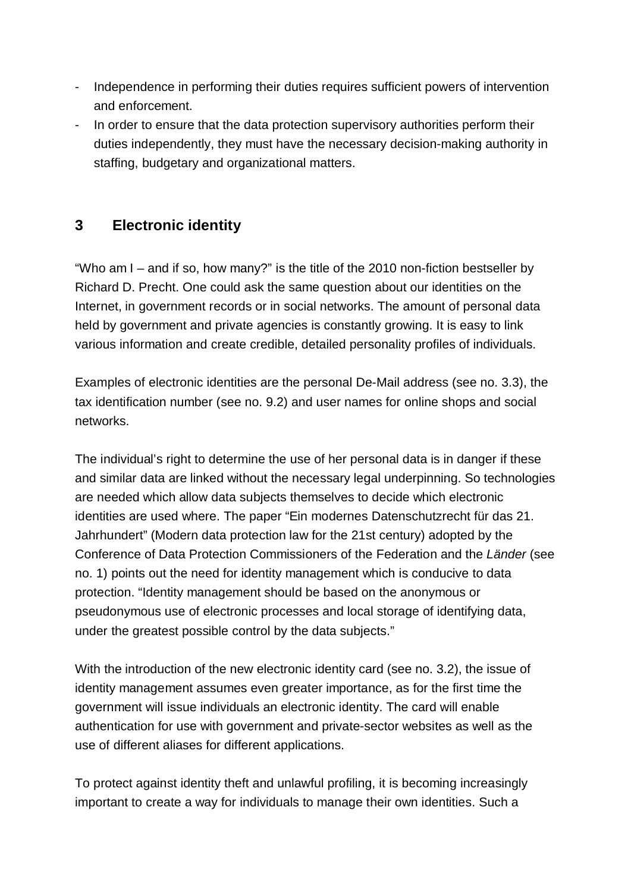- Independence in performing their duties requires sufficient powers of intervention and enforcement.
- In order to ensure that the data protection supervisory authorities perform their duties independently, they must have the necessary decision-making authority in staffing, budgetary and organizational matters.

# **3 Electronic identity**

"Who am I – and if so, how many?" is the title of the 2010 non-fiction bestseller by Richard D. Precht. One could ask the same question about our identities on the Internet, in government records or in social networks. The amount of personal data held by government and private agencies is constantly growing. It is easy to link various information and create credible, detailed personality profiles of individuals.

Examples of electronic identities are the personal De-Mail address (see no. 3.3), the tax identification number (see no. 9.2) and user names for online shops and social networks.

The individual's right to determine the use of her personal data is in danger if these and similar data are linked without the necessary legal underpinning. So technologies are needed which allow data subjects themselves to decide which electronic identities are used where. The paper "Ein modernes Datenschutzrecht für das 21. Jahrhundert" (Modern data protection law for the 21st century) adopted by the Conference of Data Protection Commissioners of the Federation and the *Länder* (see no. 1) points out the need for identity management which is conducive to data protection. "Identity management should be based on the anonymous or pseudonymous use of electronic processes and local storage of identifying data, under the greatest possible control by the data subjects."

With the introduction of the new electronic identity card (see no. 3.2), the issue of identity management assumes even greater importance, as for the first time the government will issue individuals an electronic identity. The card will enable authentication for use with government and private-sector websites as well as the use of different aliases for different applications.

To protect against identity theft and unlawful profiling, it is becoming increasingly important to create a way for individuals to manage their own identities. Such a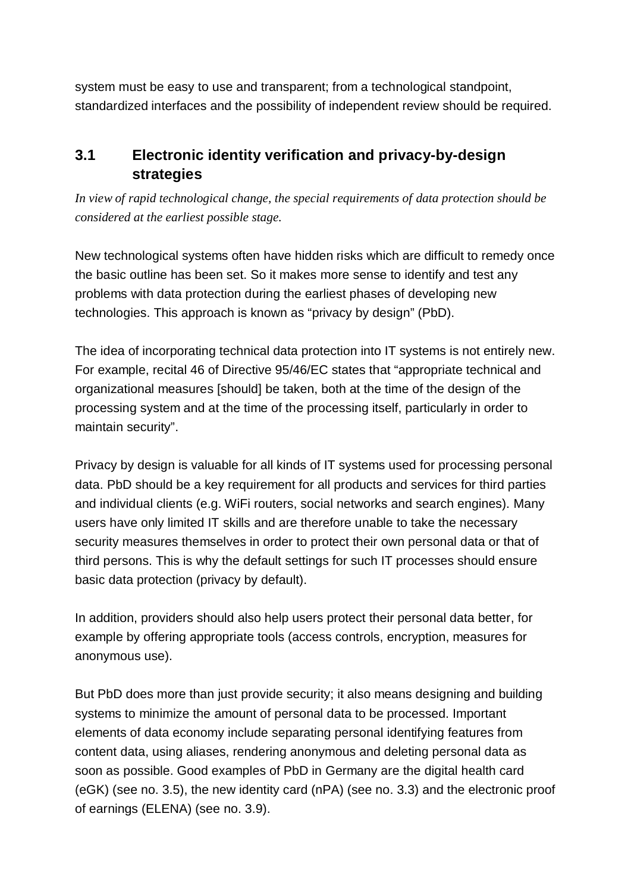system must be easy to use and transparent; from a technological standpoint, standardized interfaces and the possibility of independent review should be required.

# **3.1 Electronic identity verification and privacy-by-design strategies**

*In view of rapid technological change, the special requirements of data protection should be considered at the earliest possible stage.*

New technological systems often have hidden risks which are difficult to remedy once the basic outline has been set. So it makes more sense to identify and test any problems with data protection during the earliest phases of developing new technologies. This approach is known as "privacy by design" (PbD).

The idea of incorporating technical data protection into IT systems is not entirely new. For example, recital 46 of Directive 95/46/EC states that "appropriate technical and organizational measures [should] be taken, both at the time of the design of the processing system and at the time of the processing itself, particularly in order to maintain security".

Privacy by design is valuable for all kinds of IT systems used for processing personal data. PbD should be a key requirement for all products and services for third parties and individual clients (e.g. WiFi routers, social networks and search engines). Many users have only limited IT skills and are therefore unable to take the necessary security measures themselves in order to protect their own personal data or that of third persons. This is why the default settings for such IT processes should ensure basic data protection (privacy by default).

In addition, providers should also help users protect their personal data better, for example by offering appropriate tools (access controls, encryption, measures for anonymous use).

But PbD does more than just provide security; it also means designing and building systems to minimize the amount of personal data to be processed. Important elements of data economy include separating personal identifying features from content data, using aliases, rendering anonymous and deleting personal data as soon as possible. Good examples of PbD in Germany are the digital health card (eGK) (see no. 3.5), the new identity card (nPA) (see no. 3.3) and the electronic proof of earnings (ELENA) (see no. 3.9).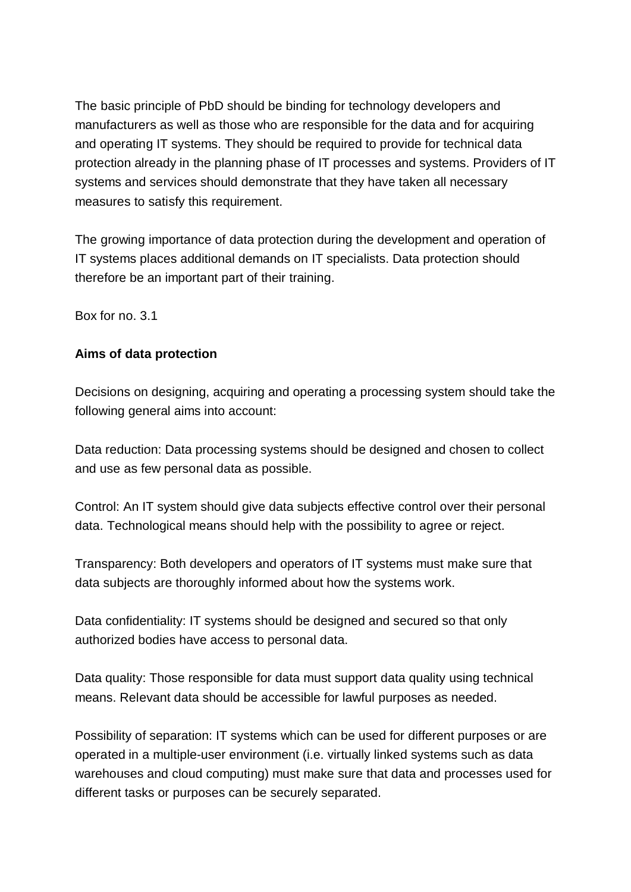The basic principle of PbD should be binding for technology developers and manufacturers as well as those who are responsible for the data and for acquiring and operating IT systems. They should be required to provide for technical data protection already in the planning phase of IT processes and systems. Providers of IT systems and services should demonstrate that they have taken all necessary measures to satisfy this requirement.

The growing importance of data protection during the development and operation of IT systems places additional demands on IT specialists. Data protection should therefore be an important part of their training.

Box for no. 3.1

### **Aims of data protection**

Decisions on designing, acquiring and operating a processing system should take the following general aims into account:

Data reduction: Data processing systems should be designed and chosen to collect and use as few personal data as possible.

Control: An IT system should give data subjects effective control over their personal data. Technological means should help with the possibility to agree or reject.

Transparency: Both developers and operators of IT systems must make sure that data subjects are thoroughly informed about how the systems work.

Data confidentiality: IT systems should be designed and secured so that only authorized bodies have access to personal data.

Data quality: Those responsible for data must support data quality using technical means. Relevant data should be accessible for lawful purposes as needed.

Possibility of separation: IT systems which can be used for different purposes or are operated in a multiple-user environment (i.e. virtually linked systems such as data warehouses and cloud computing) must make sure that data and processes used for different tasks or purposes can be securely separated.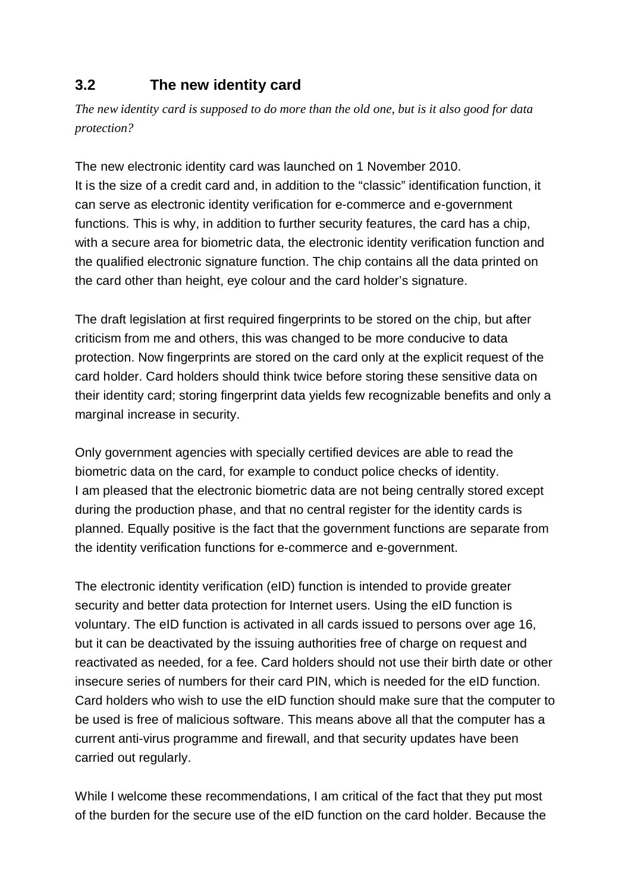# **3.2 The new identity card**

*The new identity card is supposed to do more than the old one, but is it also good for data protection?*

The new electronic identity card was launched on 1 November 2010. It is the size of a credit card and, in addition to the "classic" identification function, it can serve as electronic identity verification for e-commerce and e-government functions. This is why, in addition to further security features, the card has a chip, with a secure area for biometric data, the electronic identity verification function and the qualified electronic signature function. The chip contains all the data printed on the card other than height, eye colour and the card holder's signature.

The draft legislation at first required fingerprints to be stored on the chip, but after criticism from me and others, this was changed to be more conducive to data protection. Now fingerprints are stored on the card only at the explicit request of the card holder. Card holders should think twice before storing these sensitive data on their identity card; storing fingerprint data yields few recognizable benefits and only a marginal increase in security.

Only government agencies with specially certified devices are able to read the biometric data on the card, for example to conduct police checks of identity. I am pleased that the electronic biometric data are not being centrally stored except during the production phase, and that no central register for the identity cards is planned. Equally positive is the fact that the government functions are separate from the identity verification functions for e-commerce and e-government.

The electronic identity verification (eID) function is intended to provide greater security and better data protection for Internet users. Using the eID function is voluntary. The eID function is activated in all cards issued to persons over age 16, but it can be deactivated by the issuing authorities free of charge on request and reactivated as needed, for a fee. Card holders should not use their birth date or other insecure series of numbers for their card PIN, which is needed for the eID function. Card holders who wish to use the eID function should make sure that the computer to be used is free of malicious software. This means above all that the computer has a current anti-virus programme and firewall, and that security updates have been carried out regularly.

While I welcome these recommendations, I am critical of the fact that they put most of the burden for the secure use of the eID function on the card holder. Because the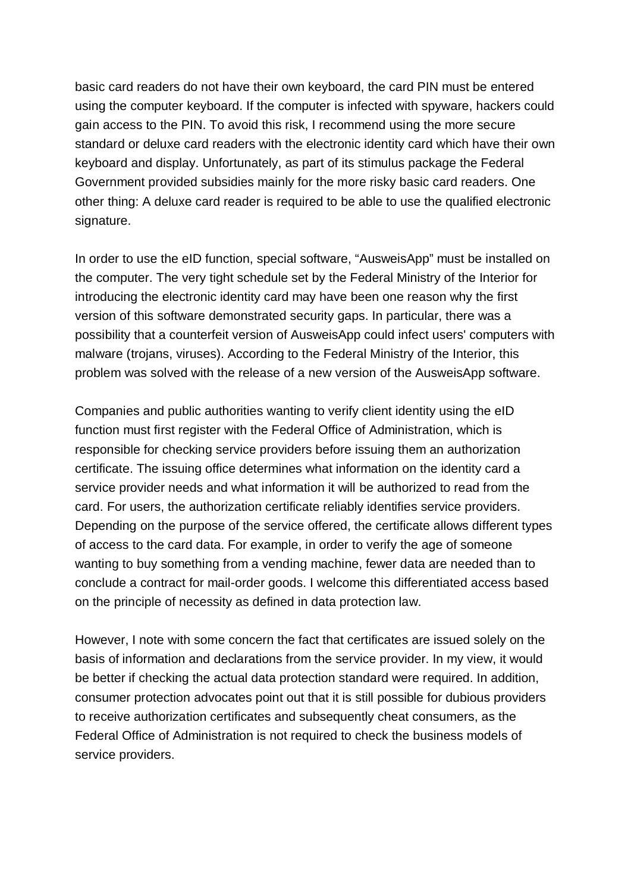basic card readers do not have their own keyboard, the card PIN must be entered using the computer keyboard. If the computer is infected with spyware, hackers could gain access to the PIN. To avoid this risk, I recommend using the more secure standard or deluxe card readers with the electronic identity card which have their own keyboard and display. Unfortunately, as part of its stimulus package the Federal Government provided subsidies mainly for the more risky basic card readers. One other thing: A deluxe card reader is required to be able to use the qualified electronic signature.

In order to use the eID function, special software, "AusweisApp" must be installed on the computer. The very tight schedule set by the Federal Ministry of the Interior for introducing the electronic identity card may have been one reason why the first version of this software demonstrated security gaps. In particular, there was a possibility that a counterfeit version of AusweisApp could infect users' computers with malware (trojans, viruses). According to the Federal Ministry of the Interior, this problem was solved with the release of a new version of the AusweisApp software.

Companies and public authorities wanting to verify client identity using the eID function must first register with the Federal Office of Administration, which is responsible for checking service providers before issuing them an authorization certificate. The issuing office determines what information on the identity card a service provider needs and what information it will be authorized to read from the card. For users, the authorization certificate reliably identifies service providers. Depending on the purpose of the service offered, the certificate allows different types of access to the card data. For example, in order to verify the age of someone wanting to buy something from a vending machine, fewer data are needed than to conclude a contract for mail-order goods. I welcome this differentiated access based on the principle of necessity as defined in data protection law.

However, I note with some concern the fact that certificates are issued solely on the basis of information and declarations from the service provider. In my view, it would be better if checking the actual data protection standard were required. In addition, consumer protection advocates point out that it is still possible for dubious providers to receive authorization certificates and subsequently cheat consumers, as the Federal Office of Administration is not required to check the business models of service providers.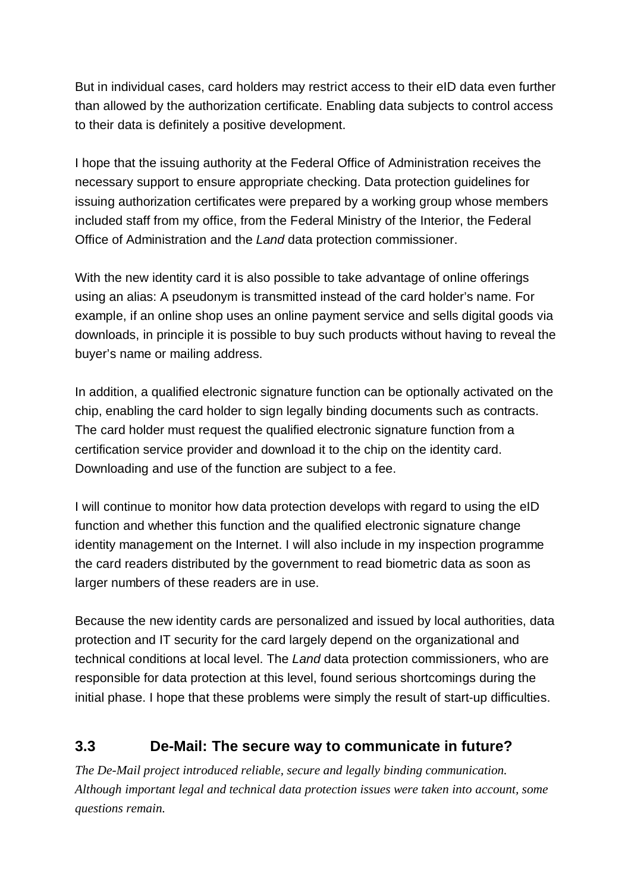But in individual cases, card holders may restrict access to their eID data even further than allowed by the authorization certificate. Enabling data subjects to control access to their data is definitely a positive development.

I hope that the issuing authority at the Federal Office of Administration receives the necessary support to ensure appropriate checking. Data protection guidelines for issuing authorization certificates were prepared by a working group whose members included staff from my office, from the Federal Ministry of the Interior, the Federal Office of Administration and the *Land* data protection commissioner.

With the new identity card it is also possible to take advantage of online offerings using an alias: A pseudonym is transmitted instead of the card holder's name. For example, if an online shop uses an online payment service and sells digital goods via downloads, in principle it is possible to buy such products without having to reveal the buyer's name or mailing address.

In addition, a qualified electronic signature function can be optionally activated on the chip, enabling the card holder to sign legally binding documents such as contracts. The card holder must request the qualified electronic signature function from a certification service provider and download it to the chip on the identity card. Downloading and use of the function are subject to a fee.

I will continue to monitor how data protection develops with regard to using the eID function and whether this function and the qualified electronic signature change identity management on the Internet. I will also include in my inspection programme the card readers distributed by the government to read biometric data as soon as larger numbers of these readers are in use.

Because the new identity cards are personalized and issued by local authorities, data protection and IT security for the card largely depend on the organizational and technical conditions at local level. The *Land* data protection commissioners, who are responsible for data protection at this level, found serious shortcomings during the initial phase. I hope that these problems were simply the result of start-up difficulties.

# **3.3 De-Mail: The secure way to communicate in future?**

*The De-Mail project introduced reliable, secure and legally binding communication. Although important legal and technical data protection issues were taken into account, some questions remain.*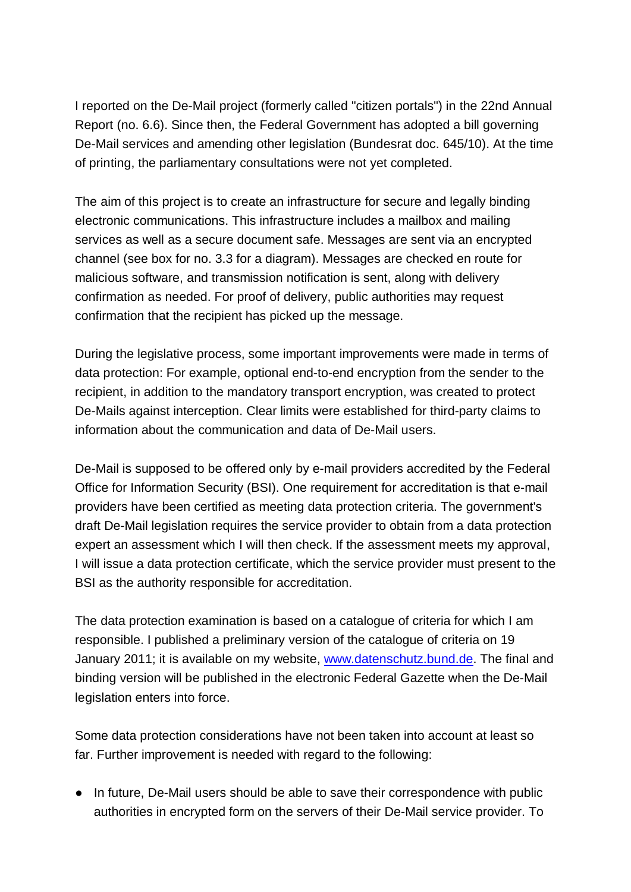I reported on the De-Mail project (formerly called "citizen portals") in the 22nd Annual Report (no. 6.6). Since then, the Federal Government has adopted a bill governing De-Mail services and amending other legislation (Bundesrat doc. 645/10). At the time of printing, the parliamentary consultations were not yet completed.

The aim of this project is to create an infrastructure for secure and legally binding electronic communications. This infrastructure includes a mailbox and mailing services as well as a secure document safe. Messages are sent via an encrypted channel (see box for no. 3.3 for a diagram). Messages are checked en route for malicious software, and transmission notification is sent, along with delivery confirmation as needed. For proof of delivery, public authorities may request confirmation that the recipient has picked up the message.

During the legislative process, some important improvements were made in terms of data protection: For example, optional end-to-end encryption from the sender to the recipient, in addition to the mandatory transport encryption, was created to protect De-Mails against interception. Clear limits were established for third-party claims to information about the communication and data of De-Mail users.

De-Mail is supposed to be offered only by e-mail providers accredited by the Federal Office for Information Security (BSI). One requirement for accreditation is that e-mail providers have been certified as meeting data protection criteria. The government's draft De-Mail legislation requires the service provider to obtain from a data protection expert an assessment which I will then check. If the assessment meets my approval, I will issue a data protection certificate, which the service provider must present to the BSI as the authority responsible for accreditation.

The data protection examination is based on a catalogue of criteria for which I am responsible. I published a preliminary version of the catalogue of criteria on 19 January 2011; it is available on my website, [www.datenschutz.bund.de.](http://www.datenschutz.bund.de.) The final and binding version will be published in the electronic Federal Gazette when the De-Mail legislation enters into force.

Some data protection considerations have not been taken into account at least so far. Further improvement is needed with regard to the following:

● In future, De-Mail users should be able to save their correspondence with public authorities in encrypted form on the servers of their De-Mail service provider. To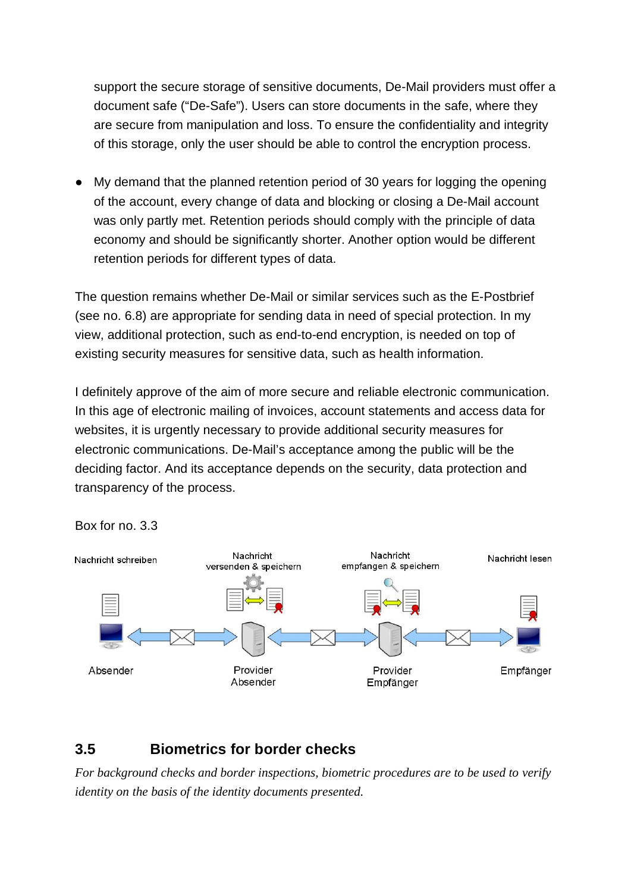support the secure storage of sensitive documents, De-Mail providers must offer a document safe ("De-Safe"). Users can store documents in the safe, where they are secure from manipulation and loss. To ensure the confidentiality and integrity of this storage, only the user should be able to control the encryption process.

● My demand that the planned retention period of 30 years for logging the opening of the account, every change of data and blocking or closing a De-Mail account was only partly met. Retention periods should comply with the principle of data economy and should be significantly shorter. Another option would be different retention periods for different types of data.

The question remains whether De-Mail or similar services such as the E-Postbrief (see no. 6.8) are appropriate for sending data in need of special protection. In my view, additional protection, such as end-to-end encryption, is needed on top of existing security measures for sensitive data, such as health information.

I definitely approve of the aim of more secure and reliable electronic communication. In this age of electronic mailing of invoices, account statements and access data for websites, it is urgently necessary to provide additional security measures for electronic communications. De-Mail's acceptance among the public will be the deciding factor. And its acceptance depends on the security, data protection and transparency of the process.





# **3.5 Biometrics for border checks**

*For background checks and border inspections, biometric procedures are to be used to verify identity on the basis of the identity documents presented.*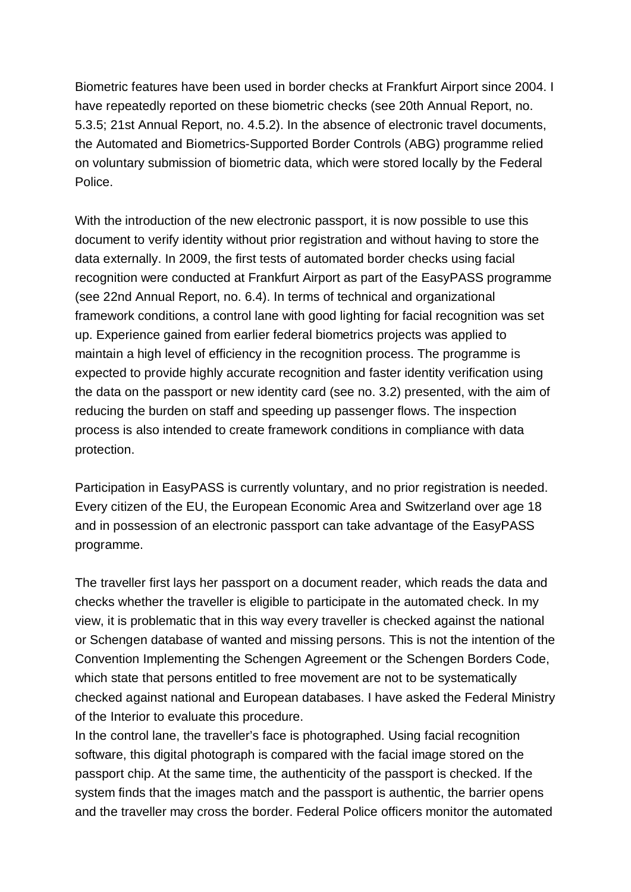Biometric features have been used in border checks at Frankfurt Airport since 2004. I have repeatedly reported on these biometric checks (see 20th Annual Report, no. 5.3.5; 21st Annual Report, no. 4.5.2). In the absence of electronic travel documents, the Automated and Biometrics-Supported Border Controls (ABG) programme relied on voluntary submission of biometric data, which were stored locally by the Federal Police.

With the introduction of the new electronic passport, it is now possible to use this document to verify identity without prior registration and without having to store the data externally. In 2009, the first tests of automated border checks using facial recognition were conducted at Frankfurt Airport as part of the EasyPASS programme (see 22nd Annual Report, no. 6.4). In terms of technical and organizational framework conditions, a control lane with good lighting for facial recognition was set up. Experience gained from earlier federal biometrics projects was applied to maintain a high level of efficiency in the recognition process. The programme is expected to provide highly accurate recognition and faster identity verification using the data on the passport or new identity card (see no. 3.2) presented, with the aim of reducing the burden on staff and speeding up passenger flows. The inspection process is also intended to create framework conditions in compliance with data protection.

Participation in EasyPASS is currently voluntary, and no prior registration is needed. Every citizen of the EU, the European Economic Area and Switzerland over age 18 and in possession of an electronic passport can take advantage of the EasyPASS programme.

The traveller first lays her passport on a document reader, which reads the data and checks whether the traveller is eligible to participate in the automated check. In my view, it is problematic that in this way every traveller is checked against the national or Schengen database of wanted and missing persons. This is not the intention of the Convention Implementing the Schengen Agreement or the Schengen Borders Code, which state that persons entitled to free movement are not to be systematically checked against national and European databases. I have asked the Federal Ministry of the Interior to evaluate this procedure.

In the control lane, the traveller's face is photographed. Using facial recognition software, this digital photograph is compared with the facial image stored on the passport chip. At the same time, the authenticity of the passport is checked. If the system finds that the images match and the passport is authentic, the barrier opens and the traveller may cross the border. Federal Police officers monitor the automated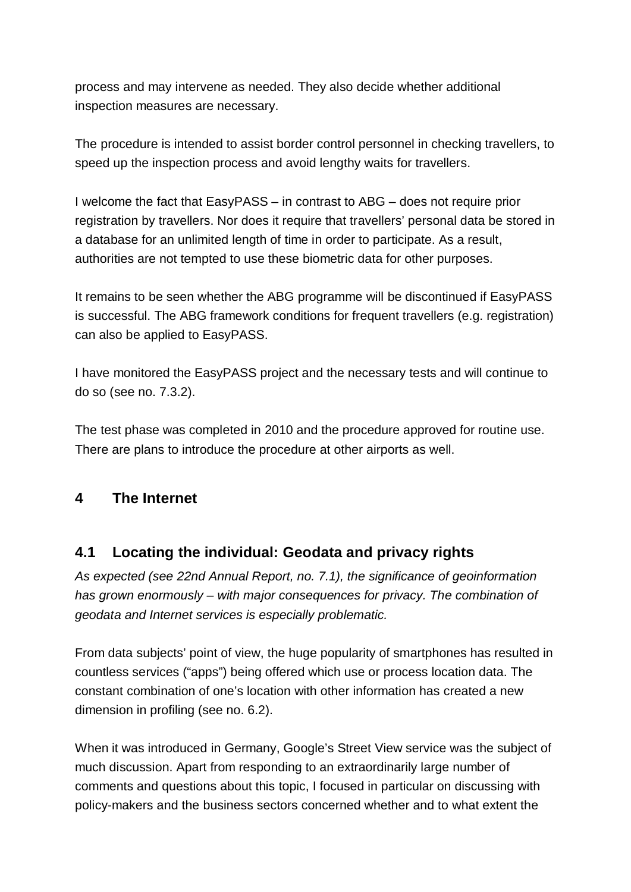process and may intervene as needed. They also decide whether additional inspection measures are necessary.

The procedure is intended to assist border control personnel in checking travellers, to speed up the inspection process and avoid lengthy waits for travellers.

I welcome the fact that EasyPASS – in contrast to ABG – does not require prior registration by travellers. Nor does it require that travellers' personal data be stored in a database for an unlimited length of time in order to participate. As a result, authorities are not tempted to use these biometric data for other purposes.

It remains to be seen whether the ABG programme will be discontinued if EasyPASS is successful. The ABG framework conditions for frequent travellers (e.g. registration) can also be applied to EasyPASS.

I have monitored the EasyPASS project and the necessary tests and will continue to do so (see no. 7.3.2).

The test phase was completed in 2010 and the procedure approved for routine use. There are plans to introduce the procedure at other airports as well.

### **4 The Internet**

### **4.1 Locating the individual: Geodata and privacy rights**

*As expected (see 22nd Annual Report, no. 7.1), the significance of geoinformation has grown enormously – with major consequences for privacy. The combination of geodata and Internet services is especially problematic.*

From data subjects' point of view, the huge popularity of smartphones has resulted in countless services ("apps") being offered which use or process location data. The constant combination of one's location with other information has created a new dimension in profiling (see no. 6.2).

When it was introduced in Germany, Google's Street View service was the subject of much discussion. Apart from responding to an extraordinarily large number of comments and questions about this topic, I focused in particular on discussing with policy-makers and the business sectors concerned whether and to what extent the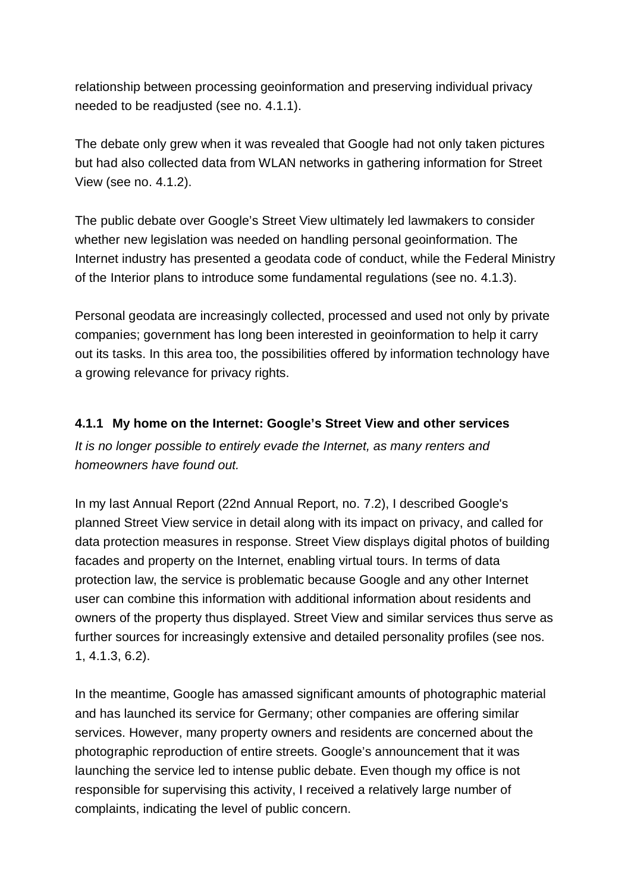relationship between processing geoinformation and preserving individual privacy needed to be readjusted (see no. 4.1.1).

The debate only grew when it was revealed that Google had not only taken pictures but had also collected data from WLAN networks in gathering information for Street View (see no. 4.1.2).

The public debate over Google's Street View ultimately led lawmakers to consider whether new legislation was needed on handling personal geoinformation. The Internet industry has presented a geodata code of conduct, while the Federal Ministry of the Interior plans to introduce some fundamental regulations (see no. 4.1.3).

Personal geodata are increasingly collected, processed and used not only by private companies; government has long been interested in geoinformation to help it carry out its tasks. In this area too, the possibilities offered by information technology have a growing relevance for privacy rights.

### **4.1.1 My home on the Internet: Google's Street View and other services**

*It is no longer possible to entirely evade the Internet, as many renters and homeowners have found out.*

In my last Annual Report (22nd Annual Report, no. 7.2), I described Google's planned Street View service in detail along with its impact on privacy, and called for data protection measures in response. Street View displays digital photos of building facades and property on the Internet, enabling virtual tours. In terms of data protection law, the service is problematic because Google and any other Internet user can combine this information with additional information about residents and owners of the property thus displayed. Street View and similar services thus serve as further sources for increasingly extensive and detailed personality profiles (see nos. 1, 4.1.3, 6.2).

In the meantime, Google has amassed significant amounts of photographic material and has launched its service for Germany; other companies are offering similar services. However, many property owners and residents are concerned about the photographic reproduction of entire streets. Google's announcement that it was launching the service led to intense public debate. Even though my office is not responsible for supervising this activity, I received a relatively large number of complaints, indicating the level of public concern.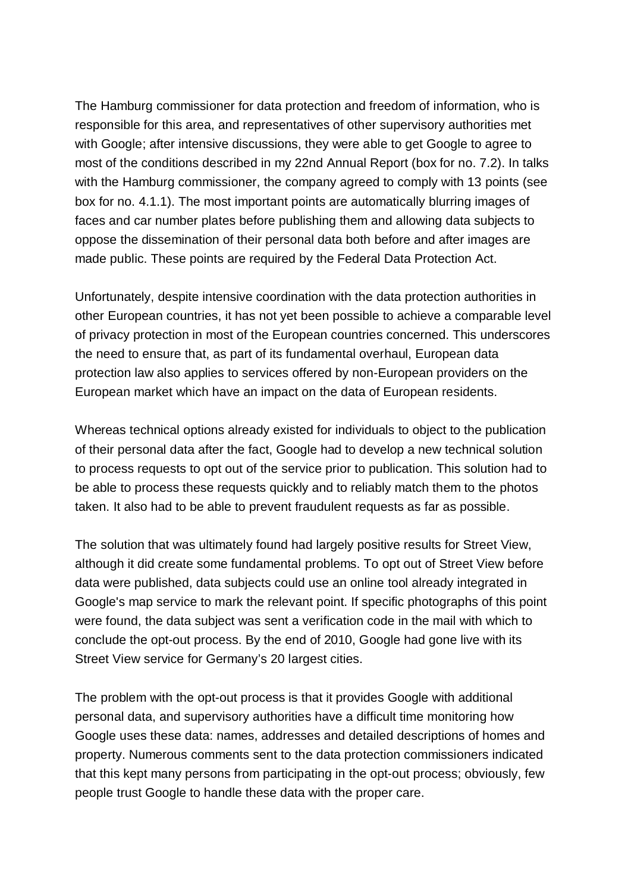The Hamburg commissioner for data protection and freedom of information, who is responsible for this area, and representatives of other supervisory authorities met with Google; after intensive discussions, they were able to get Google to agree to most of the conditions described in my 22nd Annual Report (box for no. 7.2). In talks with the Hamburg commissioner, the company agreed to comply with 13 points (see box for no. 4.1.1). The most important points are automatically blurring images of faces and car number plates before publishing them and allowing data subjects to oppose the dissemination of their personal data both before and after images are made public. These points are required by the Federal Data Protection Act.

Unfortunately, despite intensive coordination with the data protection authorities in other European countries, it has not yet been possible to achieve a comparable level of privacy protection in most of the European countries concerned. This underscores the need to ensure that, as part of its fundamental overhaul, European data protection law also applies to services offered by non-European providers on the European market which have an impact on the data of European residents.

Whereas technical options already existed for individuals to object to the publication of their personal data after the fact, Google had to develop a new technical solution to process requests to opt out of the service prior to publication. This solution had to be able to process these requests quickly and to reliably match them to the photos taken. It also had to be able to prevent fraudulent requests as far as possible.

The solution that was ultimately found had largely positive results for Street View, although it did create some fundamental problems. To opt out of Street View before data were published, data subjects could use an online tool already integrated in Google's map service to mark the relevant point. If specific photographs of this point were found, the data subject was sent a verification code in the mail with which to conclude the opt-out process. By the end of 2010, Google had gone live with its Street View service for Germany's 20 largest cities.

The problem with the opt-out process is that it provides Google with additional personal data, and supervisory authorities have a difficult time monitoring how Google uses these data: names, addresses and detailed descriptions of homes and property. Numerous comments sent to the data protection commissioners indicated that this kept many persons from participating in the opt-out process; obviously, few people trust Google to handle these data with the proper care.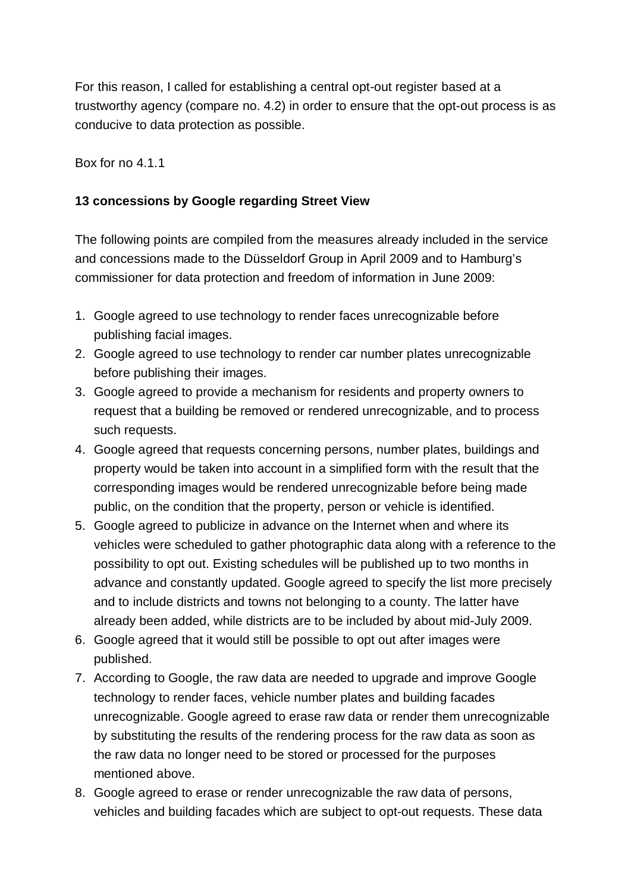For this reason, I called for establishing a central opt-out register based at a trustworthy agency (compare no. 4.2) in order to ensure that the opt-out process is as conducive to data protection as possible.

Box for no 4.1.1

### **13 concessions by Google regarding Street View**

The following points are compiled from the measures already included in the service and concessions made to the Düsseldorf Group in April 2009 and to Hamburg's commissioner for data protection and freedom of information in June 2009:

- 1. Google agreed to use technology to render faces unrecognizable before publishing facial images.
- 2. Google agreed to use technology to render car number plates unrecognizable before publishing their images.
- 3. Google agreed to provide a mechanism for residents and property owners to request that a building be removed or rendered unrecognizable, and to process such requests.
- 4. Google agreed that requests concerning persons, number plates, buildings and property would be taken into account in a simplified form with the result that the corresponding images would be rendered unrecognizable before being made public, on the condition that the property, person or vehicle is identified.
- 5. Google agreed to publicize in advance on the Internet when and where its vehicles were scheduled to gather photographic data along with a reference to the possibility to opt out. Existing schedules will be published up to two months in advance and constantly updated. Google agreed to specify the list more precisely and to include districts and towns not belonging to a county. The latter have already been added, while districts are to be included by about mid-July 2009.
- 6. Google agreed that it would still be possible to opt out after images were published.
- 7. According to Google, the raw data are needed to upgrade and improve Google technology to render faces, vehicle number plates and building facades unrecognizable. Google agreed to erase raw data or render them unrecognizable by substituting the results of the rendering process for the raw data as soon as the raw data no longer need to be stored or processed for the purposes mentioned above.
- 8. Google agreed to erase or render unrecognizable the raw data of persons, vehicles and building facades which are subject to opt-out requests. These data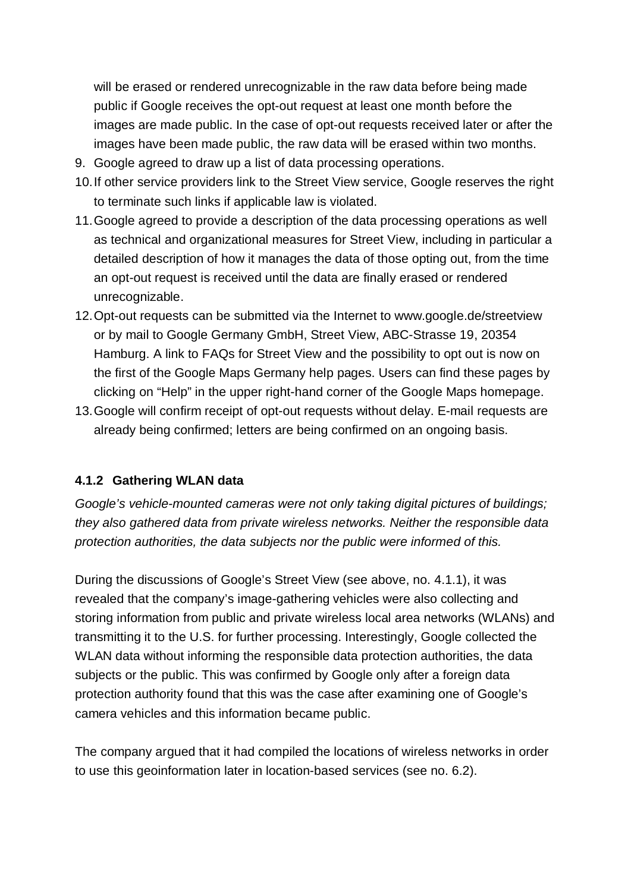will be erased or rendered unrecognizable in the raw data before being made public if Google receives the opt-out request at least one month before the images are made public. In the case of opt-out requests received later or after the images have been made public, the raw data will be erased within two months.

- 9. Google agreed to draw up a list of data processing operations.
- 10.If other service providers link to the Street View service, Google reserves the right to terminate such links if applicable law is violated.
- 11.Google agreed to provide a description of the data processing operations as well as technical and organizational measures for Street View, including in particular a detailed description of how it manages the data of those opting out, from the time an opt-out request is received until the data are finally erased or rendered unrecognizable.
- 12.Opt-out requests can be submitted via the Internet to [www.google.de/streetview](http://www.google.de/streetview) or by mail to Google Germany GmbH, Street View, ABC-Strasse 19, 20354 Hamburg. A link to FAQs for Street View and the possibility to opt out is now on the first of the Google Maps Germany help pages. Users can find these pages by clicking on "Help" in the upper right-hand corner of the Google Maps homepage.
- 13.Google will confirm receipt of opt-out requests without delay. E-mail requests are already being confirmed; letters are being confirmed on an ongoing basis.

### **4.1.2 Gathering WLAN data**

*Google's vehicle-mounted cameras were not only taking digital pictures of buildings; they also gathered data from private wireless networks. Neither the responsible data protection authorities, the data subjects nor the public were informed of this.*

During the discussions of Google's Street View (see above, no. 4.1.1), it was revealed that the company's image-gathering vehicles were also collecting and storing information from public and private wireless local area networks (WLANs) and transmitting it to the U.S. for further processing. Interestingly, Google collected the WLAN data without informing the responsible data protection authorities, the data subjects or the public. This was confirmed by Google only after a foreign data protection authority found that this was the case after examining one of Google's camera vehicles and this information became public.

The company argued that it had compiled the locations of wireless networks in order to use this geoinformation later in location-based services (see no. 6.2).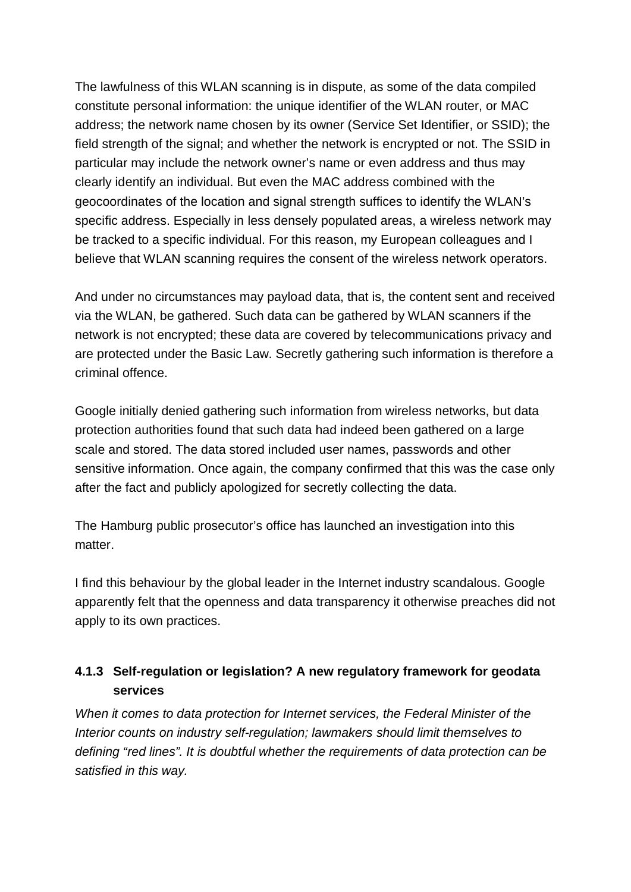The lawfulness of this WLAN scanning is in dispute, as some of the data compiled constitute personal information: the unique identifier of the WLAN router, or MAC address; the network name chosen by its owner (Service Set Identifier, or SSID); the field strength of the signal; and whether the network is encrypted or not. The SSID in particular may include the network owner's name or even address and thus may clearly identify an individual. But even the MAC address combined with the geocoordinates of the location and signal strength suffices to identify the WLAN's specific address. Especially in less densely populated areas, a wireless network may be tracked to a specific individual. For this reason, my European colleagues and I believe that WLAN scanning requires the consent of the wireless network operators.

And under no circumstances may payload data, that is, the content sent and received via the WLAN, be gathered. Such data can be gathered by WLAN scanners if the network is not encrypted; these data are covered by telecommunications privacy and are protected under the Basic Law. Secretly gathering such information is therefore a criminal offence.

Google initially denied gathering such information from wireless networks, but data protection authorities found that such data had indeed been gathered on a large scale and stored. The data stored included user names, passwords and other sensitive information. Once again, the company confirmed that this was the case only after the fact and publicly apologized for secretly collecting the data.

The Hamburg public prosecutor's office has launched an investigation into this matter.

I find this behaviour by the global leader in the Internet industry scandalous. Google apparently felt that the openness and data transparency it otherwise preaches did not apply to its own practices.

### **4.1.3 Self-regulation or legislation? A new regulatory framework for geodata services**

*When it comes to data protection for Internet services, the Federal Minister of the Interior counts on industry self-regulation; lawmakers should limit themselves to defining "red lines". It is doubtful whether the requirements of data protection can be satisfied in this way.*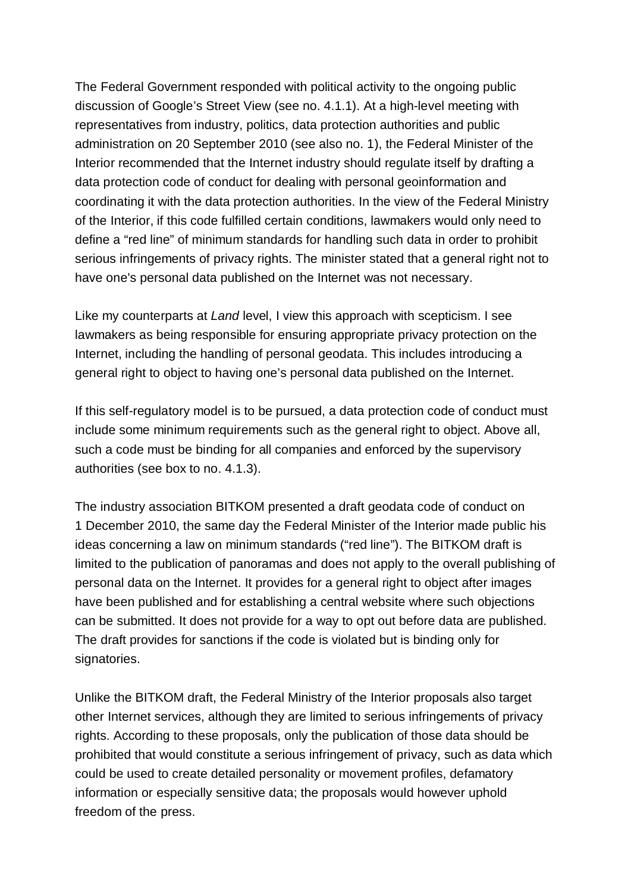The Federal Government responded with political activity to the ongoing public discussion of Google's Street View (see no. 4.1.1). At a high-level meeting with representatives from industry, politics, data protection authorities and public administration on 20 September 2010 (see also no. 1), the Federal Minister of the Interior recommended that the Internet industry should regulate itself by drafting a data protection code of conduct for dealing with personal geoinformation and coordinating it with the data protection authorities. In the view of the Federal Ministry of the Interior, if this code fulfilled certain conditions, lawmakers would only need to define a "red line" of minimum standards for handling such data in order to prohibit serious infringements of privacy rights. The minister stated that a general right not to have one's personal data published on the Internet was not necessary.

Like my counterparts at *Land* level, I view this approach with scepticism. I see lawmakers as being responsible for ensuring appropriate privacy protection on the Internet, including the handling of personal geodata. This includes introducing a general right to object to having one's personal data published on the Internet.

If this self-regulatory model is to be pursued, a data protection code of conduct must include some minimum requirements such as the general right to object. Above all, such a code must be binding for all companies and enforced by the supervisory authorities (see box to no. 4.1.3).

The industry association BITKOM presented a draft geodata code of conduct on 1 December 2010, the same day the Federal Minister of the Interior made public his ideas concerning a law on minimum standards ("red line"). The BITKOM draft is limited to the publication of panoramas and does not apply to the overall publishing of personal data on the Internet. It provides for a general right to object after images have been published and for establishing a central website where such objections can be submitted. It does not provide for a way to opt out before data are published. The draft provides for sanctions if the code is violated but is binding only for signatories.

Unlike the BITKOM draft, the Federal Ministry of the Interior proposals also target other Internet services, although they are limited to serious infringements of privacy rights. According to these proposals, only the publication of those data should be prohibited that would constitute a serious infringement of privacy, such as data which could be used to create detailed personality or movement profiles, defamatory information or especially sensitive data; the proposals would however uphold freedom of the press.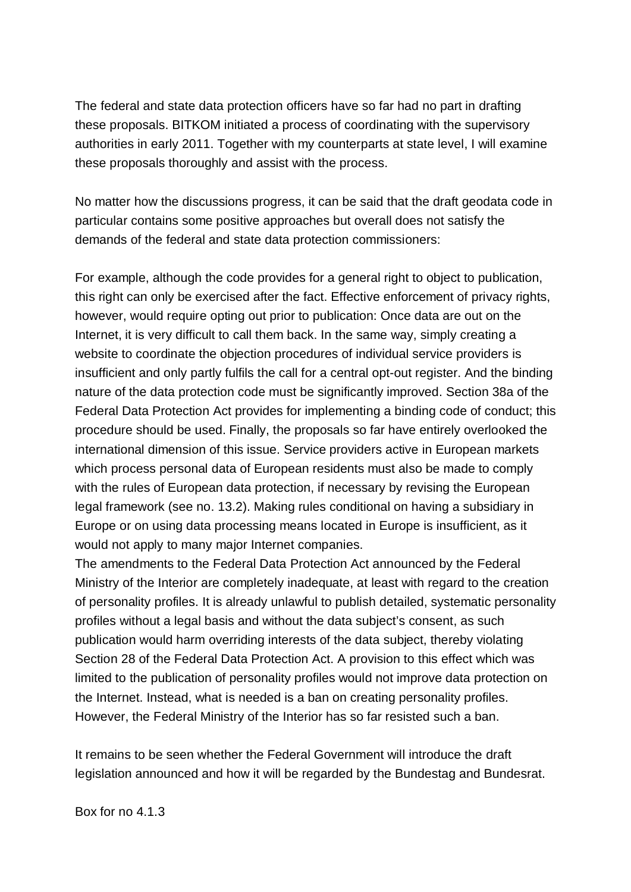The federal and state data protection officers have so far had no part in drafting these proposals. BITKOM initiated a process of coordinating with the supervisory authorities in early 2011. Together with my counterparts at state level, I will examine these proposals thoroughly and assist with the process.

No matter how the discussions progress, it can be said that the draft geodata code in particular contains some positive approaches but overall does not satisfy the demands of the federal and state data protection commissioners:

For example, although the code provides for a general right to object to publication, this right can only be exercised after the fact. Effective enforcement of privacy rights, however, would require opting out prior to publication: Once data are out on the Internet, it is very difficult to call them back. In the same way, simply creating a website to coordinate the objection procedures of individual service providers is insufficient and only partly fulfils the call for a central opt-out register. And the binding nature of the data protection code must be significantly improved. Section 38a of the Federal Data Protection Act provides for implementing a binding code of conduct; this procedure should be used. Finally, the proposals so far have entirely overlooked the international dimension of this issue. Service providers active in European markets which process personal data of European residents must also be made to comply with the rules of European data protection, if necessary by revising the European legal framework (see no. 13.2). Making rules conditional on having a subsidiary in Europe or on using data processing means located in Europe is insufficient, as it would not apply to many major Internet companies.

The amendments to the Federal Data Protection Act announced by the Federal Ministry of the Interior are completely inadequate, at least with regard to the creation of personality profiles. It is already unlawful to publish detailed, systematic personality profiles without a legal basis and without the data subject's consent, as such publication would harm overriding interests of the data subject, thereby violating Section 28 of the Federal Data Protection Act. A provision to this effect which was limited to the publication of personality profiles would not improve data protection on the Internet. Instead, what is needed is a ban on creating personality profiles. However, the Federal Ministry of the Interior has so far resisted such a ban.

It remains to be seen whether the Federal Government will introduce the draft legislation announced and how it will be regarded by the Bundestag and Bundesrat.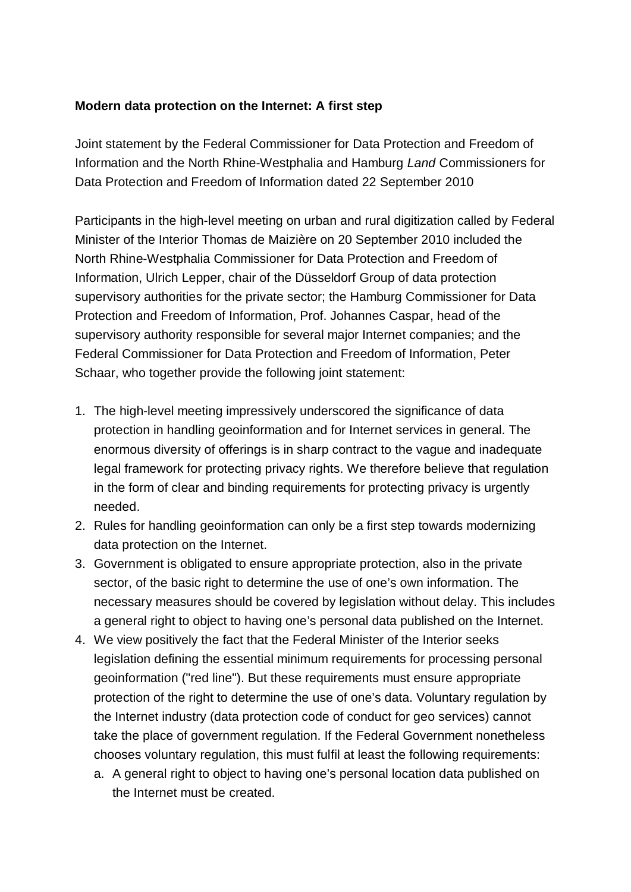### **Modern data protection on the Internet: A first step**

Joint statement by the Federal Commissioner for Data Protection and Freedom of Information and the North Rhine-Westphalia and Hamburg *Land* Commissioners for Data Protection and Freedom of Information dated 22 September 2010

Participants in the high-level meeting on urban and rural digitization called by Federal Minister of the Interior Thomas de Maizière on 20 September 2010 included the North Rhine-Westphalia Commissioner for Data Protection and Freedom of Information, Ulrich Lepper, chair of the Düsseldorf Group of data protection supervisory authorities for the private sector; the Hamburg Commissioner for Data Protection and Freedom of Information, Prof. Johannes Caspar, head of the supervisory authority responsible for several major Internet companies; and the Federal Commissioner for Data Protection and Freedom of Information, Peter Schaar, who together provide the following joint statement:

- 1. The high-level meeting impressively underscored the significance of data protection in handling geoinformation and for Internet services in general. The enormous diversity of offerings is in sharp contract to the vague and inadequate legal framework for protecting privacy rights. We therefore believe that regulation in the form of clear and binding requirements for protecting privacy is urgently needed.
- 2. Rules for handling geoinformation can only be a first step towards modernizing data protection on the Internet.
- 3. Government is obligated to ensure appropriate protection, also in the private sector, of the basic right to determine the use of one's own information. The necessary measures should be covered by legislation without delay. This includes a general right to object to having one's personal data published on the Internet.
- 4. We view positively the fact that the Federal Minister of the Interior seeks legislation defining the essential minimum requirements for processing personal geoinformation ("red line"). But these requirements must ensure appropriate protection of the right to determine the use of one's data. Voluntary regulation by the Internet industry (data protection code of conduct for geo services) cannot take the place of government regulation. If the Federal Government nonetheless chooses voluntary regulation, this must fulfil at least the following requirements:
	- a. A general right to object to having one's personal location data published on the Internet must be created.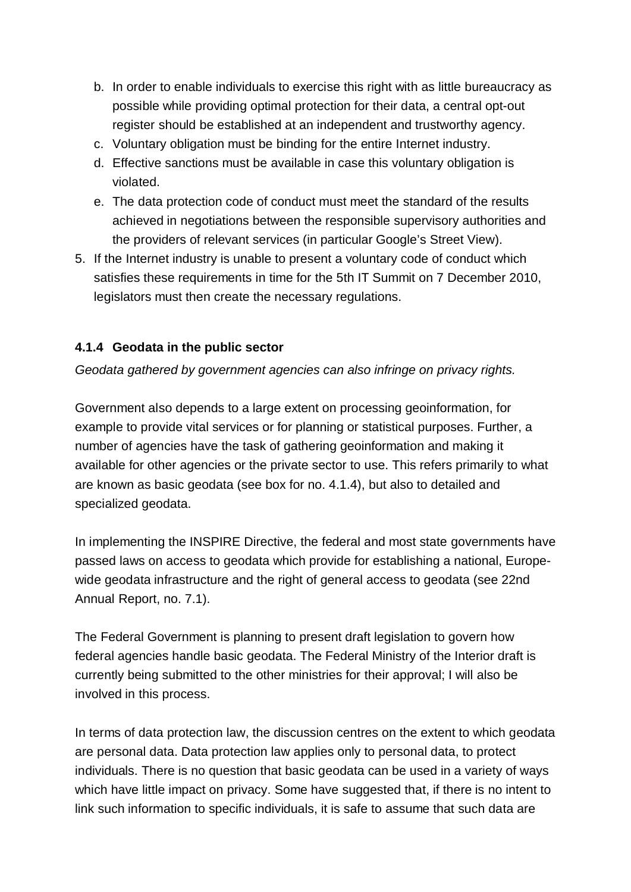- b. In order to enable individuals to exercise this right with as little bureaucracy as possible while providing optimal protection for their data, a central opt-out register should be established at an independent and trustworthy agency.
- c. Voluntary obligation must be binding for the entire Internet industry.
- d. Effective sanctions must be available in case this voluntary obligation is violated.
- e. The data protection code of conduct must meet the standard of the results achieved in negotiations between the responsible supervisory authorities and the providers of relevant services (in particular Google's Street View).
- 5. If the Internet industry is unable to present a voluntary code of conduct which satisfies these requirements in time for the 5th IT Summit on 7 December 2010, legislators must then create the necessary regulations.

#### **4.1.4 Geodata in the public sector**

*Geodata gathered by government agencies can also infringe on privacy rights.*

Government also depends to a large extent on processing geoinformation, for example to provide vital services or for planning or statistical purposes. Further, a number of agencies have the task of gathering geoinformation and making it available for other agencies or the private sector to use. This refers primarily to what are known as basic geodata (see box for no. 4.1.4), but also to detailed and specialized geodata.

In implementing the INSPIRE Directive, the federal and most state governments have passed laws on access to geodata which provide for establishing a national, Europe wide geodata infrastructure and the right of general access to geodata (see 22nd Annual Report, no. 7.1).

The Federal Government is planning to present draft legislation to govern how federal agencies handle basic geodata. The Federal Ministry of the Interior draft is currently being submitted to the other ministries for their approval; I will also be involved in this process.

In terms of data protection law, the discussion centres on the extent to which geodata are personal data. Data protection law applies only to personal data, to protect individuals. There is no question that basic geodata can be used in a variety of ways which have little impact on privacy. Some have suggested that, if there is no intent to link such information to specific individuals, it is safe to assume that such data are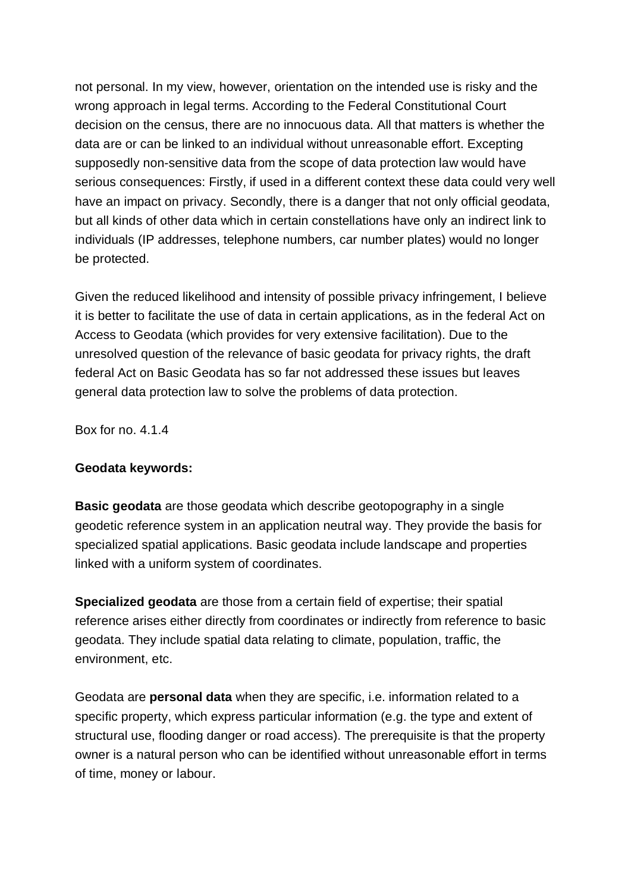not personal. In my view, however, orientation on the intended use is risky and the wrong approach in legal terms. According to the Federal Constitutional Court decision on the census, there are no innocuous data. All that matters is whether the data are or can be linked to an individual without unreasonable effort. Excepting supposedly non-sensitive data from the scope of data protection law would have serious consequences: Firstly, if used in a different context these data could very well have an impact on privacy. Secondly, there is a danger that not only official geodata, but all kinds of other data which in certain constellations have only an indirect link to individuals (IP addresses, telephone numbers, car number plates) would no longer be protected.

Given the reduced likelihood and intensity of possible privacy infringement, I believe it is better to facilitate the use of data in certain applications, as in the federal Act on Access to Geodata (which provides for very extensive facilitation). Due to the unresolved question of the relevance of basic geodata for privacy rights, the draft federal Act on Basic Geodata has so far not addressed these issues but leaves general data protection law to solve the problems of data protection.

Box for no. 4.1.4

#### **Geodata keywords:**

**Basic geodata** are those geodata which describe geotopography in a single geodetic reference system in an application neutral way. They provide the basis for specialized spatial applications. Basic geodata include landscape and properties linked with a uniform system of coordinates.

**Specialized geodata** are those from a certain field of expertise; their spatial reference arises either directly from coordinates or indirectly from reference to basic geodata. They include spatial data relating to climate, population, traffic, the environment, etc.

Geodata are **personal data** when they are specific, i.e. information related to a specific property, which express particular information (e.g. the type and extent of structural use, flooding danger or road access). The prerequisite is that the property owner is a natural person who can be identified without unreasonable effort in terms of time, money or labour.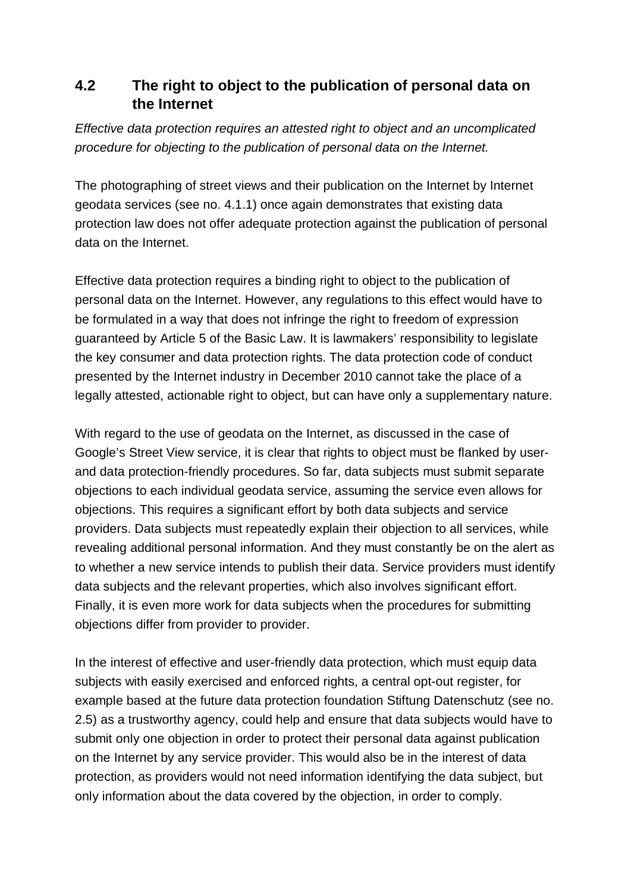## **4.2 The right to object to the publication of personal data on the Internet**

*Effective data protection requires an attested right to object and an uncomplicated procedure for objecting to the publication of personal data on the Internet.*

The photographing of street views and their publication on the Internet by Internet geodata services (see no. 4.1.1) once again demonstrates that existing data protection law does not offer adequate protection against the publication of personal data on the Internet.

Effective data protection requires a binding right to object to the publication of personal data on the Internet. However, any regulations to this effect would have to be formulated in a way that does not infringe the right to freedom of expression guaranteed by Article 5 of the Basic Law. It is lawmakers' responsibility to legislate the key consumer and data protection rights. The data protection code of conduct presented by the Internet industry in December 2010 cannot take the place of a legally attested, actionable right to object, but can have only a supplementary nature.

With regard to the use of geodata on the Internet, as discussed in the case of Google's Street View service, it is clear that rights to object must be flanked by user and data protection-friendly procedures. So far, data subjects must submit separate objections to each individual geodata service, assuming the service even allows for objections. This requires a significant effort by both data subjects and service providers. Data subjects must repeatedly explain their objection to all services, while revealing additional personal information. And they must constantly be on the alert as to whether a new service intends to publish their data. Service providers must identify data subjects and the relevant properties, which also involves significant effort. Finally, it is even more work for data subjects when the procedures for submitting objections differ from provider to provider.

In the interest of effective and user-friendly data protection, which must equip data subjects with easily exercised and enforced rights, a central opt-out register, for example based at the future data protection foundation Stiftung Datenschutz (see no. 2.5) as a trustworthy agency, could help and ensure that data subjects would have to submit only one objection in order to protect their personal data against publication on the Internet by any service provider. This would also be in the interest of data protection, as providers would not need information identifying the data subject, but only information about the data covered by the objection, in order to comply.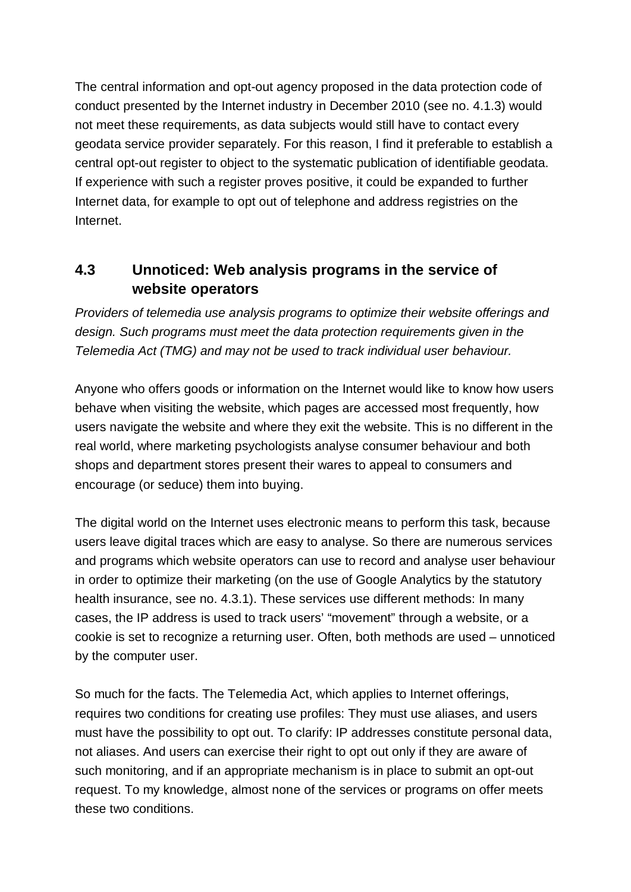The central information and opt-out agency proposed in the data protection code of conduct presented by the Internet industry in December 2010 (see no. 4.1.3) would not meet these requirements, as data subjects would still have to contact every geodata service provider separately. For this reason, I find it preferable to establish a central opt-out register to object to the systematic publication of identifiable geodata. If experience with such a register proves positive, it could be expanded to further Internet data, for example to opt out of telephone and address registries on the Internet.

## **4.3 Unnoticed: Web analysis programs in the service of website operators**

*Providers of telemedia use analysis programs to optimize their website offerings and design. Such programs must meet the data protection requirements given in the Telemedia Act (TMG) and may not be used to track individual user behaviour.*

Anyone who offers goods or information on the Internet would like to know how users behave when visiting the website, which pages are accessed most frequently, how users navigate the website and where they exit the website. This is no different in the real world, where marketing psychologists analyse consumer behaviour and both shops and department stores present their wares to appeal to consumers and encourage (or seduce) them into buying.

The digital world on the Internet uses electronic means to perform this task, because users leave digital traces which are easy to analyse. So there are numerous services and programs which website operators can use to record and analyse user behaviour in order to optimize their marketing (on the use of Google Analytics by the statutory health insurance, see no. 4.3.1). These services use different methods: In many cases, the IP address is used to track users' "movement" through a website, or a cookie is set to recognize a returning user. Often, both methods are used – unnoticed by the computer user.

So much for the facts. The Telemedia Act, which applies to Internet offerings, requires two conditions for creating use profiles: They must use aliases, and users must have the possibility to opt out. To clarify: IP addresses constitute personal data, not aliases. And users can exercise their right to opt out only if they are aware of such monitoring, and if an appropriate mechanism is in place to submit an opt-out request. To my knowledge, almost none of the services or programs on offer meets these two conditions.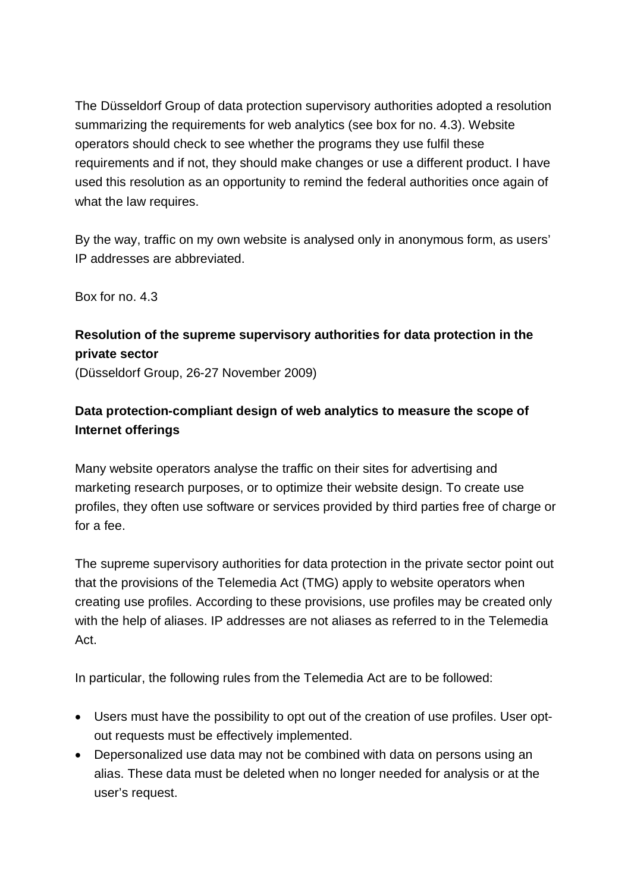The Düsseldorf Group of data protection supervisory authorities adopted a resolution summarizing the requirements for web analytics (see box for no. 4.3). Website operators should check to see whether the programs they use fulfil these requirements and if not, they should make changes or use a different product. I have used this resolution as an opportunity to remind the federal authorities once again of what the law requires.

By the way, traffic on my own website is analysed only in anonymous form, as users' IP addresses are abbreviated.

Box for no. 4.3

# **Resolution of the supreme supervisory authorities for data protection in the private sector**

(Düsseldorf Group, 26-27 November 2009)

### **Data protection-compliant design of web analytics to measure the scope of Internet offerings**

Many website operators analyse the traffic on their sites for advertising and marketing research purposes, or to optimize their website design. To create use profiles, they often use software or services provided by third parties free of charge or for a fee.

The supreme supervisory authorities for data protection in the private sector point out that the provisions of the Telemedia Act (TMG) apply to website operators when creating use profiles. According to these provisions, use profiles may be created only with the help of aliases. IP addresses are not aliases as referred to in the Telemedia Act.

In particular, the following rules from the Telemedia Act are to be followed:

- · Users must have the possibility to opt out of the creation of use profiles. User opt out requests must be effectively implemented.
- · Depersonalized use data may not be combined with data on persons using an alias. These data must be deleted when no longer needed for analysis or at the user's request.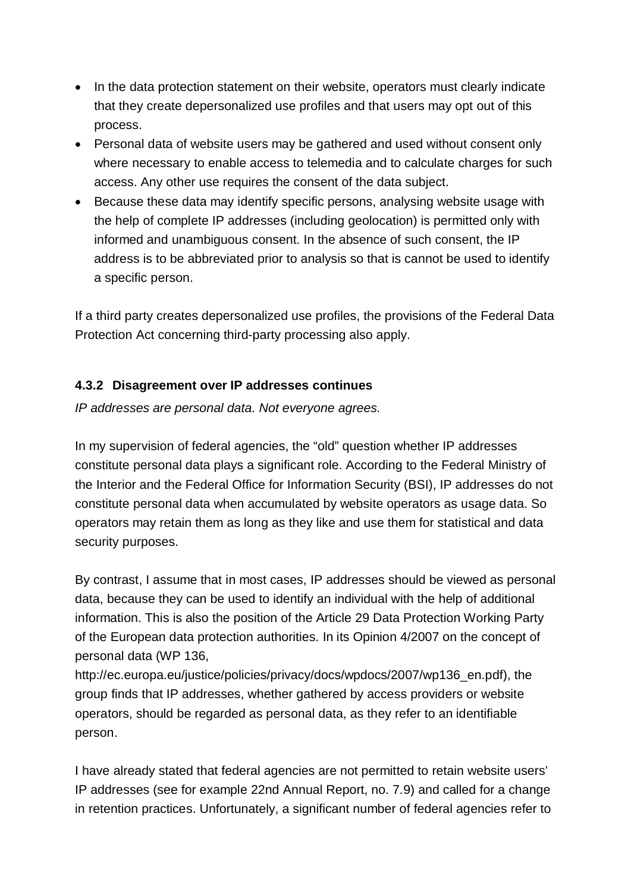- · In the data protection statement on their website, operators must clearly indicate that they create depersonalized use profiles and that users may opt out of this process.
- · Personal data of website users may be gathered and used without consent only where necessary to enable access to telemedia and to calculate charges for such access. Any other use requires the consent of the data subject.
- · Because these data may identify specific persons, analysing website usage with the help of complete IP addresses (including geolocation) is permitted only with informed and unambiguous consent. In the absence of such consent, the IP address is to be abbreviated prior to analysis so that is cannot be used to identify a specific person.

If a third party creates depersonalized use profiles, the provisions of the Federal Data Protection Act concerning third-party processing also apply.

### **4.3.2 Disagreement over IP addresses continues**

*IP addresses are personal data. Not everyone agrees.*

In my supervision of federal agencies, the "old" question whether IP addresses constitute personal data plays a significant role. According to the Federal Ministry of the Interior and the Federal Office for Information Security (BSI), IP addresses do not constitute personal data when accumulated by website operators as usage data. So operators may retain them as long as they like and use them for statistical and data security purposes.

By contrast, I assume that in most cases, IP addresses should be viewed as personal data, because they can be used to identify an individual with the help of additional information. This is also the position of the Article 29 Data Protection Working Party of the European data protection authorities. In its Opinion 4/2007 on the concept of personal data (WP 136,

[http://ec.europa.eu/justice/policies/privacy/docs/wpdocs/2007/wp136\\_en.pdf\),](http://ec.europa.eu/justice/policies/privacy/docs/wpdocs/2007/wp136_en.pdf),) the group finds that IP addresses, whether gathered by access providers or website operators, should be regarded as personal data, as they refer to an identifiable person.

I have already stated that federal agencies are not permitted to retain website users' IP addresses (see for example 22nd Annual Report, no. 7.9) and called for a change in retention practices. Unfortunately, a significant number of federal agencies refer to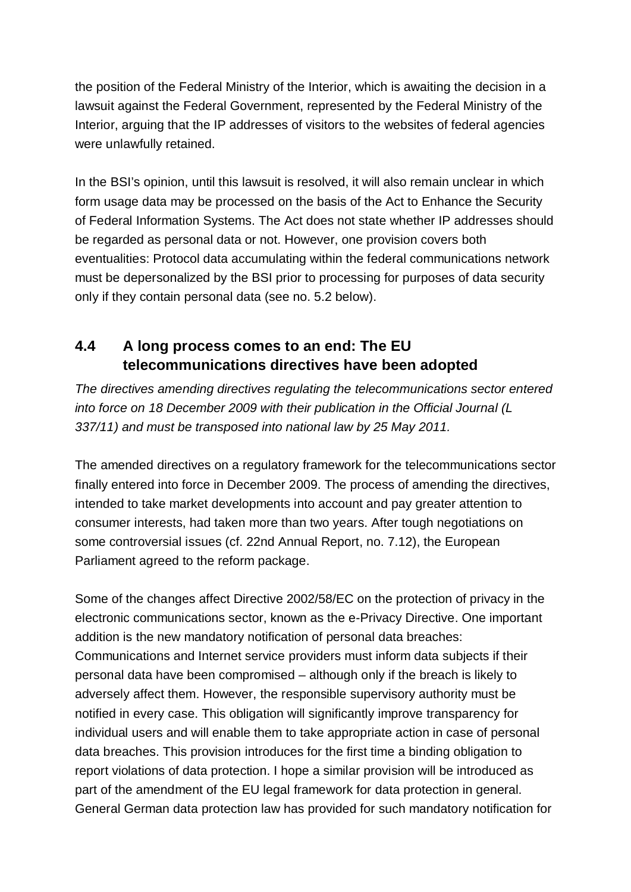the position of the Federal Ministry of the Interior, which is awaiting the decision in a lawsuit against the Federal Government, represented by the Federal Ministry of the Interior, arguing that the IP addresses of visitors to the websites of federal agencies were unlawfully retained.

In the BSI's opinion, until this lawsuit is resolved, it will also remain unclear in which form usage data may be processed on the basis of the Act to Enhance the Security of Federal Information Systems. The Act does not state whether IP addresses should be regarded as personal data or not. However, one provision covers both eventualities: Protocol data accumulating within the federal communications network must be depersonalized by the BSI prior to processing for purposes of data security only if they contain personal data (see no. 5.2 below).

# **4.4 A long process comes to an end: The EU telecommunications directives have been adopted**

*The directives amending directives regulating the telecommunications sector entered into force on 18 December 2009 with their publication in the Official Journal (L 337/11) and must be transposed into national law by 25 May 2011.*

The amended directives on a regulatory framework for the telecommunications sector finally entered into force in December 2009. The process of amending the directives, intended to take market developments into account and pay greater attention to consumer interests, had taken more than two years. After tough negotiations on some controversial issues (cf. 22nd Annual Report, no. 7.12), the European Parliament agreed to the reform package.

Some of the changes affect Directive 2002/58/EC on the protection of privacy in the electronic communications sector, known as the e-Privacy Directive. One important addition is the new mandatory notification of personal data breaches: Communications and Internet service providers must inform data subjects if their personal data have been compromised – although only if the breach is likely to adversely affect them. However, the responsible supervisory authority must be notified in every case. This obligation will significantly improve transparency for individual users and will enable them to take appropriate action in case of personal data breaches. This provision introduces for the first time a binding obligation to report violations of data protection. I hope a similar provision will be introduced as part of the amendment of the EU legal framework for data protection in general. General German data protection law has provided for such mandatory notification for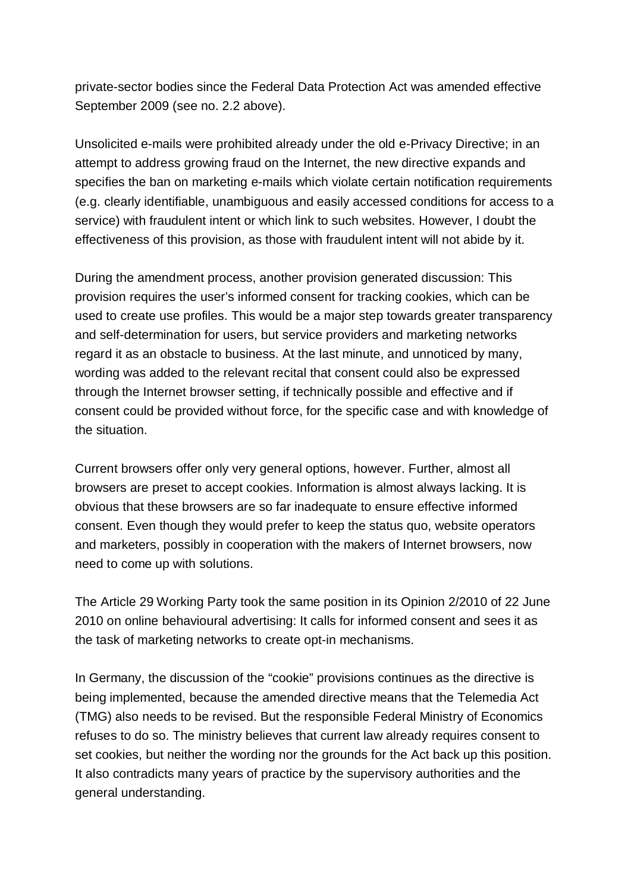private-sector bodies since the Federal Data Protection Act was amended effective September 2009 (see no. 2.2 above).

Unsolicited e-mails were prohibited already under the old e-Privacy Directive; in an attempt to address growing fraud on the Internet, the new directive expands and specifies the ban on marketing e-mails which violate certain notification requirements (e.g. clearly identifiable, unambiguous and easily accessed conditions for access to a service) with fraudulent intent or which link to such websites. However, I doubt the effectiveness of this provision, as those with fraudulent intent will not abide by it.

During the amendment process, another provision generated discussion: This provision requires the user's informed consent for tracking cookies, which can be used to create use profiles. This would be a major step towards greater transparency and self-determination for users, but service providers and marketing networks regard it as an obstacle to business. At the last minute, and unnoticed by many, wording was added to the relevant recital that consent could also be expressed through the Internet browser setting, if technically possible and effective and if consent could be provided without force, for the specific case and with knowledge of the situation.

Current browsers offer only very general options, however. Further, almost all browsers are preset to accept cookies. Information is almost always lacking. It is obvious that these browsers are so far inadequate to ensure effective informed consent. Even though they would prefer to keep the status quo, website operators and marketers, possibly in cooperation with the makers of Internet browsers, now need to come up with solutions.

The Article 29 Working Party took the same position in its Opinion 2/2010 of 22 June 2010 on online behavioural advertising: It calls for informed consent and sees it as the task of marketing networks to create opt-in mechanisms.

In Germany, the discussion of the "cookie" provisions continues as the directive is being implemented, because the amended directive means that the Telemedia Act (TMG) also needs to be revised. But the responsible Federal Ministry of Economics refuses to do so. The ministry believes that current law already requires consent to set cookies, but neither the wording nor the grounds for the Act back up this position. It also contradicts many years of practice by the supervisory authorities and the general understanding.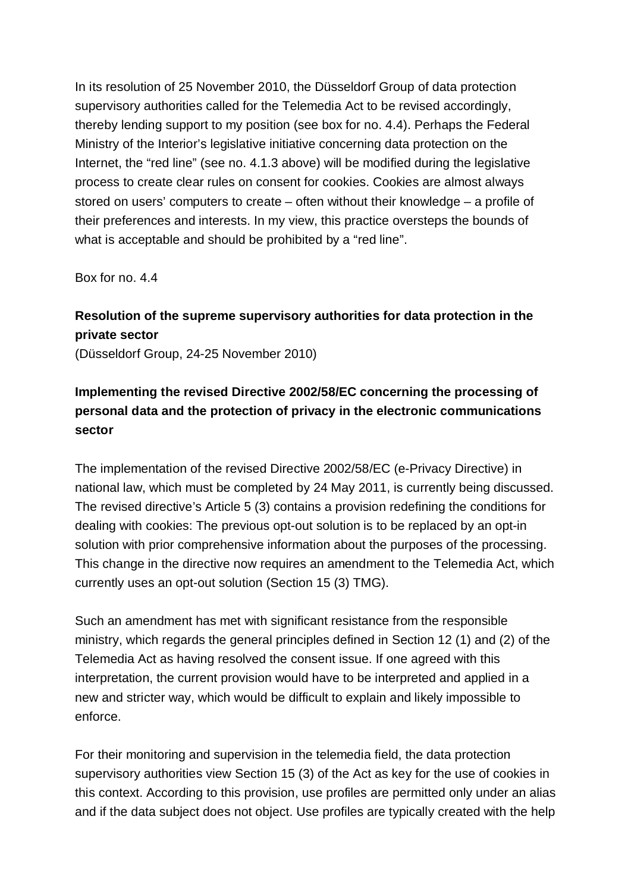In its resolution of 25 November 2010, the Düsseldorf Group of data protection supervisory authorities called for the Telemedia Act to be revised accordingly, thereby lending support to my position (see box for no. 4.4). Perhaps the Federal Ministry of the Interior's legislative initiative concerning data protection on the Internet, the "red line" (see no. 4.1.3 above) will be modified during the legislative process to create clear rules on consent for cookies. Cookies are almost always stored on users' computers to create – often without their knowledge – a profile of their preferences and interests. In my view, this practice oversteps the bounds of what is acceptable and should be prohibited by a "red line".

Box for no. 4.4

### **Resolution of the supreme supervisory authorities for data protection in the private sector** (Düsseldorf Group, 24-25 November 2010)

### **Implementing the revised Directive 2002/58/EC concerning the processing of personal data and the protection of privacy in the electronic communications sector**

The implementation of the revised Directive 2002/58/EC (e-Privacy Directive) in national law, which must be completed by 24 May 2011, is currently being discussed. The revised directive's Article 5 (3) contains a provision redefining the conditions for dealing with cookies: The previous opt-out solution is to be replaced by an opt-in solution with prior comprehensive information about the purposes of the processing. This change in the directive now requires an amendment to the Telemedia Act, which currently uses an opt-out solution (Section 15 (3) TMG).

Such an amendment has met with significant resistance from the responsible ministry, which regards the general principles defined in Section 12 (1) and (2) of the Telemedia Act as having resolved the consent issue. If one agreed with this interpretation, the current provision would have to be interpreted and applied in a new and stricter way, which would be difficult to explain and likely impossible to enforce.

For their monitoring and supervision in the telemedia field, the data protection supervisory authorities view Section 15 (3) of the Act as key for the use of cookies in this context. According to this provision, use profiles are permitted only under an alias and if the data subject does not object. Use profiles are typically created with the help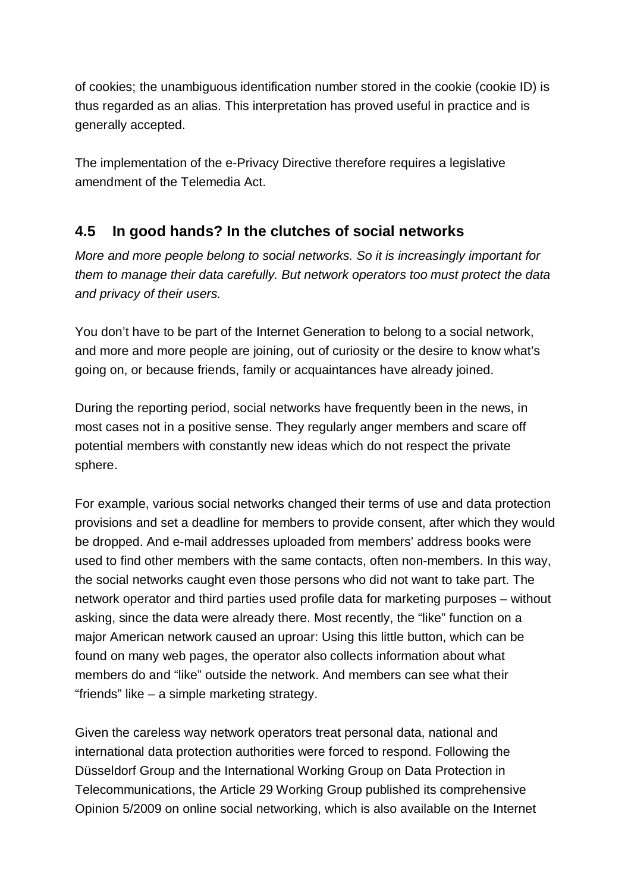of cookies; the unambiguous identification number stored in the cookie (cookie ID) is thus regarded as an alias. This interpretation has proved useful in practice and is generally accepted.

The implementation of the e-Privacy Directive therefore requires a legislative amendment of the Telemedia Act.

### **4.5 In good hands? In the clutches of social networks**

*More and more people belong to social networks. So it is increasingly important for them to manage their data carefully. But network operators too must protect the data and privacy of their users.*

You don't have to be part of the Internet Generation to belong to a social network, and more and more people are joining, out of curiosity or the desire to know what's going on, or because friends, family or acquaintances have already joined.

During the reporting period, social networks have frequently been in the news, in most cases not in a positive sense. They regularly anger members and scare off potential members with constantly new ideas which do not respect the private sphere.

For example, various social networks changed their terms of use and data protection provisions and set a deadline for members to provide consent, after which they would be dropped. And e-mail addresses uploaded from members' address books were used to find other members with the same contacts, often non-members. In this way, the social networks caught even those persons who did not want to take part. The network operator and third parties used profile data for marketing purposes – without asking, since the data were already there. Most recently, the "like" function on a major American network caused an uproar: Using this little button, which can be found on many web pages, the operator also collects information about what members do and "like" outside the network. And members can see what their "friends" like – a simple marketing strategy.

Given the careless way network operators treat personal data, national and international data protection authorities were forced to respond. Following the Düsseldorf Group and the International Working Group on Data Protection in Telecommunications, the Article 29 Working Group published its comprehensive Opinion 5/2009 on online social networking, which is also available on the Internet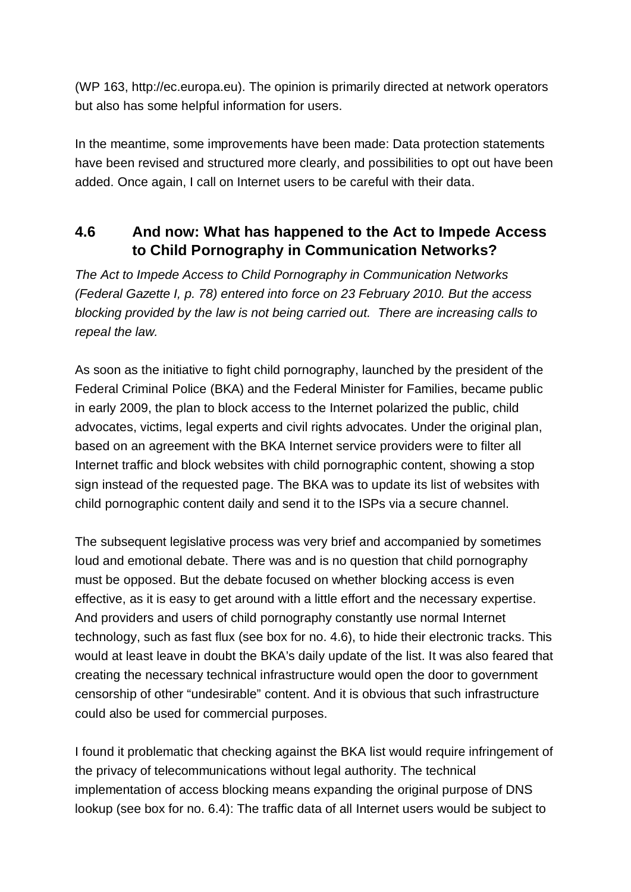(WP 163, [http://ec.europa.eu\).](http://ec.europa.eu).) The opinion is primarily directed at network operators but also has some helpful information for users.

In the meantime, some improvements have been made: Data protection statements have been revised and structured more clearly, and possibilities to opt out have been added. Once again, I call on Internet users to be careful with their data.

# **4.6 And now: What has happened to the Act to Impede Access to Child Pornography in Communication Networks?**

*The Act to Impede Access to Child Pornography in Communication Networks (Federal Gazette I, p. 78) entered into force on 23 February 2010. But the access blocking provided by the law is not being carried out. There are increasing calls to repeal the law.*

As soon as the initiative to fight child pornography, launched by the president of the Federal Criminal Police (BKA) and the Federal Minister for Families, became public in early 2009, the plan to block access to the Internet polarized the public, child advocates, victims, legal experts and civil rights advocates. Under the original plan, based on an agreement with the BKA Internet service providers were to filter all Internet traffic and block websites with child pornographic content, showing a stop sign instead of the requested page. The BKA was to update its list of websites with child pornographic content daily and send it to the ISPs via a secure channel.

The subsequent legislative process was very brief and accompanied by sometimes loud and emotional debate. There was and is no question that child pornography must be opposed. But the debate focused on whether blocking access is even effective, as it is easy to get around with a little effort and the necessary expertise. And providers and users of child pornography constantly use normal Internet technology, such as fast flux (see box for no. 4.6), to hide their electronic tracks. This would at least leave in doubt the BKA's daily update of the list. It was also feared that creating the necessary technical infrastructure would open the door to government censorship of other "undesirable" content. And it is obvious that such infrastructure could also be used for commercial purposes.

I found it problematic that checking against the BKA list would require infringement of the privacy of telecommunications without legal authority. The technical implementation of access blocking means expanding the original purpose of DNS lookup (see box for no. 6.4): The traffic data of all Internet users would be subject to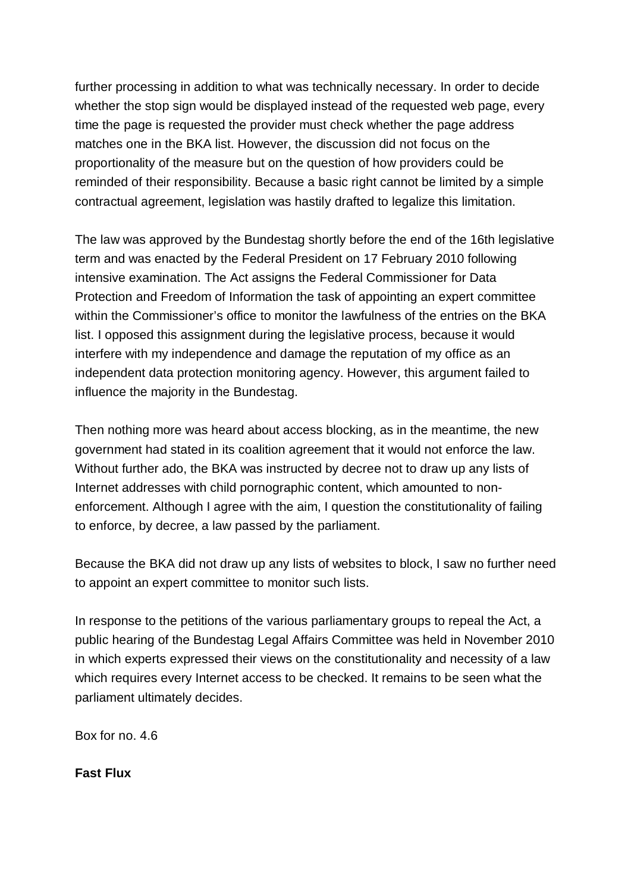further processing in addition to what was technically necessary. In order to decide whether the stop sign would be displayed instead of the requested web page, every time the page is requested the provider must check whether the page address matches one in the BKA list. However, the discussion did not focus on the proportionality of the measure but on the question of how providers could be reminded of their responsibility. Because a basic right cannot be limited by a simple contractual agreement, legislation was hastily drafted to legalize this limitation.

The law was approved by the Bundestag shortly before the end of the 16th legislative term and was enacted by the Federal President on 17 February 2010 following intensive examination. The Act assigns the Federal Commissioner for Data Protection and Freedom of Information the task of appointing an expert committee within the Commissioner's office to monitor the lawfulness of the entries on the BKA list. I opposed this assignment during the legislative process, because it would interfere with my independence and damage the reputation of my office as an independent data protection monitoring agency. However, this argument failed to influence the majority in the Bundestag.

Then nothing more was heard about access blocking, as in the meantime, the new government had stated in its coalition agreement that it would not enforce the law. Without further ado, the BKA was instructed by decree not to draw up any lists of Internet addresses with child pornographic content, which amounted to non enforcement. Although I agree with the aim, I question the constitutionality of failing to enforce, by decree, a law passed by the parliament.

Because the BKA did not draw up any lists of websites to block, I saw no further need to appoint an expert committee to monitor such lists.

In response to the petitions of the various parliamentary groups to repeal the Act, a public hearing of the Bundestag Legal Affairs Committee was held in November 2010 in which experts expressed their views on the constitutionality and necessity of a law which requires every Internet access to be checked. It remains to be seen what the parliament ultimately decides.

Box for no. 4.6

**Fast Flux**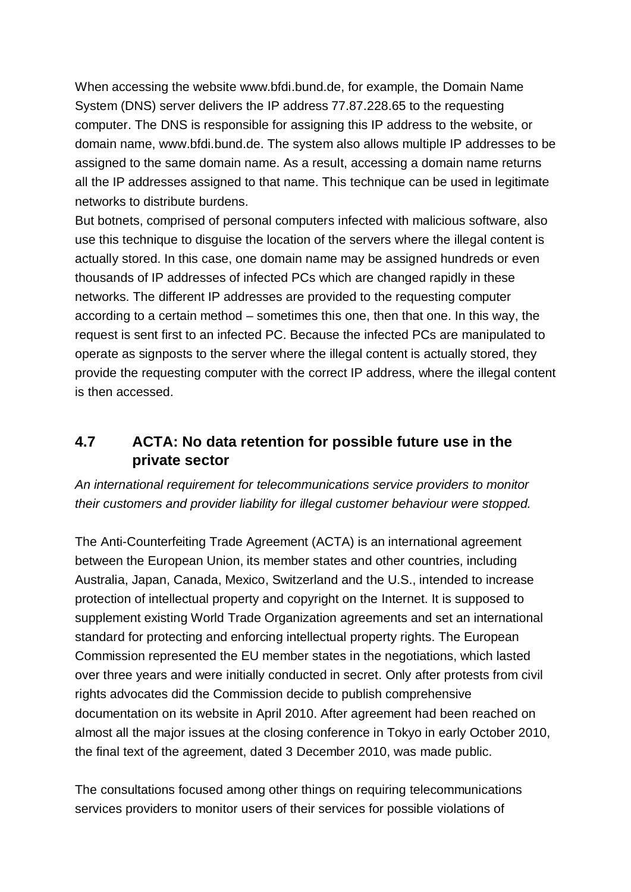When accessing the website [www.bfdi.bund.de,](http://www.bfdi.bund.de,) for example, the Domain Name System (DNS) server delivers the IP address 77.87.228.65 to the requesting computer. The DNS is responsible for assigning this IP address to the website, or domain name, [www.bfdi.bund.de.](http://www.bfdi.bund.de.) The system also allows multiple IP addresses to be assigned to the same domain name. As a result, accessing a domain name returns all the IP addresses assigned to that name. This technique can be used in legitimate networks to distribute burdens.

But botnets, comprised of personal computers infected with malicious software, also use this technique to disguise the location of the servers where the illegal content is actually stored. In this case, one domain name may be assigned hundreds or even thousands of IP addresses of infected PCs which are changed rapidly in these networks. The different IP addresses are provided to the requesting computer according to a certain method – sometimes this one, then that one. In this way, the request is sent first to an infected PC. Because the infected PCs are manipulated to operate as signposts to the server where the illegal content is actually stored, they provide the requesting computer with the correct IP address, where the illegal content is then accessed.

## **4.7 ACTA: No data retention for possible future use in the private sector**

*An international requirement for telecommunications service providers to monitor their customers and provider liability for illegal customer behaviour were stopped.*

The Anti-Counterfeiting Trade Agreement (ACTA) is an international agreement between the European Union, its member states and other countries, including Australia, Japan, Canada, Mexico, Switzerland and the U.S., intended to increase protection of intellectual property and copyright on the Internet. It is supposed to supplement existing World Trade Organization agreements and set an international standard for protecting and enforcing intellectual property rights. The European Commission represented the EU member states in the negotiations, which lasted over three years and were initially conducted in secret. Only after protests from civil rights advocates did the Commission decide to publish comprehensive documentation on its website in April 2010. After agreement had been reached on almost all the major issues at the closing conference in Tokyo in early October 2010, the final text of the agreement, dated 3 December 2010, was made public.

The consultations focused among other things on requiring telecommunications services providers to monitor users of their services for possible violations of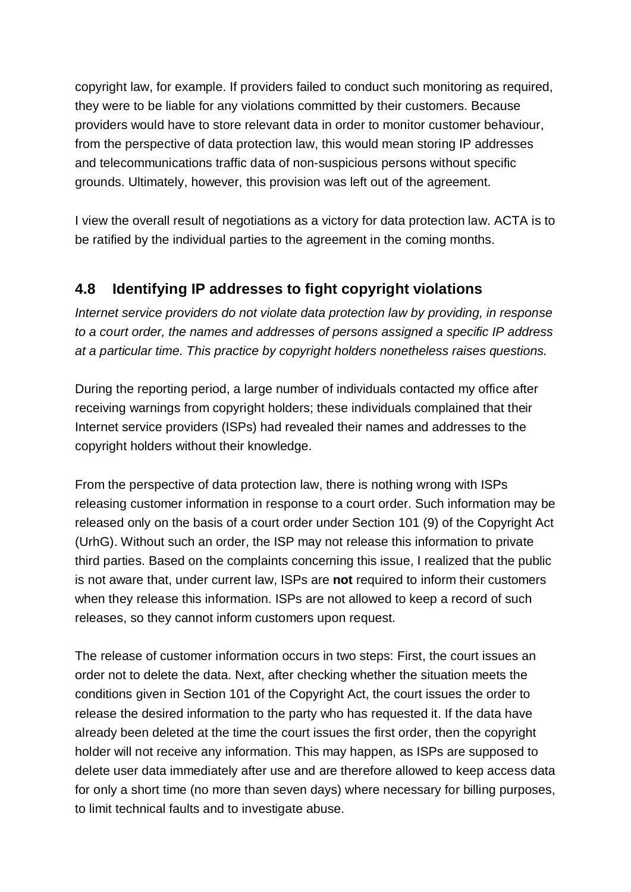copyright law, for example. If providers failed to conduct such monitoring as required, they were to be liable for any violations committed by their customers. Because providers would have to store relevant data in order to monitor customer behaviour, from the perspective of data protection law, this would mean storing IP addresses and telecommunications traffic data of non-suspicious persons without specific grounds. Ultimately, however, this provision was left out of the agreement.

I view the overall result of negotiations as a victory for data protection law. ACTA is to be ratified by the individual parties to the agreement in the coming months.

# **4.8 Identifying IP addresses to fight copyright violations**

*Internet service providers do not violate data protection law by providing, in response to a court order, the names and addresses of persons assigned a specific IP address at a particular time. This practice by copyright holders nonetheless raises questions.*

During the reporting period, a large number of individuals contacted my office after receiving warnings from copyright holders; these individuals complained that their Internet service providers (ISPs) had revealed their names and addresses to the copyright holders without their knowledge.

From the perspective of data protection law, there is nothing wrong with ISPs releasing customer information in response to a court order. Such information may be released only on the basis of a court order under Section 101 (9) of the Copyright Act (UrhG). Without such an order, the ISP may not release this information to private third parties. Based on the complaints concerning this issue, I realized that the public is not aware that, under current law, ISPs are **not** required to inform their customers when they release this information. ISPs are not allowed to keep a record of such releases, so they cannot inform customers upon request.

The release of customer information occurs in two steps: First, the court issues an order not to delete the data. Next, after checking whether the situation meets the conditions given in Section 101 of the Copyright Act, the court issues the order to release the desired information to the party who has requested it. If the data have already been deleted at the time the court issues the first order, then the copyright holder will not receive any information. This may happen, as ISPs are supposed to delete user data immediately after use and are therefore allowed to keep access data for only a short time (no more than seven days) where necessary for billing purposes, to limit technical faults and to investigate abuse.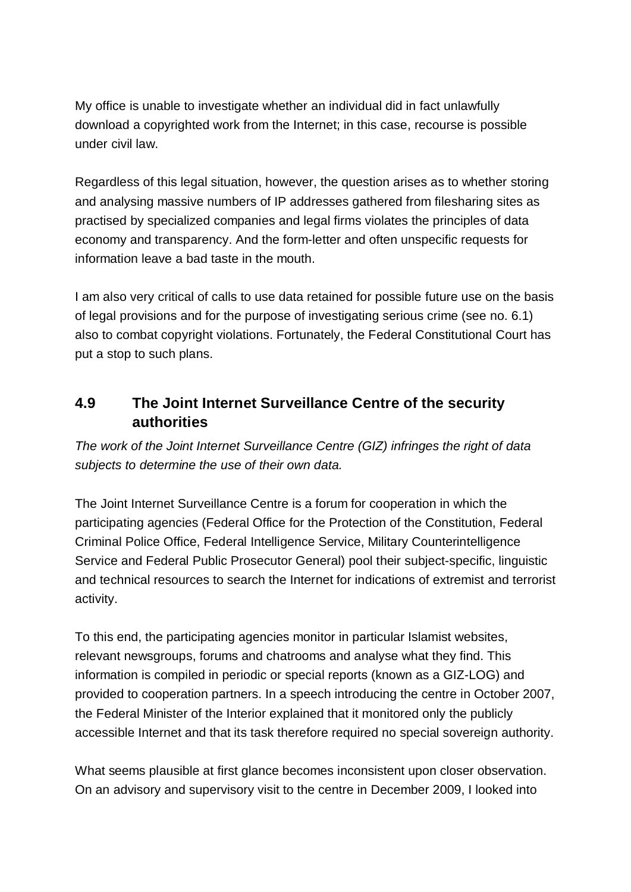My office is unable to investigate whether an individual did in fact unlawfully download a copyrighted work from the Internet; in this case, recourse is possible under civil law.

Regardless of this legal situation, however, the question arises as to whether storing and analysing massive numbers of IP addresses gathered from filesharing sites as practised by specialized companies and legal firms violates the principles of data economy and transparency. And the form-letter and often unspecific requests for information leave a bad taste in the mouth.

I am also very critical of calls to use data retained for possible future use on the basis of legal provisions and for the purpose of investigating serious crime (see no. 6.1) also to combat copyright violations. Fortunately, the Federal Constitutional Court has put a stop to such plans.

### **4.9 The Joint Internet Surveillance Centre of the security authorities**

*The work of the Joint Internet Surveillance Centre (GIZ) infringes the right of data subjects to determine the use of their own data.*

The Joint Internet Surveillance Centre is a forum for cooperation in which the participating agencies (Federal Office for the Protection of the Constitution, Federal Criminal Police Office, Federal Intelligence Service, Military Counterintelligence Service and Federal Public Prosecutor General) pool their subject-specific, linguistic and technical resources to search the Internet for indications of extremist and terrorist activity.

To this end, the participating agencies monitor in particular Islamist websites, relevant newsgroups, forums and chatrooms and analyse what they find. This information is compiled in periodic or special reports (known as a GIZ-LOG) and provided to cooperation partners. In a speech introducing the centre in October 2007, the Federal Minister of the Interior explained that it monitored only the publicly accessible Internet and that its task therefore required no special sovereign authority.

What seems plausible at first glance becomes inconsistent upon closer observation. On an advisory and supervisory visit to the centre in December 2009, I looked into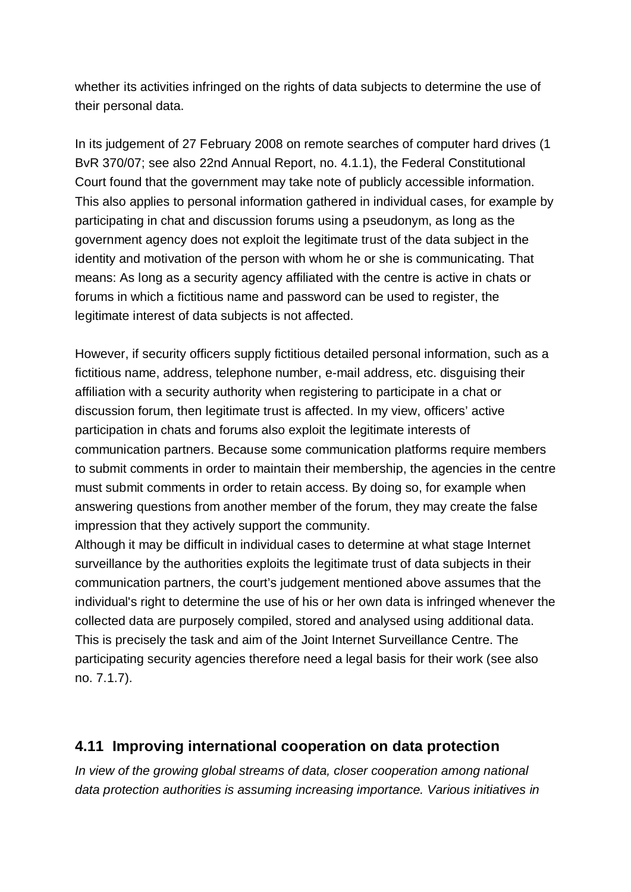whether its activities infringed on the rights of data subjects to determine the use of their personal data.

In its judgement of 27 February 2008 on remote searches of computer hard drives (1 BvR 370/07; see also 22nd Annual Report, no. 4.1.1), the Federal Constitutional Court found that the government may take note of publicly accessible information. This also applies to personal information gathered in individual cases, for example by participating in chat and discussion forums using a pseudonym, as long as the government agency does not exploit the legitimate trust of the data subject in the identity and motivation of the person with whom he or she is communicating. That means: As long as a security agency affiliated with the centre is active in chats or forums in which a fictitious name and password can be used to register, the legitimate interest of data subjects is not affected.

However, if security officers supply fictitious detailed personal information, such as a fictitious name, address, telephone number, e-mail address, etc. disguising their affiliation with a security authority when registering to participate in a chat or discussion forum, then legitimate trust is affected. In my view, officers' active participation in chats and forums also exploit the legitimate interests of communication partners. Because some communication platforms require members to submit comments in order to maintain their membership, the agencies in the centre must submit comments in order to retain access. By doing so, for example when answering questions from another member of the forum, they may create the false impression that they actively support the community.

Although it may be difficult in individual cases to determine at what stage Internet surveillance by the authorities exploits the legitimate trust of data subjects in their communication partners, the court's judgement mentioned above assumes that the individual's right to determine the use of his or her own data is infringed whenever the collected data are purposely compiled, stored and analysed using additional data. This is precisely the task and aim of the Joint Internet Surveillance Centre. The participating security agencies therefore need a legal basis for their work (see also no. 7.1.7).

## **4.11 Improving international cooperation on data protection**

*In view of the growing global streams of data, closer cooperation among national data protection authorities is assuming increasing importance. Various initiatives in*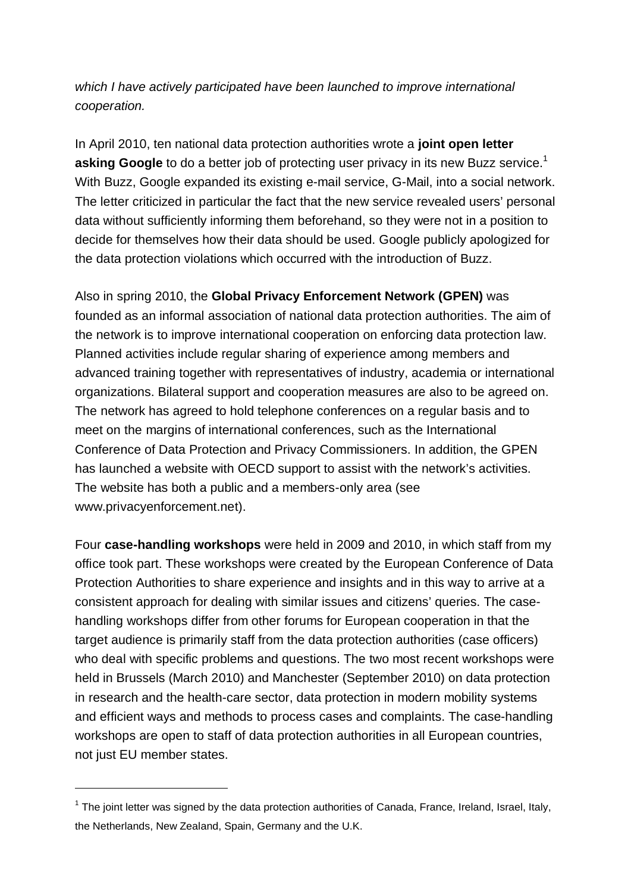*which I have actively participated have been launched to improve international cooperation.*

In April 2010, ten national data protection authorities wrote a **joint open letter asking Google** to do a better job of protecting user privacy in its new Buzz service.<sup>1</sup> With Buzz, Google expanded its existing e-mail service, G-Mail, into a social network. The letter criticized in particular the fact that the new service revealed users' personal data without sufficiently informing them beforehand, so they were not in a position to decide for themselves how their data should be used. Google publicly apologized for the data protection violations which occurred with the introduction of Buzz.

Also in spring 2010, the **Global Privacy Enforcement Network (GPEN)** was founded as an informal association of national data protection authorities. The aim of the network is to improve international cooperation on enforcing data protection law. Planned activities include regular sharing of experience among members and advanced training together with representatives of industry, academia or international organizations. Bilateral support and cooperation measures are also to be agreed on. The network has agreed to hold telephone conferences on a regular basis and to meet on the margins of international conferences, such as the International Conference of Data Protection and Privacy Commissioners. In addition, the GPEN has launched a website with OECD support to assist with the network's activities. The website has both a public and a members-only area (see [www.privacyenforcement.net\).](http://www.privacyenforcement.net).)

Four **case-handling workshops** were held in 2009 and 2010, in which staff from my office took part. These workshops were created by the European Conference of Data Protection Authorities to share experience and insights and in this way to arrive at a consistent approach for dealing with similar issues and citizens' queries. The case handling workshops differ from other forums for European cooperation in that the target audience is primarily staff from the data protection authorities (case officers) who deal with specific problems and questions. The two most recent workshops were held in Brussels (March 2010) and Manchester (September 2010) on data protection in research and the health-care sector, data protection in modern mobility systems and efficient ways and methods to process cases and complaints. The case-handling workshops are open to staff of data protection authorities in all European countries, not just EU member states.

 $1$  The joint letter was signed by the data protection authorities of Canada, France, Ireland, Israel, Italy, the Netherlands, New Zealand, Spain, Germany and the U.K.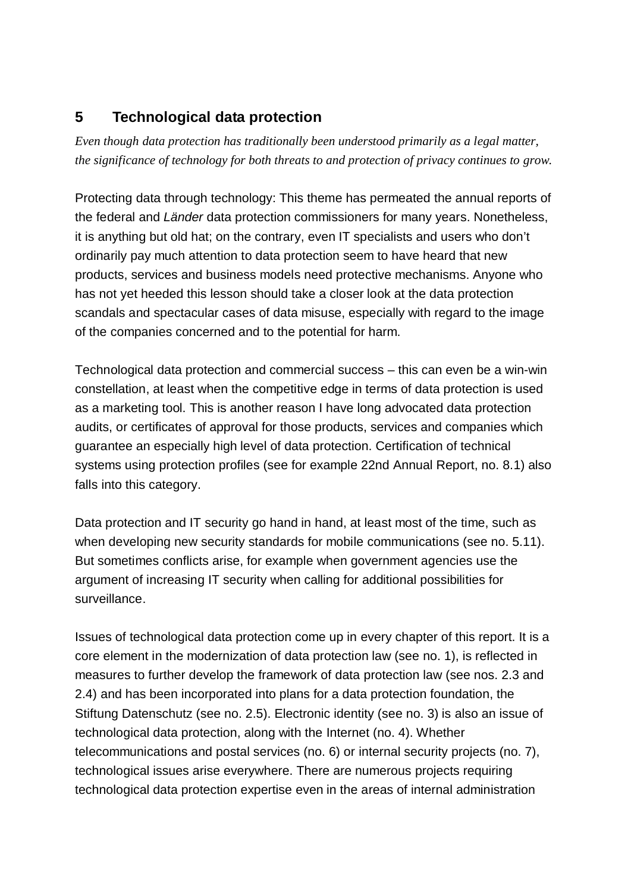### **5 Technological data protection**

*Even though data protection has traditionally been understood primarily as a legal matter, the significance of technology for both threats to and protection of privacy continues to grow.*

Protecting data through technology: This theme has permeated the annual reports of the federal and *Länder* data protection commissioners for many years. Nonetheless, it is anything but old hat; on the contrary, even IT specialists and users who don't ordinarily pay much attention to data protection seem to have heard that new products, services and business models need protective mechanisms. Anyone who has not yet heeded this lesson should take a closer look at the data protection scandals and spectacular cases of data misuse, especially with regard to the image of the companies concerned and to the potential for harm.

Technological data protection and commercial success – this can even be a win-win constellation, at least when the competitive edge in terms of data protection is used as a marketing tool. This is another reason I have long advocated data protection audits, or certificates of approval for those products, services and companies which guarantee an especially high level of data protection. Certification of technical systems using protection profiles (see for example 22nd Annual Report, no. 8.1) also falls into this category.

Data protection and IT security go hand in hand, at least most of the time, such as when developing new security standards for mobile communications (see no. 5.11). But sometimes conflicts arise, for example when government agencies use the argument of increasing IT security when calling for additional possibilities for surveillance.

Issues of technological data protection come up in every chapter of this report. It is a core element in the modernization of data protection law (see no. 1), is reflected in measures to further develop the framework of data protection law (see nos. 2.3 and 2.4) and has been incorporated into plans for a data protection foundation, the Stiftung Datenschutz (see no. 2.5). Electronic identity (see no. 3) is also an issue of technological data protection, along with the Internet (no. 4). Whether telecommunications and postal services (no. 6) or internal security projects (no. 7), technological issues arise everywhere. There are numerous projects requiring technological data protection expertise even in the areas of internal administration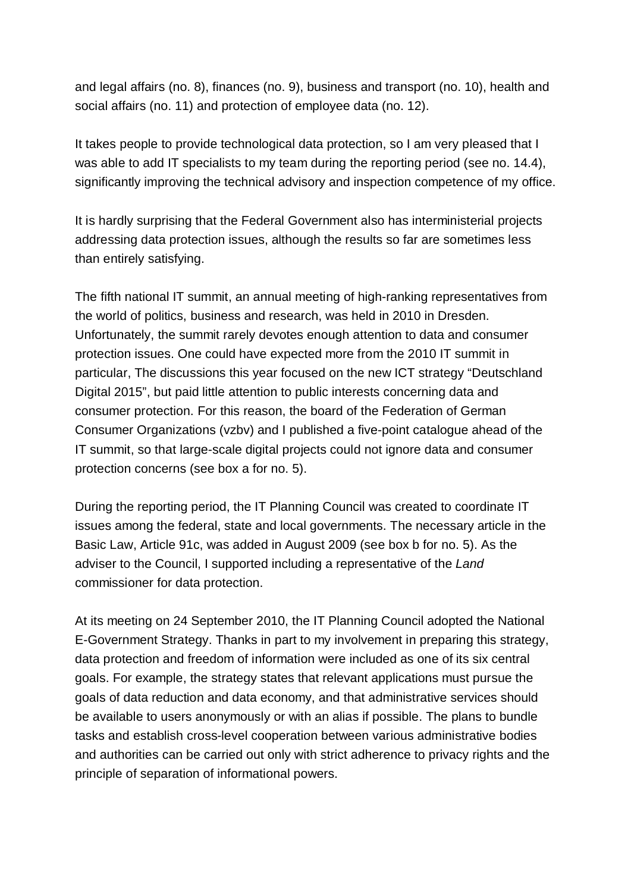and legal affairs (no. 8), finances (no. 9), business and transport (no. 10), health and social affairs (no. 11) and protection of employee data (no. 12).

It takes people to provide technological data protection, so I am very pleased that I was able to add IT specialists to my team during the reporting period (see no. 14.4), significantly improving the technical advisory and inspection competence of my office.

It is hardly surprising that the Federal Government also has interministerial projects addressing data protection issues, although the results so far are sometimes less than entirely satisfying.

The fifth national IT summit, an annual meeting of high-ranking representatives from the world of politics, business and research, was held in 2010 in Dresden. Unfortunately, the summit rarely devotes enough attention to data and consumer protection issues. One could have expected more from the 2010 IT summit in particular, The discussions this year focused on the new ICT strategy "Deutschland Digital 2015", but paid little attention to public interests concerning data and consumer protection. For this reason, the board of the Federation of German Consumer Organizations (vzbv) and I published a five-point catalogue ahead of the IT summit, so that large-scale digital projects could not ignore data and consumer protection concerns (see box a for no. 5).

During the reporting period, the IT Planning Council was created to coordinate IT issues among the federal, state and local governments. The necessary article in the Basic Law, Article 91c, was added in August 2009 (see box b for no. 5). As the adviser to the Council, I supported including a representative of the *Land* commissioner for data protection.

At its meeting on 24 September 2010, the IT Planning Council adopted the National E-Government Strategy. Thanks in part to my involvement in preparing this strategy, data protection and freedom of information were included as one of its six central goals. For example, the strategy states that relevant applications must pursue the goals of data reduction and data economy, and that administrative services should be available to users anonymously or with an alias if possible. The plans to bundle tasks and establish cross-level cooperation between various administrative bodies and authorities can be carried out only with strict adherence to privacy rights and the principle of separation of informational powers.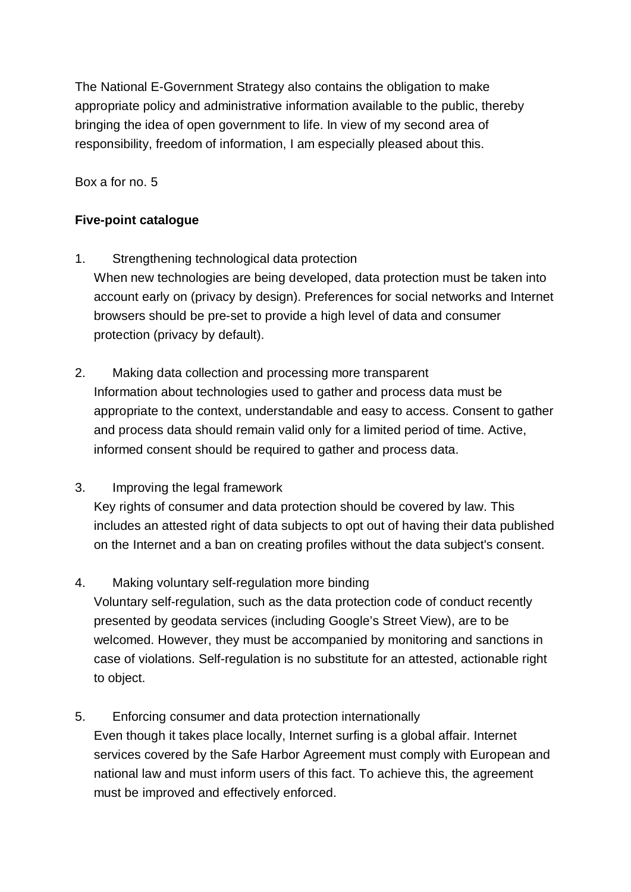The National E-Government Strategy also contains the obligation to make appropriate policy and administrative information available to the public, thereby bringing the idea of open government to life. In view of my second area of responsibility, freedom of information, I am especially pleased about this.

Box a for no. 5

### **Five-point catalogue**

- 1. Strengthening technological data protection When new technologies are being developed, data protection must be taken into account early on (privacy by design). Preferences for social networks and Internet browsers should be pre-set to provide a high level of data and consumer protection (privacy by default).
- 2. Making data collection and processing more transparent Information about technologies used to gather and process data must be appropriate to the context, understandable and easy to access. Consent to gather and process data should remain valid only for a limited period of time. Active, informed consent should be required to gather and process data.
- 3. Improving the legal framework

Key rights of consumer and data protection should be covered by law. This includes an attested right of data subjects to opt out of having their data published on the Internet and a ban on creating profiles without the data subject's consent.

4. Making voluntary self-regulation more binding

Voluntary self-regulation, such as the data protection code of conduct recently presented by geodata services (including Google's Street View), are to be welcomed. However, they must be accompanied by monitoring and sanctions in case of violations. Self-regulation is no substitute for an attested, actionable right to object.

5. Enforcing consumer and data protection internationally

Even though it takes place locally, Internet surfing is a global affair. Internet services covered by the Safe Harbor Agreement must comply with European and national law and must inform users of this fact. To achieve this, the agreement must be improved and effectively enforced.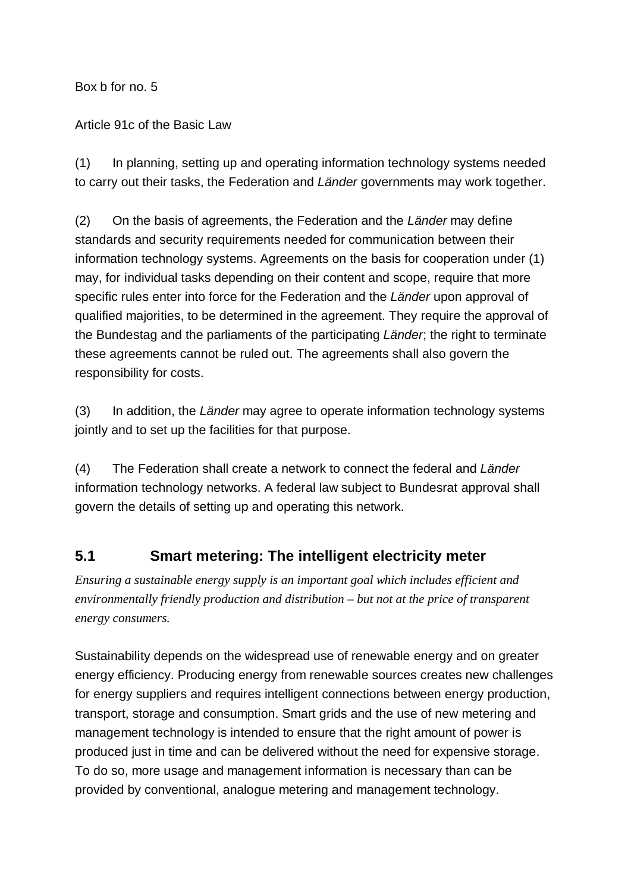Box b for no. 5

Article 91c of the Basic Law

(1) In planning, setting up and operating information technology systems needed to carry out their tasks, the Federation and *Länder* governments may work together.

(2) On the basis of agreements, the Federation and the *Länder* may define standards and security requirements needed for communication between their information technology systems. Agreements on the basis for cooperation under (1) may, for individual tasks depending on their content and scope, require that more specific rules enter into force for the Federation and the *Länder* upon approval of qualified majorities, to be determined in the agreement. They require the approval of the Bundestag and the parliaments of the participating *Länder*; the right to terminate these agreements cannot be ruled out. The agreements shall also govern the responsibility for costs.

(3) In addition, the *Länder* may agree to operate information technology systems jointly and to set up the facilities for that purpose.

(4) The Federation shall create a network to connect the federal and *Länder* information technology networks. A federal law subject to Bundesrat approval shall govern the details of setting up and operating this network.

## **5.1 Smart metering: The intelligent electricity meter**

*Ensuring a sustainable energy supply is an important goal which includes efficient and environmentally friendly production and distribution – but not at the price of transparent energy consumers.*

Sustainability depends on the widespread use of renewable energy and on greater energy efficiency. Producing energy from renewable sources creates new challenges for energy suppliers and requires intelligent connections between energy production, transport, storage and consumption. Smart grids and the use of new metering and management technology is intended to ensure that the right amount of power is produced just in time and can be delivered without the need for expensive storage. To do so, more usage and management information is necessary than can be provided by conventional, analogue metering and management technology.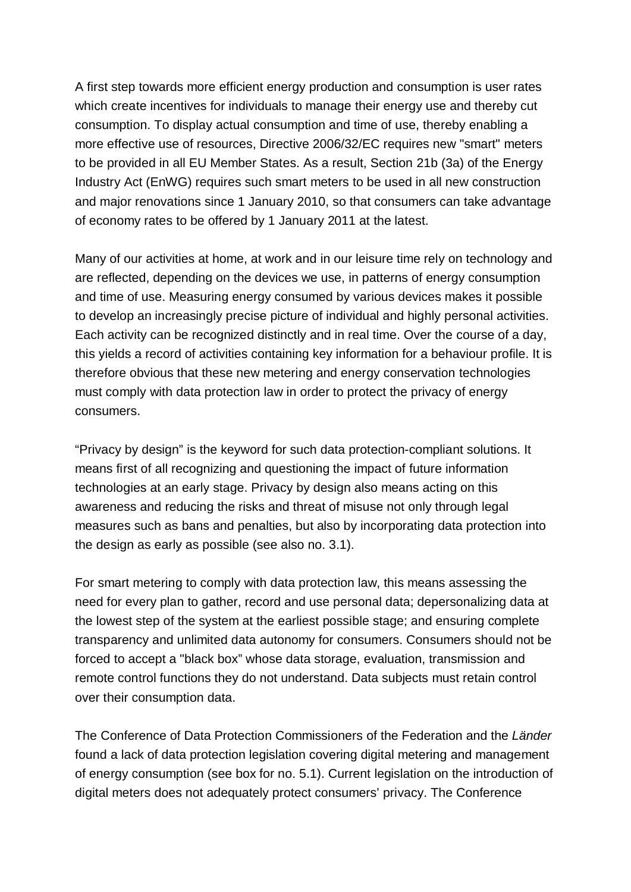A first step towards more efficient energy production and consumption is user rates which create incentives for individuals to manage their energy use and thereby cut consumption. To display actual consumption and time of use, thereby enabling a more effective use of resources, Directive 2006/32/EC requires new "smart" meters to be provided in all EU Member States. As a result, Section 21b (3a) of the Energy Industry Act (EnWG) requires such smart meters to be used in all new construction and major renovations since 1 January 2010, so that consumers can take advantage of economy rates to be offered by 1 January 2011 at the latest.

Many of our activities at home, at work and in our leisure time rely on technology and are reflected, depending on the devices we use, in patterns of energy consumption and time of use. Measuring energy consumed by various devices makes it possible to develop an increasingly precise picture of individual and highly personal activities. Each activity can be recognized distinctly and in real time. Over the course of a day, this yields a record of activities containing key information for a behaviour profile. It is therefore obvious that these new metering and energy conservation technologies must comply with data protection law in order to protect the privacy of energy consumers.

"Privacy by design" is the keyword for such data protection-compliant solutions. It means first of all recognizing and questioning the impact of future information technologies at an early stage. Privacy by design also means acting on this awareness and reducing the risks and threat of misuse not only through legal measures such as bans and penalties, but also by incorporating data protection into the design as early as possible (see also no. 3.1).

For smart metering to comply with data protection law, this means assessing the need for every plan to gather, record and use personal data; depersonalizing data at the lowest step of the system at the earliest possible stage; and ensuring complete transparency and unlimited data autonomy for consumers. Consumers should not be forced to accept a "black box" whose data storage, evaluation, transmission and remote control functions they do not understand. Data subjects must retain control over their consumption data.

The Conference of Data Protection Commissioners of the Federation and the *Länder* found a lack of data protection legislation covering digital metering and management of energy consumption (see box for no. 5.1). Current legislation on the introduction of digital meters does not adequately protect consumers' privacy. The Conference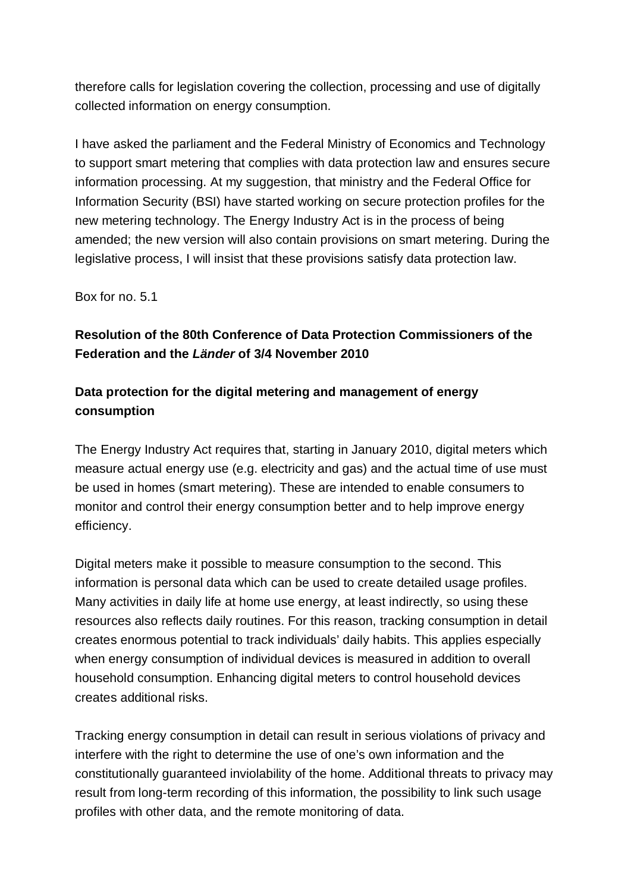therefore calls for legislation covering the collection, processing and use of digitally collected information on energy consumption.

I have asked the parliament and the Federal Ministry of Economics and Technology to support smart metering that complies with data protection law and ensures secure information processing. At my suggestion, that ministry and the Federal Office for Information Security (BSI) have started working on secure protection profiles for the new metering technology. The Energy Industry Act is in the process of being amended; the new version will also contain provisions on smart metering. During the legislative process, I will insist that these provisions satisfy data protection law.

Box for no. 5.1

### **Resolution of the 80th Conference of Data Protection Commissioners of the Federation and the** *Länder* **of 3/4 November 2010**

### **Data protection for the digital metering and management of energy consumption**

The Energy Industry Act requires that, starting in January 2010, digital meters which measure actual energy use (e.g. electricity and gas) and the actual time of use must be used in homes (smart metering). These are intended to enable consumers to monitor and control their energy consumption better and to help improve energy efficiency.

Digital meters make it possible to measure consumption to the second. This information is personal data which can be used to create detailed usage profiles. Many activities in daily life at home use energy, at least indirectly, so using these resources also reflects daily routines. For this reason, tracking consumption in detail creates enormous potential to track individuals' daily habits. This applies especially when energy consumption of individual devices is measured in addition to overall household consumption. Enhancing digital meters to control household devices creates additional risks.

Tracking energy consumption in detail can result in serious violations of privacy and interfere with the right to determine the use of one's own information and the constitutionally guaranteed inviolability of the home. Additional threats to privacy may result from long-term recording of this information, the possibility to link such usage profiles with other data, and the remote monitoring of data.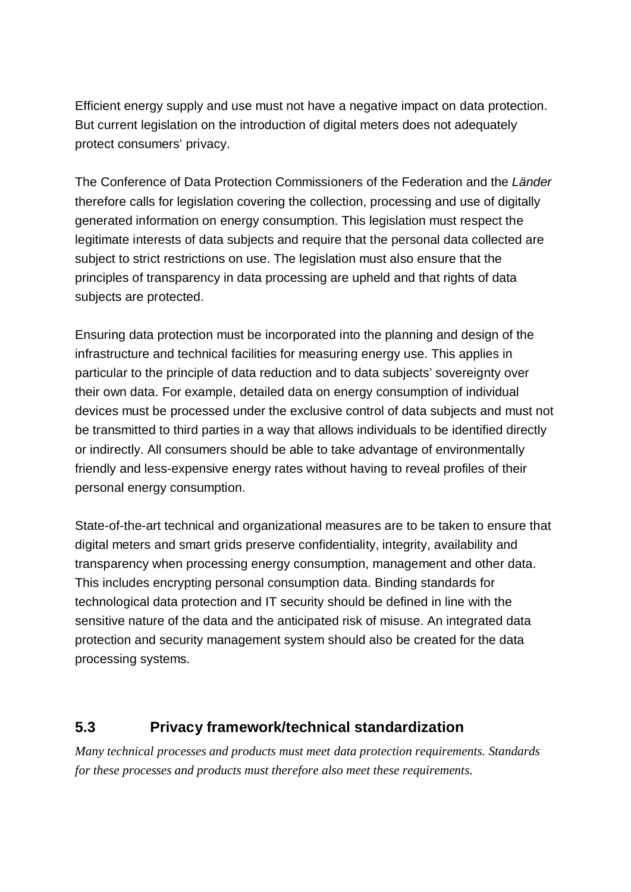Efficient energy supply and use must not have a negative impact on data protection. But current legislation on the introduction of digital meters does not adequately protect consumers' privacy.

The Conference of Data Protection Commissioners of the Federation and the *Länder* therefore calls for legislation covering the collection, processing and use of digitally generated information on energy consumption. This legislation must respect the legitimate interests of data subjects and require that the personal data collected are subject to strict restrictions on use. The legislation must also ensure that the principles of transparency in data processing are upheld and that rights of data subjects are protected.

Ensuring data protection must be incorporated into the planning and design of the infrastructure and technical facilities for measuring energy use. This applies in particular to the principle of data reduction and to data subjects' sovereignty over their own data. For example, detailed data on energy consumption of individual devices must be processed under the exclusive control of data subjects and must not be transmitted to third parties in a way that allows individuals to be identified directly or indirectly. All consumers should be able to take advantage of environmentally friendly and less-expensive energy rates without having to reveal profiles of their personal energy consumption.

State-of-the-art technical and organizational measures are to be taken to ensure that digital meters and smart grids preserve confidentiality, integrity, availability and transparency when processing energy consumption, management and other data. This includes encrypting personal consumption data. Binding standards for technological data protection and IT security should be defined in line with the sensitive nature of the data and the anticipated risk of misuse. An integrated data protection and security management system should also be created for the data processing systems.

### **5.3 Privacy framework/technical standardization**

*Many technical processes and products must meet data protection requirements. Standards for these processes and products must therefore also meet these requirements.*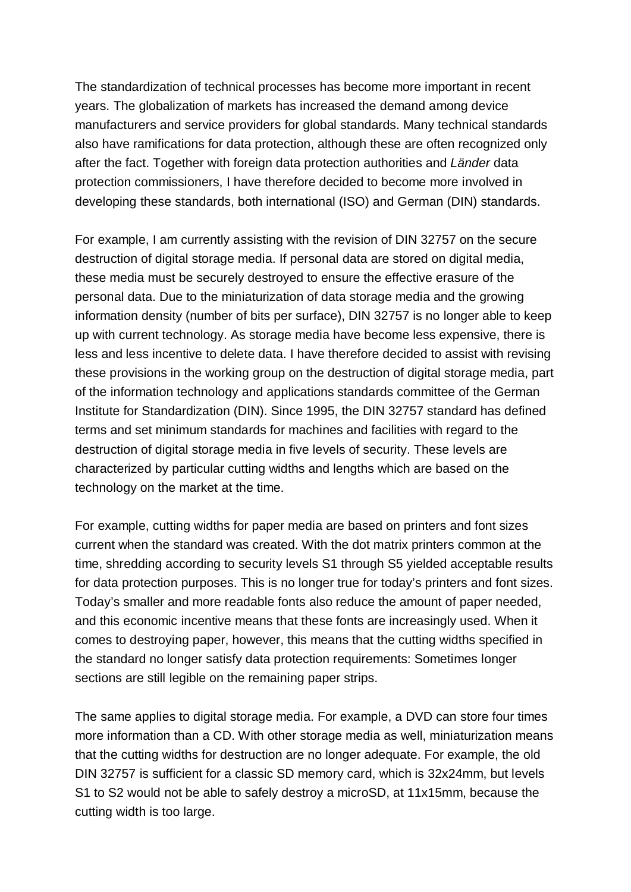The standardization of technical processes has become more important in recent years. The globalization of markets has increased the demand among device manufacturers and service providers for global standards. Many technical standards also have ramifications for data protection, although these are often recognized only after the fact. Together with foreign data protection authorities and *Länder* data protection commissioners, I have therefore decided to become more involved in developing these standards, both international (ISO) and German (DIN) standards.

For example, I am currently assisting with the revision of DIN 32757 on the secure destruction of digital storage media. If personal data are stored on digital media, these media must be securely destroyed to ensure the effective erasure of the personal data. Due to the miniaturization of data storage media and the growing information density (number of bits per surface), DIN 32757 is no longer able to keep up with current technology. As storage media have become less expensive, there is less and less incentive to delete data. I have therefore decided to assist with revising these provisions in the working group on the destruction of digital storage media, part of the information technology and applications standards committee of the German Institute for Standardization (DIN). Since 1995, the DIN 32757 standard has defined terms and set minimum standards for machines and facilities with regard to the destruction of digital storage media in five levels of security. These levels are characterized by particular cutting widths and lengths which are based on the technology on the market at the time.

For example, cutting widths for paper media are based on printers and font sizes current when the standard was created. With the dot matrix printers common at the time, shredding according to security levels S1 through S5 yielded acceptable results for data protection purposes. This is no longer true for today's printers and font sizes. Today's smaller and more readable fonts also reduce the amount of paper needed, and this economic incentive means that these fonts are increasingly used. When it comes to destroying paper, however, this means that the cutting widths specified in the standard no longer satisfy data protection requirements: Sometimes longer sections are still legible on the remaining paper strips.

The same applies to digital storage media. For example, a DVD can store four times more information than a CD. With other storage media as well, miniaturization means that the cutting widths for destruction are no longer adequate. For example, the old DIN 32757 is sufficient for a classic SD memory card, which is 32x24mm, but levels S1 to S2 would not be able to safely destroy a microSD, at 11x15mm, because the cutting width is too large.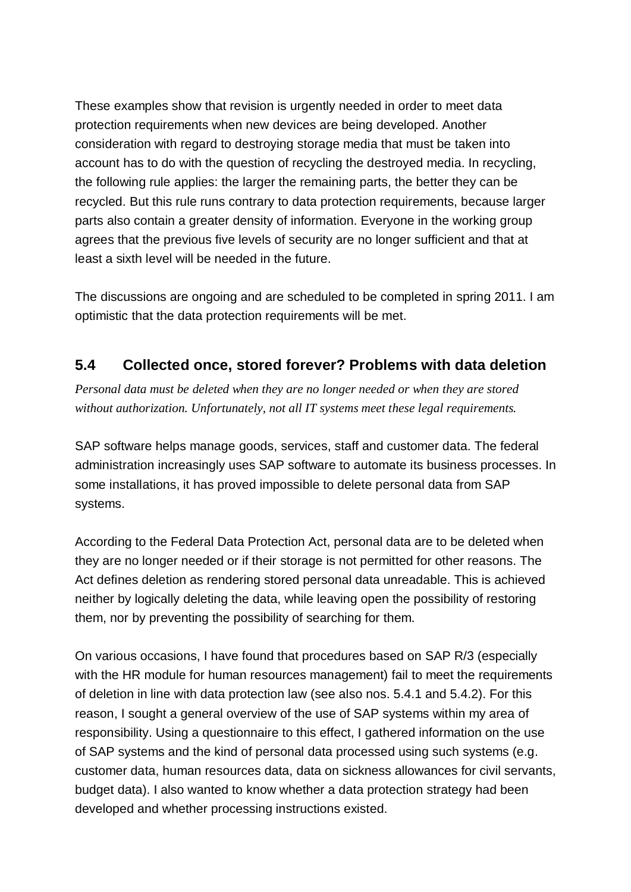These examples show that revision is urgently needed in order to meet data protection requirements when new devices are being developed. Another consideration with regard to destroying storage media that must be taken into account has to do with the question of recycling the destroyed media. In recycling, the following rule applies: the larger the remaining parts, the better they can be recycled. But this rule runs contrary to data protection requirements, because larger parts also contain a greater density of information. Everyone in the working group agrees that the previous five levels of security are no longer sufficient and that at least a sixth level will be needed in the future.

The discussions are ongoing and are scheduled to be completed in spring 2011. I am optimistic that the data protection requirements will be met.

### **5.4 Collected once, stored forever? Problems with data deletion**

*Personal data must be deleted when they are no longer needed or when they are stored without authorization. Unfortunately, not all IT systems meet these legal requirements.*

SAP software helps manage goods, services, staff and customer data. The federal administration increasingly uses SAP software to automate its business processes. In some installations, it has proved impossible to delete personal data from SAP systems.

According to the Federal Data Protection Act, personal data are to be deleted when they are no longer needed or if their storage is not permitted for other reasons. The Act defines deletion as rendering stored personal data unreadable. This is achieved neither by logically deleting the data, while leaving open the possibility of restoring them, nor by preventing the possibility of searching for them.

On various occasions, I have found that procedures based on SAP R/3 (especially with the HR module for human resources management) fail to meet the requirements of deletion in line with data protection law (see also nos. 5.4.1 and 5.4.2). For this reason, I sought a general overview of the use of SAP systems within my area of responsibility. Using a questionnaire to this effect, I gathered information on the use of SAP systems and the kind of personal data processed using such systems (e.g. customer data, human resources data, data on sickness allowances for civil servants, budget data). I also wanted to know whether a data protection strategy had been developed and whether processing instructions existed.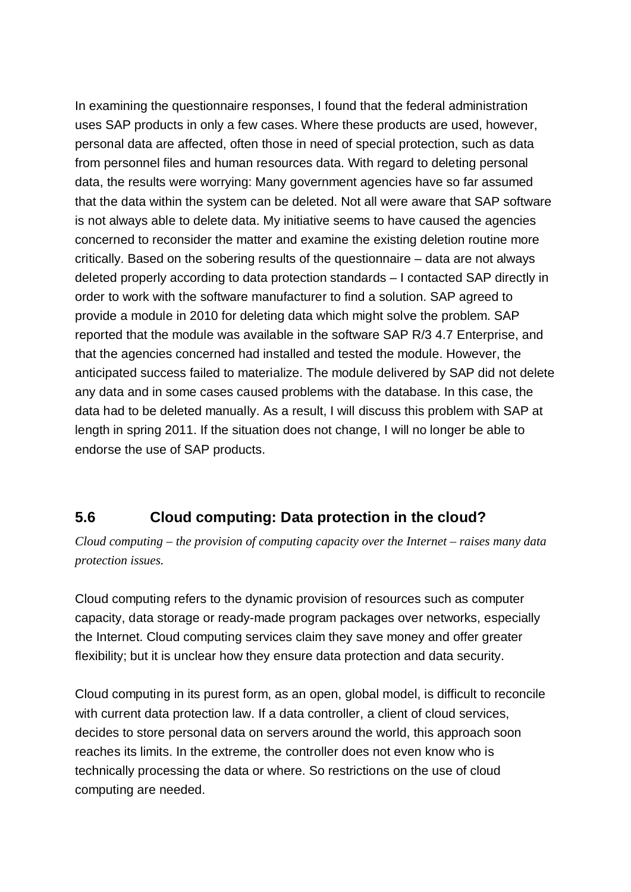In examining the questionnaire responses, I found that the federal administration uses SAP products in only a few cases. Where these products are used, however, personal data are affected, often those in need of special protection, such as data from personnel files and human resources data. With regard to deleting personal data, the results were worrying: Many government agencies have so far assumed that the data within the system can be deleted. Not all were aware that SAP software is not always able to delete data. My initiative seems to have caused the agencies concerned to reconsider the matter and examine the existing deletion routine more critically. Based on the sobering results of the questionnaire – data are not always deleted properly according to data protection standards – I contacted SAP directly in order to work with the software manufacturer to find a solution. SAP agreed to provide a module in 2010 for deleting data which might solve the problem. SAP reported that the module was available in the software SAP R/3 4.7 Enterprise, and that the agencies concerned had installed and tested the module. However, the anticipated success failed to materialize. The module delivered by SAP did not delete any data and in some cases caused problems with the database. In this case, the data had to be deleted manually. As a result, I will discuss this problem with SAP at length in spring 2011. If the situation does not change, I will no longer be able to endorse the use of SAP products.

### **5.6 Cloud computing: Data protection in the cloud?**

*Cloud computing – the provision of computing capacity over the Internet – raises many data protection issues.*

Cloud computing refers to the dynamic provision of resources such as computer capacity, data storage or ready-made program packages over networks, especially the Internet. Cloud computing services claim they save money and offer greater flexibility; but it is unclear how they ensure data protection and data security.

Cloud computing in its purest form, as an open, global model, is difficult to reconcile with current data protection law. If a data controller, a client of cloud services, decides to store personal data on servers around the world, this approach soon reaches its limits. In the extreme, the controller does not even know who is technically processing the data or where. So restrictions on the use of cloud computing are needed.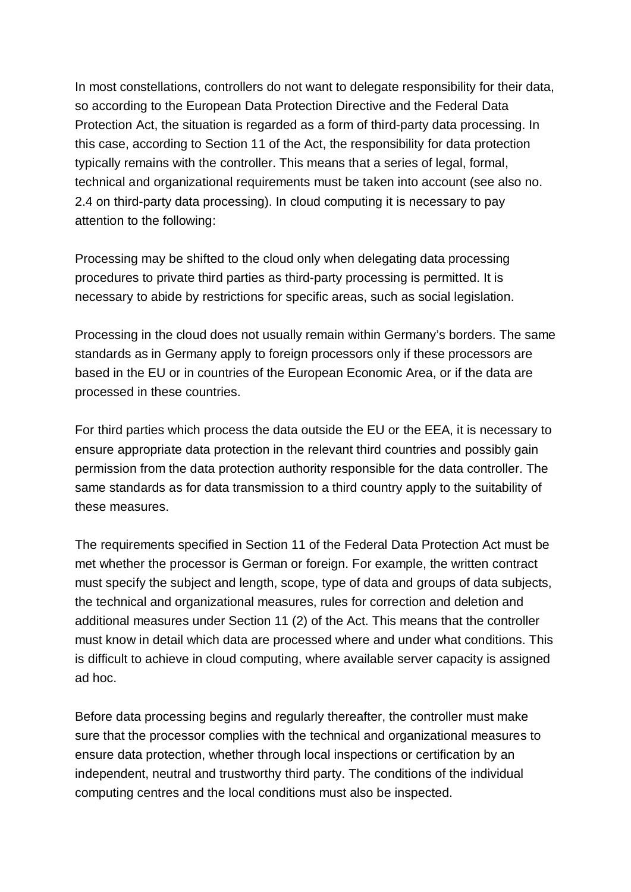In most constellations, controllers do not want to delegate responsibility for their data, so according to the European Data Protection Directive and the Federal Data Protection Act, the situation is regarded as a form of third-party data processing. In this case, according to Section 11 of the Act, the responsibility for data protection typically remains with the controller. This means that a series of legal, formal, technical and organizational requirements must be taken into account (see also no. 2.4 on third-party data processing). In cloud computing it is necessary to pay attention to the following:

Processing may be shifted to the cloud only when delegating data processing procedures to private third parties as third-party processing is permitted. It is necessary to abide by restrictions for specific areas, such as social legislation.

Processing in the cloud does not usually remain within Germany's borders. The same standards as in Germany apply to foreign processors only if these processors are based in the EU or in countries of the European Economic Area, or if the data are processed in these countries.

For third parties which process the data outside the EU or the EEA, it is necessary to ensure appropriate data protection in the relevant third countries and possibly gain permission from the data protection authority responsible for the data controller. The same standards as for data transmission to a third country apply to the suitability of these measures.

The requirements specified in Section 11 of the Federal Data Protection Act must be met whether the processor is German or foreign. For example, the written contract must specify the subject and length, scope, type of data and groups of data subjects, the technical and organizational measures, rules for correction and deletion and additional measures under Section 11 (2) of the Act. This means that the controller must know in detail which data are processed where and under what conditions. This is difficult to achieve in cloud computing, where available server capacity is assigned ad hoc.

Before data processing begins and regularly thereafter, the controller must make sure that the processor complies with the technical and organizational measures to ensure data protection, whether through local inspections or certification by an independent, neutral and trustworthy third party. The conditions of the individual computing centres and the local conditions must also be inspected.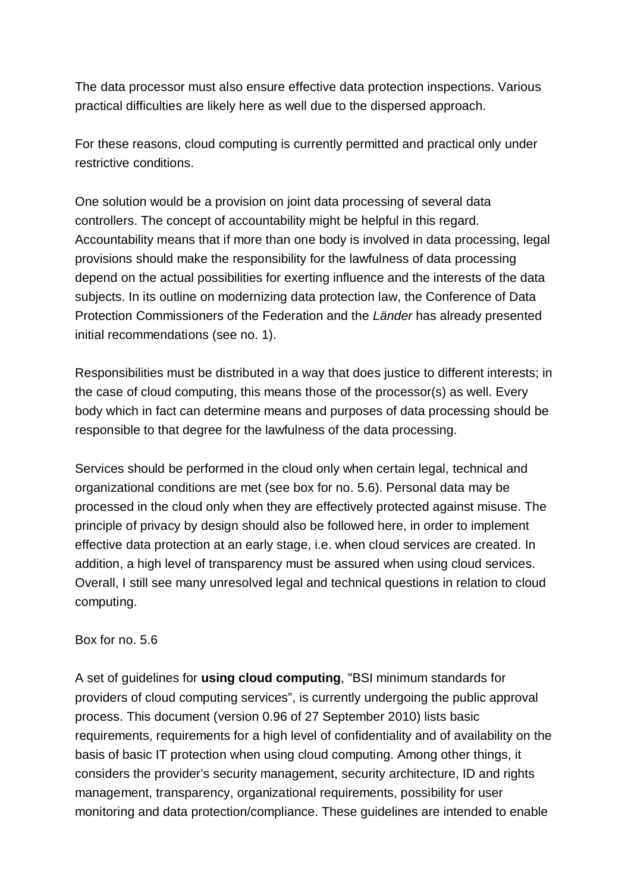The data processor must also ensure effective data protection inspections. Various practical difficulties are likely here as well due to the dispersed approach.

For these reasons, cloud computing is currently permitted and practical only under restrictive conditions.

One solution would be a provision on joint data processing of several data controllers. The concept of accountability might be helpful in this regard. Accountability means that if more than one body is involved in data processing, legal provisions should make the responsibility for the lawfulness of data processing depend on the actual possibilities for exerting influence and the interests of the data subjects. In its outline on modernizing data protection law, the Conference of Data Protection Commissioners of the Federation and the *Länder* has already presented initial recommendations (see no. 1).

Responsibilities must be distributed in a way that does justice to different interests; in the case of cloud computing, this means those of the processor(s) as well. Every body which in fact can determine means and purposes of data processing should be responsible to that degree for the lawfulness of the data processing.

Services should be performed in the cloud only when certain legal, technical and organizational conditions are met (see box for no. 5.6). Personal data may be processed in the cloud only when they are effectively protected against misuse. The principle of privacy by design should also be followed here, in order to implement effective data protection at an early stage, i.e. when cloud services are created. In addition, a high level of transparency must be assured when using cloud services. Overall, I still see many unresolved legal and technical questions in relation to cloud computing.

#### Box for no. 5.6

A set of guidelines for **using cloud computing**, "BSI minimum standards for providers of cloud computing services", is currently undergoing the public approval process. This document (version 0.96 of 27 September 2010) lists basic requirements, requirements for a high level of confidentiality and of availability on the basis of basic IT protection when using cloud computing. Among other things, it considers the provider's security management, security architecture, ID and rights management, transparency, organizational requirements, possibility for user monitoring and data protection/compliance. These guidelines are intended to enable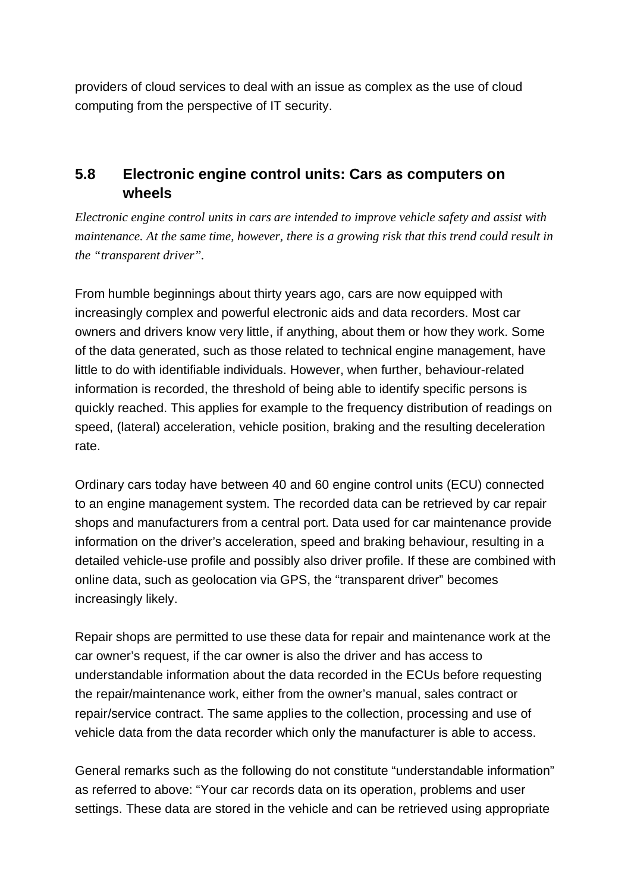providers of cloud services to deal with an issue as complex as the use of cloud computing from the perspective of IT security.

### **5.8 Electronic engine control units: Cars as computers on wheels**

*Electronic engine control units in cars are intended to improve vehicle safety and assist with maintenance. At the same time, however, there is a growing risk that this trend could result in the "transparent driver".*

From humble beginnings about thirty years ago, cars are now equipped with increasingly complex and powerful electronic aids and data recorders. Most car owners and drivers know very little, if anything, about them or how they work. Some of the data generated, such as those related to technical engine management, have little to do with identifiable individuals. However, when further, behaviour-related information is recorded, the threshold of being able to identify specific persons is quickly reached. This applies for example to the frequency distribution of readings on speed, (lateral) acceleration, vehicle position, braking and the resulting deceleration rate.

Ordinary cars today have between 40 and 60 engine control units (ECU) connected to an engine management system. The recorded data can be retrieved by car repair shops and manufacturers from a central port. Data used for car maintenance provide information on the driver's acceleration, speed and braking behaviour, resulting in a detailed vehicle-use profile and possibly also driver profile. If these are combined with online data, such as geolocation via GPS, the "transparent driver" becomes increasingly likely.

Repair shops are permitted to use these data for repair and maintenance work at the car owner's request, if the car owner is also the driver and has access to understandable information about the data recorded in the ECUs before requesting the repair/maintenance work, either from the owner's manual, sales contract or repair/service contract. The same applies to the collection, processing and use of vehicle data from the data recorder which only the manufacturer is able to access.

General remarks such as the following do not constitute "understandable information" as referred to above: "Your car records data on its operation, problems and user settings. These data are stored in the vehicle and can be retrieved using appropriate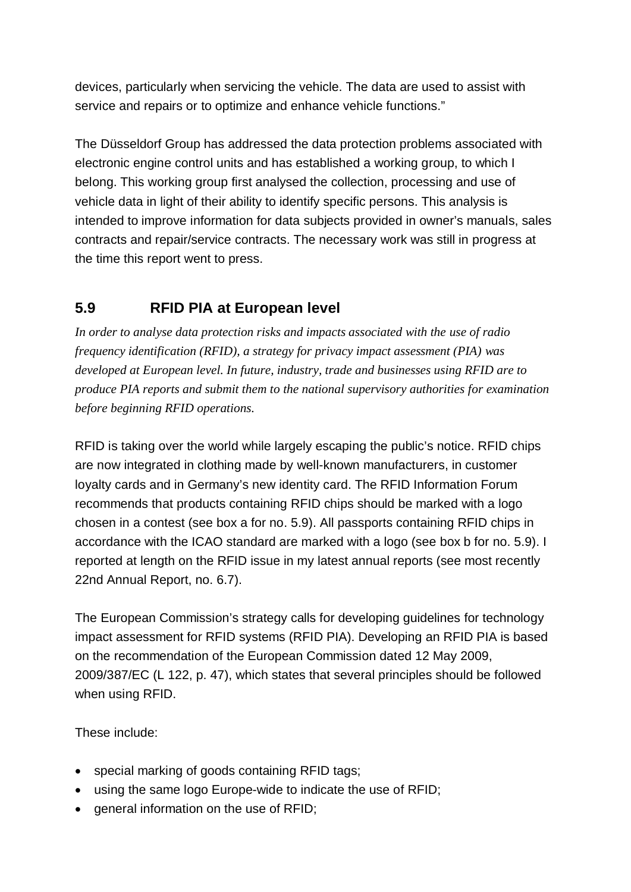devices, particularly when servicing the vehicle. The data are used to assist with service and repairs or to optimize and enhance vehicle functions."

The Düsseldorf Group has addressed the data protection problems associated with electronic engine control units and has established a working group, to which I belong. This working group first analysed the collection, processing and use of vehicle data in light of their ability to identify specific persons. This analysis is intended to improve information for data subjects provided in owner's manuals, sales contracts and repair/service contracts. The necessary work was still in progress at the time this report went to press.

# **5.9 RFID PIA at European level**

*In order to analyse data protection risks and impacts associated with the use of radio frequency identification (RFID), a strategy for privacy impact assessment (PIA) was developed at European level. In future, industry, trade and businesses using RFID are to produce PIA reports and submit them to the national supervisory authorities for examination before beginning RFID operations.*

RFID is taking over the world while largely escaping the public's notice. RFID chips are now integrated in clothing made by well-known manufacturers, in customer loyalty cards and in Germany's new identity card. The RFID Information Forum recommends that products containing RFID chips should be marked with a logo chosen in a contest (see box a for no. 5.9). All passports containing RFID chips in accordance with the ICAO standard are marked with a logo (see box b for no. 5.9). I reported at length on the RFID issue in my latest annual reports (see most recently 22nd Annual Report, no. 6.7).

The European Commission's strategy calls for developing guidelines for technology impact assessment for RFID systems (RFID PIA). Developing an RFID PIA is based on the recommendation of the European Commission dated 12 May 2009, 2009/387/EC (L 122, p. 47), which states that several principles should be followed when using RFID.

These include:

- · special marking of goods containing RFID tags;
- using the same logo Europe-wide to indicate the use of RFID;
- · general information on the use of RFID;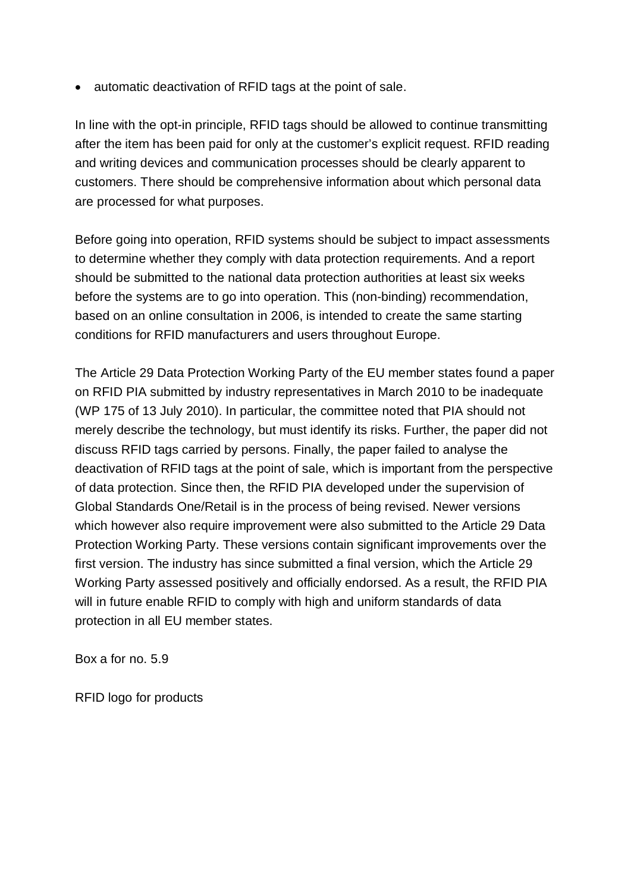· automatic deactivation of RFID tags at the point of sale.

In line with the opt-in principle, RFID tags should be allowed to continue transmitting after the item has been paid for only at the customer's explicit request. RFID reading and writing devices and communication processes should be clearly apparent to customers. There should be comprehensive information about which personal data are processed for what purposes.

Before going into operation, RFID systems should be subject to impact assessments to determine whether they comply with data protection requirements. And a report should be submitted to the national data protection authorities at least six weeks before the systems are to go into operation. This (non-binding) recommendation, based on an online consultation in 2006, is intended to create the same starting conditions for RFID manufacturers and users throughout Europe.

The Article 29 Data Protection Working Party of the EU member states found a paper on RFID PIA submitted by industry representatives in March 2010 to be inadequate (WP 175 of 13 July 2010). In particular, the committee noted that PIA should not merely describe the technology, but must identify its risks. Further, the paper did not discuss RFID tags carried by persons. Finally, the paper failed to analyse the deactivation of RFID tags at the point of sale, which is important from the perspective of data protection. Since then, the RFID PIA developed under the supervision of Global Standards One/Retail is in the process of being revised. Newer versions which however also require improvement were also submitted to the Article 29 Data Protection Working Party. These versions contain significant improvements over the first version. The industry has since submitted a final version, which the Article 29 Working Party assessed positively and officially endorsed. As a result, the RFID PIA will in future enable RFID to comply with high and uniform standards of data protection in all EU member states.

Box a for no. 5.9

RFID logo for products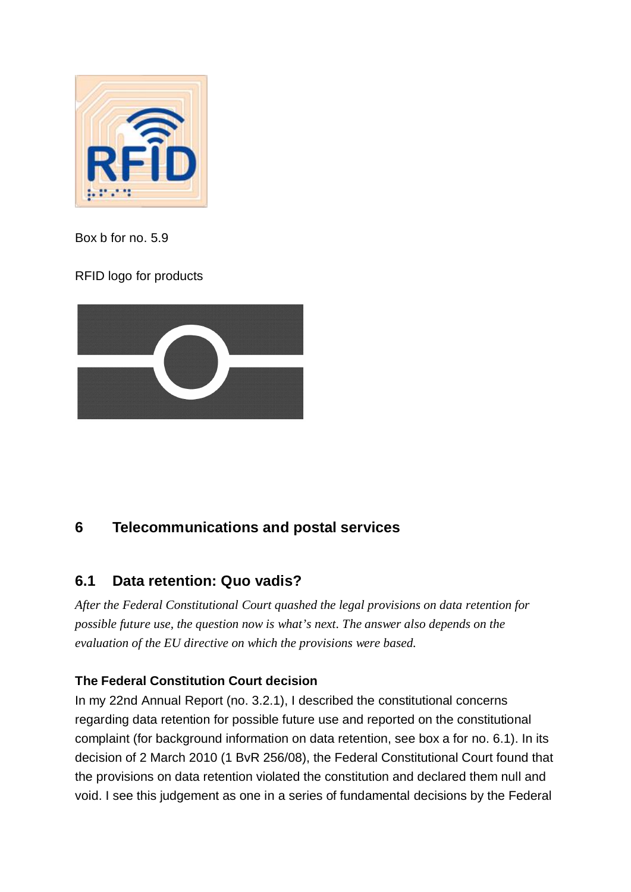

Box b for no. 5.9

RFID logo for products



## **6 Telecommunications and postal services**

## **6.1 Data retention: Quo vadis?**

*After the Federal Constitutional Court quashed the legal provisions on data retention for possible future use, the question now is what's next. The answer also depends on the evaluation of the EU directive on which the provisions were based.*

### **The Federal Constitution Court decision**

In my 22nd Annual Report (no. 3.2.1), I described the constitutional concerns regarding data retention for possible future use and reported on the constitutional complaint (for background information on data retention, see box a for no. 6.1). In its decision of 2 March 2010 (1 BvR 256/08), the Federal Constitutional Court found that the provisions on data retention violated the constitution and declared them null and void. I see this judgement as one in a series of fundamental decisions by the Federal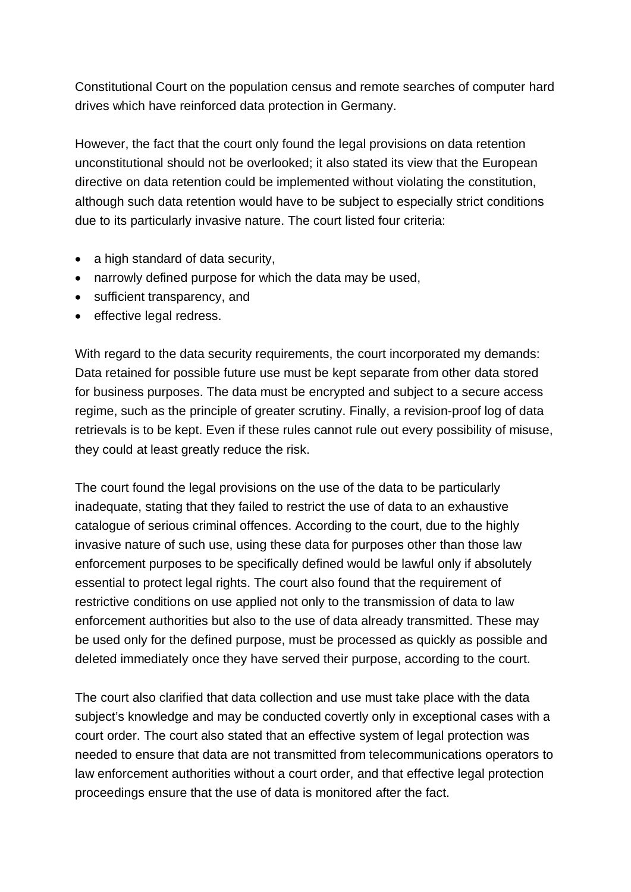Constitutional Court on the population census and remote searches of computer hard drives which have reinforced data protection in Germany.

However, the fact that the court only found the legal provisions on data retention unconstitutional should not be overlooked; it also stated its view that the European directive on data retention could be implemented without violating the constitution, although such data retention would have to be subject to especially strict conditions due to its particularly invasive nature. The court listed four criteria:

- a high standard of data security,
- · narrowly defined purpose for which the data may be used,
- · sufficient transparency, and
- effective legal redress.

With regard to the data security requirements, the court incorporated my demands: Data retained for possible future use must be kept separate from other data stored for business purposes. The data must be encrypted and subject to a secure access regime, such as the principle of greater scrutiny. Finally, a revision-proof log of data retrievals is to be kept. Even if these rules cannot rule out every possibility of misuse, they could at least greatly reduce the risk.

The court found the legal provisions on the use of the data to be particularly inadequate, stating that they failed to restrict the use of data to an exhaustive catalogue of serious criminal offences. According to the court, due to the highly invasive nature of such use, using these data for purposes other than those law enforcement purposes to be specifically defined would be lawful only if absolutely essential to protect legal rights. The court also found that the requirement of restrictive conditions on use applied not only to the transmission of data to law enforcement authorities but also to the use of data already transmitted. These may be used only for the defined purpose, must be processed as quickly as possible and deleted immediately once they have served their purpose, according to the court.

The court also clarified that data collection and use must take place with the data subject's knowledge and may be conducted covertly only in exceptional cases with a court order. The court also stated that an effective system of legal protection was needed to ensure that data are not transmitted from telecommunications operators to law enforcement authorities without a court order, and that effective legal protection proceedings ensure that the use of data is monitored after the fact.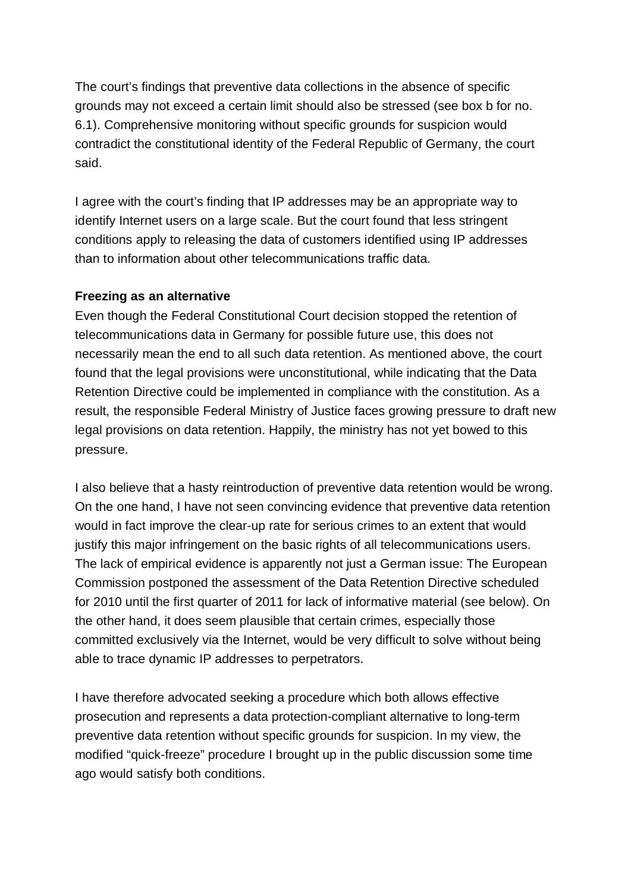The court's findings that preventive data collections in the absence of specific grounds may not exceed a certain limit should also be stressed (see box b for no. 6.1). Comprehensive monitoring without specific grounds for suspicion would contradict the constitutional identity of the Federal Republic of Germany, the court said.

I agree with the court's finding that IP addresses may be an appropriate way to identify Internet users on a large scale. But the court found that less stringent conditions apply to releasing the data of customers identified using IP addresses than to information about other telecommunications traffic data.

#### **Freezing as an alternative**

Even though the Federal Constitutional Court decision stopped the retention of telecommunications data in Germany for possible future use, this does not necessarily mean the end to all such data retention. As mentioned above, the court found that the legal provisions were unconstitutional, while indicating that the Data Retention Directive could be implemented in compliance with the constitution. As a result, the responsible Federal Ministry of Justice faces growing pressure to draft new legal provisions on data retention. Happily, the ministry has not yet bowed to this pressure.

I also believe that a hasty reintroduction of preventive data retention would be wrong. On the one hand, I have not seen convincing evidence that preventive data retention would in fact improve the clear-up rate for serious crimes to an extent that would justify this major infringement on the basic rights of all telecommunications users. The lack of empirical evidence is apparently not just a German issue: The European Commission postponed the assessment of the Data Retention Directive scheduled for 2010 until the first quarter of 2011 for lack of informative material (see below). On the other hand, it does seem plausible that certain crimes, especially those committed exclusively via the Internet, would be very difficult to solve without being able to trace dynamic IP addresses to perpetrators.

I have therefore advocated seeking a procedure which both allows effective prosecution and represents a data protection-compliant alternative to long-term preventive data retention without specific grounds for suspicion. In my view, the modified "quick-freeze" procedure I brought up in the public discussion some time ago would satisfy both conditions.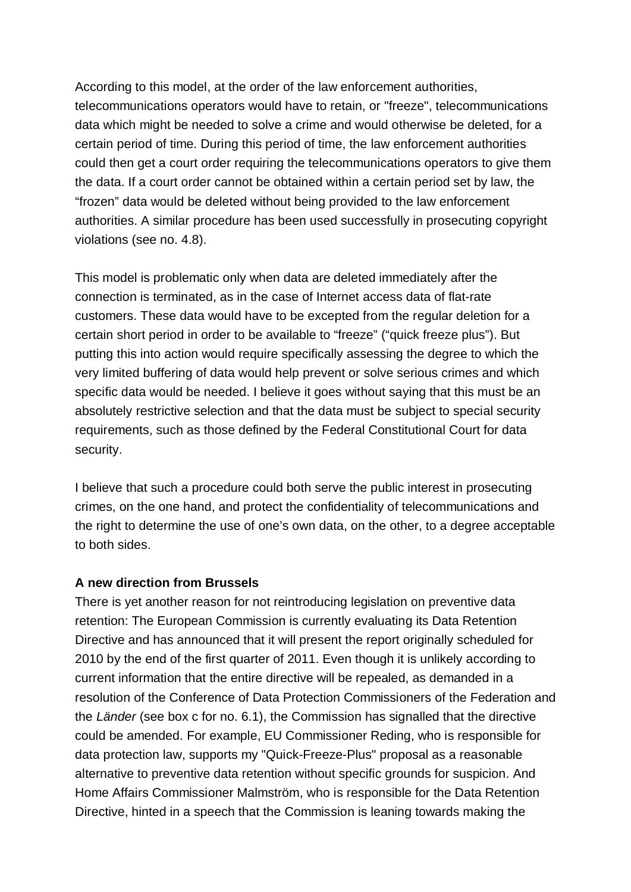According to this model, at the order of the law enforcement authorities, telecommunications operators would have to retain, or "freeze", telecommunications data which might be needed to solve a crime and would otherwise be deleted, for a certain period of time. During this period of time, the law enforcement authorities could then get a court order requiring the telecommunications operators to give them the data. If a court order cannot be obtained within a certain period set by law, the "frozen" data would be deleted without being provided to the law enforcement authorities. A similar procedure has been used successfully in prosecuting copyright violations (see no. 4.8).

This model is problematic only when data are deleted immediately after the connection is terminated, as in the case of Internet access data of flat-rate customers. These data would have to be excepted from the regular deletion for a certain short period in order to be available to "freeze" ("quick freeze plus"). But putting this into action would require specifically assessing the degree to which the very limited buffering of data would help prevent or solve serious crimes and which specific data would be needed. I believe it goes without saying that this must be an absolutely restrictive selection and that the data must be subject to special security requirements, such as those defined by the Federal Constitutional Court for data security.

I believe that such a procedure could both serve the public interest in prosecuting crimes, on the one hand, and protect the confidentiality of telecommunications and the right to determine the use of one's own data, on the other, to a degree acceptable to both sides.

#### **A new direction from Brussels**

There is yet another reason for not reintroducing legislation on preventive data retention: The European Commission is currently evaluating its Data Retention Directive and has announced that it will present the report originally scheduled for 2010 by the end of the first quarter of 2011. Even though it is unlikely according to current information that the entire directive will be repealed, as demanded in a resolution of the Conference of Data Protection Commissioners of the Federation and the *Länder* (see box c for no. 6.1), the Commission has signalled that the directive could be amended. For example, EU Commissioner Reding, who is responsible for data protection law, supports my "Quick-Freeze-Plus" proposal as a reasonable alternative to preventive data retention without specific grounds for suspicion. And Home Affairs Commissioner Malmström, who is responsible for the Data Retention Directive, hinted in a speech that the Commission is leaning towards making the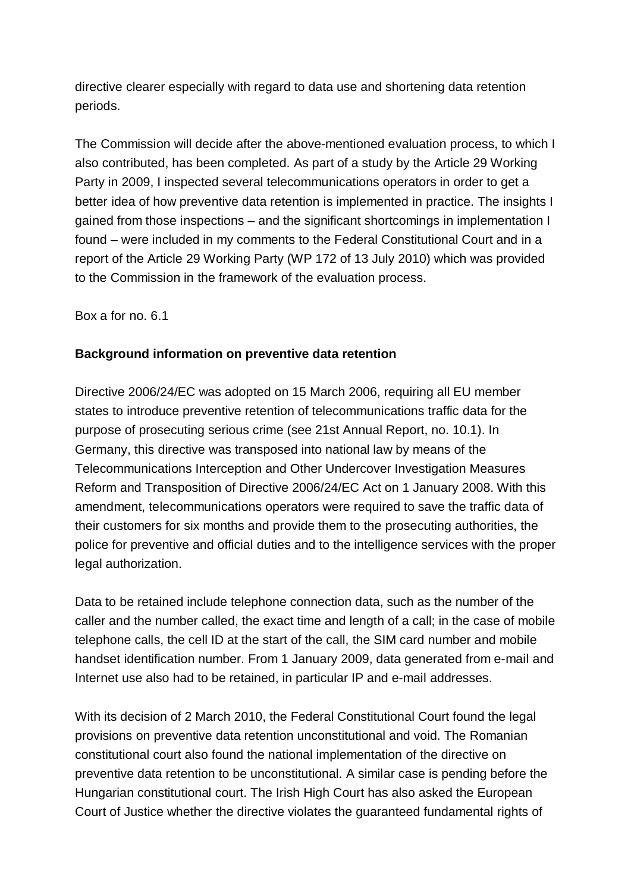directive clearer especially with regard to data use and shortening data retention periods.

The Commission will decide after the above-mentioned evaluation process, to which I also contributed, has been completed. As part of a study by the Article 29 Working Party in 2009, I inspected several telecommunications operators in order to get a better idea of how preventive data retention is implemented in practice. The insights I gained from those inspections – and the significant shortcomings in implementation I found – were included in my comments to the Federal Constitutional Court and in a report of the Article 29 Working Party (WP 172 of 13 July 2010) which was provided to the Commission in the framework of the evaluation process.

Box a for no. 6.1

#### **Background information on preventive data retention**

Directive 2006/24/EC was adopted on 15 March 2006, requiring all EU member states to introduce preventive retention of telecommunications traffic data for the purpose of prosecuting serious crime (see 21st Annual Report, no. 10.1). In Germany, this directive was transposed into national law by means of the Telecommunications Interception and Other Undercover Investigation Measures Reform and Transposition of Directive 2006/24/EC Act on 1 January 2008. With this amendment, telecommunications operators were required to save the traffic data of their customers for six months and provide them to the prosecuting authorities, the police for preventive and official duties and to the intelligence services with the proper legal authorization.

Data to be retained include telephone connection data, such as the number of the caller and the number called, the exact time and length of a call; in the case of mobile telephone calls, the cell ID at the start of the call, the SIM card number and mobile handset identification number. From 1 January 2009, data generated from e-mail and Internet use also had to be retained, in particular IP and e-mail addresses.

With its decision of 2 March 2010, the Federal Constitutional Court found the legal provisions on preventive data retention unconstitutional and void. The Romanian constitutional court also found the national implementation of the directive on preventive data retention to be unconstitutional. A similar case is pending before the Hungarian constitutional court. The Irish High Court has also asked the European Court of Justice whether the directive violates the guaranteed fundamental rights of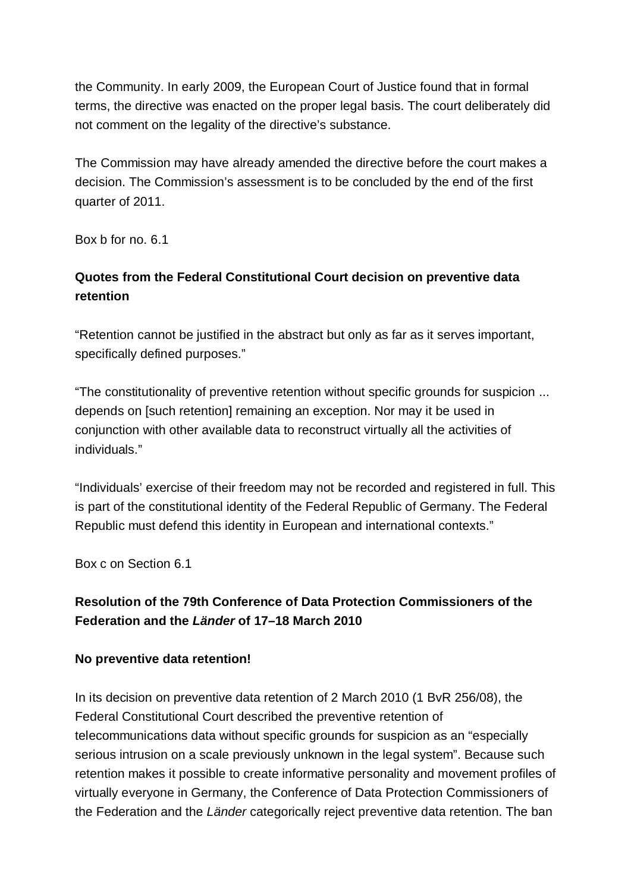the Community. In early 2009, the European Court of Justice found that in formal terms, the directive was enacted on the proper legal basis. The court deliberately did not comment on the legality of the directive's substance.

The Commission may have already amended the directive before the court makes a decision. The Commission's assessment is to be concluded by the end of the first quarter of 2011.

Box b for no. 6.1

### **Quotes from the Federal Constitutional Court decision on preventive data retention**

"Retention cannot be justified in the abstract but only as far as it serves important, specifically defined purposes."

"The constitutionality of preventive retention without specific grounds for suspicion ... depends on [such retention] remaining an exception. Nor may it be used in conjunction with other available data to reconstruct virtually all the activities of individuals."

"Individuals' exercise of their freedom may not be recorded and registered in full. This is part of the constitutional identity of the Federal Republic of Germany. The Federal Republic must defend this identity in European and international contexts."

Box c on Section 6.1

### **Resolution of the 79th Conference of Data Protection Commissioners of the Federation and the** *Länder* **of 17–18 March 2010**

#### **No preventive data retention!**

In its decision on preventive data retention of 2 March 2010 (1 BvR 256/08), the Federal Constitutional Court described the preventive retention of telecommunications data without specific grounds for suspicion as an "especially serious intrusion on a scale previously unknown in the legal system". Because such retention makes it possible to create informative personality and movement profiles of virtually everyone in Germany, the Conference of Data Protection Commissioners of the Federation and the *Länder* categorically reject preventive data retention. The ban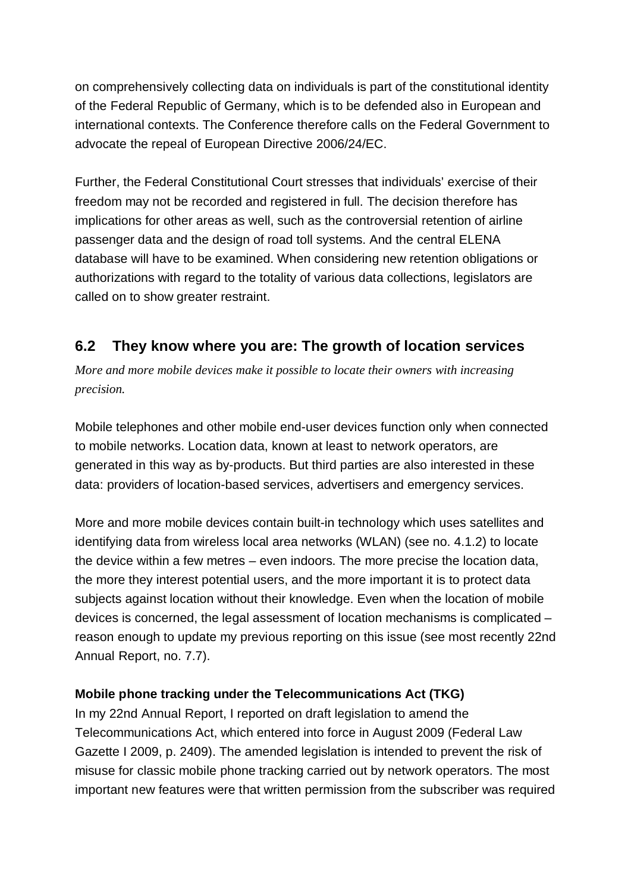on comprehensively collecting data on individuals is part of the constitutional identity of the Federal Republic of Germany, which is to be defended also in European and international contexts. The Conference therefore calls on the Federal Government to advocate the repeal of European Directive 2006/24/EC.

Further, the Federal Constitutional Court stresses that individuals' exercise of their freedom may not be recorded and registered in full. The decision therefore has implications for other areas as well, such as the controversial retention of airline passenger data and the design of road toll systems. And the central ELENA database will have to be examined. When considering new retention obligations or authorizations with regard to the totality of various data collections, legislators are called on to show greater restraint.

## **6.2 They know where you are: The growth of location services**

*More and more mobile devices make it possible to locate their owners with increasing precision.* 

Mobile telephones and other mobile end-user devices function only when connected to mobile networks. Location data, known at least to network operators, are generated in this way as by-products. But third parties are also interested in these data: providers of location-based services, advertisers and emergency services.

More and more mobile devices contain built-in technology which uses satellites and identifying data from wireless local area networks (WLAN) (see no. 4.1.2) to locate the device within a few metres – even indoors. The more precise the location data, the more they interest potential users, and the more important it is to protect data subjects against location without their knowledge. Even when the location of mobile devices is concerned, the legal assessment of location mechanisms is complicated – reason enough to update my previous reporting on this issue (see most recently 22nd Annual Report, no. 7.7).

#### **Mobile phone tracking under the Telecommunications Act (TKG)**

In my 22nd Annual Report, I reported on draft legislation to amend the Telecommunications Act, which entered into force in August 2009 (Federal Law Gazette I 2009, p. 2409). The amended legislation is intended to prevent the risk of misuse for classic mobile phone tracking carried out by network operators. The most important new features were that written permission from the subscriber was required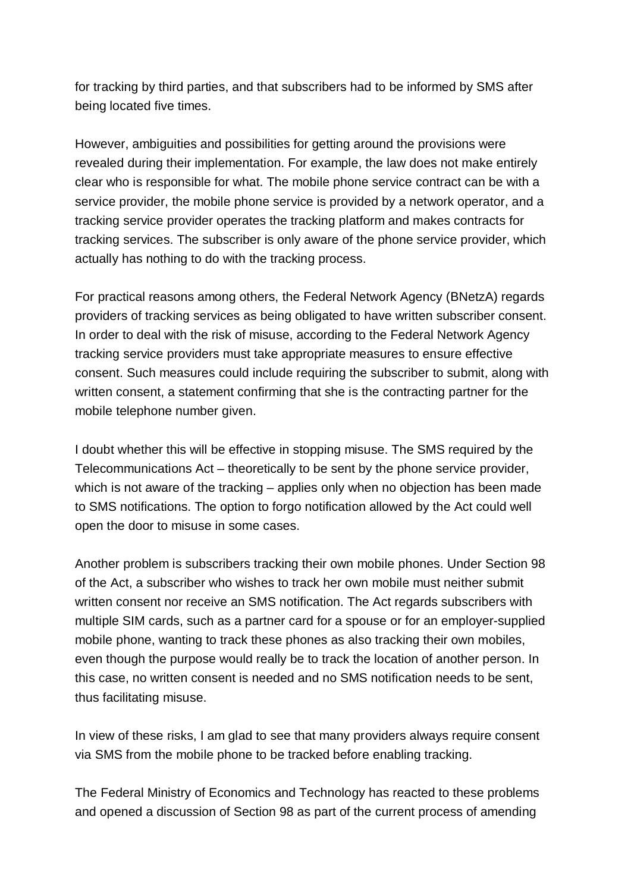for tracking by third parties, and that subscribers had to be informed by SMS after being located five times.

However, ambiguities and possibilities for getting around the provisions were revealed during their implementation. For example, the law does not make entirely clear who is responsible for what. The mobile phone service contract can be with a service provider, the mobile phone service is provided by a network operator, and a tracking service provider operates the tracking platform and makes contracts for tracking services. The subscriber is only aware of the phone service provider, which actually has nothing to do with the tracking process.

For practical reasons among others, the Federal Network Agency (BNetzA) regards providers of tracking services as being obligated to have written subscriber consent. In order to deal with the risk of misuse, according to the Federal Network Agency tracking service providers must take appropriate measures to ensure effective consent. Such measures could include requiring the subscriber to submit, along with written consent, a statement confirming that she is the contracting partner for the mobile telephone number given.

I doubt whether this will be effective in stopping misuse. The SMS required by the Telecommunications Act – theoretically to be sent by the phone service provider, which is not aware of the tracking – applies only when no objection has been made to SMS notifications. The option to forgo notification allowed by the Act could well open the door to misuse in some cases.

Another problem is subscribers tracking their own mobile phones. Under Section 98 of the Act, a subscriber who wishes to track her own mobile must neither submit written consent nor receive an SMS notification. The Act regards subscribers with multiple SIM cards, such as a partner card for a spouse or for an employer-supplied mobile phone, wanting to track these phones as also tracking their own mobiles, even though the purpose would really be to track the location of another person. In this case, no written consent is needed and no SMS notification needs to be sent, thus facilitating misuse.

In view of these risks, I am glad to see that many providers always require consent via SMS from the mobile phone to be tracked before enabling tracking.

The Federal Ministry of Economics and Technology has reacted to these problems and opened a discussion of Section 98 as part of the current process of amending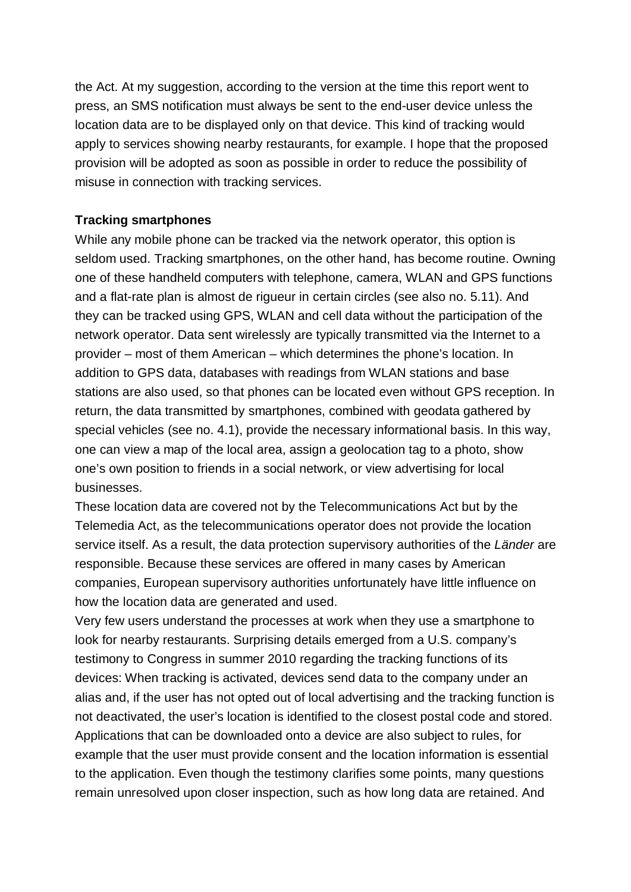the Act. At my suggestion, according to the version at the time this report went to press, an SMS notification must always be sent to the end-user device unless the location data are to be displayed only on that device. This kind of tracking would apply to services showing nearby restaurants, for example. I hope that the proposed provision will be adopted as soon as possible in order to reduce the possibility of misuse in connection with tracking services.

#### **Tracking smartphones**

While any mobile phone can be tracked via the network operator, this option is seldom used. Tracking smartphones, on the other hand, has become routine. Owning one of these handheld computers with telephone, camera, WLAN and GPS functions and a flat-rate plan is almost de rigueur in certain circles (see also no. 5.11). And they can be tracked using GPS, WLAN and cell data without the participation of the network operator. Data sent wirelessly are typically transmitted via the Internet to a provider – most of them American – which determines the phone's location. In addition to GPS data, databases with readings from WLAN stations and base stations are also used, so that phones can be located even without GPS reception. In return, the data transmitted by smartphones, combined with geodata gathered by special vehicles (see no. 4.1), provide the necessary informational basis. In this way, one can view a map of the local area, assign a geolocation tag to a photo, show one's own position to friends in a social network, or view advertising for local businesses.

These location data are covered not by the Telecommunications Act but by the Telemedia Act, as the telecommunications operator does not provide the location service itself. As a result, the data protection supervisory authorities of the *Länder* are responsible. Because these services are offered in many cases by American companies, European supervisory authorities unfortunately have little influence on how the location data are generated and used.

Very few users understand the processes at work when they use a smartphone to look for nearby restaurants. Surprising details emerged from a U.S. company's testimony to Congress in summer 2010 regarding the tracking functions of its devices: When tracking is activated, devices send data to the company under an alias and, if the user has not opted out of local advertising and the tracking function is not deactivated, the user's location is identified to the closest postal code and stored. Applications that can be downloaded onto a device are also subject to rules, for example that the user must provide consent and the location information is essential to the application. Even though the testimony clarifies some points, many questions remain unresolved upon closer inspection, such as how long data are retained. And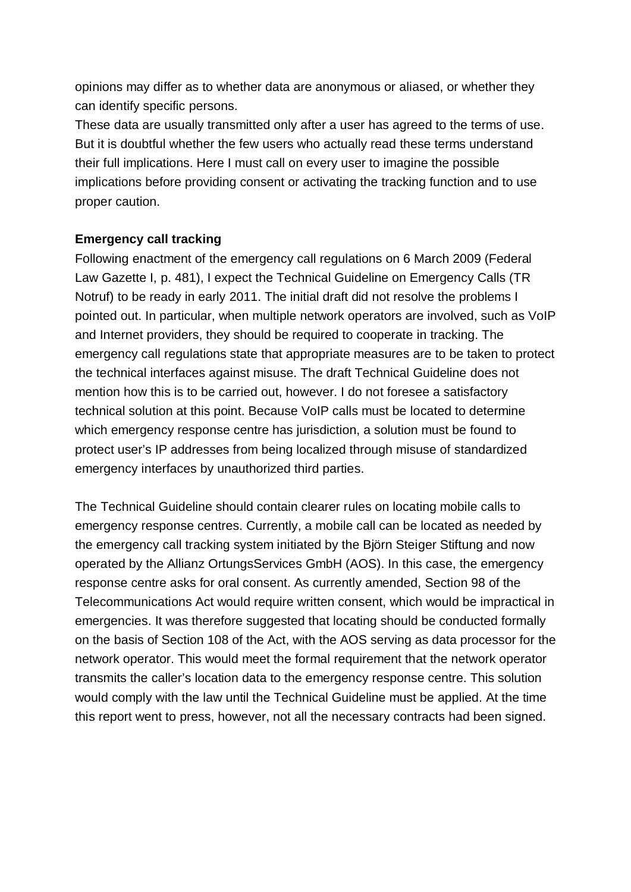opinions may differ as to whether data are anonymous or aliased, or whether they can identify specific persons.

These data are usually transmitted only after a user has agreed to the terms of use. But it is doubtful whether the few users who actually read these terms understand their full implications. Here I must call on every user to imagine the possible implications before providing consent or activating the tracking function and to use proper caution.

#### **Emergency call tracking**

Following enactment of the emergency call regulations on 6 March 2009 (Federal Law Gazette I, p. 481), I expect the Technical Guideline on Emergency Calls (TR Notruf) to be ready in early 2011. The initial draft did not resolve the problems I pointed out. In particular, when multiple network operators are involved, such as VoIP and Internet providers, they should be required to cooperate in tracking. The emergency call regulations state that appropriate measures are to be taken to protect the technical interfaces against misuse. The draft Technical Guideline does not mention how this is to be carried out, however. I do not foresee a satisfactory technical solution at this point. Because VoIP calls must be located to determine which emergency response centre has jurisdiction, a solution must be found to protect user's IP addresses from being localized through misuse of standardized emergency interfaces by unauthorized third parties.

The Technical Guideline should contain clearer rules on locating mobile calls to emergency response centres. Currently, a mobile call can be located as needed by the emergency call tracking system initiated by the Björn Steiger Stiftung and now operated by the Allianz OrtungsServices GmbH (AOS). In this case, the emergency response centre asks for oral consent. As currently amended, Section 98 of the Telecommunications Act would require written consent, which would be impractical in emergencies. It was therefore suggested that locating should be conducted formally on the basis of Section 108 of the Act, with the AOS serving as data processor for the network operator. This would meet the formal requirement that the network operator transmits the caller's location data to the emergency response centre. This solution would comply with the law until the Technical Guideline must be applied. At the time this report went to press, however, not all the necessary contracts had been signed.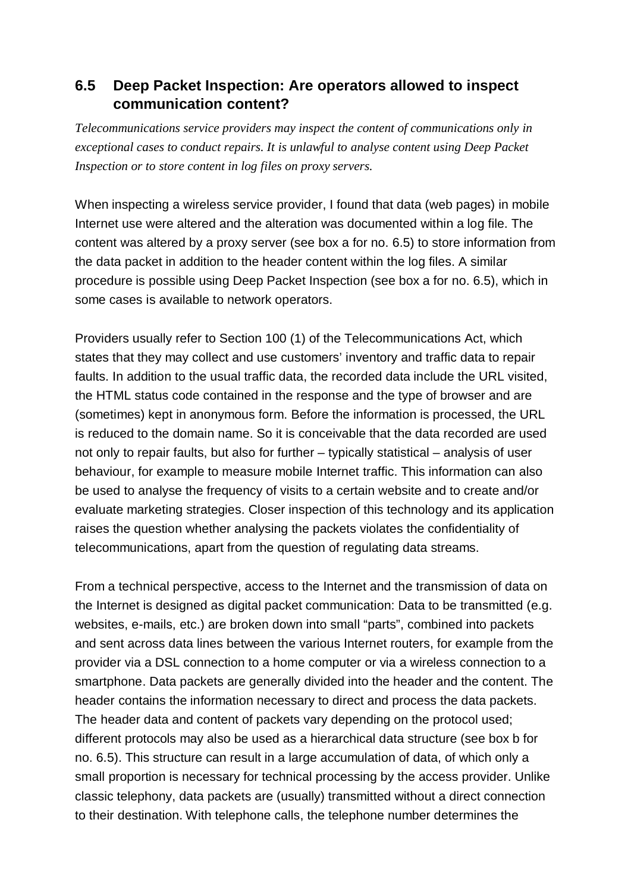## **6.5 Deep Packet Inspection: Are operators allowed to inspect communication content?**

*Telecommunications service providers may inspect the content of communications only in exceptional cases to conduct repairs. It is unlawful to analyse content using Deep Packet Inspection or to store content in log files on proxy servers.*

When inspecting a wireless service provider, I found that data (web pages) in mobile Internet use were altered and the alteration was documented within a log file. The content was altered by a proxy server (see box a for no. 6.5) to store information from the data packet in addition to the header content within the log files. A similar procedure is possible using Deep Packet Inspection (see box a for no. 6.5), which in some cases is available to network operators.

Providers usually refer to Section 100 (1) of the Telecommunications Act, which states that they may collect and use customers' inventory and traffic data to repair faults. In addition to the usual traffic data, the recorded data include the URL visited, the HTML status code contained in the response and the type of browser and are (sometimes) kept in anonymous form. Before the information is processed, the URL is reduced to the domain name. So it is conceivable that the data recorded are used not only to repair faults, but also for further – typically statistical – analysis of user behaviour, for example to measure mobile Internet traffic. This information can also be used to analyse the frequency of visits to a certain website and to create and/or evaluate marketing strategies. Closer inspection of this technology and its application raises the question whether analysing the packets violates the confidentiality of telecommunications, apart from the question of regulating data streams.

From a technical perspective, access to the Internet and the transmission of data on the Internet is designed as digital packet communication: Data to be transmitted (e.g. websites, e-mails, etc.) are broken down into small "parts", combined into packets and sent across data lines between the various Internet routers, for example from the provider via a DSL connection to a home computer or via a wireless connection to a smartphone. Data packets are generally divided into the header and the content. The header contains the information necessary to direct and process the data packets. The header data and content of packets vary depending on the protocol used; different protocols may also be used as a hierarchical data structure (see box b for no. 6.5). This structure can result in a large accumulation of data, of which only a small proportion is necessary for technical processing by the access provider. Unlike classic telephony, data packets are (usually) transmitted without a direct connection to their destination. With telephone calls, the telephone number determines the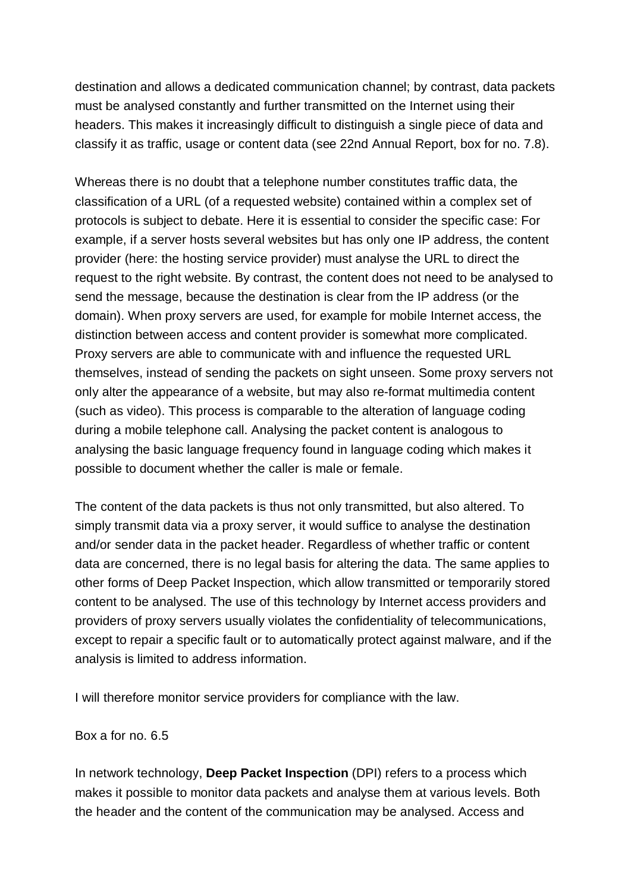destination and allows a dedicated communication channel; by contrast, data packets must be analysed constantly and further transmitted on the Internet using their headers. This makes it increasingly difficult to distinguish a single piece of data and classify it as traffic, usage or content data (see 22nd Annual Report, box for no. 7.8).

Whereas there is no doubt that a telephone number constitutes traffic data, the classification of a URL (of a requested website) contained within a complex set of protocols is subject to debate. Here it is essential to consider the specific case: For example, if a server hosts several websites but has only one IP address, the content provider (here: the hosting service provider) must analyse the URL to direct the request to the right website. By contrast, the content does not need to be analysed to send the message, because the destination is clear from the IP address (or the domain). When proxy servers are used, for example for mobile Internet access, the distinction between access and content provider is somewhat more complicated. Proxy servers are able to communicate with and influence the requested URL themselves, instead of sending the packets on sight unseen. Some proxy servers not only alter the appearance of a website, but may also re-format multimedia content (such as video). This process is comparable to the alteration of language coding during a mobile telephone call. Analysing the packet content is analogous to analysing the basic language frequency found in language coding which makes it possible to document whether the caller is male or female.

The content of the data packets is thus not only transmitted, but also altered. To simply transmit data via a proxy server, it would suffice to analyse the destination and/or sender data in the packet header. Regardless of whether traffic or content data are concerned, there is no legal basis for altering the data. The same applies to other forms of Deep Packet Inspection, which allow transmitted or temporarily stored content to be analysed. The use of this technology by Internet access providers and providers of proxy servers usually violates the confidentiality of telecommunications, except to repair a specific fault or to automatically protect against malware, and if the analysis is limited to address information.

I will therefore monitor service providers for compliance with the law.

Box a for no. 6.5

In network technology, **Deep Packet Inspection** (DPI) refers to a process which makes it possible to monitor data packets and analyse them at various levels. Both the header and the content of the communication may be analysed. Access and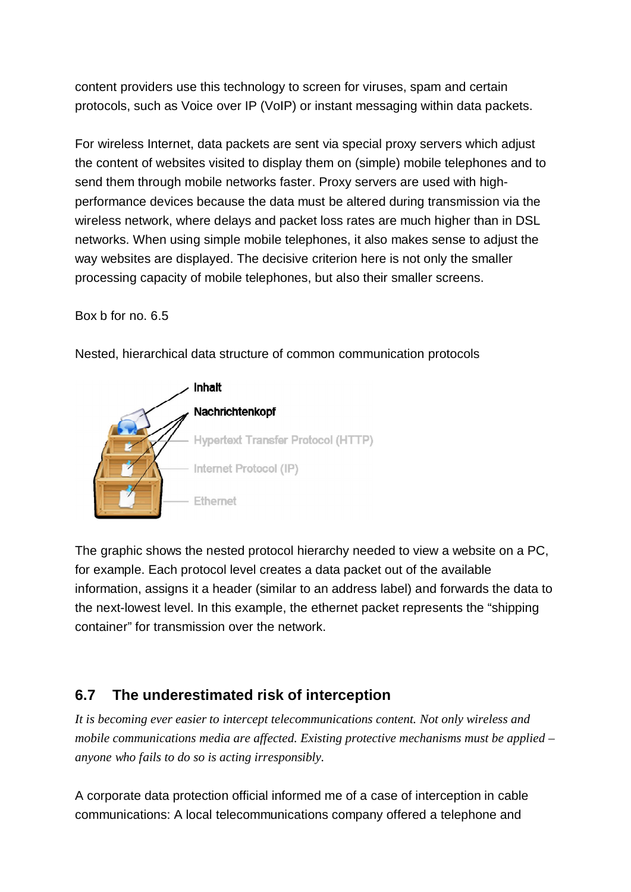content providers use this technology to screen for viruses, spam and certain protocols, such as Voice over IP (VoIP) or instant messaging within data packets.

For wireless Internet, data packets are sent via special proxy servers which adjust the content of websites visited to display them on (simple) mobile telephones and to send them through mobile networks faster. Proxy servers are used with high performance devices because the data must be altered during transmission via the wireless network, where delays and packet loss rates are much higher than in DSL networks. When using simple mobile telephones, it also makes sense to adjust the way websites are displayed. The decisive criterion here is not only the smaller processing capacity of mobile telephones, but also their smaller screens.

Box b for no. 6.5



Nested, hierarchical data structure of common communication protocols



The graphic shows the nested protocol hierarchy needed to view a website on a PC, for example. Each protocol level creates a data packet out of the available information, assigns it a header (similar to an address label) and forwards the data to the next-lowest level. In this example, the ethernet packet represents the "shipping container" for transmission over the network.

# **6.7 The underestimated risk of interception**

*It is becoming ever easier to intercept telecommunications content. Not only wireless and mobile communications media are affected. Existing protective mechanisms must be applied – anyone who fails to do so is acting irresponsibly.*

A corporate data protection official informed me of a case of interception in cable communications: A local telecommunications company offered a telephone and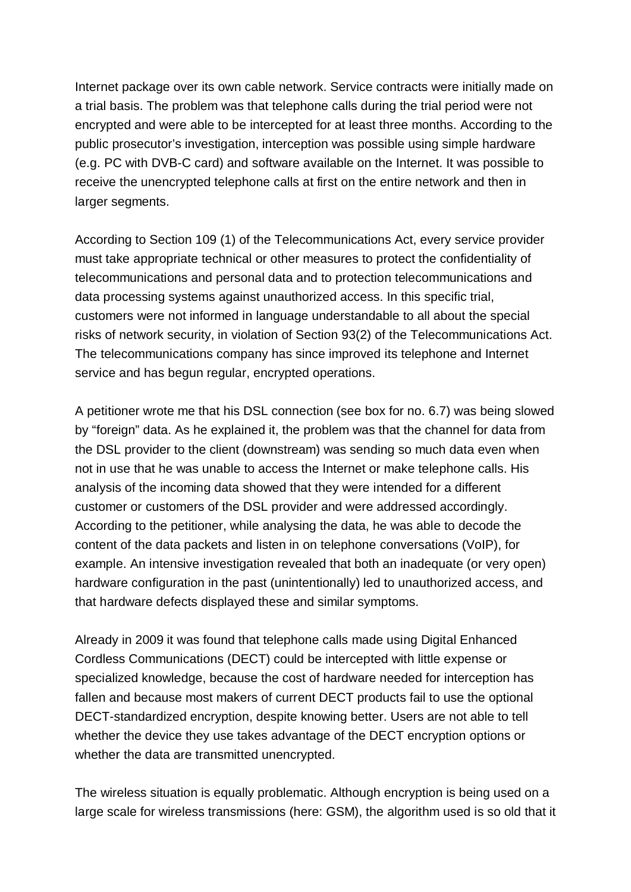Internet package over its own cable network. Service contracts were initially made on a trial basis. The problem was that telephone calls during the trial period were not encrypted and were able to be intercepted for at least three months. According to the public prosecutor's investigation, interception was possible using simple hardware (e.g. PC with DVB-C card) and software available on the Internet. It was possible to receive the unencrypted telephone calls at first on the entire network and then in larger segments.

According to Section 109 (1) of the Telecommunications Act, every service provider must take appropriate technical or other measures to protect the confidentiality of telecommunications and personal data and to protection telecommunications and data processing systems against unauthorized access. In this specific trial, customers were not informed in language understandable to all about the special risks of network security, in violation of Section 93(2) of the Telecommunications Act. The telecommunications company has since improved its telephone and Internet service and has begun regular, encrypted operations.

A petitioner wrote me that his DSL connection (see box for no. 6.7) was being slowed by "foreign" data. As he explained it, the problem was that the channel for data from the DSL provider to the client (downstream) was sending so much data even when not in use that he was unable to access the Internet or make telephone calls. His analysis of the incoming data showed that they were intended for a different customer or customers of the DSL provider and were addressed accordingly. According to the petitioner, while analysing the data, he was able to decode the content of the data packets and listen in on telephone conversations (VoIP), for example. An intensive investigation revealed that both an inadequate (or very open) hardware configuration in the past (unintentionally) led to unauthorized access, and that hardware defects displayed these and similar symptoms.

Already in 2009 it was found that telephone calls made using Digital Enhanced Cordless Communications (DECT) could be intercepted with little expense or specialized knowledge, because the cost of hardware needed for interception has fallen and because most makers of current DECT products fail to use the optional DECT-standardized encryption, despite knowing better. Users are not able to tell whether the device they use takes advantage of the DECT encryption options or whether the data are transmitted unencrypted.

The wireless situation is equally problematic. Although encryption is being used on a large scale for wireless transmissions (here: GSM), the algorithm used is so old that it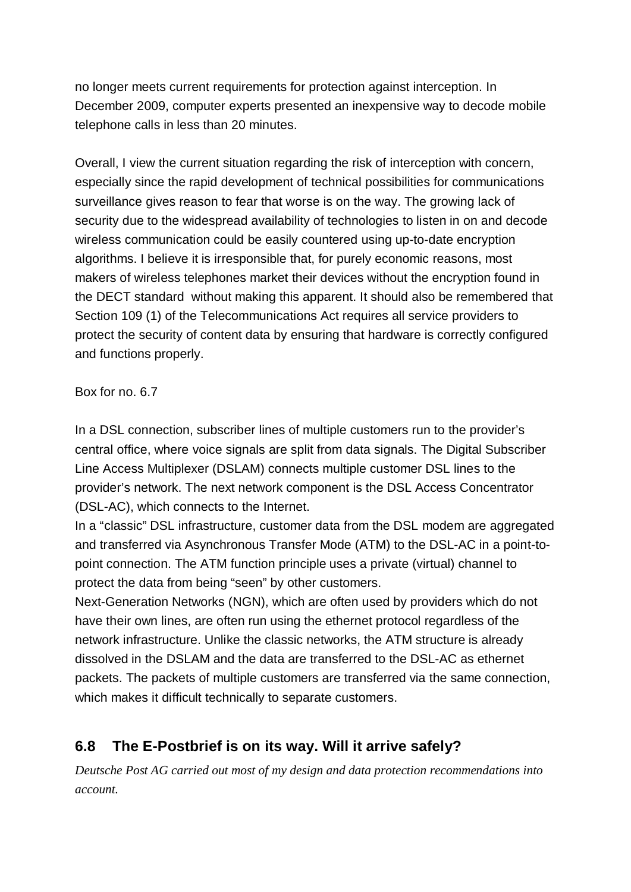no longer meets current requirements for protection against interception. In December 2009, computer experts presented an inexpensive way to decode mobile telephone calls in less than 20 minutes.

Overall, I view the current situation regarding the risk of interception with concern, especially since the rapid development of technical possibilities for communications surveillance gives reason to fear that worse is on the way. The growing lack of security due to the widespread availability of technologies to listen in on and decode wireless communication could be easily countered using up-to-date encryption algorithms. I believe it is irresponsible that, for purely economic reasons, most makers of wireless telephones market their devices without the encryption found in the DECT standard without making this apparent. It should also be remembered that Section 109 (1) of the Telecommunications Act requires all service providers to protect the security of content data by ensuring that hardware is correctly configured and functions properly.

#### Box for no. 6.7

In a DSL connection, subscriber lines of multiple customers run to the provider's central office, where voice signals are split from data signals. The Digital Subscriber Line Access Multiplexer (DSLAM) connects multiple customer DSL lines to the provider's network. The next network component is the DSL Access Concentrator (DSL-AC), which connects to the Internet.

In a "classic" DSL infrastructure, customer data from the DSL modem are aggregated and transferred via Asynchronous Transfer Mode (ATM) to the DSL-AC in a point-to point connection. The ATM function principle uses a private (virtual) channel to protect the data from being "seen" by other customers.

Next-Generation Networks (NGN), which are often used by providers which do not have their own lines, are often run using the ethernet protocol regardless of the network infrastructure. Unlike the classic networks, the ATM structure is already dissolved in the DSLAM and the data are transferred to the DSL-AC as ethernet packets. The packets of multiple customers are transferred via the same connection, which makes it difficult technically to separate customers.

## **6.8 The E-Postbrief is on its way. Will it arrive safely?**

*Deutsche Post AG carried out most of my design and data protection recommendations into account.*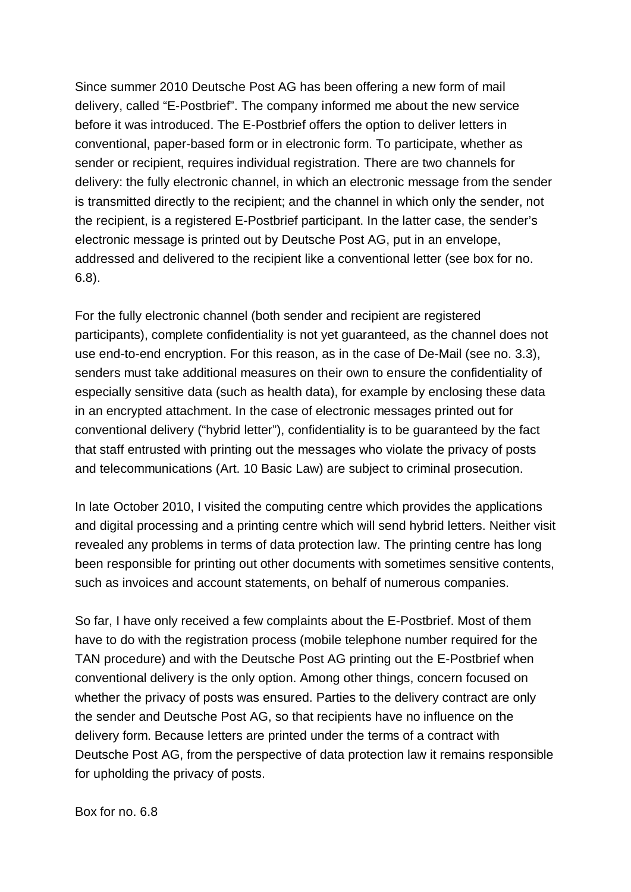Since summer 2010 Deutsche Post AG has been offering a new form of mail delivery, called "E-Postbrief". The company informed me about the new service before it was introduced. The E-Postbrief offers the option to deliver letters in conventional, paper-based form or in electronic form. To participate, whether as sender or recipient, requires individual registration. There are two channels for delivery: the fully electronic channel, in which an electronic message from the sender is transmitted directly to the recipient; and the channel in which only the sender, not the recipient, is a registered E-Postbrief participant. In the latter case, the sender's electronic message is printed out by Deutsche Post AG, put in an envelope, addressed and delivered to the recipient like a conventional letter (see box for no. 6.8).

For the fully electronic channel (both sender and recipient are registered participants), complete confidentiality is not yet guaranteed, as the channel does not use end-to-end encryption. For this reason, as in the case of De-Mail (see no. 3.3), senders must take additional measures on their own to ensure the confidentiality of especially sensitive data (such as health data), for example by enclosing these data in an encrypted attachment. In the case of electronic messages printed out for conventional delivery ("hybrid letter"), confidentiality is to be guaranteed by the fact that staff entrusted with printing out the messages who violate the privacy of posts and telecommunications (Art. 10 Basic Law) are subject to criminal prosecution.

In late October 2010, I visited the computing centre which provides the applications and digital processing and a printing centre which will send hybrid letters. Neither visit revealed any problems in terms of data protection law. The printing centre has long been responsible for printing out other documents with sometimes sensitive contents, such as invoices and account statements, on behalf of numerous companies.

So far, I have only received a few complaints about the E-Postbrief. Most of them have to do with the registration process (mobile telephone number required for the TAN procedure) and with the Deutsche Post AG printing out the E-Postbrief when conventional delivery is the only option. Among other things, concern focused on whether the privacy of posts was ensured. Parties to the delivery contract are only the sender and Deutsche Post AG, so that recipients have no influence on the delivery form. Because letters are printed under the terms of a contract with Deutsche Post AG, from the perspective of data protection law it remains responsible for upholding the privacy of posts.

Box for no. 6.8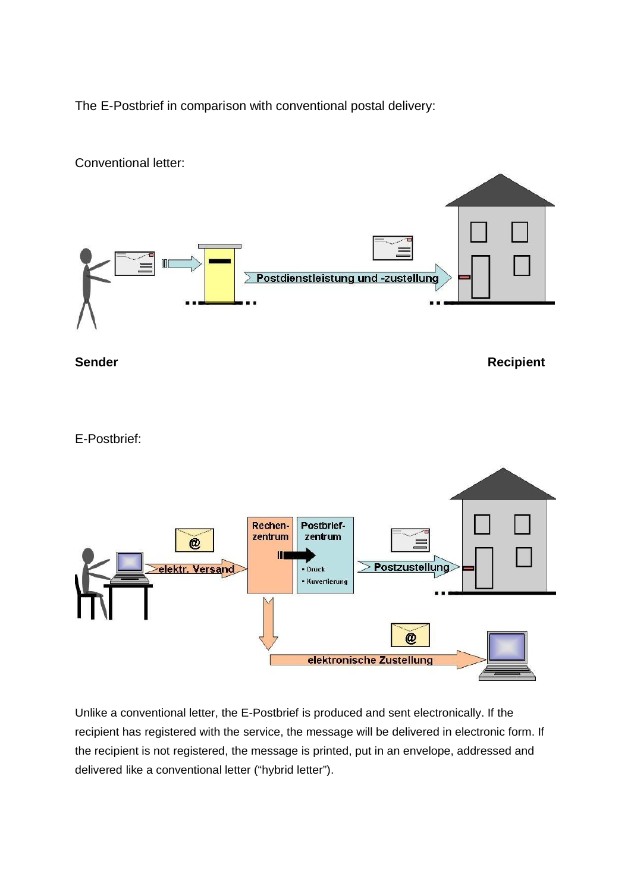The E-Postbrief in comparison with conventional postal delivery:



Unlike a conventional letter, the E-Postbrief is produced and sent electronically. If the recipient has registered with the service, the message will be delivered in electronic form. If the recipient is not registered, the message is printed, put in an envelope, addressed and delivered like a conventional letter ("hybrid letter").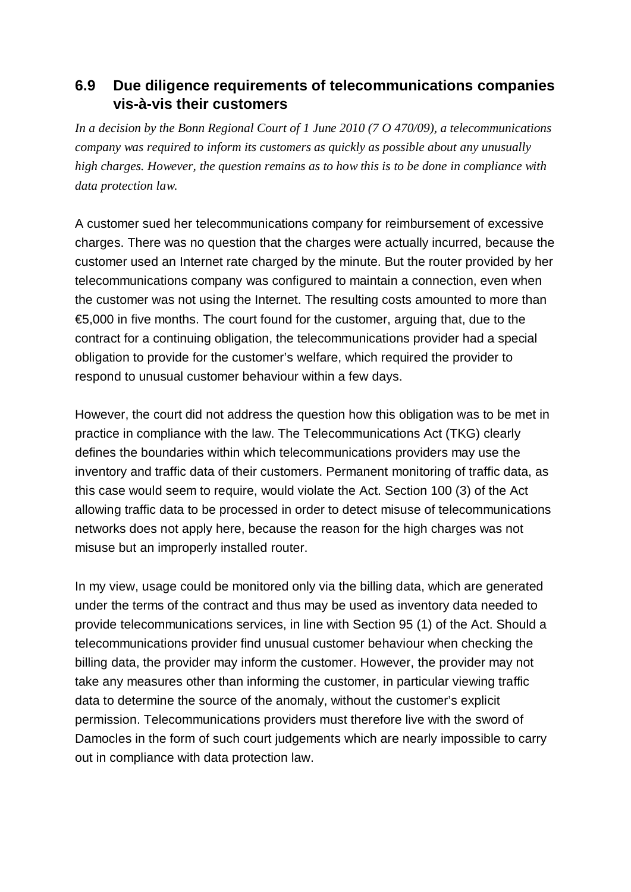## **6.9 Due diligence requirements of telecommunications companies vis-à-vis their customers**

*In a decision by the Bonn Regional Court of 1 June 2010 (7 O 470/09), a telecommunications company was required to inform its customers as quickly as possible about any unusually high charges. However, the question remains as to how this is to be done in compliance with data protection law.*

A customer sued her telecommunications company for reimbursement of excessive charges. There was no question that the charges were actually incurred, because the customer used an Internet rate charged by the minute. But the router provided by her telecommunications company was configured to maintain a connection, even when the customer was not using the Internet. The resulting costs amounted to more than €5,000 in five months. The court found for the customer, arguing that, due to the contract for a continuing obligation, the telecommunications provider had a special obligation to provide for the customer's welfare, which required the provider to respond to unusual customer behaviour within a few days.

However, the court did not address the question how this obligation was to be met in practice in compliance with the law. The Telecommunications Act (TKG) clearly defines the boundaries within which telecommunications providers may use the inventory and traffic data of their customers. Permanent monitoring of traffic data, as this case would seem to require, would violate the Act. Section 100 (3) of the Act allowing traffic data to be processed in order to detect misuse of telecommunications networks does not apply here, because the reason for the high charges was not misuse but an improperly installed router.

In my view, usage could be monitored only via the billing data, which are generated under the terms of the contract and thus may be used as inventory data needed to provide telecommunications services, in line with Section 95 (1) of the Act. Should a telecommunications provider find unusual customer behaviour when checking the billing data, the provider may inform the customer. However, the provider may not take any measures other than informing the customer, in particular viewing traffic data to determine the source of the anomaly, without the customer's explicit permission. Telecommunications providers must therefore live with the sword of Damocles in the form of such court judgements which are nearly impossible to carry out in compliance with data protection law.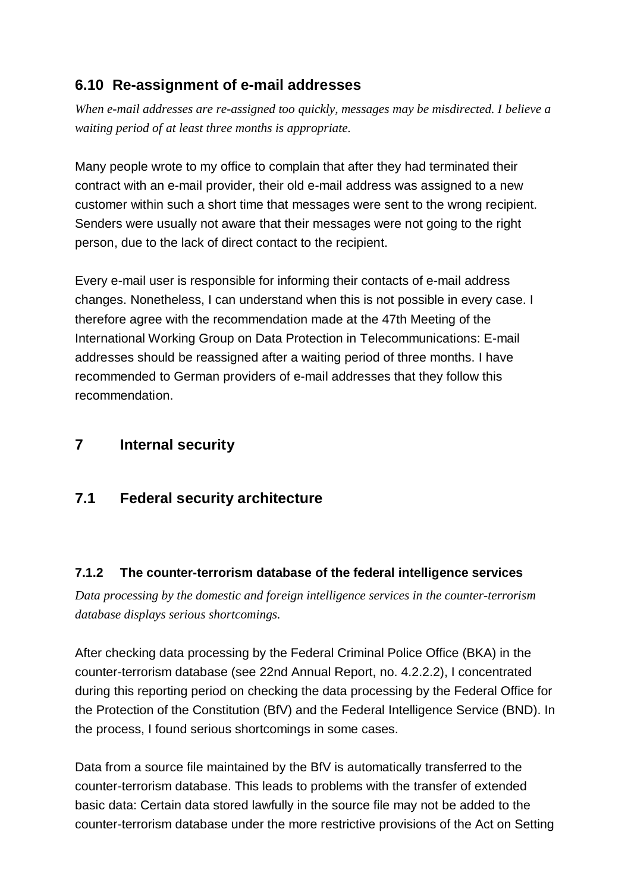## **6.10 Re-assignment of e-mail addresses**

*When e-mail addresses are re-assigned too quickly, messages may be misdirected. I believe a waiting period of at least three months is appropriate.*

Many people wrote to my office to complain that after they had terminated their contract with an e-mail provider, their old e-mail address was assigned to a new customer within such a short time that messages were sent to the wrong recipient. Senders were usually not aware that their messages were not going to the right person, due to the lack of direct contact to the recipient.

Every e-mail user is responsible for informing their contacts of e-mail address changes. Nonetheless, I can understand when this is not possible in every case. I therefore agree with the recommendation made at the 47th Meeting of the International Working Group on Data Protection in Telecommunications: E-mail addresses should be reassigned after a waiting period of three months. I have recommended to German providers of e-mail addresses that they follow this recommendation.

### **7 Internal security**

### **7.1 Federal security architecture**

#### **7.1.2 The counter-terrorism database of the federal intelligence services**

*Data processing by the domestic and foreign intelligence services in the counter-terrorism database displays serious shortcomings.*

After checking data processing by the Federal Criminal Police Office (BKA) in the counter-terrorism database (see 22nd Annual Report, no. 4.2.2.2), I concentrated during this reporting period on checking the data processing by the Federal Office for the Protection of the Constitution (BfV) and the Federal Intelligence Service (BND). In the process, I found serious shortcomings in some cases.

Data from a source file maintained by the BfV is automatically transferred to the counter-terrorism database. This leads to problems with the transfer of extended basic data: Certain data stored lawfully in the source file may not be added to the counter-terrorism database under the more restrictive provisions of the Act on Setting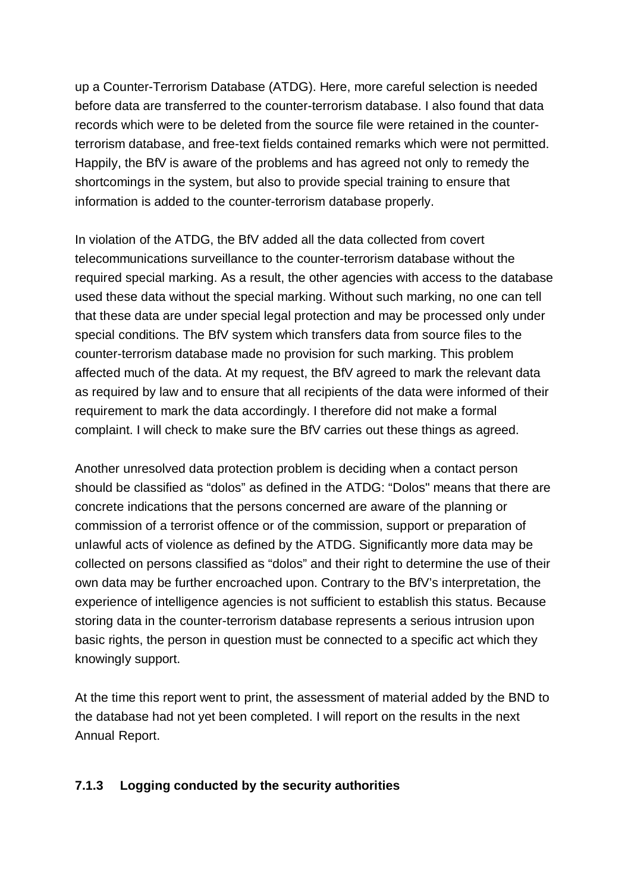up a Counter-Terrorism Database (ATDG). Here, more careful selection is needed before data are transferred to the counter-terrorism database. I also found that data records which were to be deleted from the source file were retained in the counterterrorism database, and free-text fields contained remarks which were not permitted. Happily, the BfV is aware of the problems and has agreed not only to remedy the shortcomings in the system, but also to provide special training to ensure that information is added to the counter-terrorism database properly.

In violation of the ATDG, the BfV added all the data collected from covert telecommunications surveillance to the counter-terrorism database without the required special marking. As a result, the other agencies with access to the database used these data without the special marking. Without such marking, no one can tell that these data are under special legal protection and may be processed only under special conditions. The BfV system which transfers data from source files to the counter-terrorism database made no provision for such marking. This problem affected much of the data. At my request, the BfV agreed to mark the relevant data as required by law and to ensure that all recipients of the data were informed of their requirement to mark the data accordingly. I therefore did not make a formal complaint. I will check to make sure the BfV carries out these things as agreed.

Another unresolved data protection problem is deciding when a contact person should be classified as "dolos" as defined in the ATDG: "Dolos" means that there are concrete indications that the persons concerned are aware of the planning or commission of a terrorist offence or of the commission, support or preparation of unlawful acts of violence as defined by the ATDG. Significantly more data may be collected on persons classified as "dolos" and their right to determine the use of their own data may be further encroached upon. Contrary to the BfV's interpretation, the experience of intelligence agencies is not sufficient to establish this status. Because storing data in the counter-terrorism database represents a serious intrusion upon basic rights, the person in question must be connected to a specific act which they knowingly support.

At the time this report went to print, the assessment of material added by the BND to the database had not yet been completed. I will report on the results in the next Annual Report.

#### **7.1.3 Logging conducted by the security authorities**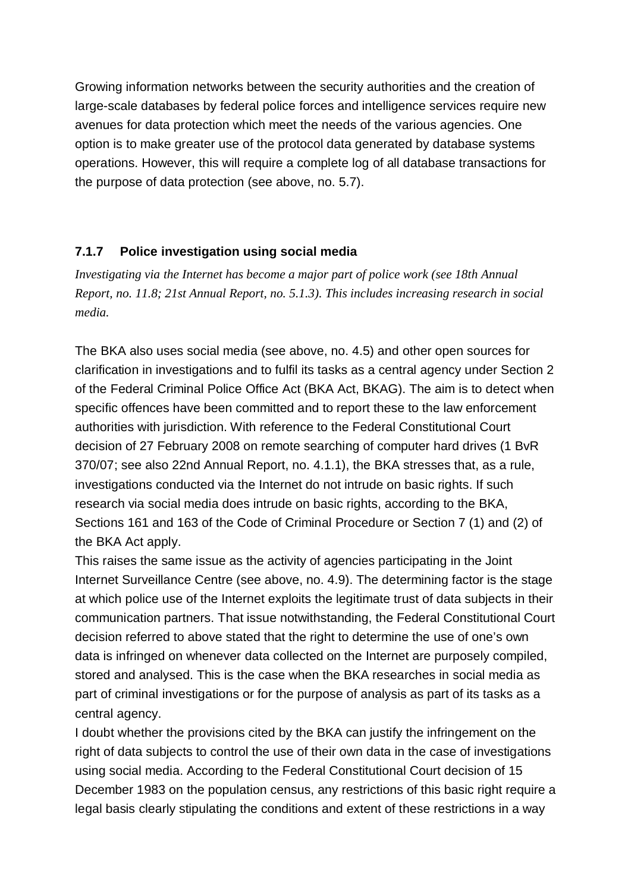Growing information networks between the security authorities and the creation of large-scale databases by federal police forces and intelligence services require new avenues for data protection which meet the needs of the various agencies. One option is to make greater use of the protocol data generated by database systems operations. However, this will require a complete log of all database transactions for the purpose of data protection (see above, no. 5.7).

#### **7.1.7 Police investigation using social media**

*Investigating via the Internet has become a major part of police work (see 18th Annual Report, no. 11.8; 21st Annual Report, no. 5.1.3). This includes increasing research in social media.*

The BKA also uses social media (see above, no. 4.5) and other open sources for clarification in investigations and to fulfil its tasks as a central agency under Section 2 of the Federal Criminal Police Office Act (BKA Act, BKAG). The aim is to detect when specific offences have been committed and to report these to the law enforcement authorities with jurisdiction. With reference to the Federal Constitutional Court decision of 27 February 2008 on remote searching of computer hard drives (1 BvR 370/07; see also 22nd Annual Report, no. 4.1.1), the BKA stresses that, as a rule, investigations conducted via the Internet do not intrude on basic rights. If such research via social media does intrude on basic rights, according to the BKA, Sections 161 and 163 of the Code of Criminal Procedure or Section 7 (1) and (2) of the BKA Act apply.

This raises the same issue as the activity of agencies participating in the Joint Internet Surveillance Centre (see above, no. 4.9). The determining factor is the stage at which police use of the Internet exploits the legitimate trust of data subjects in their communication partners. That issue notwithstanding, the Federal Constitutional Court decision referred to above stated that the right to determine the use of one's own data is infringed on whenever data collected on the Internet are purposely compiled, stored and analysed. This is the case when the BKA researches in social media as part of criminal investigations or for the purpose of analysis as part of its tasks as a central agency.

I doubt whether the provisions cited by the BKA can justify the infringement on the right of data subjects to control the use of their own data in the case of investigations using social media. According to the Federal Constitutional Court decision of 15 December 1983 on the population census, any restrictions of this basic right require a legal basis clearly stipulating the conditions and extent of these restrictions in a way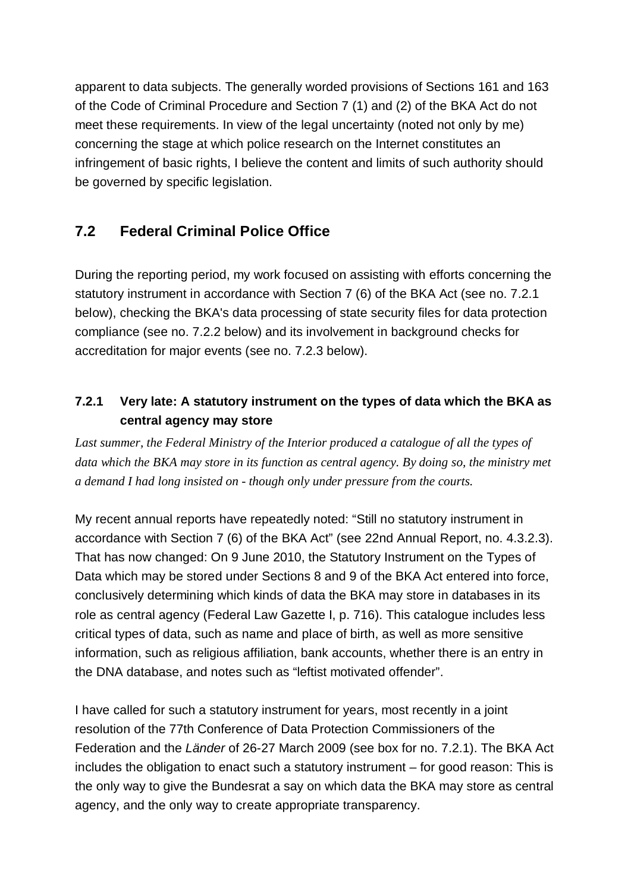apparent to data subjects. The generally worded provisions of Sections 161 and 163 of the Code of Criminal Procedure and Section 7 (1) and (2) of the BKA Act do not meet these requirements. In view of the legal uncertainty (noted not only by me) concerning the stage at which police research on the Internet constitutes an infringement of basic rights, I believe the content and limits of such authority should be governed by specific legislation.

# **7.2 Federal Criminal Police Office**

During the reporting period, my work focused on assisting with efforts concerning the statutory instrument in accordance with Section 7 (6) of the BKA Act (see no. 7.2.1 below), checking the BKA's data processing of state security files for data protection compliance (see no. 7.2.2 below) and its involvement in background checks for accreditation for major events (see no. 7.2.3 below).

## **7.2.1 Very late: A statutory instrument on the types of data which the BKA as central agency may store**

Last summer, the Federal Ministry of the Interior produced a catalogue of all the types of *data which the BKA may store in its function as central agency. By doing so, the ministry met a demand I had long insisted on - though only under pressure from the courts.*

My recent annual reports have repeatedly noted: "Still no statutory instrument in accordance with Section 7 (6) of the BKA Act" (see 22nd Annual Report, no. 4.3.2.3). That has now changed: On 9 June 2010, the Statutory Instrument on the Types of Data which may be stored under Sections 8 and 9 of the BKA Act entered into force, conclusively determining which kinds of data the BKA may store in databases in its role as central agency (Federal Law Gazette I, p. 716). This catalogue includes less critical types of data, such as name and place of birth, as well as more sensitive information, such as religious affiliation, bank accounts, whether there is an entry in the DNA database, and notes such as "leftist motivated offender".

I have called for such a statutory instrument for years, most recently in a joint resolution of the 77th Conference of Data Protection Commissioners of the Federation and the *Länder* of 26-27 March 2009 (see box for no. 7.2.1). The BKA Act includes the obligation to enact such a statutory instrument – for good reason: This is the only way to give the Bundesrat a say on which data the BKA may store as central agency, and the only way to create appropriate transparency.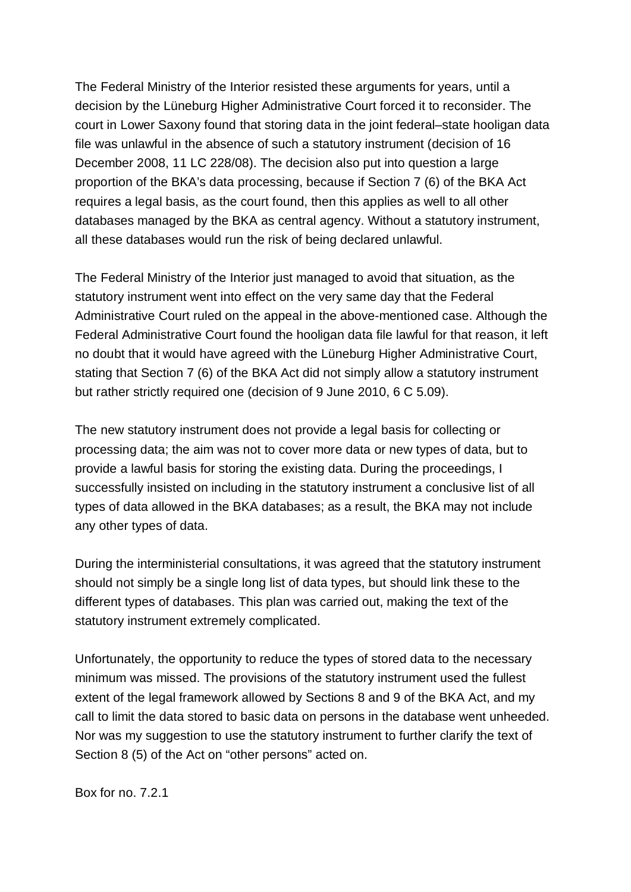The Federal Ministry of the Interior resisted these arguments for years, until a decision by the Lüneburg Higher Administrative Court forced it to reconsider. The court in Lower Saxony found that storing data in the joint federal–state hooligan data file was unlawful in the absence of such a statutory instrument (decision of 16 December 2008, 11 LC 228/08). The decision also put into question a large proportion of the BKA's data processing, because if Section 7 (6) of the BKA Act requires a legal basis, as the court found, then this applies as well to all other databases managed by the BKA as central agency. Without a statutory instrument, all these databases would run the risk of being declared unlawful.

The Federal Ministry of the Interior just managed to avoid that situation, as the statutory instrument went into effect on the very same day that the Federal Administrative Court ruled on the appeal in the above-mentioned case. Although the Federal Administrative Court found the hooligan data file lawful for that reason, it left no doubt that it would have agreed with the Lüneburg Higher Administrative Court, stating that Section 7 (6) of the BKA Act did not simply allow a statutory instrument but rather strictly required one (decision of 9 June 2010, 6 C 5.09).

The new statutory instrument does not provide a legal basis for collecting or processing data; the aim was not to cover more data or new types of data, but to provide a lawful basis for storing the existing data. During the proceedings, I successfully insisted on including in the statutory instrument a conclusive list of all types of data allowed in the BKA databases; as a result, the BKA may not include any other types of data.

During the interministerial consultations, it was agreed that the statutory instrument should not simply be a single long list of data types, but should link these to the different types of databases. This plan was carried out, making the text of the statutory instrument extremely complicated.

Unfortunately, the opportunity to reduce the types of stored data to the necessary minimum was missed. The provisions of the statutory instrument used the fullest extent of the legal framework allowed by Sections 8 and 9 of the BKA Act, and my call to limit the data stored to basic data on persons in the database went unheeded. Nor was my suggestion to use the statutory instrument to further clarify the text of Section 8 (5) of the Act on "other persons" acted on.

Box for no. 7.2.1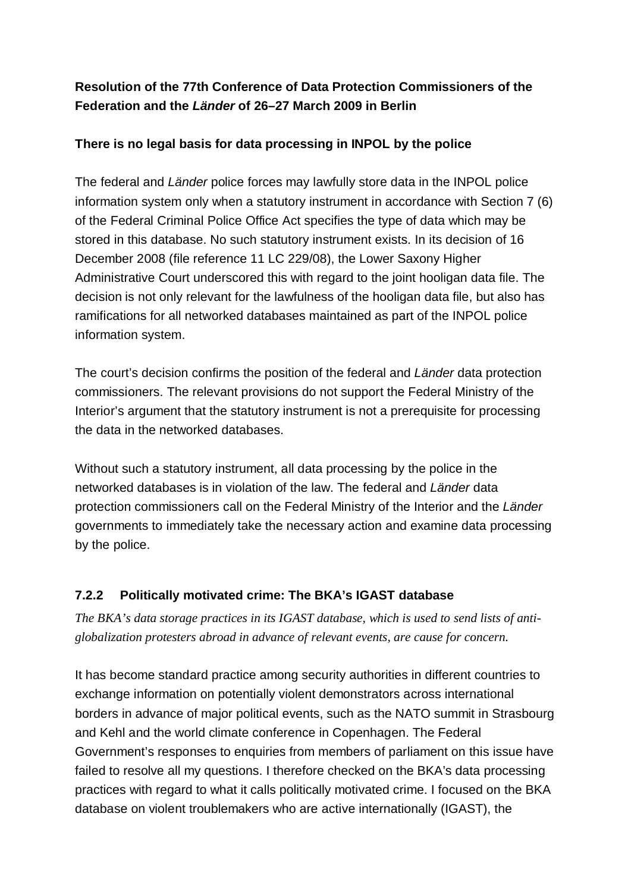### **Resolution of the 77th Conference of Data Protection Commissioners of the Federation and the** *Länder* **of 26–27 March 2009 in Berlin**

#### **There is no legal basis for data processing in INPOL by the police**

The federal and *Länder* police forces may lawfully store data in the INPOL police information system only when a statutory instrument in accordance with Section 7 (6) of the Federal Criminal Police Office Act specifies the type of data which may be stored in this database. No such statutory instrument exists. In its decision of 16 December 2008 (file reference 11 LC 229/08), the Lower Saxony Higher Administrative Court underscored this with regard to the joint hooligan data file. The decision is not only relevant for the lawfulness of the hooligan data file, but also has ramifications for all networked databases maintained as part of the INPOL police information system.

The court's decision confirms the position of the federal and *Länder* data protection commissioners. The relevant provisions do not support the Federal Ministry of the Interior's argument that the statutory instrument is not a prerequisite for processing the data in the networked databases.

Without such a statutory instrument, all data processing by the police in the networked databases is in violation of the law. The federal and *Länder* data protection commissioners call on the Federal Ministry of the Interior and the *Länder* governments to immediately take the necessary action and examine data processing by the police.

#### **7.2.2 Politically motivated crime: The BKA's IGAST database**

*The BKA's data storage practices in its IGAST database, which is used to send lists of anti globalization protesters abroad in advance of relevant events, are cause for concern.*

It has become standard practice among security authorities in different countries to exchange information on potentially violent demonstrators across international borders in advance of major political events, such as the NATO summit in Strasbourg and Kehl and the world climate conference in Copenhagen. The Federal Government's responses to enquiries from members of parliament on this issue have failed to resolve all my questions. I therefore checked on the BKA's data processing practices with regard to what it calls politically motivated crime. I focused on the BKA database on violent troublemakers who are active internationally (IGAST), the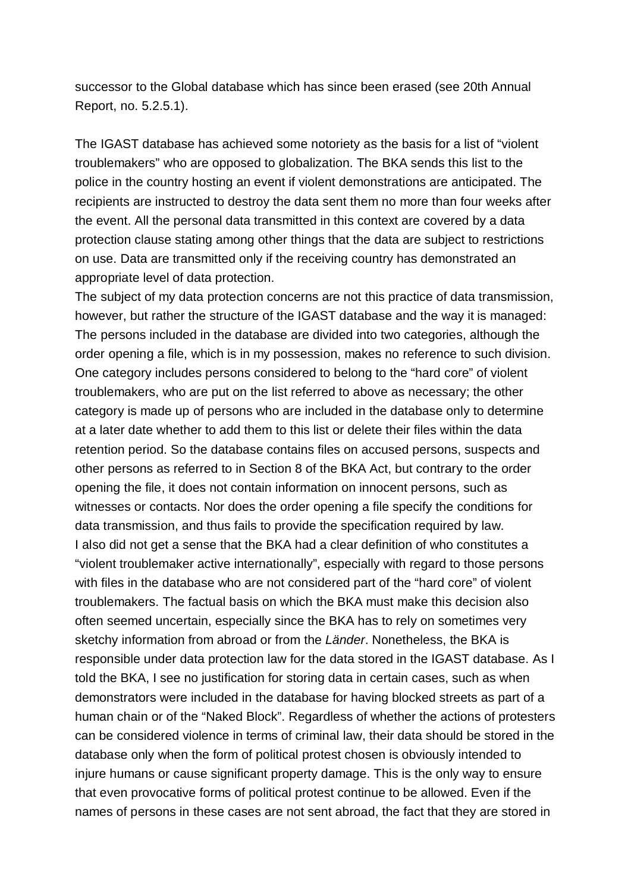successor to the Global database which has since been erased (see 20th Annual Report, no. 5.2.5.1).

The IGAST database has achieved some notoriety as the basis for a list of "violent troublemakers" who are opposed to globalization. The BKA sends this list to the police in the country hosting an event if violent demonstrations are anticipated. The recipients are instructed to destroy the data sent them no more than four weeks after the event. All the personal data transmitted in this context are covered by a data protection clause stating among other things that the data are subject to restrictions on use. Data are transmitted only if the receiving country has demonstrated an appropriate level of data protection.

The subject of my data protection concerns are not this practice of data transmission, however, but rather the structure of the IGAST database and the way it is managed: The persons included in the database are divided into two categories, although the order opening a file, which is in my possession, makes no reference to such division. One category includes persons considered to belong to the "hard core" of violent troublemakers, who are put on the list referred to above as necessary; the other category is made up of persons who are included in the database only to determine at a later date whether to add them to this list or delete their files within the data retention period. So the database contains files on accused persons, suspects and other persons as referred to in Section 8 of the BKA Act, but contrary to the order opening the file, it does not contain information on innocent persons, such as witnesses or contacts. Nor does the order opening a file specify the conditions for data transmission, and thus fails to provide the specification required by law. I also did not get a sense that the BKA had a clear definition of who constitutes a "violent troublemaker active internationally", especially with regard to those persons with files in the database who are not considered part of the "hard core" of violent troublemakers. The factual basis on which the BKA must make this decision also often seemed uncertain, especially since the BKA has to rely on sometimes very sketchy information from abroad or from the *Länder*. Nonetheless, the BKA is responsible under data protection law for the data stored in the IGAST database. As I told the BKA, I see no justification for storing data in certain cases, such as when demonstrators were included in the database for having blocked streets as part of a human chain or of the "Naked Block". Regardless of whether the actions of protesters can be considered violence in terms of criminal law, their data should be stored in the database only when the form of political protest chosen is obviously intended to injure humans or cause significant property damage. This is the only way to ensure that even provocative forms of political protest continue to be allowed. Even if the names of persons in these cases are not sent abroad, the fact that they are stored in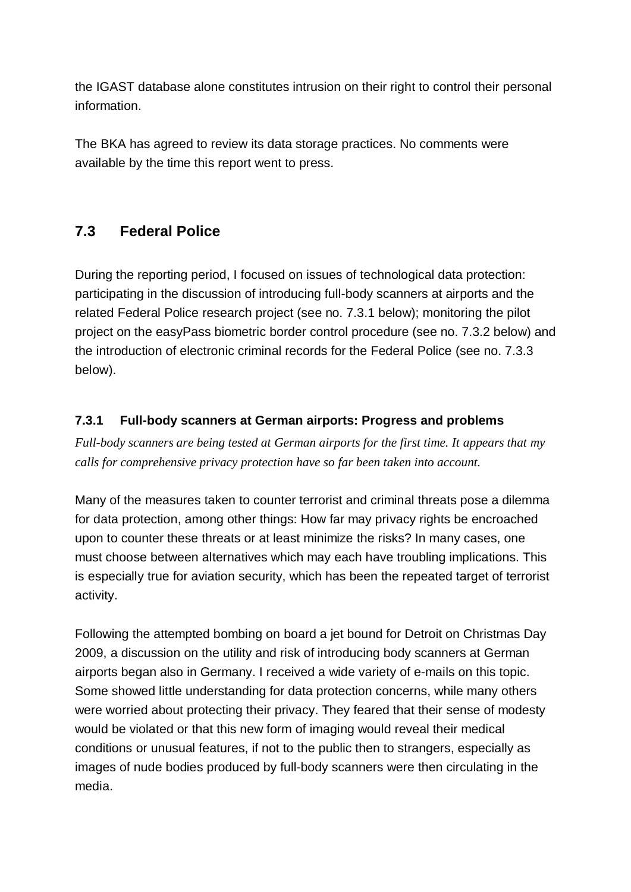the IGAST database alone constitutes intrusion on their right to control their personal information.

The BKA has agreed to review its data storage practices. No comments were available by the time this report went to press.

## **7.3 Federal Police**

During the reporting period, I focused on issues of technological data protection: participating in the discussion of introducing full-body scanners at airports and the related Federal Police research project (see no. 7.3.1 below); monitoring the pilot project on the easyPass biometric border control procedure (see no. 7.3.2 below) and the introduction of electronic criminal records for the Federal Police (see no. 7.3.3 below).

### **7.3.1 Full-body scanners at German airports: Progress and problems**

*Full-body scanners are being tested at German airports for the first time. It appears that my calls for comprehensive privacy protection have so far been taken into account.* 

Many of the measures taken to counter terrorist and criminal threats pose a dilemma for data protection, among other things: How far may privacy rights be encroached upon to counter these threats or at least minimize the risks? In many cases, one must choose between alternatives which may each have troubling implications. This is especially true for aviation security, which has been the repeated target of terrorist activity.

Following the attempted bombing on board a jet bound for Detroit on Christmas Day 2009, a discussion on the utility and risk of introducing body scanners at German airports began also in Germany. I received a wide variety of e-mails on this topic. Some showed little understanding for data protection concerns, while many others were worried about protecting their privacy. They feared that their sense of modesty would be violated or that this new form of imaging would reveal their medical conditions or unusual features, if not to the public then to strangers, especially as images of nude bodies produced by full-body scanners were then circulating in the media.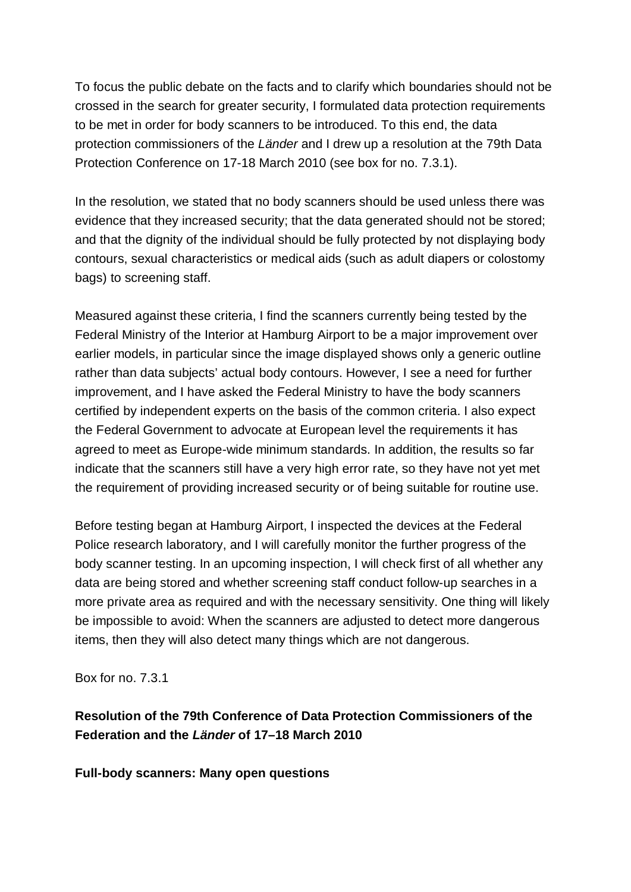To focus the public debate on the facts and to clarify which boundaries should not be crossed in the search for greater security, I formulated data protection requirements to be met in order for body scanners to be introduced. To this end, the data protection commissioners of the *Länder* and I drew up a resolution at the 79th Data Protection Conference on 17-18 March 2010 (see box for no. 7.3.1).

In the resolution, we stated that no body scanners should be used unless there was evidence that they increased security; that the data generated should not be stored; and that the dignity of the individual should be fully protected by not displaying body contours, sexual characteristics or medical aids (such as adult diapers or colostomy bags) to screening staff.

Measured against these criteria, I find the scanners currently being tested by the Federal Ministry of the Interior at Hamburg Airport to be a major improvement over earlier models, in particular since the image displayed shows only a generic outline rather than data subjects' actual body contours. However, I see a need for further improvement, and I have asked the Federal Ministry to have the body scanners certified by independent experts on the basis of the common criteria. I also expect the Federal Government to advocate at European level the requirements it has agreed to meet as Europe-wide minimum standards. In addition, the results so far indicate that the scanners still have a very high error rate, so they have not yet met the requirement of providing increased security or of being suitable for routine use.

Before testing began at Hamburg Airport, I inspected the devices at the Federal Police research laboratory, and I will carefully monitor the further progress of the body scanner testing. In an upcoming inspection, I will check first of all whether any data are being stored and whether screening staff conduct follow-up searches in a more private area as required and with the necessary sensitivity. One thing will likely be impossible to avoid: When the scanners are adjusted to detect more dangerous items, then they will also detect many things which are not dangerous.

Box for no. 7.3.1

### **Resolution of the 79th Conference of Data Protection Commissioners of the Federation and the** *Länder* **of 17–18 March 2010**

**Full-body scanners: Many open questions**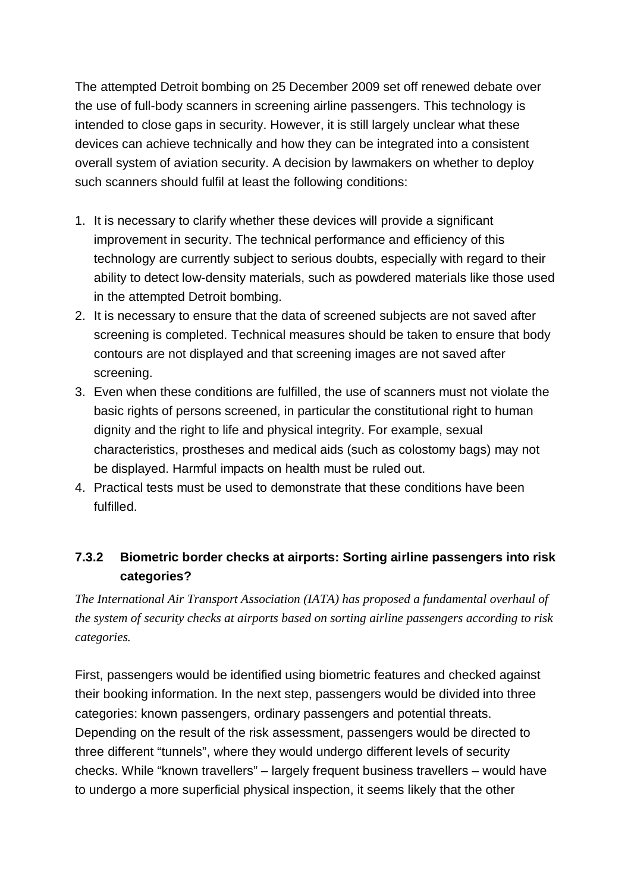The attempted Detroit bombing on 25 December 2009 set off renewed debate over the use of full-body scanners in screening airline passengers. This technology is intended to close gaps in security. However, it is still largely unclear what these devices can achieve technically and how they can be integrated into a consistent overall system of aviation security. A decision by lawmakers on whether to deploy such scanners should fulfil at least the following conditions:

- 1. It is necessary to clarify whether these devices will provide a significant improvement in security. The technical performance and efficiency of this technology are currently subject to serious doubts, especially with regard to their ability to detect low-density materials, such as powdered materials like those used in the attempted Detroit bombing.
- 2. It is necessary to ensure that the data of screened subjects are not saved after screening is completed. Technical measures should be taken to ensure that body contours are not displayed and that screening images are not saved after screening.
- 3. Even when these conditions are fulfilled, the use of scanners must not violate the basic rights of persons screened, in particular the constitutional right to human dignity and the right to life and physical integrity. For example, sexual characteristics, prostheses and medical aids (such as colostomy bags) may not be displayed. Harmful impacts on health must be ruled out.
- 4. Practical tests must be used to demonstrate that these conditions have been fulfilled.

### **7.3.2 Biometric border checks at airports: Sorting airline passengers into risk categories?**

*The International Air Transport Association (IATA) has proposed a fundamental overhaul of the system of security checks at airports based on sorting airline passengers according to risk categories.*

First, passengers would be identified using biometric features and checked against their booking information. In the next step, passengers would be divided into three categories: known passengers, ordinary passengers and potential threats. Depending on the result of the risk assessment, passengers would be directed to three different "tunnels", where they would undergo different levels of security checks. While "known travellers" – largely frequent business travellers – would have to undergo a more superficial physical inspection, it seems likely that the other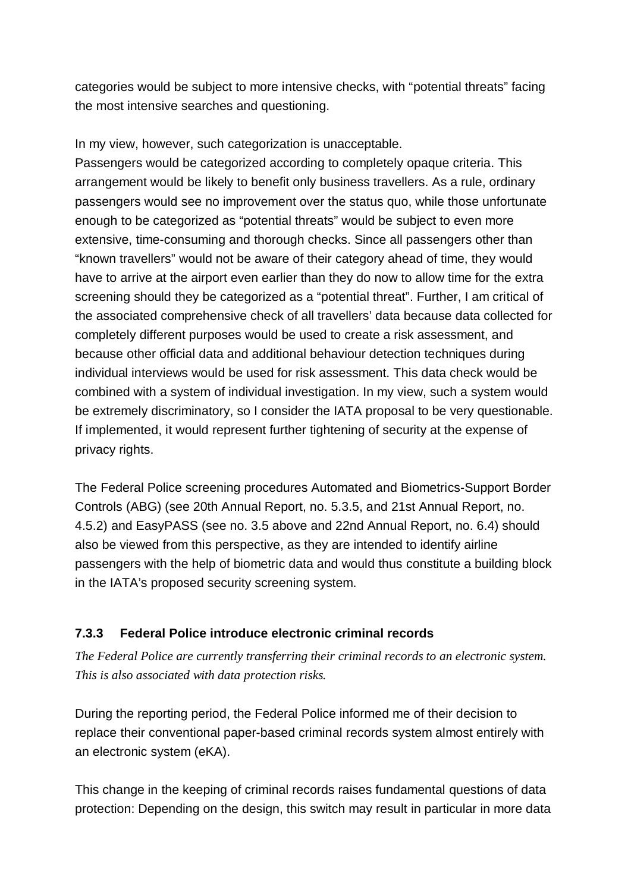categories would be subject to more intensive checks, with "potential threats" facing the most intensive searches and questioning.

In my view, however, such categorization is unacceptable.

Passengers would be categorized according to completely opaque criteria. This arrangement would be likely to benefit only business travellers. As a rule, ordinary passengers would see no improvement over the status quo, while those unfortunate enough to be categorized as "potential threats" would be subject to even more extensive, time-consuming and thorough checks. Since all passengers other than "known travellers" would not be aware of their category ahead of time, they would have to arrive at the airport even earlier than they do now to allow time for the extra screening should they be categorized as a "potential threat". Further, I am critical of the associated comprehensive check of all travellers' data because data collected for completely different purposes would be used to create a risk assessment, and because other official data and additional behaviour detection techniques during individual interviews would be used for risk assessment. This data check would be combined with a system of individual investigation. In my view, such a system would be extremely discriminatory, so I consider the IATA proposal to be very questionable. If implemented, it would represent further tightening of security at the expense of privacy rights.

The Federal Police screening procedures Automated and Biometrics-Support Border Controls (ABG) (see 20th Annual Report, no. 5.3.5, and 21st Annual Report, no. 4.5.2) and EasyPASS (see no. 3.5 above and 22nd Annual Report, no. 6.4) should also be viewed from this perspective, as they are intended to identify airline passengers with the help of biometric data and would thus constitute a building block in the IATA's proposed security screening system.

#### **7.3.3 Federal Police introduce electronic criminal records**

*The Federal Police are currently transferring their criminal records to an electronic system. This is also associated with data protection risks.*

During the reporting period, the Federal Police informed me of their decision to replace their conventional paper-based criminal records system almost entirely with an electronic system (eKA).

This change in the keeping of criminal records raises fundamental questions of data protection: Depending on the design, this switch may result in particular in more data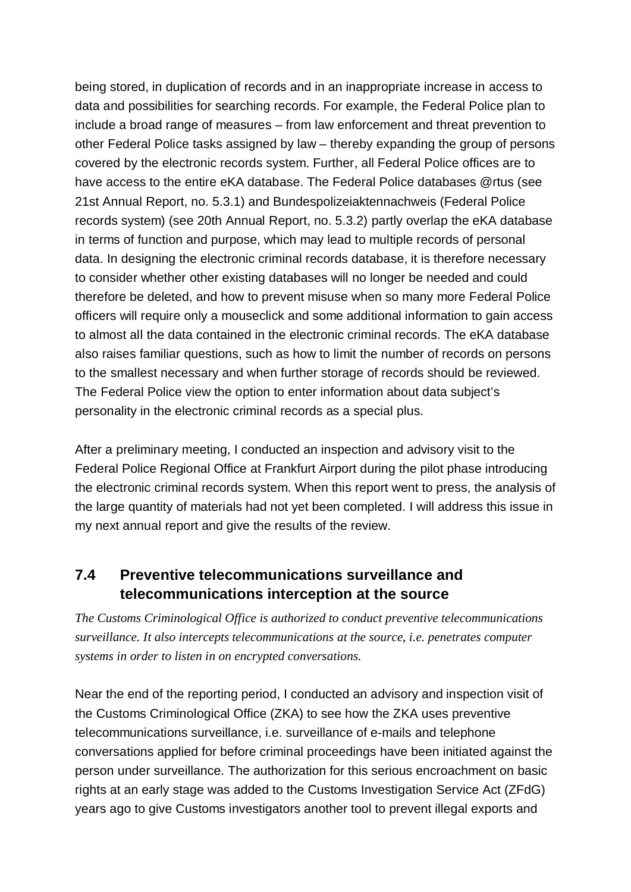being stored, in duplication of records and in an inappropriate increase in access to data and possibilities for searching records. For example, the Federal Police plan to include a broad range of measures – from law enforcement and threat prevention to other Federal Police tasks assigned by law – thereby expanding the group of persons covered by the electronic records system. Further, all Federal Police offices are to have access to the entire eKA database. The Federal Police databases @rtus (see 21st Annual Report, no. 5.3.1) and Bundespolizeiaktennachweis (Federal Police records system) (see 20th Annual Report, no. 5.3.2) partly overlap the eKA database in terms of function and purpose, which may lead to multiple records of personal data. In designing the electronic criminal records database, it is therefore necessary to consider whether other existing databases will no longer be needed and could therefore be deleted, and how to prevent misuse when so many more Federal Police officers will require only a mouseclick and some additional information to gain access to almost all the data contained in the electronic criminal records. The eKA database also raises familiar questions, such as how to limit the number of records on persons to the smallest necessary and when further storage of records should be reviewed. The Federal Police view the option to enter information about data subject's personality in the electronic criminal records as a special plus.

After a preliminary meeting, I conducted an inspection and advisory visit to the Federal Police Regional Office at Frankfurt Airport during the pilot phase introducing the electronic criminal records system. When this report went to press, the analysis of the large quantity of materials had not yet been completed. I will address this issue in my next annual report and give the results of the review.

## **7.4 Preventive telecommunications surveillance and telecommunications interception at the source**

*The Customs Criminological Office is authorized to conduct preventive telecommunications surveillance. It also intercepts telecommunications at the source, i.e. penetrates computer systems in order to listen in on encrypted conversations.*

Near the end of the reporting period, I conducted an advisory and inspection visit of the Customs Criminological Office (ZKA) to see how the ZKA uses preventive telecommunications surveillance, i.e. surveillance of e-mails and telephone conversations applied for before criminal proceedings have been initiated against the person under surveillance. The authorization for this serious encroachment on basic rights at an early stage was added to the Customs Investigation Service Act (ZFdG) years ago to give Customs investigators another tool to prevent illegal exports and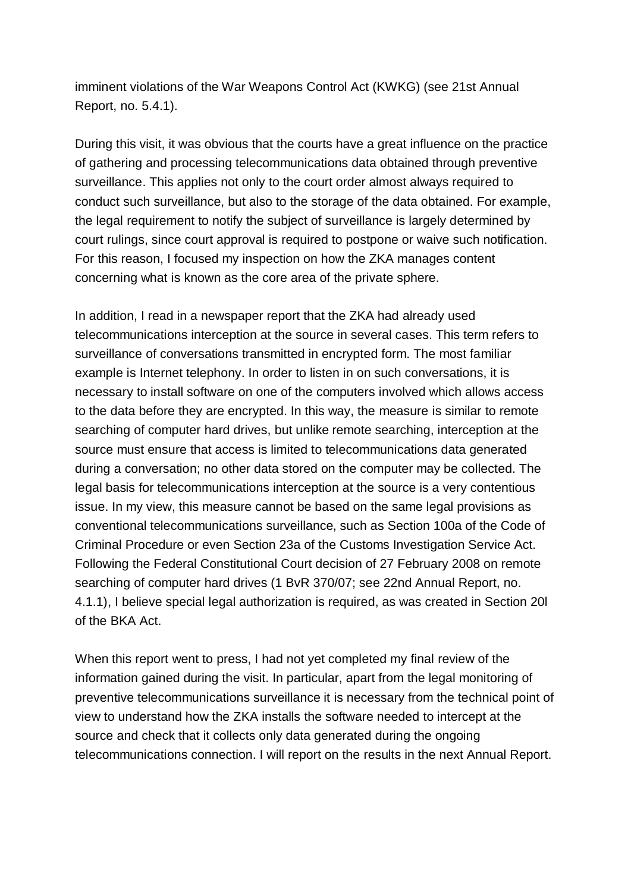imminent violations of the War Weapons Control Act (KWKG) (see 21st Annual Report, no. 5.4.1).

During this visit, it was obvious that the courts have a great influence on the practice of gathering and processing telecommunications data obtained through preventive surveillance. This applies not only to the court order almost always required to conduct such surveillance, but also to the storage of the data obtained. For example, the legal requirement to notify the subject of surveillance is largely determined by court rulings, since court approval is required to postpone or waive such notification. For this reason, I focused my inspection on how the ZKA manages content concerning what is known as the core area of the private sphere.

In addition, I read in a newspaper report that the ZKA had already used telecommunications interception at the source in several cases. This term refers to surveillance of conversations transmitted in encrypted form. The most familiar example is Internet telephony. In order to listen in on such conversations, it is necessary to install software on one of the computers involved which allows access to the data before they are encrypted. In this way, the measure is similar to remote searching of computer hard drives, but unlike remote searching, interception at the source must ensure that access is limited to telecommunications data generated during a conversation; no other data stored on the computer may be collected. The legal basis for telecommunications interception at the source is a very contentious issue. In my view, this measure cannot be based on the same legal provisions as conventional telecommunications surveillance, such as Section 100a of the Code of Criminal Procedure or even Section 23a of the Customs Investigation Service Act. Following the Federal Constitutional Court decision of 27 February 2008 on remote searching of computer hard drives (1 BvR 370/07; see 22nd Annual Report, no. 4.1.1), I believe special legal authorization is required, as was created in Section 20l of the BKA Act.

When this report went to press, I had not yet completed my final review of the information gained during the visit. In particular, apart from the legal monitoring of preventive telecommunications surveillance it is necessary from the technical point of view to understand how the ZKA installs the software needed to intercept at the source and check that it collects only data generated during the ongoing telecommunications connection. I will report on the results in the next Annual Report.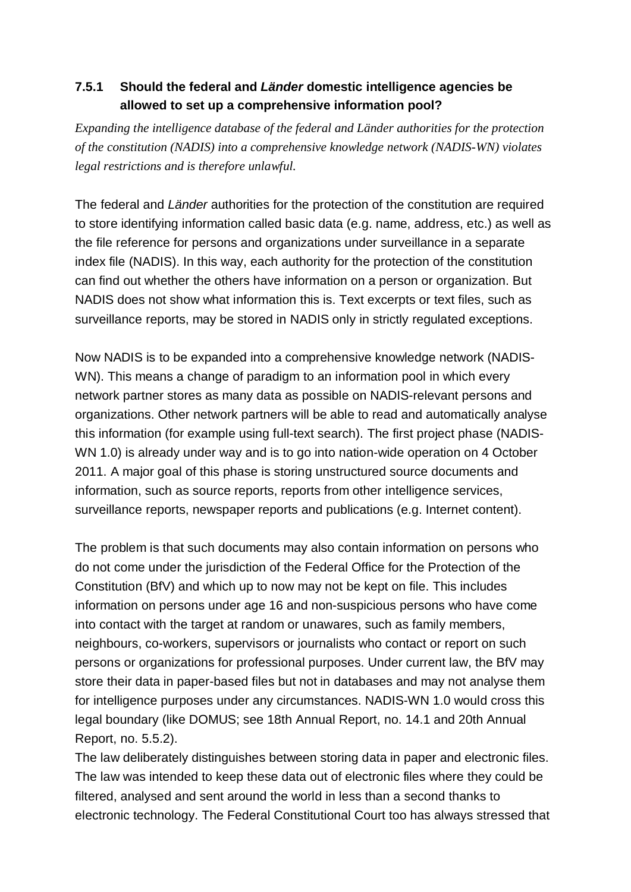### **7.5.1 Should the federal and** *Länder* **domestic intelligence agencies be allowed to set up a comprehensive information pool?**

*Expanding the intelligence database of the federal and Länder authorities for the protection of the constitution (NADIS) into a comprehensive knowledge network (NADIS-WN) violates legal restrictions and is therefore unlawful.*

The federal and *Länder* authorities for the protection of the constitution are required to store identifying information called basic data (e.g. name, address, etc.) as well as the file reference for persons and organizations under surveillance in a separate index file (NADIS). In this way, each authority for the protection of the constitution can find out whether the others have information on a person or organization. But NADIS does not show what information this is. Text excerpts or text files, such as surveillance reports, may be stored in NADIS only in strictly regulated exceptions.

Now NADIS is to be expanded into a comprehensive knowledge network (NADIS- WN). This means a change of paradigm to an information pool in which every network partner stores as many data as possible on NADIS-relevant persons and organizations. Other network partners will be able to read and automatically analyse this information (for example using full-text search). The first project phase (NADIS- WN 1.0) is already under way and is to go into nation-wide operation on 4 October 2011. A major goal of this phase is storing unstructured source documents and information, such as source reports, reports from other intelligence services, surveillance reports, newspaper reports and publications (e.g. Internet content).

The problem is that such documents may also contain information on persons who do not come under the jurisdiction of the Federal Office for the Protection of the Constitution (BfV) and which up to now may not be kept on file. This includes information on persons under age 16 and non-suspicious persons who have come into contact with the target at random or unawares, such as family members, neighbours, co-workers, supervisors or journalists who contact or report on such persons or organizations for professional purposes. Under current law, the BfV may store their data in paper-based files but not in databases and may not analyse them for intelligence purposes under any circumstances. NADIS-WN 1.0 would cross this legal boundary (like DOMUS; see 18th Annual Report, no. 14.1 and 20th Annual Report, no. 5.5.2).

The law deliberately distinguishes between storing data in paper and electronic files. The law was intended to keep these data out of electronic files where they could be filtered, analysed and sent around the world in less than a second thanks to electronic technology. The Federal Constitutional Court too has always stressed that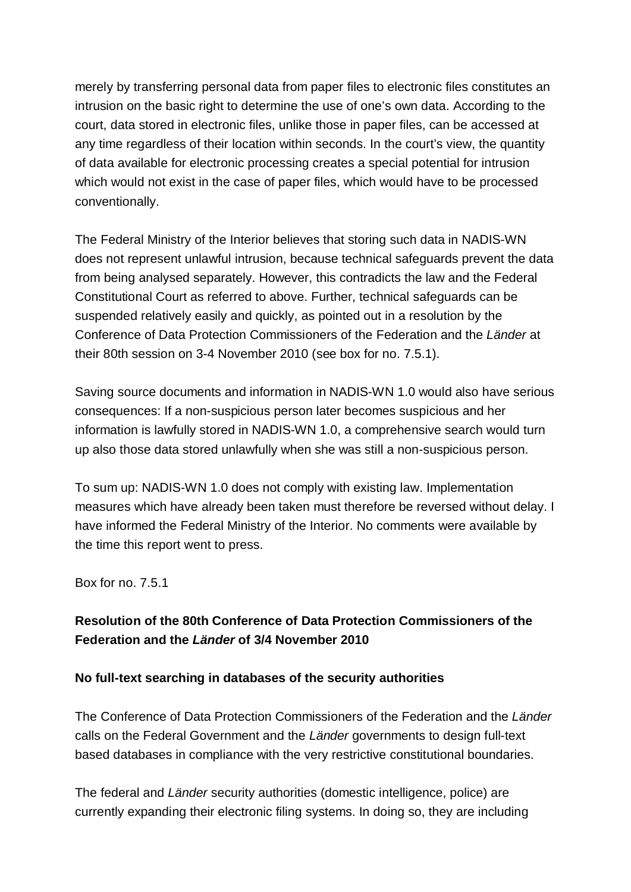merely by transferring personal data from paper files to electronic files constitutes an intrusion on the basic right to determine the use of one's own data. According to the court, data stored in electronic files, unlike those in paper files, can be accessed at any time regardless of their location within seconds. In the court's view, the quantity of data available for electronic processing creates a special potential for intrusion which would not exist in the case of paper files, which would have to be processed conventionally.

The Federal Ministry of the Interior believes that storing such data in NADIS-WN does not represent unlawful intrusion, because technical safeguards prevent the data from being analysed separately. However, this contradicts the law and the Federal Constitutional Court as referred to above. Further, technical safeguards can be suspended relatively easily and quickly, as pointed out in a resolution by the Conference of Data Protection Commissioners of the Federation and the *Länder* at their 80th session on 3-4 November 2010 (see box for no. 7.5.1).

Saving source documents and information in NADIS-WN 1.0 would also have serious consequences: If a non-suspicious person later becomes suspicious and her information is lawfully stored in NADIS-WN 1.0, a comprehensive search would turn up also those data stored unlawfully when she was still a non-suspicious person.

To sum up: NADIS-WN 1.0 does not comply with existing law. Implementation measures which have already been taken must therefore be reversed without delay. I have informed the Federal Ministry of the Interior. No comments were available by the time this report went to press.

Box for no. 7.5.1

### **Resolution of the 80th Conference of Data Protection Commissioners of the Federation and the** *Länder* **of 3/4 November 2010**

#### **No full-text searching in databases of the security authorities**

The Conference of Data Protection Commissioners of the Federation and the *Länder* calls on the Federal Government and the *Länder* governments to design full-text based databases in compliance with the very restrictive constitutional boundaries.

The federal and *Länder* security authorities (domestic intelligence, police) are currently expanding their electronic filing systems. In doing so, they are including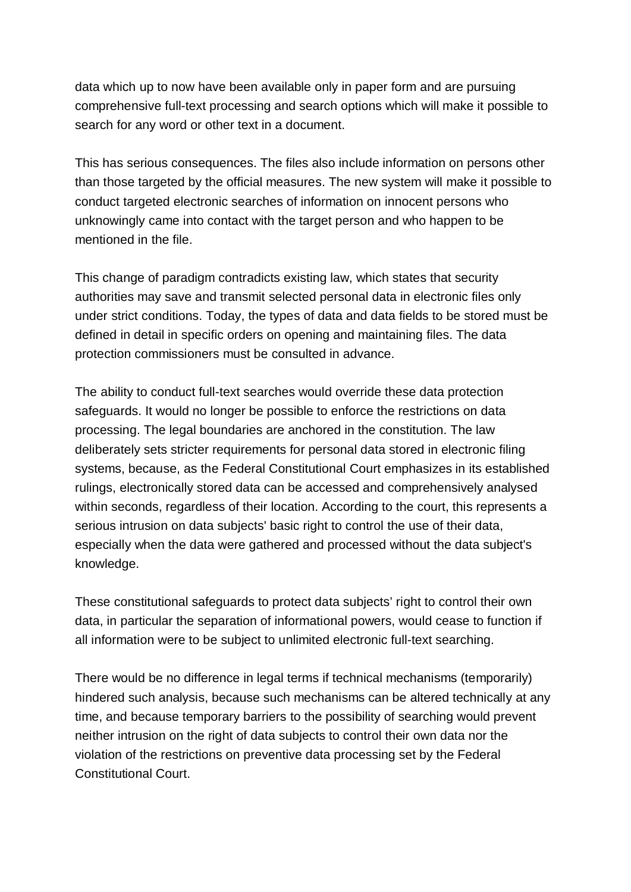data which up to now have been available only in paper form and are pursuing comprehensive full-text processing and search options which will make it possible to search for any word or other text in a document.

This has serious consequences. The files also include information on persons other than those targeted by the official measures. The new system will make it possible to conduct targeted electronic searches of information on innocent persons who unknowingly came into contact with the target person and who happen to be mentioned in the file.

This change of paradigm contradicts existing law, which states that security authorities may save and transmit selected personal data in electronic files only under strict conditions. Today, the types of data and data fields to be stored must be defined in detail in specific orders on opening and maintaining files. The data protection commissioners must be consulted in advance.

The ability to conduct full-text searches would override these data protection safeguards. It would no longer be possible to enforce the restrictions on data processing. The legal boundaries are anchored in the constitution. The law deliberately sets stricter requirements for personal data stored in electronic filing systems, because, as the Federal Constitutional Court emphasizes in its established rulings, electronically stored data can be accessed and comprehensively analysed within seconds, regardless of their location. According to the court, this represents a serious intrusion on data subjects' basic right to control the use of their data, especially when the data were gathered and processed without the data subject's knowledge.

These constitutional safeguards to protect data subjects' right to control their own data, in particular the separation of informational powers, would cease to function if all information were to be subject to unlimited electronic full-text searching.

There would be no difference in legal terms if technical mechanisms (temporarily) hindered such analysis, because such mechanisms can be altered technically at any time, and because temporary barriers to the possibility of searching would prevent neither intrusion on the right of data subjects to control their own data nor the violation of the restrictions on preventive data processing set by the Federal Constitutional Court.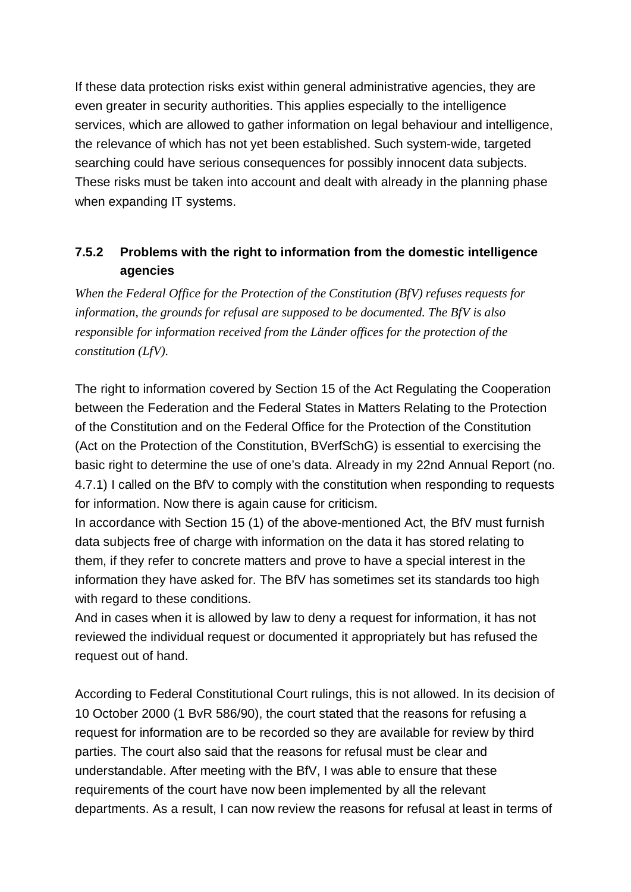If these data protection risks exist within general administrative agencies, they are even greater in security authorities. This applies especially to the intelligence services, which are allowed to gather information on legal behaviour and intelligence, the relevance of which has not yet been established. Such system-wide, targeted searching could have serious consequences for possibly innocent data subjects. These risks must be taken into account and dealt with already in the planning phase when expanding IT systems.

### **7.5.2 Problems with the right to information from the domestic intelligence agencies**

*When the Federal Office for the Protection of the Constitution (BfV) refuses requests for information, the grounds for refusal are supposed to be documented. The BfV is also responsible for information received from the Länder offices for the protection of the constitution (LfV).*

The right to information covered by Section 15 of the Act Regulating the Cooperation between the Federation and the Federal States in Matters Relating to the Protection of the Constitution and on the Federal Office for the Protection of the Constitution (Act on the Protection of the Constitution, BVerfSchG) is essential to exercising the basic right to determine the use of one's data. Already in my 22nd Annual Report (no. 4.7.1) I called on the BfV to comply with the constitution when responding to requests for information. Now there is again cause for criticism.

In accordance with Section 15 (1) of the above-mentioned Act, the BfV must furnish data subjects free of charge with information on the data it has stored relating to them, if they refer to concrete matters and prove to have a special interest in the information they have asked for. The BfV has sometimes set its standards too high with regard to these conditions.

And in cases when it is allowed by law to deny a request for information, it has not reviewed the individual request or documented it appropriately but has refused the request out of hand.

According to Federal Constitutional Court rulings, this is not allowed. In its decision of 10 October 2000 (1 BvR 586/90), the court stated that the reasons for refusing a request for information are to be recorded so they are available for review by third parties. The court also said that the reasons for refusal must be clear and understandable. After meeting with the BfV, I was able to ensure that these requirements of the court have now been implemented by all the relevant departments. As a result, I can now review the reasons for refusal at least in terms of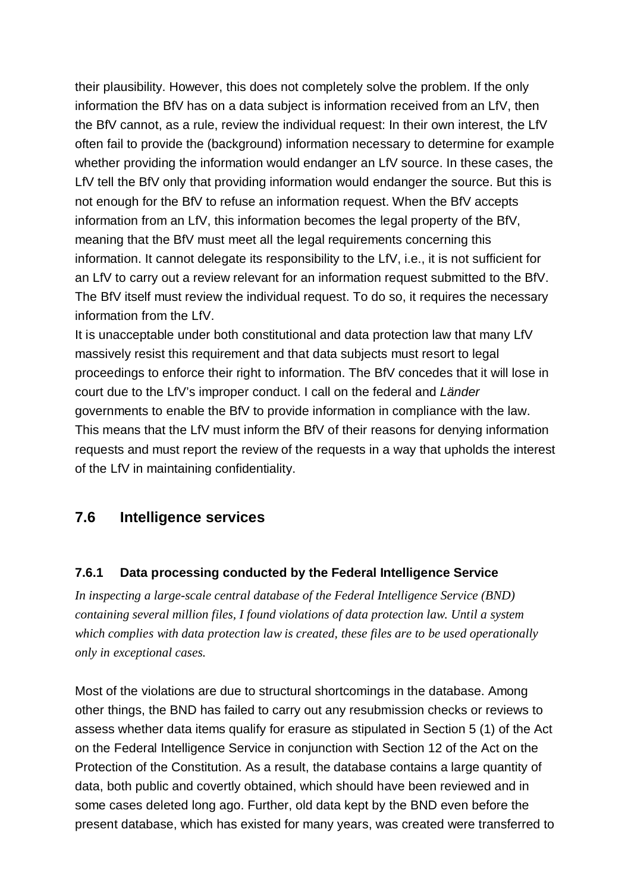their plausibility. However, this does not completely solve the problem. If the only information the BfV has on a data subject is information received from an LfV, then the BfV cannot, as a rule, review the individual request: In their own interest, the LfV often fail to provide the (background) information necessary to determine for example whether providing the information would endanger an LfV source. In these cases, the LfV tell the BfV only that providing information would endanger the source. But this is not enough for the BfV to refuse an information request. When the BfV accepts information from an LfV, this information becomes the legal property of the BfV, meaning that the BfV must meet all the legal requirements concerning this information. It cannot delegate its responsibility to the LfV, i.e., it is not sufficient for an LfV to carry out a review relevant for an information request submitted to the BfV. The BfV itself must review the individual request. To do so, it requires the necessary information from the LfV.

It is unacceptable under both constitutional and data protection law that many LfV massively resist this requirement and that data subjects must resort to legal proceedings to enforce their right to information. The BfV concedes that it will lose in court due to the LfV's improper conduct. I call on the federal and *Länder* governments to enable the BfV to provide information in compliance with the law. This means that the LfV must inform the BfV of their reasons for denying information requests and must report the review of the requests in a way that upholds the interest of the LfV in maintaining confidentiality.

#### **7.6 Intelligence services**

#### **7.6.1 Data processing conducted by the Federal Intelligence Service**

*In inspecting a large-scale central database of the Federal Intelligence Service (BND) containing several million files, I found violations of data protection law. Until a system which complies with data protection law is created, these files are to be used operationally only in exceptional cases.*

Most of the violations are due to structural shortcomings in the database. Among other things, the BND has failed to carry out any resubmission checks or reviews to assess whether data items qualify for erasure as stipulated in Section 5 (1) of the Act on the Federal Intelligence Service in conjunction with Section 12 of the Act on the Protection of the Constitution. As a result, the database contains a large quantity of data, both public and covertly obtained, which should have been reviewed and in some cases deleted long ago. Further, old data kept by the BND even before the present database, which has existed for many years, was created were transferred to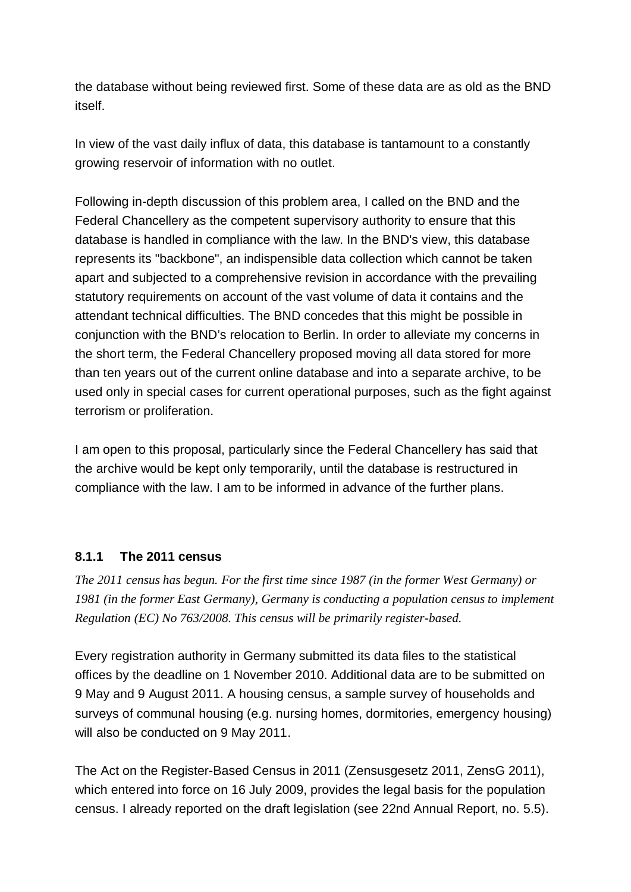the database without being reviewed first. Some of these data are as old as the BND itself.

In view of the vast daily influx of data, this database is tantamount to a constantly growing reservoir of information with no outlet.

Following in-depth discussion of this problem area, I called on the BND and the Federal Chancellery as the competent supervisory authority to ensure that this database is handled in compliance with the law. In the BND's view, this database represents its "backbone", an indispensible data collection which cannot be taken apart and subjected to a comprehensive revision in accordance with the prevailing statutory requirements on account of the vast volume of data it contains and the attendant technical difficulties. The BND concedes that this might be possible in conjunction with the BND's relocation to Berlin. In order to alleviate my concerns in the short term, the Federal Chancellery proposed moving all data stored for more than ten years out of the current online database and into a separate archive, to be used only in special cases for current operational purposes, such as the fight against terrorism or proliferation.

I am open to this proposal, particularly since the Federal Chancellery has said that the archive would be kept only temporarily, until the database is restructured in compliance with the law. I am to be informed in advance of the further plans.

#### **8.1.1 The 2011 census**

*The 2011 census has begun. For the first time since 1987 (in the former West Germany) or 1981 (in the former East Germany), Germany is conducting a population census to implement Regulation (EC) No 763/2008. This census will be primarily register-based.*

Every registration authority in Germany submitted its data files to the statistical offices by the deadline on 1 November 2010. Additional data are to be submitted on 9 May and 9 August 2011. A housing census, a sample survey of households and surveys of communal housing (e.g. nursing homes, dormitories, emergency housing) will also be conducted on 9 May 2011.

The Act on the Register-Based Census in 2011 (Zensusgesetz 2011, ZensG 2011), which entered into force on 16 July 2009, provides the legal basis for the population census. I already reported on the draft legislation (see 22nd Annual Report, no. 5.5).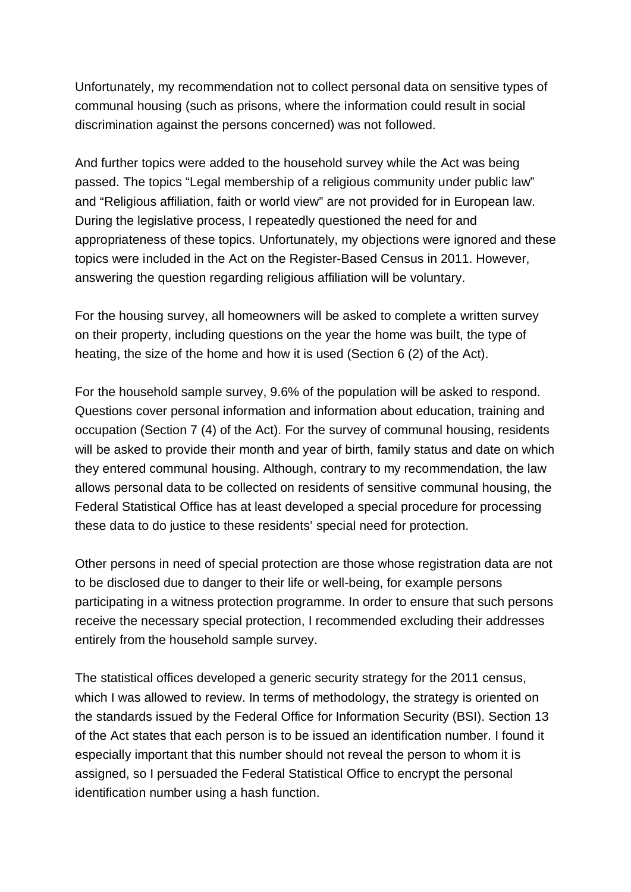Unfortunately, my recommendation not to collect personal data on sensitive types of communal housing (such as prisons, where the information could result in social discrimination against the persons concerned) was not followed.

And further topics were added to the household survey while the Act was being passed. The topics "Legal membership of a religious community under public law" and "Religious affiliation, faith or world view" are not provided for in European law. During the legislative process, I repeatedly questioned the need for and appropriateness of these topics. Unfortunately, my objections were ignored and these topics were included in the Act on the Register-Based Census in 2011. However, answering the question regarding religious affiliation will be voluntary.

For the housing survey, all homeowners will be asked to complete a written survey on their property, including questions on the year the home was built, the type of heating, the size of the home and how it is used (Section 6 (2) of the Act).

For the household sample survey, 9.6% of the population will be asked to respond. Questions cover personal information and information about education, training and occupation (Section 7 (4) of the Act). For the survey of communal housing, residents will be asked to provide their month and year of birth, family status and date on which they entered communal housing. Although, contrary to my recommendation, the law allows personal data to be collected on residents of sensitive communal housing, the Federal Statistical Office has at least developed a special procedure for processing these data to do justice to these residents' special need for protection.

Other persons in need of special protection are those whose registration data are not to be disclosed due to danger to their life or well-being, for example persons participating in a witness protection programme. In order to ensure that such persons receive the necessary special protection, I recommended excluding their addresses entirely from the household sample survey.

The statistical offices developed a generic security strategy for the 2011 census, which I was allowed to review. In terms of methodology, the strategy is oriented on the standards issued by the Federal Office for Information Security (BSI). Section 13 of the Act states that each person is to be issued an identification number. I found it especially important that this number should not reveal the person to whom it is assigned, so I persuaded the Federal Statistical Office to encrypt the personal identification number using a hash function.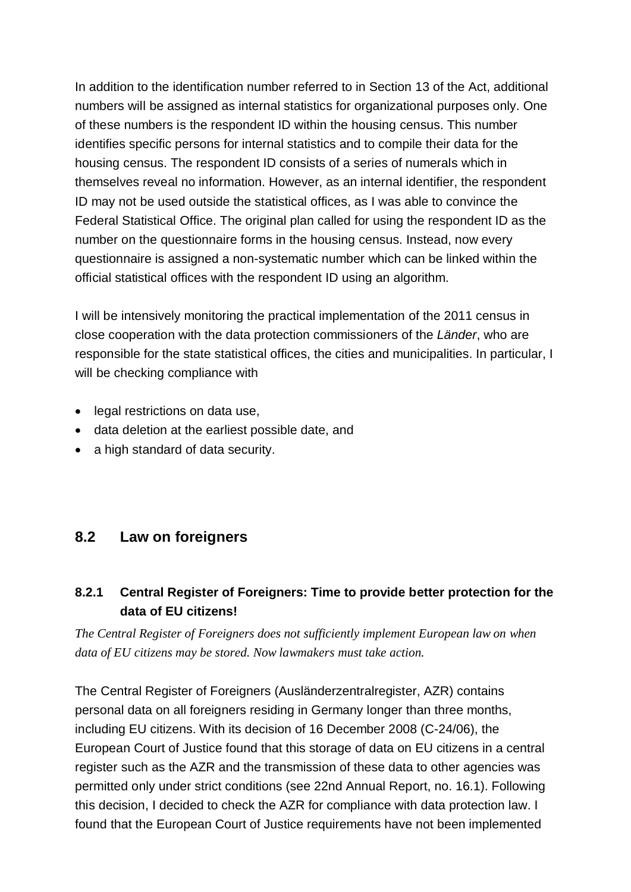In addition to the identification number referred to in Section 13 of the Act, additional numbers will be assigned as internal statistics for organizational purposes only. One of these numbers is the respondent ID within the housing census. This number identifies specific persons for internal statistics and to compile their data for the housing census. The respondent ID consists of a series of numerals which in themselves reveal no information. However, as an internal identifier, the respondent ID may not be used outside the statistical offices, as I was able to convince the Federal Statistical Office. The original plan called for using the respondent ID as the number on the questionnaire forms in the housing census. Instead, now every questionnaire is assigned a non-systematic number which can be linked within the official statistical offices with the respondent ID using an algorithm.

I will be intensively monitoring the practical implementation of the 2011 census in close cooperation with the data protection commissioners of the *Länder*, who are responsible for the state statistical offices, the cities and municipalities. In particular, I will be checking compliance with

- · legal restrictions on data use,
- · data deletion at the earliest possible date, and
- a high standard of data security.

### **8.2 Law on foreigners**

### **8.2.1 Central Register of Foreigners: Time to provide better protection for the data of EU citizens!**

*The Central Register of Foreigners does not sufficiently implement European law on when data of EU citizens may be stored. Now lawmakers must take action.*

The Central Register of Foreigners (Ausländerzentralregister, AZR) contains personal data on all foreigners residing in Germany longer than three months, including EU citizens. With its decision of 16 December 2008 (C-24/06), the European Court of Justice found that this storage of data on EU citizens in a central register such as the AZR and the transmission of these data to other agencies was permitted only under strict conditions (see 22nd Annual Report, no. 16.1). Following this decision, I decided to check the AZR for compliance with data protection law. I found that the European Court of Justice requirements have not been implemented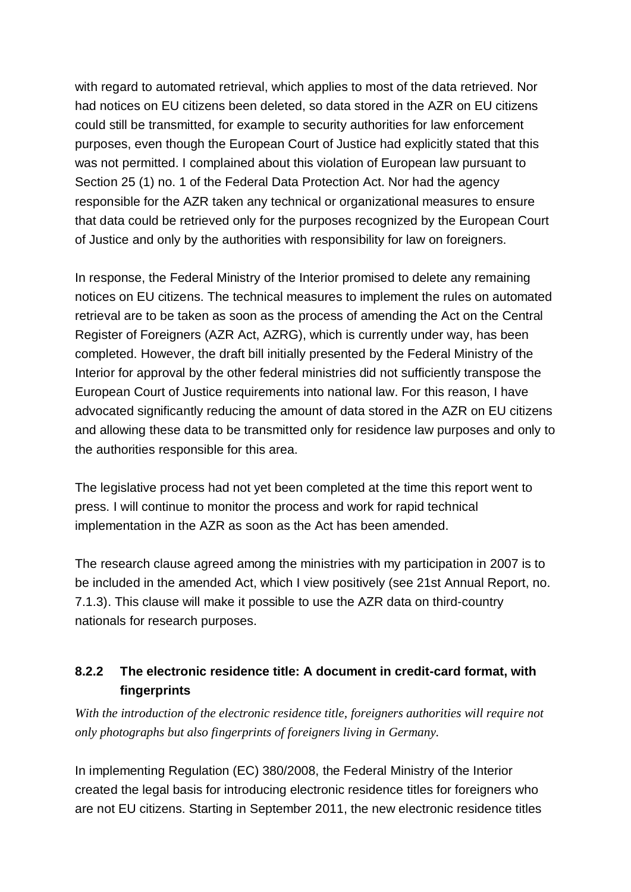with regard to automated retrieval, which applies to most of the data retrieved. Nor had notices on EU citizens been deleted, so data stored in the AZR on EU citizens could still be transmitted, for example to security authorities for law enforcement purposes, even though the European Court of Justice had explicitly stated that this was not permitted. I complained about this violation of European law pursuant to Section 25 (1) no. 1 of the Federal Data Protection Act. Nor had the agency responsible for the AZR taken any technical or organizational measures to ensure that data could be retrieved only for the purposes recognized by the European Court of Justice and only by the authorities with responsibility for law on foreigners.

In response, the Federal Ministry of the Interior promised to delete any remaining notices on EU citizens. The technical measures to implement the rules on automated retrieval are to be taken as soon as the process of amending the Act on the Central Register of Foreigners (AZR Act, AZRG), which is currently under way, has been completed. However, the draft bill initially presented by the Federal Ministry of the Interior for approval by the other federal ministries did not sufficiently transpose the European Court of Justice requirements into national law. For this reason, I have advocated significantly reducing the amount of data stored in the AZR on EU citizens and allowing these data to be transmitted only for residence law purposes and only to the authorities responsible for this area.

The legislative process had not yet been completed at the time this report went to press. I will continue to monitor the process and work for rapid technical implementation in the AZR as soon as the Act has been amended.

The research clause agreed among the ministries with my participation in 2007 is to be included in the amended Act, which I view positively (see 21st Annual Report, no. 7.1.3). This clause will make it possible to use the AZR data on third-country nationals for research purposes.

### **8.2.2 The electronic residence title: A document in credit-card format, with fingerprints**

*With the introduction of the electronic residence title, foreigners authorities will require not only photographs but also fingerprints of foreigners living in Germany.* 

In implementing Regulation (EC) 380/2008, the Federal Ministry of the Interior created the legal basis for introducing electronic residence titles for foreigners who are not EU citizens. Starting in September 2011, the new electronic residence titles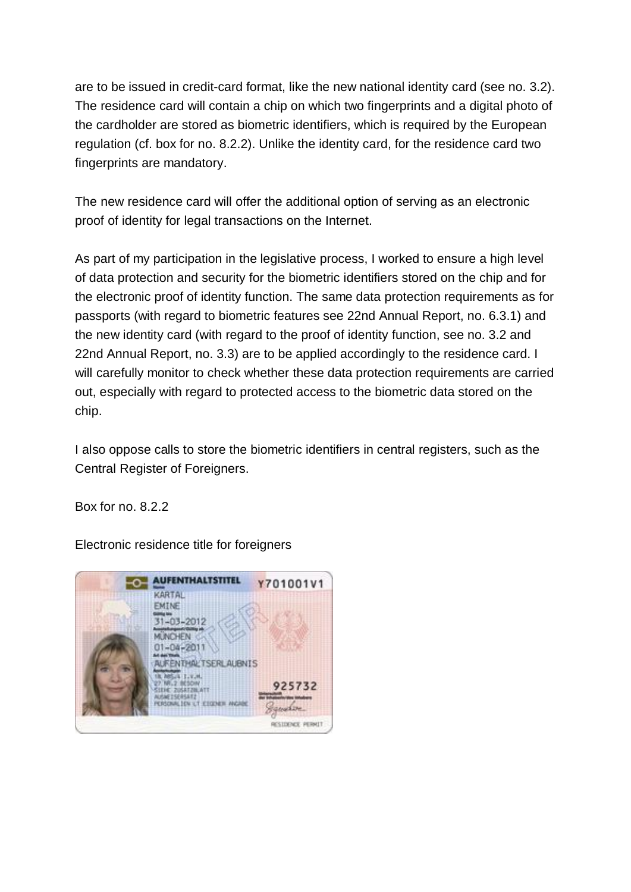are to be issued in credit-card format, like the new national identity card (see no. 3.2). The residence card will contain a chip on which two fingerprints and a digital photo of the cardholder are stored as biometric identifiers, which is required by the European regulation (cf. box for no. 8.2.2). Unlike the identity card, for the residence card two fingerprints are mandatory.

The new residence card will offer the additional option of serving as an electronic proof of identity for legal transactions on the Internet.

As part of my participation in the legislative process, I worked to ensure a high level of data protection and security for the biometric identifiers stored on the chip and for the electronic proof of identity function. The same data protection requirements as for passports (with regard to biometric features see 22nd Annual Report, no. 6.3.1) and the new identity card (with regard to the proof of identity function, see no. 3.2 and 22nd Annual Report, no. 3.3) are to be applied accordingly to the residence card. I will carefully monitor to check whether these data protection requirements are carried out, especially with regard to protected access to the biometric data stored on the chip.

I also oppose calls to store the biometric identifiers in central registers, such as the Central Register of Foreigners.

Box for no. 8.2.2

Electronic residence title for foreigners

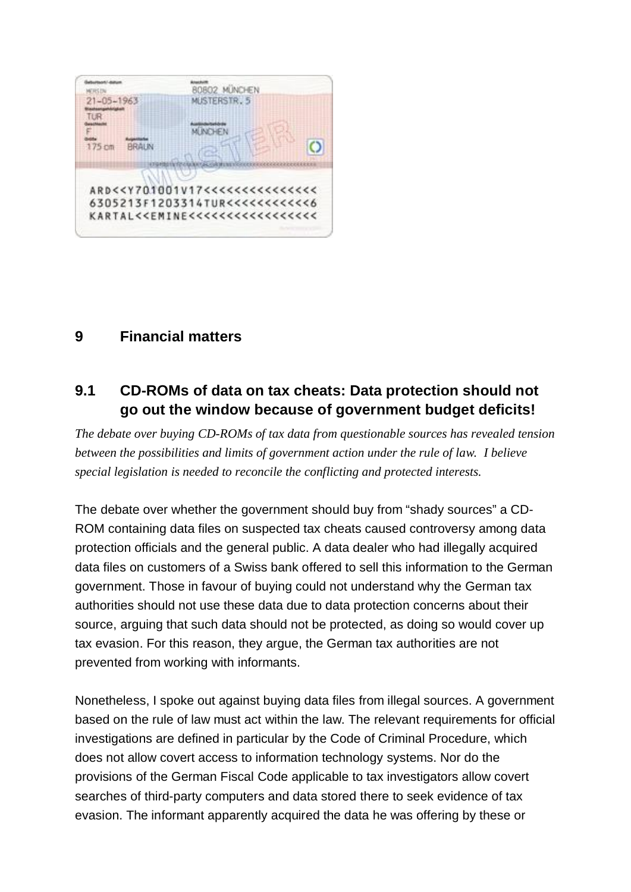

## **9 Financial matters**

# **9.1 CD-ROMs of data on tax cheats: Data protection should not go out the window because of government budget deficits!**

*The debate over buying CD-ROMs of tax data from questionable sources has revealed tension between the possibilities and limits of government action under the rule of law. I believe special legislation is needed to reconcile the conflicting and protected interests.*

The debate over whether the government should buy from "shady sources" a CD- ROM containing data files on suspected tax cheats caused controversy among data protection officials and the general public. A data dealer who had illegally acquired data files on customers of a Swiss bank offered to sell this information to the German government. Those in favour of buying could not understand why the German tax authorities should not use these data due to data protection concerns about their source, arguing that such data should not be protected, as doing so would cover up tax evasion. For this reason, they argue, the German tax authorities are not prevented from working with informants.

Nonetheless, I spoke out against buying data files from illegal sources. A government based on the rule of law must act within the law. The relevant requirements for official investigations are defined in particular by the Code of Criminal Procedure, which does not allow covert access to information technology systems. Nor do the provisions of the German Fiscal Code applicable to tax investigators allow covert searches of third-party computers and data stored there to seek evidence of tax evasion. The informant apparently acquired the data he was offering by these or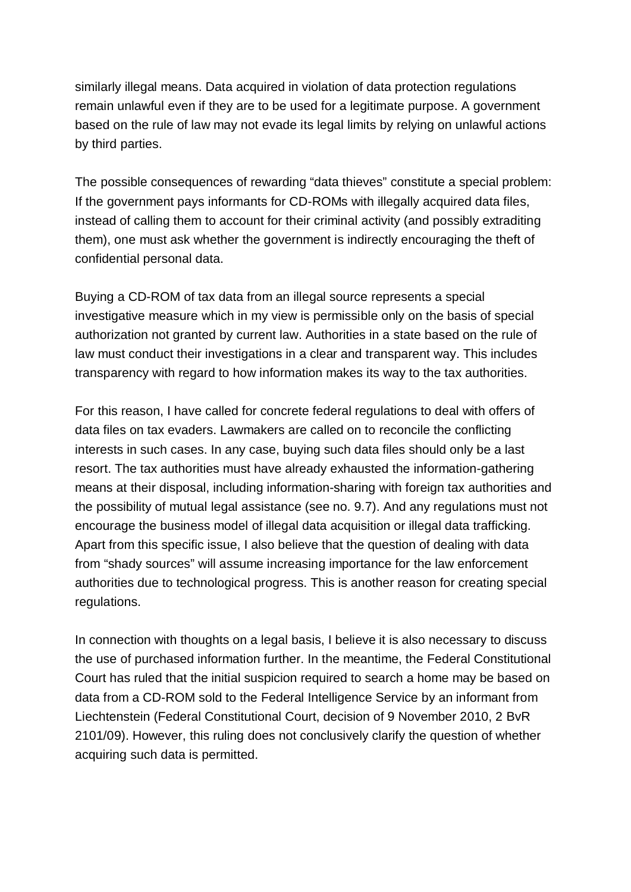similarly illegal means. Data acquired in violation of data protection regulations remain unlawful even if they are to be used for a legitimate purpose. A government based on the rule of law may not evade its legal limits by relying on unlawful actions by third parties.

The possible consequences of rewarding "data thieves" constitute a special problem: If the government pays informants for CD-ROMs with illegally acquired data files, instead of calling them to account for their criminal activity (and possibly extraditing them), one must ask whether the government is indirectly encouraging the theft of confidential personal data.

Buying a CD-ROM of tax data from an illegal source represents a special investigative measure which in my view is permissible only on the basis of special authorization not granted by current law. Authorities in a state based on the rule of law must conduct their investigations in a clear and transparent way. This includes transparency with regard to how information makes its way to the tax authorities.

For this reason, I have called for concrete federal regulations to deal with offers of data files on tax evaders. Lawmakers are called on to reconcile the conflicting interests in such cases. In any case, buying such data files should only be a last resort. The tax authorities must have already exhausted the information-gathering means at their disposal, including information-sharing with foreign tax authorities and the possibility of mutual legal assistance (see no. 9.7). And any regulations must not encourage the business model of illegal data acquisition or illegal data trafficking. Apart from this specific issue, I also believe that the question of dealing with data from "shady sources" will assume increasing importance for the law enforcement authorities due to technological progress. This is another reason for creating special regulations.

In connection with thoughts on a legal basis, I believe it is also necessary to discuss the use of purchased information further. In the meantime, the Federal Constitutional Court has ruled that the initial suspicion required to search a home may be based on data from a CD-ROM sold to the Federal Intelligence Service by an informant from Liechtenstein (Federal Constitutional Court, decision of 9 November 2010, 2 BvR 2101/09). However, this ruling does not conclusively clarify the question of whether acquiring such data is permitted.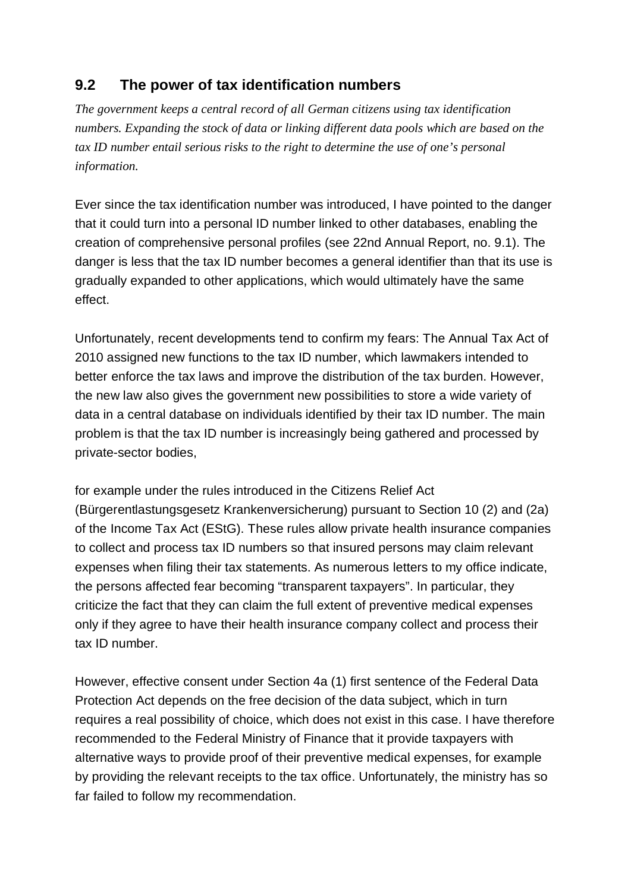# **9.2 The power of tax identification numbers**

*The government keeps a central record of all German citizens using tax identification numbers. Expanding the stock of data or linking different data pools which are based on the tax ID number entail serious risks to the right to determine the use of one's personal information.*

Ever since the tax identification number was introduced, I have pointed to the danger that it could turn into a personal ID number linked to other databases, enabling the creation of comprehensive personal profiles (see 22nd Annual Report, no. 9.1). The danger is less that the tax ID number becomes a general identifier than that its use is gradually expanded to other applications, which would ultimately have the same effect.

Unfortunately, recent developments tend to confirm my fears: The Annual Tax Act of 2010 assigned new functions to the tax ID number, which lawmakers intended to better enforce the tax laws and improve the distribution of the tax burden. However, the new law also gives the government new possibilities to store a wide variety of data in a central database on individuals identified by their tax ID number. The main problem is that the tax ID number is increasingly being gathered and processed by private-sector bodies,

for example under the rules introduced in the Citizens Relief Act (Bürgerentlastungsgesetz Krankenversicherung) pursuant to Section 10 (2) and (2a) of the Income Tax Act (EStG). These rules allow private health insurance companies to collect and process tax ID numbers so that insured persons may claim relevant expenses when filing their tax statements. As numerous letters to my office indicate, the persons affected fear becoming "transparent taxpayers". In particular, they criticize the fact that they can claim the full extent of preventive medical expenses only if they agree to have their health insurance company collect and process their tax ID number.

However, effective consent under Section 4a (1) first sentence of the Federal Data Protection Act depends on the free decision of the data subject, which in turn requires a real possibility of choice, which does not exist in this case. I have therefore recommended to the Federal Ministry of Finance that it provide taxpayers with alternative ways to provide proof of their preventive medical expenses, for example by providing the relevant receipts to the tax office. Unfortunately, the ministry has so far failed to follow my recommendation.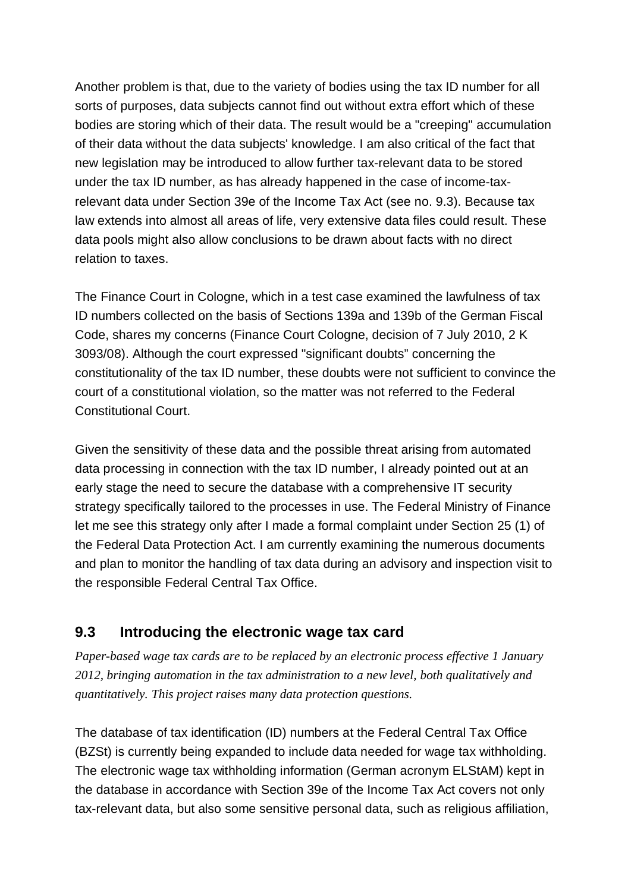Another problem is that, due to the variety of bodies using the tax ID number for all sorts of purposes, data subjects cannot find out without extra effort which of these bodies are storing which of their data. The result would be a "creeping" accumulation of their data without the data subjects' knowledge. I am also critical of the fact that new legislation may be introduced to allow further tax-relevant data to be stored under the tax ID number, as has already happened in the case of income-taxrelevant data under Section 39e of the Income Tax Act (see no. 9.3). Because tax law extends into almost all areas of life, very extensive data files could result. These data pools might also allow conclusions to be drawn about facts with no direct relation to taxes.

The Finance Court in Cologne, which in a test case examined the lawfulness of tax ID numbers collected on the basis of Sections 139a and 139b of the German Fiscal Code, shares my concerns (Finance Court Cologne, decision of 7 July 2010, 2 K 3093/08). Although the court expressed "significant doubts" concerning the constitutionality of the tax ID number, these doubts were not sufficient to convince the court of a constitutional violation, so the matter was not referred to the Federal Constitutional Court.

Given the sensitivity of these data and the possible threat arising from automated data processing in connection with the tax ID number, I already pointed out at an early stage the need to secure the database with a comprehensive IT security strategy specifically tailored to the processes in use. The Federal Ministry of Finance let me see this strategy only after I made a formal complaint under Section 25 (1) of the Federal Data Protection Act. I am currently examining the numerous documents and plan to monitor the handling of tax data during an advisory and inspection visit to the responsible Federal Central Tax Office.

## **9.3 Introducing the electronic wage tax card**

*Paper-based wage tax cards are to be replaced by an electronic process effective 1 January 2012, bringing automation in the tax administration to a new level, both qualitatively and quantitatively. This project raises many data protection questions.*

The database of tax identification (ID) numbers at the Federal Central Tax Office (BZSt) is currently being expanded to include data needed for wage tax withholding. The electronic wage tax withholding information (German acronym ELStAM) kept in the database in accordance with Section 39e of the Income Tax Act covers not only tax-relevant data, but also some sensitive personal data, such as religious affiliation,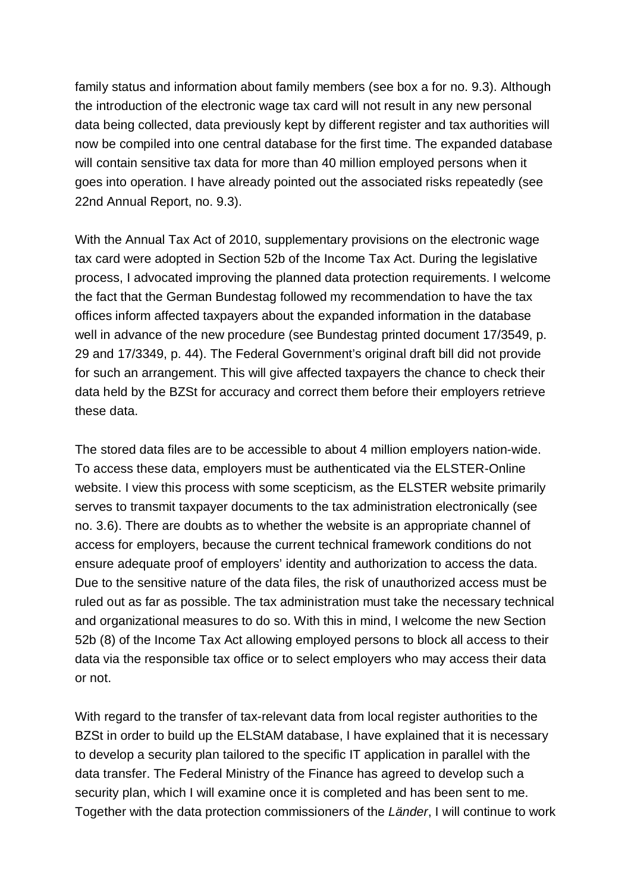family status and information about family members (see box a for no. 9.3). Although the introduction of the electronic wage tax card will not result in any new personal data being collected, data previously kept by different register and tax authorities will now be compiled into one central database for the first time. The expanded database will contain sensitive tax data for more than 40 million employed persons when it goes into operation. I have already pointed out the associated risks repeatedly (see 22nd Annual Report, no. 9.3).

With the Annual Tax Act of 2010, supplementary provisions on the electronic wage tax card were adopted in Section 52b of the Income Tax Act. During the legislative process, I advocated improving the planned data protection requirements. I welcome the fact that the German Bundestag followed my recommendation to have the tax offices inform affected taxpayers about the expanded information in the database well in advance of the new procedure (see Bundestag printed document 17/3549, p. 29 and 17/3349, p. 44). The Federal Government's original draft bill did not provide for such an arrangement. This will give affected taxpayers the chance to check their data held by the BZSt for accuracy and correct them before their employers retrieve these data.

The stored data files are to be accessible to about 4 million employers nation-wide. To access these data, employers must be authenticated via the ELSTER-Online website. I view this process with some scepticism, as the ELSTER website primarily serves to transmit taxpayer documents to the tax administration electronically (see no. 3.6). There are doubts as to whether the website is an appropriate channel of access for employers, because the current technical framework conditions do not ensure adequate proof of employers' identity and authorization to access the data. Due to the sensitive nature of the data files, the risk of unauthorized access must be ruled out as far as possible. The tax administration must take the necessary technical and organizational measures to do so. With this in mind, I welcome the new Section 52b (8) of the Income Tax Act allowing employed persons to block all access to their data via the responsible tax office or to select employers who may access their data or not.

With regard to the transfer of tax-relevant data from local register authorities to the BZSt in order to build up the ELStAM database, I have explained that it is necessary to develop a security plan tailored to the specific IT application in parallel with the data transfer. The Federal Ministry of the Finance has agreed to develop such a security plan, which I will examine once it is completed and has been sent to me. Together with the data protection commissioners of the *Länder*, I will continue to work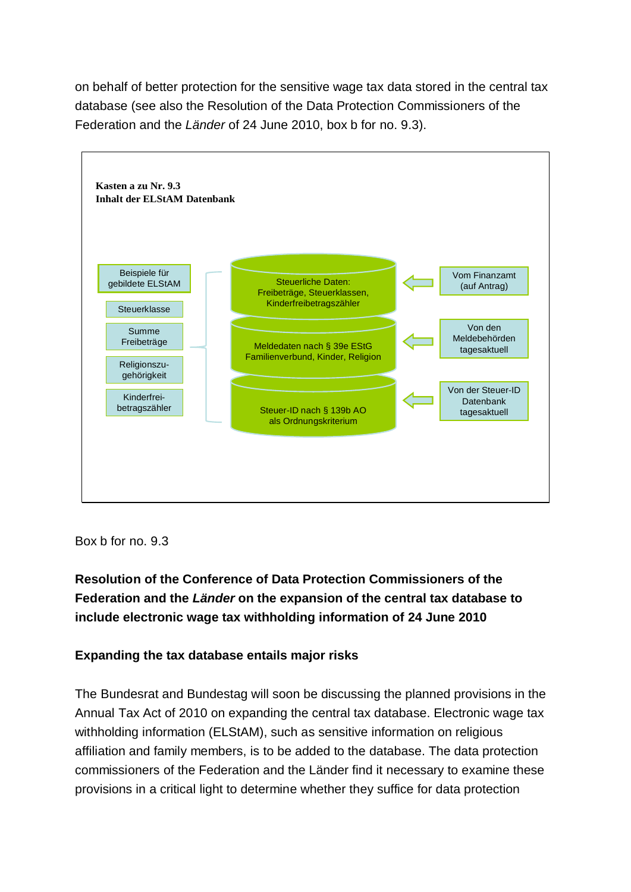on behalf of better protection for the sensitive wage tax data stored in the central tax database (see also the Resolution of the Data Protection Commissioners of the Federation and the *Länder* of 24 June 2010, box b for no. 9.3).



Box b for no. 9.3

**Resolution of the Conference of Data Protection Commissioners of the Federation and the** *Länder* **on the expansion of the central tax database to include electronic wage tax withholding information of 24 June 2010**

#### **Expanding the tax database entails major risks**

The Bundesrat and Bundestag will soon be discussing the planned provisions in the Annual Tax Act of 2010 on expanding the central tax database. Electronic wage tax withholding information (ELStAM), such as sensitive information on religious affiliation and family members, is to be added to the database. The data protection commissioners of the Federation and the Länder find it necessary to examine these provisions in a critical light to determine whether they suffice for data protection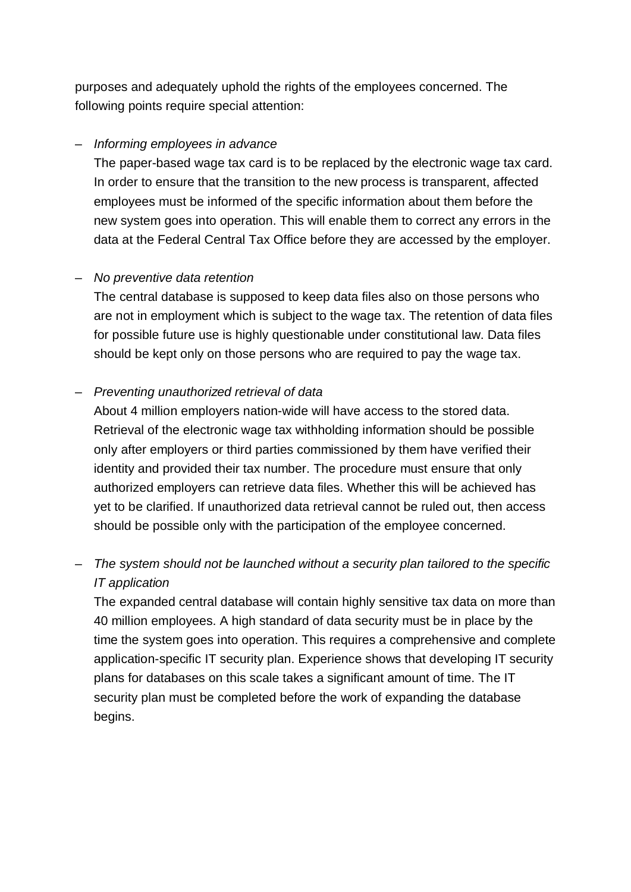purposes and adequately uphold the rights of the employees concerned. The following points require special attention:

#### – *Informing employees in advance*

The paper-based wage tax card is to be replaced by the electronic wage tax card. In order to ensure that the transition to the new process is transparent, affected employees must be informed of the specific information about them before the new system goes into operation. This will enable them to correct any errors in the data at the Federal Central Tax Office before they are accessed by the employer.

#### – *No preventive data retention*

The central database is supposed to keep data files also on those persons who are not in employment which is subject to the wage tax. The retention of data files for possible future use is highly questionable under constitutional law. Data files should be kept only on those persons who are required to pay the wage tax.

### – *Preventing unauthorized retrieval of data*

About 4 million employers nation-wide will have access to the stored data. Retrieval of the electronic wage tax withholding information should be possible only after employers or third parties commissioned by them have verified their identity and provided their tax number. The procedure must ensure that only authorized employers can retrieve data files. Whether this will be achieved has yet to be clarified. If unauthorized data retrieval cannot be ruled out, then access should be possible only with the participation of the employee concerned.

# – *The system should not be launched without a security plan tailored to the specific IT application*

The expanded central database will contain highly sensitive tax data on more than 40 million employees. A high standard of data security must be in place by the time the system goes into operation. This requires a comprehensive and complete application-specific IT security plan. Experience shows that developing IT security plans for databases on this scale takes a significant amount of time. The IT security plan must be completed before the work of expanding the database begins.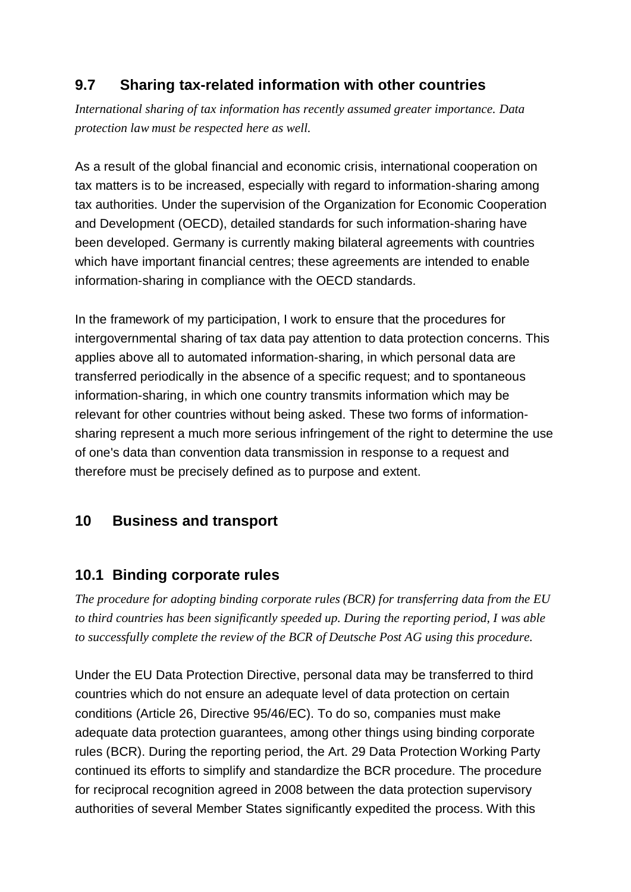# **9.7 Sharing tax-related information with other countries**

*International sharing of tax information has recently assumed greater importance. Data protection law must be respected here as well.*

As a result of the global financial and economic crisis, international cooperation on tax matters is to be increased, especially with regard to information-sharing among tax authorities. Under the supervision of the Organization for Economic Cooperation and Development (OECD), detailed standards for such information-sharing have been developed. Germany is currently making bilateral agreements with countries which have important financial centres; these agreements are intended to enable information-sharing in compliance with the OECD standards.

In the framework of my participation, I work to ensure that the procedures for intergovernmental sharing of tax data pay attention to data protection concerns. This applies above all to automated information-sharing, in which personal data are transferred periodically in the absence of a specific request; and to spontaneous information-sharing, in which one country transmits information which may be relevant for other countries without being asked. These two forms of information sharing represent a much more serious infringement of the right to determine the use of one's data than convention data transmission in response to a request and therefore must be precisely defined as to purpose and extent.

## **10 Business and transport**

## **10.1 Binding corporate rules**

*The procedure for adopting binding corporate rules (BCR) for transferring data from the EU to third countries has been significantly speeded up. During the reporting period, I was able to successfully complete the review of the BCR of Deutsche Post AG using this procedure.*

Under the EU Data Protection Directive, personal data may be transferred to third countries which do not ensure an adequate level of data protection on certain conditions (Article 26, Directive 95/46/EC). To do so, companies must make adequate data protection guarantees, among other things using binding corporate rules (BCR). During the reporting period, the Art. 29 Data Protection Working Party continued its efforts to simplify and standardize the BCR procedure. The procedure for reciprocal recognition agreed in 2008 between the data protection supervisory authorities of several Member States significantly expedited the process. With this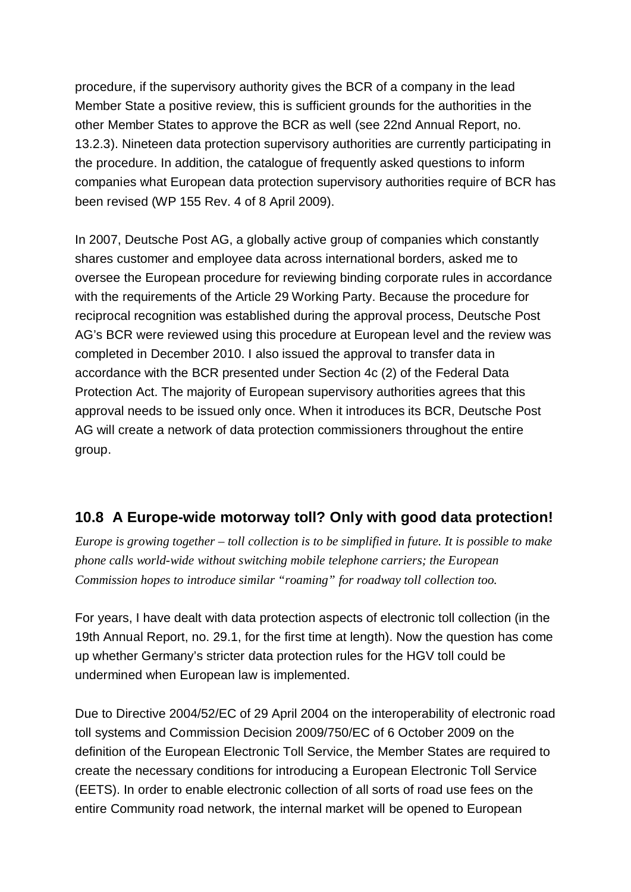procedure, if the supervisory authority gives the BCR of a company in the lead Member State a positive review, this is sufficient grounds for the authorities in the other Member States to approve the BCR as well (see 22nd Annual Report, no. 13.2.3). Nineteen data protection supervisory authorities are currently participating in the procedure. In addition, the catalogue of frequently asked questions to inform companies what European data protection supervisory authorities require of BCR has been revised (WP 155 Rev. 4 of 8 April 2009).

In 2007, Deutsche Post AG, a globally active group of companies which constantly shares customer and employee data across international borders, asked me to oversee the European procedure for reviewing binding corporate rules in accordance with the requirements of the Article 29 Working Party. Because the procedure for reciprocal recognition was established during the approval process, Deutsche Post AG's BCR were reviewed using this procedure at European level and the review was completed in December 2010. I also issued the approval to transfer data in accordance with the BCR presented under Section 4c (2) of the Federal Data Protection Act. The majority of European supervisory authorities agrees that this approval needs to be issued only once. When it introduces its BCR, Deutsche Post AG will create a network of data protection commissioners throughout the entire group.

# **10.8 A Europe-wide motorway toll? Only with good data protection!**

*Europe is growing together – toll collection is to be simplified in future. It is possible to make phone calls world-wide without switching mobile telephone carriers; the European Commission hopes to introduce similar "roaming" for roadway toll collection too.*

For years, I have dealt with data protection aspects of electronic toll collection (in the 19th Annual Report, no. 29.1, for the first time at length). Now the question has come up whether Germany's stricter data protection rules for the HGV toll could be undermined when European law is implemented.

Due to Directive 2004/52/EC of 29 April 2004 on the interoperability of electronic road toll systems and Commission Decision 2009/750/EC of 6 October 2009 on the definition of the European Electronic Toll Service, the Member States are required to create the necessary conditions for introducing a European Electronic Toll Service (EETS). In order to enable electronic collection of all sorts of road use fees on the entire Community road network, the internal market will be opened to European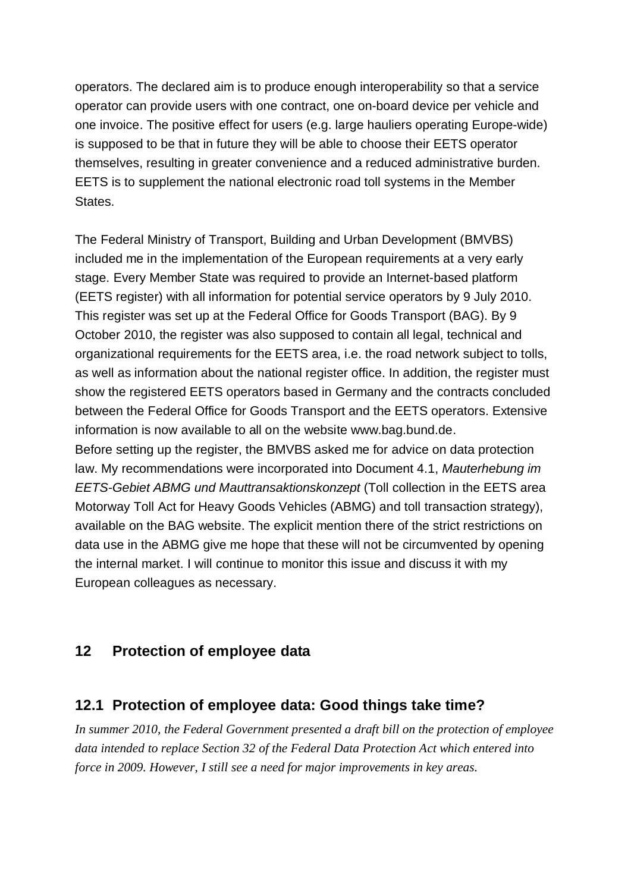operators. The declared aim is to produce enough interoperability so that a service operator can provide users with one contract, one on-board device per vehicle and one invoice. The positive effect for users (e.g. large hauliers operating Europe-wide) is supposed to be that in future they will be able to choose their EETS operator themselves, resulting in greater convenience and a reduced administrative burden. EETS is to supplement the national electronic road toll systems in the Member States.

The Federal Ministry of Transport, Building and Urban Development (BMVBS) included me in the implementation of the European requirements at a very early stage. Every Member State was required to provide an Internet-based platform (EETS register) with all information for potential service operators by 9 July 2010. This register was set up at the Federal Office for Goods Transport (BAG). By 9 October 2010, the register was also supposed to contain all legal, technical and organizational requirements for the EETS area, i.e. the road network subject to tolls, as well as information about the national register office. In addition, the register must show the registered EETS operators based in Germany and the contracts concluded between the Federal Office for Goods Transport and the EETS operators. Extensive information is now available to all on the website [www.bag.bund.de.](http://www.bag.bund.de.) Before setting up the register, the BMVBS asked me for advice on data protection law. My recommendations were incorporated into Document 4.1, *Mauterhebung im EETS-Gebiet ABMG und Mauttransaktionskonzept* (Toll collection in the EETS area Motorway Toll Act for Heavy Goods Vehicles (ABMG) and toll transaction strategy), available on the BAG website. The explicit mention there of the strict restrictions on data use in the ABMG give me hope that these will not be circumvented by opening the internal market. I will continue to monitor this issue and discuss it with my European colleagues as necessary.

### **12 Protection of employee data**

### **12.1 Protection of employee data: Good things take time?**

*In summer 2010, the Federal Government presented a draft bill on the protection of employee data intended to replace Section 32 of the Federal Data Protection Act which entered into force in 2009. However, I still see a need for major improvements in key areas.*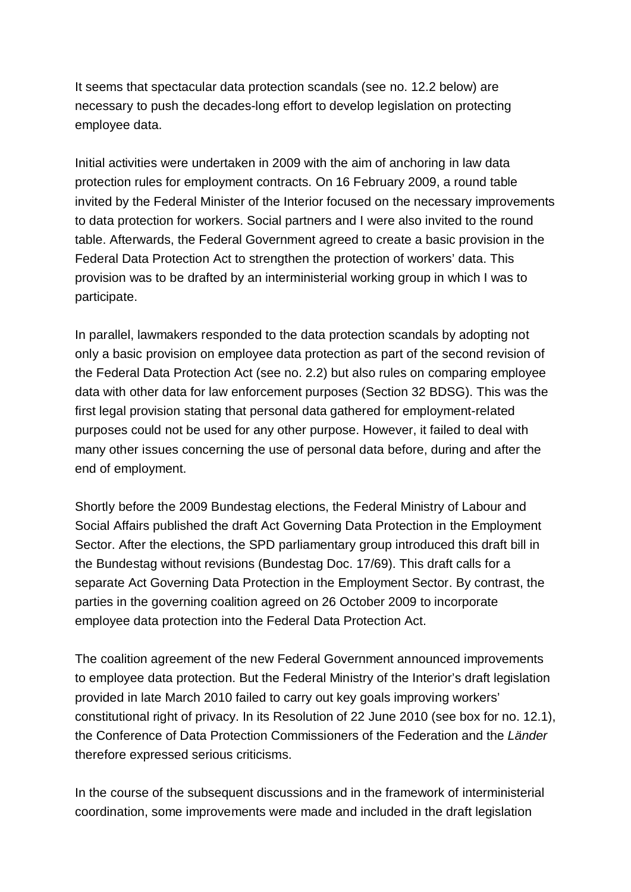It seems that spectacular data protection scandals (see no. 12.2 below) are necessary to push the decades-long effort to develop legislation on protecting employee data.

Initial activities were undertaken in 2009 with the aim of anchoring in law data protection rules for employment contracts. On 16 February 2009, a round table invited by the Federal Minister of the Interior focused on the necessary improvements to data protection for workers. Social partners and I were also invited to the round table. Afterwards, the Federal Government agreed to create a basic provision in the Federal Data Protection Act to strengthen the protection of workers' data. This provision was to be drafted by an interministerial working group in which I was to participate.

In parallel, lawmakers responded to the data protection scandals by adopting not only a basic provision on employee data protection as part of the second revision of the Federal Data Protection Act (see no. 2.2) but also rules on comparing employee data with other data for law enforcement purposes (Section 32 BDSG). This was the first legal provision stating that personal data gathered for employment-related purposes could not be used for any other purpose. However, it failed to deal with many other issues concerning the use of personal data before, during and after the end of employment.

Shortly before the 2009 Bundestag elections, the Federal Ministry of Labour and Social Affairs published the draft Act Governing Data Protection in the Employment Sector. After the elections, the SPD parliamentary group introduced this draft bill in the Bundestag without revisions (Bundestag Doc. 17/69). This draft calls for a separate Act Governing Data Protection in the Employment Sector. By contrast, the parties in the governing coalition agreed on 26 October 2009 to incorporate employee data protection into the Federal Data Protection Act.

The coalition agreement of the new Federal Government announced improvements to employee data protection. But the Federal Ministry of the Interior's draft legislation provided in late March 2010 failed to carry out key goals improving workers' constitutional right of privacy. In its Resolution of 22 June 2010 (see box for no. 12.1), the Conference of Data Protection Commissioners of the Federation and the *Länder* therefore expressed serious criticisms.

In the course of the subsequent discussions and in the framework of interministerial coordination, some improvements were made and included in the draft legislation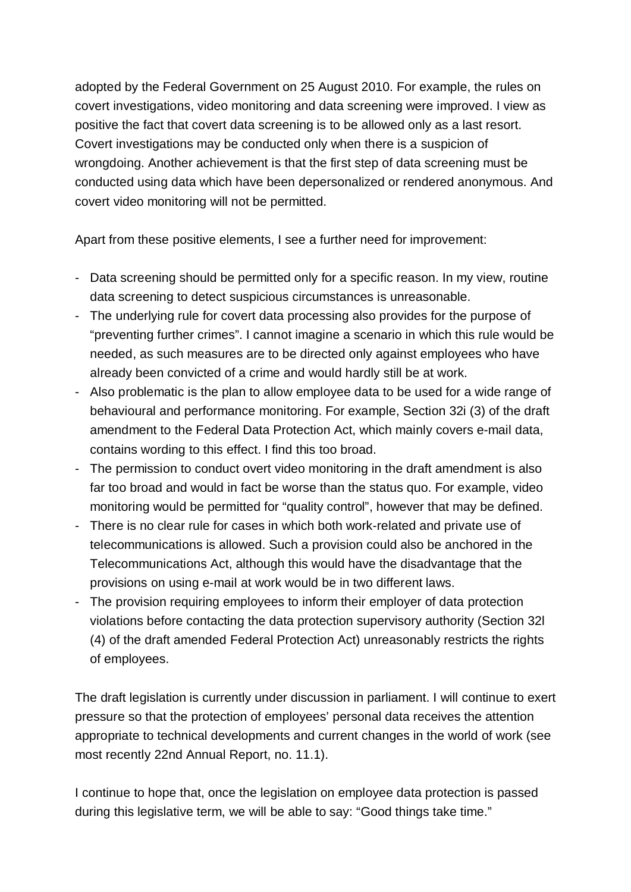adopted by the Federal Government on 25 August 2010. For example, the rules on covert investigations, video monitoring and data screening were improved. I view as positive the fact that covert data screening is to be allowed only as a last resort. Covert investigations may be conducted only when there is a suspicion of wrongdoing. Another achievement is that the first step of data screening must be conducted using data which have been depersonalized or rendered anonymous. And covert video monitoring will not be permitted.

Apart from these positive elements, I see a further need for improvement:

- Data screening should be permitted only for a specific reason. In my view, routine data screening to detect suspicious circumstances is unreasonable.
- The underlying rule for covert data processing also provides for the purpose of "preventing further crimes". I cannot imagine a scenario in which this rule would be needed, as such measures are to be directed only against employees who have already been convicted of a crime and would hardly still be at work.
- Also problematic is the plan to allow employee data to be used for a wide range of behavioural and performance monitoring. For example, Section 32i (3) of the draft amendment to the Federal Data Protection Act, which mainly covers e-mail data, contains wording to this effect. I find this too broad.
- The permission to conduct overt video monitoring in the draft amendment is also far too broad and would in fact be worse than the status quo. For example, video monitoring would be permitted for "quality control", however that may be defined.
- There is no clear rule for cases in which both work-related and private use of telecommunications is allowed. Such a provision could also be anchored in the Telecommunications Act, although this would have the disadvantage that the provisions on using e-mail at work would be in two different laws.
- The provision requiring employees to inform their employer of data protection violations before contacting the data protection supervisory authority (Section 32l (4) of the draft amended Federal Protection Act) unreasonably restricts the rights of employees.

The draft legislation is currently under discussion in parliament. I will continue to exert pressure so that the protection of employees' personal data receives the attention appropriate to technical developments and current changes in the world of work (see most recently 22nd Annual Report, no. 11.1).

I continue to hope that, once the legislation on employee data protection is passed during this legislative term, we will be able to say: "Good things take time."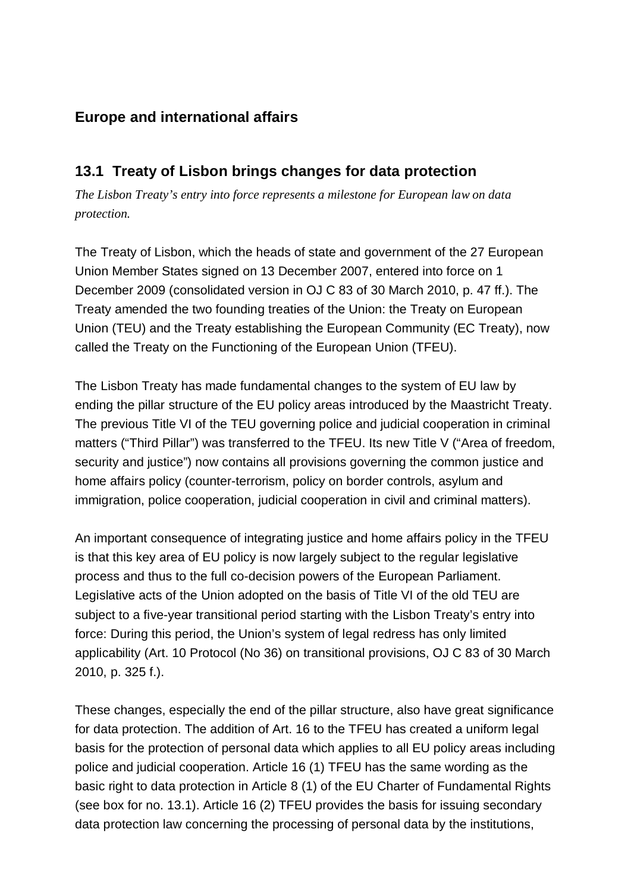# **Europe and international affairs**

## **13.1 Treaty of Lisbon brings changes for data protection**

*The Lisbon Treaty's entry into force represents a milestone for European law on data protection.*

The Treaty of Lisbon, which the heads of state and government of the 27 European Union Member States signed on 13 December 2007, entered into force on 1 December 2009 (consolidated version in OJ C 83 of 30 March 2010, p. 47 ff.). The Treaty amended the two founding treaties of the Union: the Treaty on European Union (TEU) and the Treaty establishing the European Community (EC Treaty), now called the Treaty on the Functioning of the European Union (TFEU).

The Lisbon Treaty has made fundamental changes to the system of EU law by ending the pillar structure of the EU policy areas introduced by the Maastricht Treaty. The previous Title VI of the TEU governing police and judicial cooperation in criminal matters ("Third Pillar") was transferred to the TFEU. Its new Title V ("Area of freedom, security and justice") now contains all provisions governing the common justice and home affairs policy (counter-terrorism, policy on border controls, asylum and immigration, police cooperation, judicial cooperation in civil and criminal matters).

An important consequence of integrating justice and home affairs policy in the TFEU is that this key area of EU policy is now largely subject to the regular legislative process and thus to the full co-decision powers of the European Parliament. Legislative acts of the Union adopted on the basis of Title VI of the old TEU are subject to a five-year transitional period starting with the Lisbon Treaty's entry into force: During this period, the Union's system of legal redress has only limited applicability (Art. 10 Protocol (No 36) on transitional provisions, OJ C 83 of 30 March 2010, p. 325 f.).

These changes, especially the end of the pillar structure, also have great significance for data protection. The addition of Art. 16 to the TFEU has created a uniform legal basis for the protection of personal data which applies to all EU policy areas including police and judicial cooperation. Article 16 (1) TFEU has the same wording as the basic right to data protection in Article 8 (1) of the EU Charter of Fundamental Rights (see box for no. 13.1). Article 16 (2) TFEU provides the basis for issuing secondary data protection law concerning the processing of personal data by the institutions,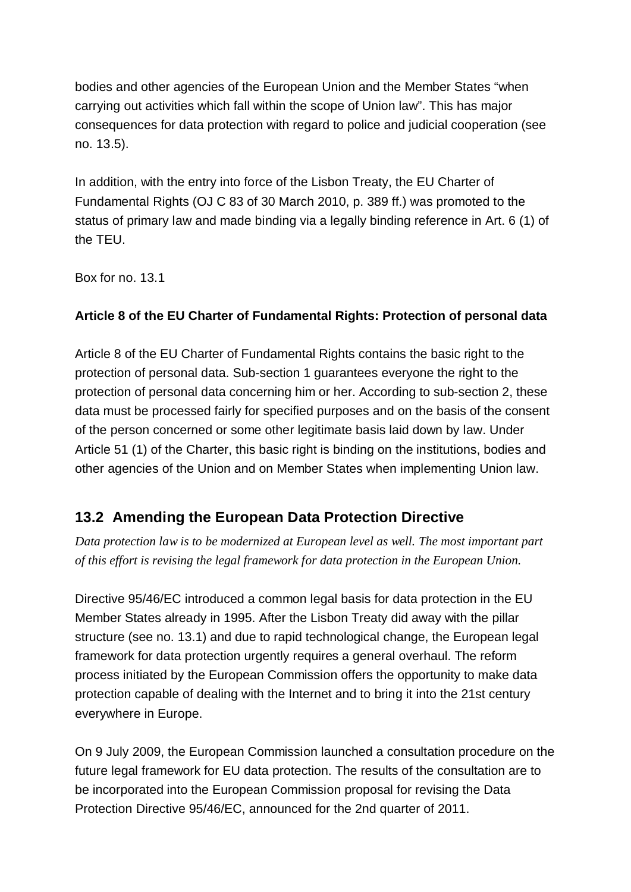bodies and other agencies of the European Union and the Member States "when carrying out activities which fall within the scope of Union law". This has major consequences for data protection with regard to police and judicial cooperation (see no. 13.5).

In addition, with the entry into force of the Lisbon Treaty, the EU Charter of Fundamental Rights (OJ C 83 of 30 March 2010, p. 389 ff.) was promoted to the status of primary law and made binding via a legally binding reference in Art. 6 (1) of the TEU.

Box for no. 13.1

#### **Article 8 of the EU Charter of Fundamental Rights: Protection of personal data**

Article 8 of the EU Charter of Fundamental Rights contains the basic right to the protection of personal data. Sub-section 1 guarantees everyone the right to the protection of personal data concerning him or her. According to sub-section 2, these data must be processed fairly for specified purposes and on the basis of the consent of the person concerned or some other legitimate basis laid down by law. Under Article 51 (1) of the Charter, this basic right is binding on the institutions, bodies and other agencies of the Union and on Member States when implementing Union law.

## **13.2 Amending the European Data Protection Directive**

*Data protection law is to be modernized at European level as well. The most important part of this effort is revising the legal framework for data protection in the European Union.*

Directive 95/46/EC introduced a common legal basis for data protection in the EU Member States already in 1995. After the Lisbon Treaty did away with the pillar structure (see no. 13.1) and due to rapid technological change, the European legal framework for data protection urgently requires a general overhaul. The reform process initiated by the European Commission offers the opportunity to make data protection capable of dealing with the Internet and to bring it into the 21st century everywhere in Europe.

On 9 July 2009, the European Commission launched a consultation procedure on the future legal framework for EU data protection. The results of the consultation are to be incorporated into the European Commission proposal for revising the Data Protection Directive 95/46/EC, announced for the 2nd quarter of 2011.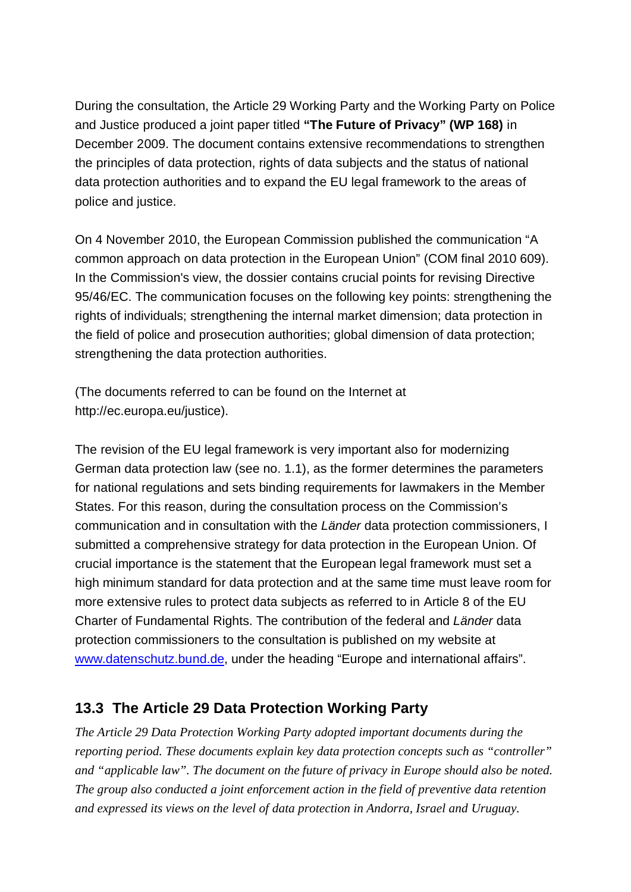During the consultation, the Article 29 Working Party and the Working Party on Police and Justice produced a joint paper titled **"The Future of Privacy" (WP 168)** in December 2009. The document contains extensive recommendations to strengthen the principles of data protection, rights of data subjects and the status of national data protection authorities and to expand the EU legal framework to the areas of police and justice.

On 4 November 2010, the European Commission published the communication "A common approach on data protection in the European Union" (COM final 2010 609). In the Commission's view, the dossier contains crucial points for revising Directive 95/46/EC. The communication focuses on the following key points: strengthening the rights of individuals; strengthening the internal market dimension; data protection in the field of police and prosecution authorities; global dimension of data protection; strengthening the data protection authorities.

(The documents referred to can be found on the Internet at [http://ec.europa.eu/justice\).](http://ec.europa.eu/justice).)

The revision of the EU legal framework is very important also for modernizing German data protection law (see no. 1.1), as the former determines the parameters for national regulations and sets binding requirements for lawmakers in the Member States. For this reason, during the consultation process on the Commission's communication and in consultation with the *Länder* data protection commissioners, I submitted a comprehensive strategy for data protection in the European Union. Of crucial importance is the statement that the European legal framework must set a high minimum standard for data protection and at the same time must leave room for more extensive rules to protect data subjects as referred to in Article 8 of the EU Charter of Fundamental Rights. The contribution of the federal and *Länder* data protection commissioners to the consultation is published on my website at [www.datenschutz.bund.de,](http://www.datenschutz.bund.de,) under the heading "Europe and international affairs".

## **13.3 The Article 29 Data Protection Working Party**

*The Article 29 Data Protection Working Party adopted important documents during the reporting period. These documents explain key data protection concepts such as "controller" and "applicable law". The document on the future of privacy in Europe should also be noted. The group also conducted a joint enforcement action in the field of preventive data retention and expressed its views on the level of data protection in Andorra, Israel and Uruguay.*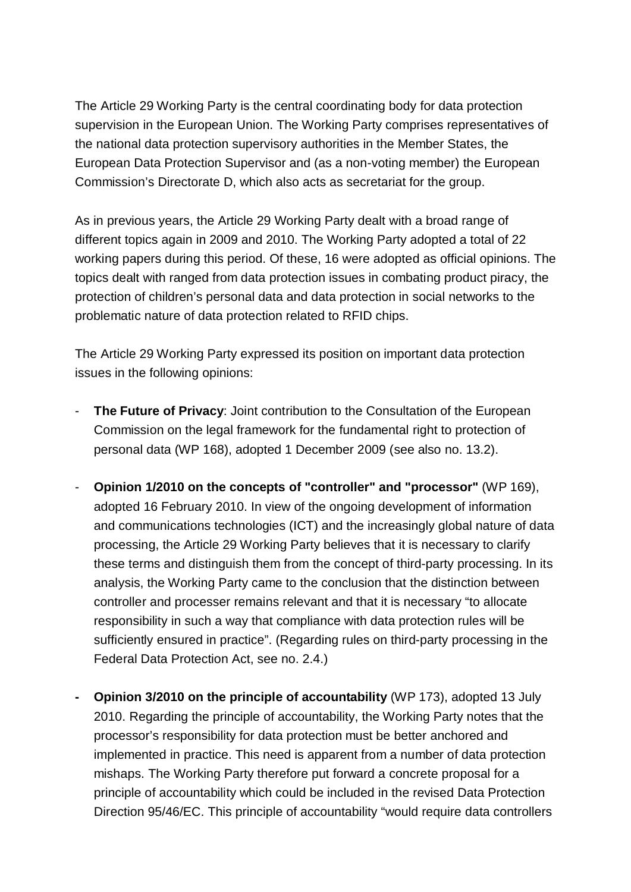The Article 29 Working Party is the central coordinating body for data protection supervision in the European Union. The Working Party comprises representatives of the national data protection supervisory authorities in the Member States, the European Data Protection Supervisor and (as a non-voting member) the European Commission's Directorate D, which also acts as secretariat for the group.

As in previous years, the Article 29 Working Party dealt with a broad range of different topics again in 2009 and 2010. The Working Party adopted a total of 22 working papers during this period. Of these, 16 were adopted as official opinions. The topics dealt with ranged from data protection issues in combating product piracy, the protection of children's personal data and data protection in social networks to the problematic nature of data protection related to RFID chips.

The Article 29 Working Party expressed its position on important data protection issues in the following opinions:

- The Future of Privacy: Joint contribution to the Consultation of the European Commission on the legal framework for the fundamental right to protection of personal data (WP 168), adopted 1 December 2009 (see also no. 13.2).
- **Opinion 1/2010 on the concepts of "controller" and "processor"** (WP 169), adopted 16 February 2010. In view of the ongoing development of information and communications technologies (ICT) and the increasingly global nature of data processing, the Article 29 Working Party believes that it is necessary to clarify these terms and distinguish them from the concept of third-party processing. In its analysis, the Working Party came to the conclusion that the distinction between controller and processer remains relevant and that it is necessary "to allocate responsibility in such a way that compliance with data protection rules will be sufficiently ensured in practice". (Regarding rules on third-party processing in the Federal Data Protection Act, see no. 2.4.)
- **- Opinion 3/2010 on the principle of accountability** (WP 173), adopted 13 July 2010. Regarding the principle of accountability, the Working Party notes that the processor's responsibility for data protection must be better anchored and implemented in practice. This need is apparent from a number of data protection mishaps. The Working Party therefore put forward a concrete proposal for a principle of accountability which could be included in the revised Data Protection Direction 95/46/EC. This principle of accountability "would require data controllers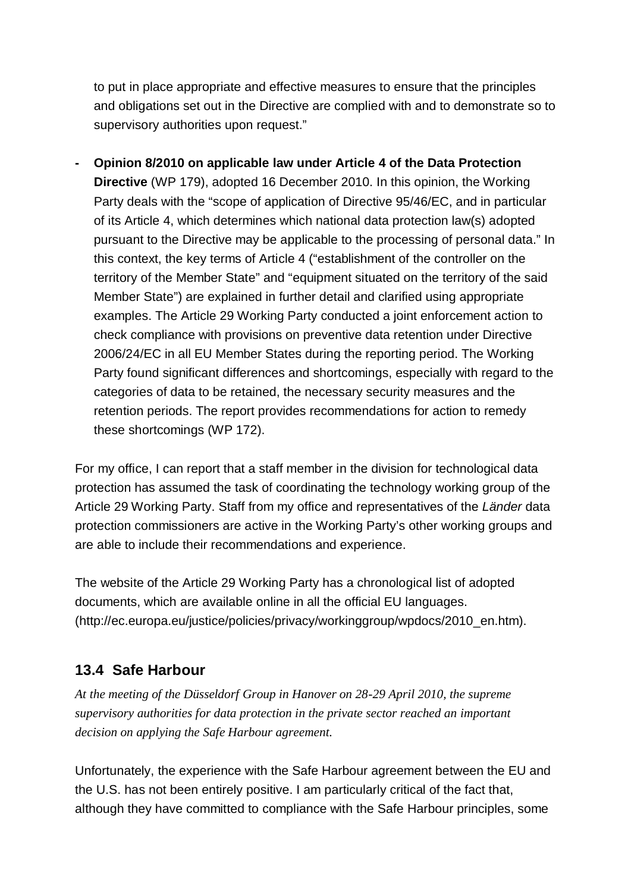to put in place appropriate and effective measures to ensure that the principles and obligations set out in the Directive are complied with and to demonstrate so to supervisory authorities upon request."

**- Opinion 8/2010 on applicable law under Article 4 of the Data Protection Directive** (WP 179), adopted 16 December 2010. In this opinion, the Working Party deals with the "scope of application of Directive 95/46/EC, and in particular of its Article 4, which determines which national data protection law(s) adopted pursuant to the Directive may be applicable to the processing of personal data." In this context, the key terms of Article 4 ("establishment of the controller on the territory of the Member State" and "equipment situated on the territory of the said Member State") are explained in further detail and clarified using appropriate examples. The Article 29 Working Party conducted a joint enforcement action to check compliance with provisions on preventive data retention under Directive 2006/24/EC in all EU Member States during the reporting period. The Working Party found significant differences and shortcomings, especially with regard to the categories of data to be retained, the necessary security measures and the retention periods. The report provides recommendations for action to remedy these shortcomings (WP 172).

For my office, I can report that a staff member in the division for technological data protection has assumed the task of coordinating the technology working group of the Article 29 Working Party. Staff from my office and representatives of the *Länder* data protection commissioners are active in the Working Party's other working groups and are able to include their recommendations and experience.

The website of the Article 29 Working Party has a chronological list of adopted documents, which are available online in all the official EU languages. (http://ec.europa.eu/justice/policies/privacy/workinggroup/wpdocs/2010\_en.htm).

# **13.4 Safe Harbour**

*At the meeting of the Düsseldorf Group in Hanover on 28-29 April 2010, the supreme supervisory authorities for data protection in the private sector reached an important decision on applying the Safe Harbour agreement.*

Unfortunately, the experience with the Safe Harbour agreement between the EU and the U.S. has not been entirely positive. I am particularly critical of the fact that, although they have committed to compliance with the Safe Harbour principles, some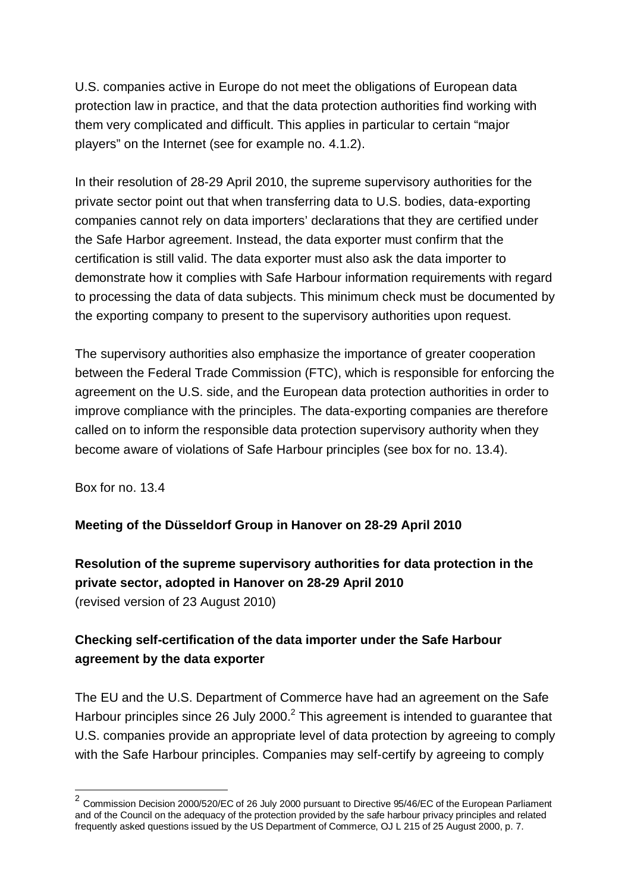U.S. companies active in Europe do not meet the obligations of European data protection law in practice, and that the data protection authorities find working with them very complicated and difficult. This applies in particular to certain "major players" on the Internet (see for example no. 4.1.2).

In their resolution of 28-29 April 2010, the supreme supervisory authorities for the private sector point out that when transferring data to U.S. bodies, data-exporting companies cannot rely on data importers' declarations that they are certified under the Safe Harbor agreement. Instead, the data exporter must confirm that the certification is still valid. The data exporter must also ask the data importer to demonstrate how it complies with Safe Harbour information requirements with regard to processing the data of data subjects. This minimum check must be documented by the exporting company to present to the supervisory authorities upon request.

The supervisory authorities also emphasize the importance of greater cooperation between the Federal Trade Commission (FTC), which is responsible for enforcing the agreement on the U.S. side, and the European data protection authorities in order to improve compliance with the principles. The data-exporting companies are therefore called on to inform the responsible data protection supervisory authority when they become aware of violations of Safe Harbour principles (see box for no. 13.4).

Box for no. 13.4

### **Meeting of the Düsseldorf Group in Hanover on 28-29 April 2010**

**Resolution of the supreme supervisory authorities for data protection in the private sector, adopted in Hanover on 28-29 April 2010** (revised version of 23 August 2010)

## **Checking self-certification of the data importer under the Safe Harbour agreement by the data exporter**

The EU and the U.S. Department of Commerce have had an agreement on the Safe Harbour principles since 26 July 2000. $^2$  This agreement is intended to guarantee that U.S. companies provide an appropriate level of data protection by agreeing to comply with the Safe Harbour principles. Companies may self-certify by agreeing to comply

<sup>&</sup>lt;sup>2</sup> Commission Decision 2000/520/EC of 26 July 2000 pursuant to Directive 95/46/EC of the European Parliament and of the Council on the adequacy of the protection provided by the safe harbour privacy principles and related frequently asked questions issued by the US Department of Commerce, OJ L 215 of 25 August 2000, p. 7.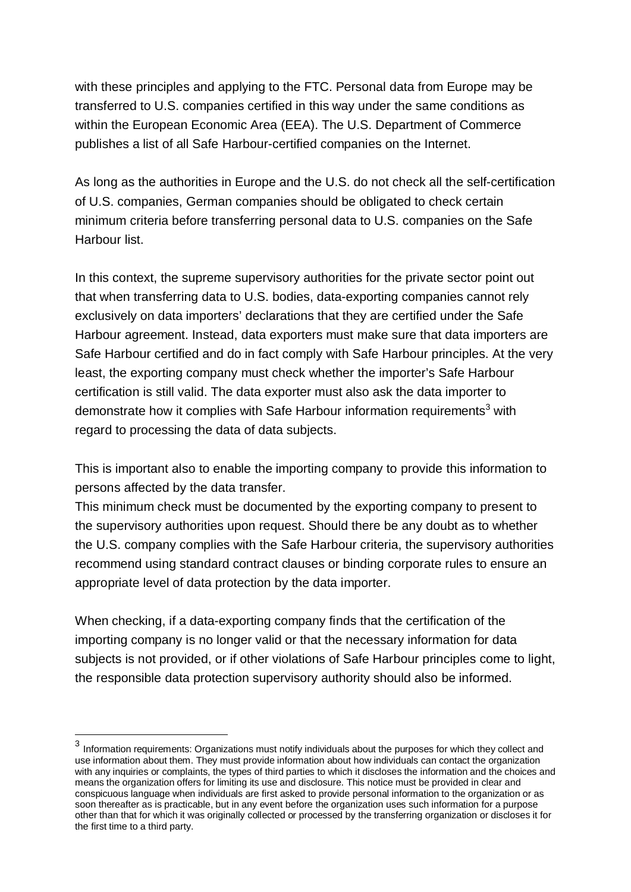with these principles and applying to the FTC. Personal data from Europe may be transferred to U.S. companies certified in this way under the same conditions as within the European Economic Area (EEA). The U.S. Department of Commerce publishes a list of all Safe Harbour-certified companies on the Internet.

As long as the authorities in Europe and the U.S. do not check all the self-certification of U.S. companies, German companies should be obligated to check certain minimum criteria before transferring personal data to U.S. companies on the Safe Harbour list.

In this context, the supreme supervisory authorities for the private sector point out that when transferring data to U.S. bodies, data-exporting companies cannot rely exclusively on data importers' declarations that they are certified under the Safe Harbour agreement. Instead, data exporters must make sure that data importers are Safe Harbour certified and do in fact comply with Safe Harbour principles. At the very least, the exporting company must check whether the importer's Safe Harbour certification is still valid. The data exporter must also ask the data importer to demonstrate how it complies with Safe Harbour information requirements<sup>3</sup> with regard to processing the data of data subjects.

This is important also to enable the importing company to provide this information to persons affected by the data transfer.

This minimum check must be documented by the exporting company to present to the supervisory authorities upon request. Should there be any doubt as to whether the U.S. company complies with the Safe Harbour criteria, the supervisory authorities recommend using standard contract clauses or binding corporate rules to ensure an appropriate level of data protection by the data importer.

When checking, if a data-exporting company finds that the certification of the importing company is no longer valid or that the necessary information for data subjects is not provided, or if other violations of Safe Harbour principles come to light, the responsible data protection supervisory authority should also be informed.

3 Information requirements: Organizations must notify individuals about the purposes for which they collect and use information about them. They must provide information about how individuals can contact the organization with any inquiries or complaints, the types of third parties to which it discloses the information and the choices and means the organization offers for limiting its use and disclosure. This notice must be provided in clear and conspicuous language when individuals are first asked to provide personal information to the organization or as soon thereafter as is practicable, but in any event before the organization uses such information for a purpose other than that for which it was originally collected or processed by the transferring organization or discloses it for the first time to a third party.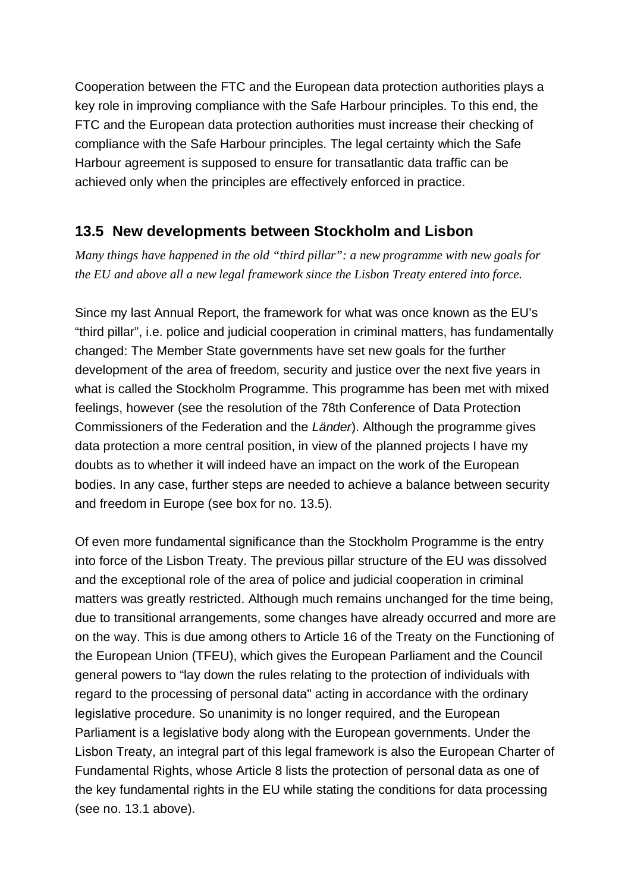Cooperation between the FTC and the European data protection authorities plays a key role in improving compliance with the Safe Harbour principles. To this end, the FTC and the European data protection authorities must increase their checking of compliance with the Safe Harbour principles. The legal certainty which the Safe Harbour agreement is supposed to ensure for transatlantic data traffic can be achieved only when the principles are effectively enforced in practice.

# **13.5 New developments between Stockholm and Lisbon**

*Many things have happened in the old "third pillar": a new programme with new goals for the EU and above all a new legal framework since the Lisbon Treaty entered into force.*

Since my last Annual Report, the framework for what was once known as the EU's "third pillar", i.e. police and judicial cooperation in criminal matters, has fundamentally changed: The Member State governments have set new goals for the further development of the area of freedom, security and justice over the next five years in what is called the Stockholm Programme. This programme has been met with mixed feelings, however (see the resolution of the 78th Conference of Data Protection Commissioners of the Federation and the *Länder*). Although the programme gives data protection a more central position, in view of the planned projects I have my doubts as to whether it will indeed have an impact on the work of the European bodies. In any case, further steps are needed to achieve a balance between security and freedom in Europe (see box for no. 13.5).

Of even more fundamental significance than the Stockholm Programme is the entry into force of the Lisbon Treaty. The previous pillar structure of the EU was dissolved and the exceptional role of the area of police and judicial cooperation in criminal matters was greatly restricted. Although much remains unchanged for the time being, due to transitional arrangements, some changes have already occurred and more are on the way. This is due among others to Article 16 of the Treaty on the Functioning of the European Union (TFEU), which gives the European Parliament and the Council general powers to "lay down the rules relating to the protection of individuals with regard to the processing of personal data" acting in accordance with the ordinary legislative procedure. So unanimity is no longer required, and the European Parliament is a legislative body along with the European governments. Under the Lisbon Treaty, an integral part of this legal framework is also the European Charter of Fundamental Rights, whose Article 8 lists the protection of personal data as one of the key fundamental rights in the EU while stating the conditions for data processing (see no. 13.1 above).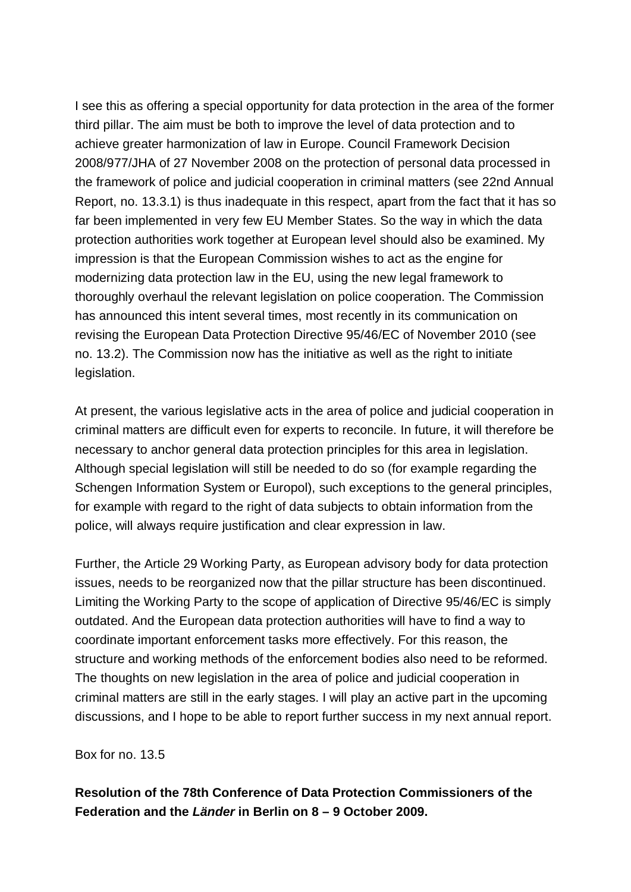I see this as offering a special opportunity for data protection in the area of the former third pillar. The aim must be both to improve the level of data protection and to achieve greater harmonization of law in Europe. Council Framework Decision 2008/977/JHA of 27 November 2008 on the protection of personal data processed in the framework of police and judicial cooperation in criminal matters (see 22nd Annual Report, no. 13.3.1) is thus inadequate in this respect, apart from the fact that it has so far been implemented in very few EU Member States. So the way in which the data protection authorities work together at European level should also be examined. My impression is that the European Commission wishes to act as the engine for modernizing data protection law in the EU, using the new legal framework to thoroughly overhaul the relevant legislation on police cooperation. The Commission has announced this intent several times, most recently in its communication on revising the European Data Protection Directive 95/46/EC of November 2010 (see no. 13.2). The Commission now has the initiative as well as the right to initiate legislation.

At present, the various legislative acts in the area of police and judicial cooperation in criminal matters are difficult even for experts to reconcile. In future, it will therefore be necessary to anchor general data protection principles for this area in legislation. Although special legislation will still be needed to do so (for example regarding the Schengen Information System or Europol), such exceptions to the general principles, for example with regard to the right of data subjects to obtain information from the police, will always require justification and clear expression in law.

Further, the Article 29 Working Party, as European advisory body for data protection issues, needs to be reorganized now that the pillar structure has been discontinued. Limiting the Working Party to the scope of application of Directive 95/46/EC is simply outdated. And the European data protection authorities will have to find a way to coordinate important enforcement tasks more effectively. For this reason, the structure and working methods of the enforcement bodies also need to be reformed. The thoughts on new legislation in the area of police and judicial cooperation in criminal matters are still in the early stages. I will play an active part in the upcoming discussions, and I hope to be able to report further success in my next annual report.

Box for no. 13.5

### **Resolution of the 78th Conference of Data Protection Commissioners of the Federation and the** *Länder* **in Berlin on 8 – 9 October 2009.**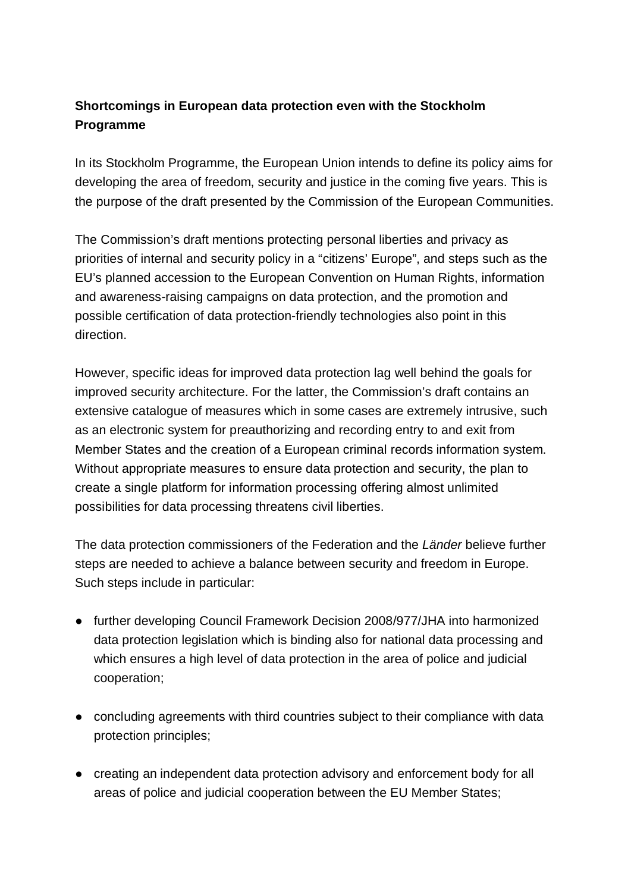## **Shortcomings in European data protection even with the Stockholm Programme**

In its Stockholm Programme, the European Union intends to define its policy aims for developing the area of freedom, security and justice in the coming five years. This is the purpose of the draft presented by the Commission of the European Communities.

The Commission's draft mentions protecting personal liberties and privacy as priorities of internal and security policy in a "citizens' Europe", and steps such as the EU's planned accession to the European Convention on Human Rights, information and awareness-raising campaigns on data protection, and the promotion and possible certification of data protection-friendly technologies also point in this direction.

However, specific ideas for improved data protection lag well behind the goals for improved security architecture. For the latter, the Commission's draft contains an extensive catalogue of measures which in some cases are extremely intrusive, such as an electronic system for preauthorizing and recording entry to and exit from Member States and the creation of a European criminal records information system. Without appropriate measures to ensure data protection and security, the plan to create a single platform for information processing offering almost unlimited possibilities for data processing threatens civil liberties.

The data protection commissioners of the Federation and the *Länder* believe further steps are needed to achieve a balance between security and freedom in Europe. Such steps include in particular:

- further developing Council Framework Decision 2008/977/JHA into harmonized data protection legislation which is binding also for national data processing and which ensures a high level of data protection in the area of police and judicial cooperation;
- concluding agreements with third countries subject to their compliance with data protection principles;
- creating an independent data protection advisory and enforcement body for all areas of police and judicial cooperation between the EU Member States;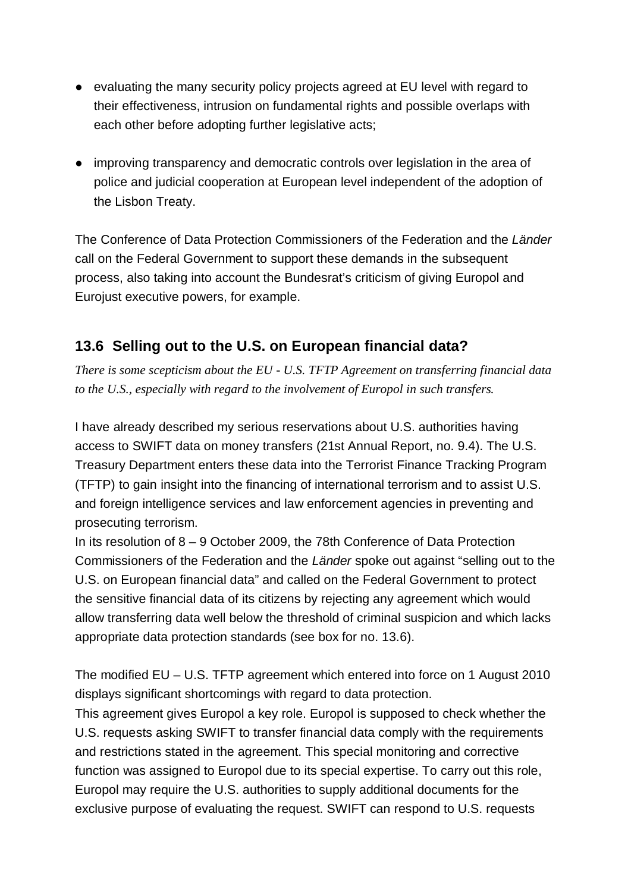- evaluating the many security policy projects agreed at EU level with regard to their effectiveness, intrusion on fundamental rights and possible overlaps with each other before adopting further legislative acts;
- improving transparency and democratic controls over legislation in the area of police and judicial cooperation at European level independent of the adoption of the Lisbon Treaty.

The Conference of Data Protection Commissioners of the Federation and the *Länder* call on the Federal Government to support these demands in the subsequent process, also taking into account the Bundesrat's criticism of giving Europol and Eurojust executive powers, for example.

# **13.6 Selling out to the U.S. on European financial data?**

*There is some scepticism about the EU - U.S. TFTP Agreement on transferring financial data to the U.S., especially with regard to the involvement of Europol in such transfers.*

I have already described my serious reservations about U.S. authorities having access to SWIFT data on money transfers (21st Annual Report, no. 9.4). The U.S. Treasury Department enters these data into the Terrorist Finance Tracking Program (TFTP) to gain insight into the financing of international terrorism and to assist U.S. and foreign intelligence services and law enforcement agencies in preventing and prosecuting terrorism.

In its resolution of 8 – 9 October 2009, the 78th Conference of Data Protection Commissioners of the Federation and the *Länder* spoke out against "selling out to the U.S. on European financial data" and called on the Federal Government to protect the sensitive financial data of its citizens by rejecting any agreement which would allow transferring data well below the threshold of criminal suspicion and which lacks appropriate data protection standards (see box for no. 13.6).

The modified EU – U.S. TFTP agreement which entered into force on 1 August 2010 displays significant shortcomings with regard to data protection.

This agreement gives Europol a key role. Europol is supposed to check whether the U.S. requests asking SWIFT to transfer financial data comply with the requirements and restrictions stated in the agreement. This special monitoring and corrective function was assigned to Europol due to its special expertise. To carry out this role, Europol may require the U.S. authorities to supply additional documents for the exclusive purpose of evaluating the request. SWIFT can respond to U.S. requests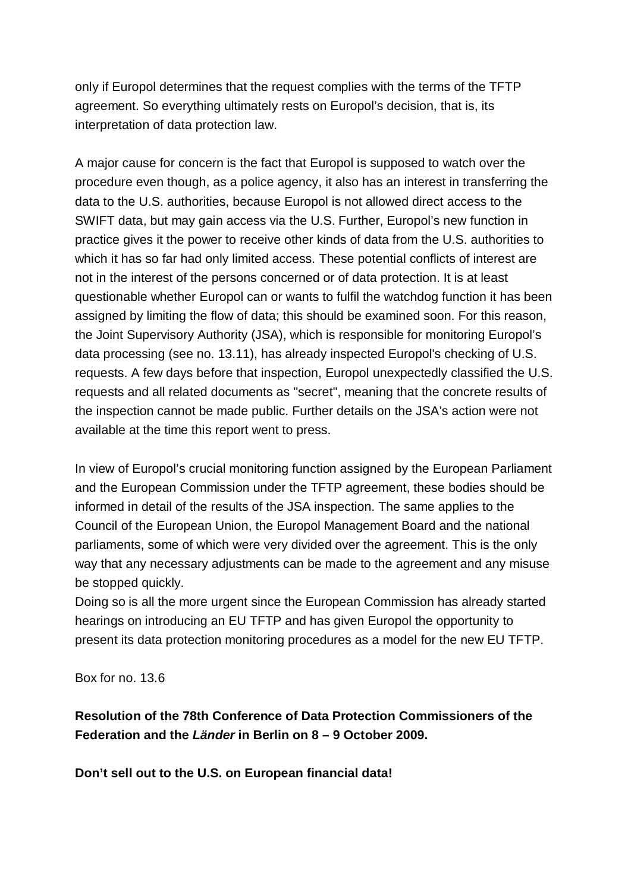only if Europol determines that the request complies with the terms of the TFTP agreement. So everything ultimately rests on Europol's decision, that is, its interpretation of data protection law.

A major cause for concern is the fact that Europol is supposed to watch over the procedure even though, as a police agency, it also has an interest in transferring the data to the U.S. authorities, because Europol is not allowed direct access to the SWIFT data, but may gain access via the U.S. Further, Europol's new function in practice gives it the power to receive other kinds of data from the U.S. authorities to which it has so far had only limited access. These potential conflicts of interest are not in the interest of the persons concerned or of data protection. It is at least questionable whether Europol can or wants to fulfil the watchdog function it has been assigned by limiting the flow of data; this should be examined soon. For this reason, the Joint Supervisory Authority (JSA), which is responsible for monitoring Europol's data processing (see no. 13.11), has already inspected Europol's checking of U.S. requests. A few days before that inspection, Europol unexpectedly classified the U.S. requests and all related documents as "secret", meaning that the concrete results of the inspection cannot be made public. Further details on the JSA's action were not available at the time this report went to press.

In view of Europol's crucial monitoring function assigned by the European Parliament and the European Commission under the TFTP agreement, these bodies should be informed in detail of the results of the JSA inspection. The same applies to the Council of the European Union, the Europol Management Board and the national parliaments, some of which were very divided over the agreement. This is the only way that any necessary adjustments can be made to the agreement and any misuse be stopped quickly.

Doing so is all the more urgent since the European Commission has already started hearings on introducing an EU TFTP and has given Europol the opportunity to present its data protection monitoring procedures as a model for the new EU TFTP.

Box for no. 13.6

**Resolution of the 78th Conference of Data Protection Commissioners of the Federation and the** *Länder* **in Berlin on 8 – 9 October 2009.**

**Don't sell out to the U.S. on European financial data!**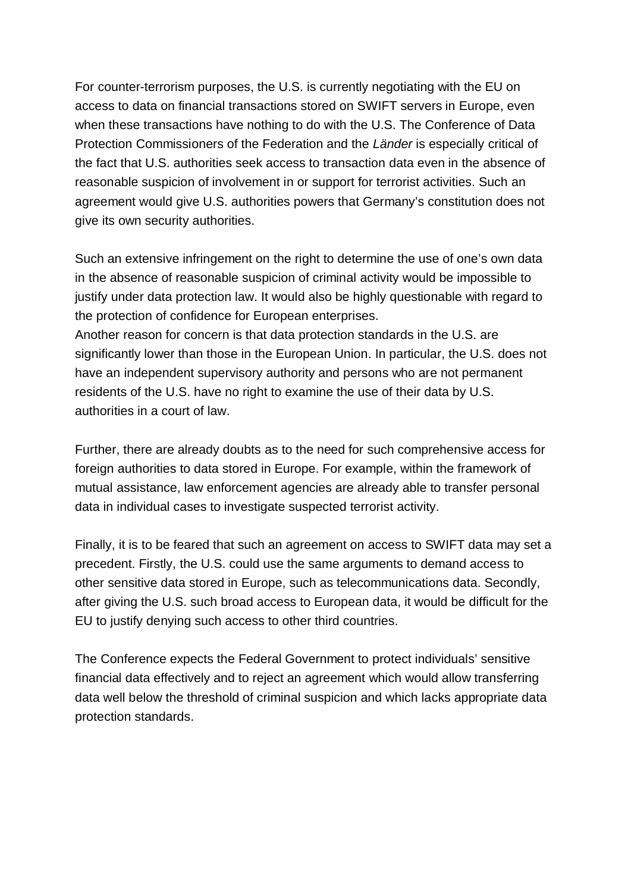For counter-terrorism purposes, the U.S. is currently negotiating with the EU on access to data on financial transactions stored on SWIFT servers in Europe, even when these transactions have nothing to do with the U.S. The Conference of Data Protection Commissioners of the Federation and the *Länder* is especially critical of the fact that U.S. authorities seek access to transaction data even in the absence of reasonable suspicion of involvement in or support for terrorist activities. Such an agreement would give U.S. authorities powers that Germany's constitution does not give its own security authorities.

Such an extensive infringement on the right to determine the use of one's own data in the absence of reasonable suspicion of criminal activity would be impossible to justify under data protection law. It would also be highly questionable with regard to the protection of confidence for European enterprises.

Another reason for concern is that data protection standards in the U.S. are significantly lower than those in the European Union. In particular, the U.S. does not have an independent supervisory authority and persons who are not permanent residents of the U.S. have no right to examine the use of their data by U.S. authorities in a court of law.

Further, there are already doubts as to the need for such comprehensive access for foreign authorities to data stored in Europe. For example, within the framework of mutual assistance, law enforcement agencies are already able to transfer personal data in individual cases to investigate suspected terrorist activity.

Finally, it is to be feared that such an agreement on access to SWIFT data may set a precedent. Firstly, the U.S. could use the same arguments to demand access to other sensitive data stored in Europe, such as telecommunications data. Secondly, after giving the U.S. such broad access to European data, it would be difficult for the EU to justify denying such access to other third countries.

The Conference expects the Federal Government to protect individuals' sensitive financial data effectively and to reject an agreement which would allow transferring data well below the threshold of criminal suspicion and which lacks appropriate data protection standards.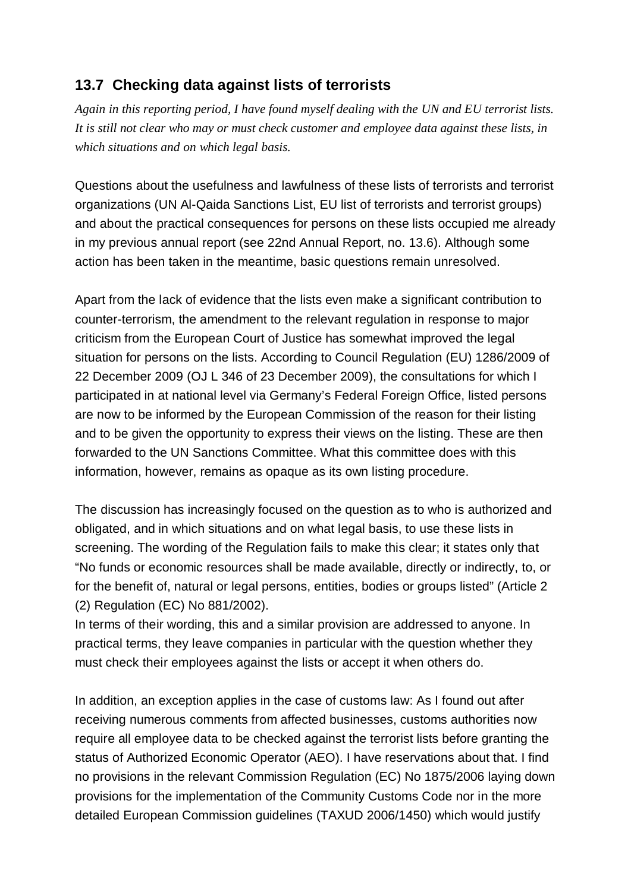## **13.7 Checking data against lists of terrorists**

*Again in this reporting period, I have found myself dealing with the UN and EU terrorist lists. It is still not clear who may or must check customer and employee data against these lists, in which situations and on which legal basis.*

Questions about the usefulness and lawfulness of these lists of terrorists and terrorist organizations (UN Al-Qaida Sanctions List, EU list of terrorists and terrorist groups) and about the practical consequences for persons on these lists occupied me already in my previous annual report (see 22nd Annual Report, no. 13.6). Although some action has been taken in the meantime, basic questions remain unresolved.

Apart from the lack of evidence that the lists even make a significant contribution to counter-terrorism, the amendment to the relevant regulation in response to major criticism from the European Court of Justice has somewhat improved the legal situation for persons on the lists. According to Council Regulation (EU) 1286/2009 of 22 December 2009 (OJ L 346 of 23 December 2009), the consultations for which I participated in at national level via Germany's Federal Foreign Office, listed persons are now to be informed by the European Commission of the reason for their listing and to be given the opportunity to express their views on the listing. These are then forwarded to the UN Sanctions Committee. What this committee does with this information, however, remains as opaque as its own listing procedure.

The discussion has increasingly focused on the question as to who is authorized and obligated, and in which situations and on what legal basis, to use these lists in screening. The wording of the Regulation fails to make this clear; it states only that "No funds or economic resources shall be made available, directly or indirectly, to, or for the benefit of, natural or legal persons, entities, bodies or groups listed" (Article 2 (2) Regulation (EC) No 881/2002).

In terms of their wording, this and a similar provision are addressed to anyone. In practical terms, they leave companies in particular with the question whether they must check their employees against the lists or accept it when others do.

In addition, an exception applies in the case of customs law: As I found out after receiving numerous comments from affected businesses, customs authorities now require all employee data to be checked against the terrorist lists before granting the status of Authorized Economic Operator (AEO). I have reservations about that. I find no provisions in the relevant Commission Regulation (EC) No 1875/2006 laying down provisions for the implementation of the Community Customs Code nor in the more detailed European Commission guidelines (TAXUD 2006/1450) which would justify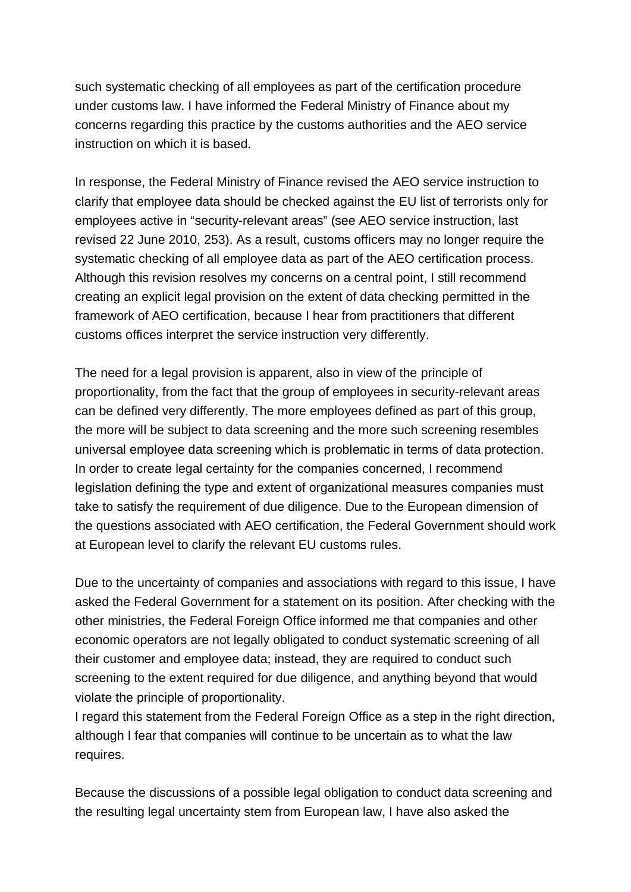such systematic checking of all employees as part of the certification procedure under customs law. I have informed the Federal Ministry of Finance about my concerns regarding this practice by the customs authorities and the AEO service instruction on which it is based.

In response, the Federal Ministry of Finance revised the AEO service instruction to clarify that employee data should be checked against the EU list of terrorists only for employees active in "security-relevant areas" (see AEO service instruction, last revised 22 June 2010, 253). As a result, customs officers may no longer require the systematic checking of all employee data as part of the AEO certification process. Although this revision resolves my concerns on a central point, I still recommend creating an explicit legal provision on the extent of data checking permitted in the framework of AEO certification, because I hear from practitioners that different customs offices interpret the service instruction very differently.

The need for a legal provision is apparent, also in view of the principle of proportionality, from the fact that the group of employees in security-relevant areas can be defined very differently. The more employees defined as part of this group, the more will be subject to data screening and the more such screening resembles universal employee data screening which is problematic in terms of data protection. In order to create legal certainty for the companies concerned, I recommend legislation defining the type and extent of organizational measures companies must take to satisfy the requirement of due diligence. Due to the European dimension of the questions associated with AEO certification, the Federal Government should work at European level to clarify the relevant EU customs rules.

Due to the uncertainty of companies and associations with regard to this issue, I have asked the Federal Government for a statement on its position. After checking with the other ministries, the Federal Foreign Office informed me that companies and other economic operators are not legally obligated to conduct systematic screening of all their customer and employee data; instead, they are required to conduct such screening to the extent required for due diligence, and anything beyond that would violate the principle of proportionality.

I regard this statement from the Federal Foreign Office as a step in the right direction, although I fear that companies will continue to be uncertain as to what the law requires.

Because the discussions of a possible legal obligation to conduct data screening and the resulting legal uncertainty stem from European law, I have also asked the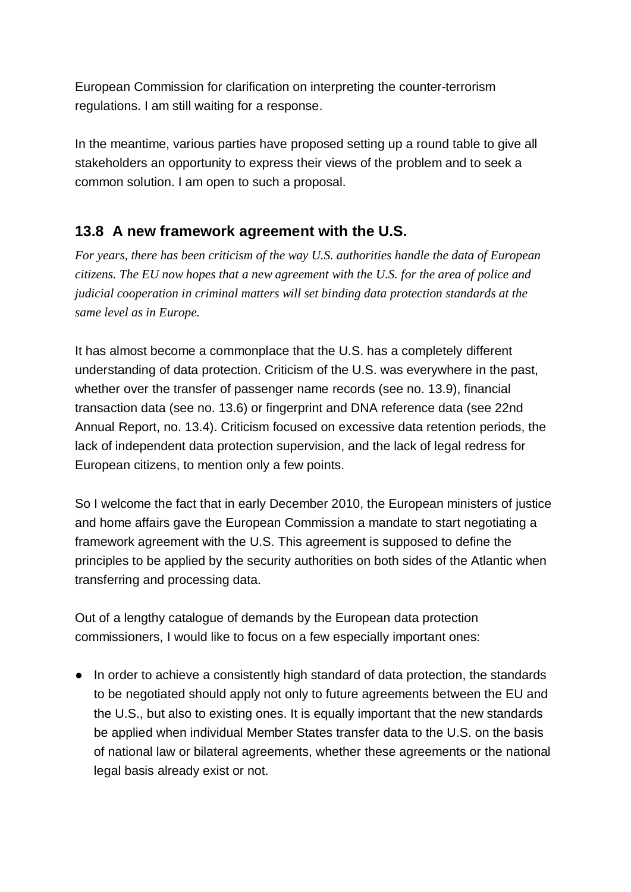European Commission for clarification on interpreting the counter-terrorism regulations. I am still waiting for a response.

In the meantime, various parties have proposed setting up a round table to give all stakeholders an opportunity to express their views of the problem and to seek a common solution. I am open to such a proposal.

# **13.8 A new framework agreement with the U.S.**

*For years, there has been criticism of the way U.S. authorities handle the data of European citizens. The EU now hopes that a new agreement with the U.S. for the area of police and judicial cooperation in criminal matters will set binding data protection standards at the same level as in Europe.*

It has almost become a commonplace that the U.S. has a completely different understanding of data protection. Criticism of the U.S. was everywhere in the past, whether over the transfer of passenger name records (see no. 13.9), financial transaction data (see no. 13.6) or fingerprint and DNA reference data (see 22nd Annual Report, no. 13.4). Criticism focused on excessive data retention periods, the lack of independent data protection supervision, and the lack of legal redress for European citizens, to mention only a few points.

So I welcome the fact that in early December 2010, the European ministers of justice and home affairs gave the European Commission a mandate to start negotiating a framework agreement with the U.S. This agreement is supposed to define the principles to be applied by the security authorities on both sides of the Atlantic when transferring and processing data.

Out of a lengthy catalogue of demands by the European data protection commissioners, I would like to focus on a few especially important ones:

● In order to achieve a consistently high standard of data protection, the standards to be negotiated should apply not only to future agreements between the EU and the U.S., but also to existing ones. It is equally important that the new standards be applied when individual Member States transfer data to the U.S. on the basis of national law or bilateral agreements, whether these agreements or the national legal basis already exist or not.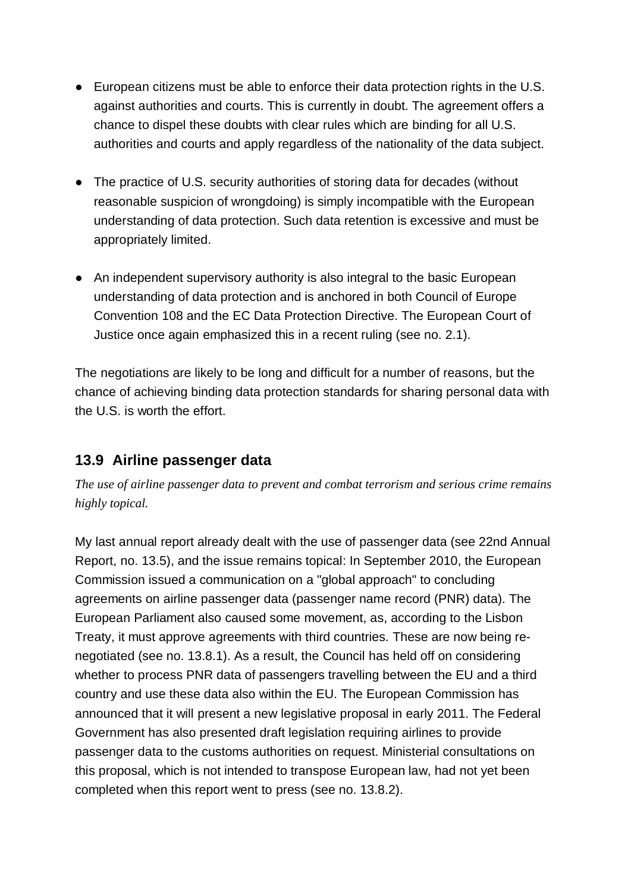- European citizens must be able to enforce their data protection rights in the U.S. against authorities and courts. This is currently in doubt. The agreement offers a chance to dispel these doubts with clear rules which are binding for all U.S. authorities and courts and apply regardless of the nationality of the data subject.
- The practice of U.S. security authorities of storing data for decades (without reasonable suspicion of wrongdoing) is simply incompatible with the European understanding of data protection. Such data retention is excessive and must be appropriately limited.
- An independent supervisory authority is also integral to the basic European understanding of data protection and is anchored in both Council of Europe Convention 108 and the EC Data Protection Directive. The European Court of Justice once again emphasized this in a recent ruling (see no. 2.1).

The negotiations are likely to be long and difficult for a number of reasons, but the chance of achieving binding data protection standards for sharing personal data with the U.S. is worth the effort.

# **13.9 Airline passenger data**

*The use of airline passenger data to prevent and combat terrorism and serious crime remains highly topical.*

My last annual report already dealt with the use of passenger data (see 22nd Annual Report, no. 13.5), and the issue remains topical: In September 2010, the European Commission issued a communication on a "global approach" to concluding agreements on airline passenger data (passenger name record (PNR) data). The European Parliament also caused some movement, as, according to the Lisbon Treaty, it must approve agreements with third countries. These are now being re negotiated (see no. 13.8.1). As a result, the Council has held off on considering whether to process PNR data of passengers travelling between the EU and a third country and use these data also within the EU. The European Commission has announced that it will present a new legislative proposal in early 2011. The Federal Government has also presented draft legislation requiring airlines to provide passenger data to the customs authorities on request. Ministerial consultations on this proposal, which is not intended to transpose European law, had not yet been completed when this report went to press (see no. 13.8.2).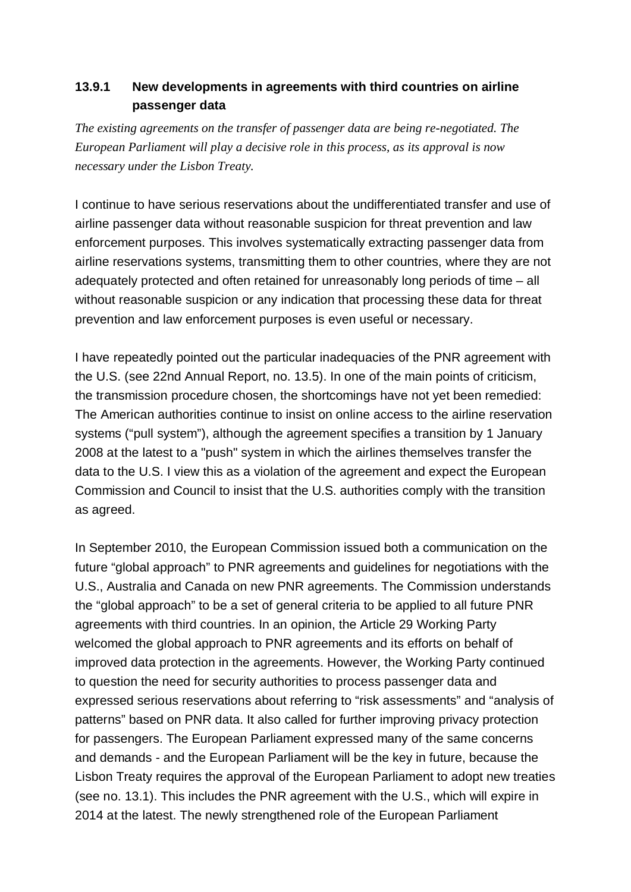### **13.9.1 New developments in agreements with third countries on airline passenger data**

*The existing agreements on the transfer of passenger data are being re-negotiated. The European Parliament will play a decisive role in this process, as its approval is now necessary under the Lisbon Treaty.*

I continue to have serious reservations about the undifferentiated transfer and use of airline passenger data without reasonable suspicion for threat prevention and law enforcement purposes. This involves systematically extracting passenger data from airline reservations systems, transmitting them to other countries, where they are not adequately protected and often retained for unreasonably long periods of time – all without reasonable suspicion or any indication that processing these data for threat prevention and law enforcement purposes is even useful or necessary.

I have repeatedly pointed out the particular inadequacies of the PNR agreement with the U.S. (see 22nd Annual Report, no. 13.5). In one of the main points of criticism, the transmission procedure chosen, the shortcomings have not yet been remedied: The American authorities continue to insist on online access to the airline reservation systems ("pull system"), although the agreement specifies a transition by 1 January 2008 at the latest to a "push" system in which the airlines themselves transfer the data to the U.S. I view this as a violation of the agreement and expect the European Commission and Council to insist that the U.S. authorities comply with the transition as agreed.

In September 2010, the European Commission issued both a communication on the future "global approach" to PNR agreements and guidelines for negotiations with the U.S., Australia and Canada on new PNR agreements. The Commission understands the "global approach" to be a set of general criteria to be applied to all future PNR agreements with third countries. In an opinion, the Article 29 Working Party welcomed the global approach to PNR agreements and its efforts on behalf of improved data protection in the agreements. However, the Working Party continued to question the need for security authorities to process passenger data and expressed serious reservations about referring to "risk assessments" and "analysis of patterns" based on PNR data. It also called for further improving privacy protection for passengers. The European Parliament expressed many of the same concerns and demands - and the European Parliament will be the key in future, because the Lisbon Treaty requires the approval of the European Parliament to adopt new treaties (see no. 13.1). This includes the PNR agreement with the U.S., which will expire in 2014 at the latest. The newly strengthened role of the European Parliament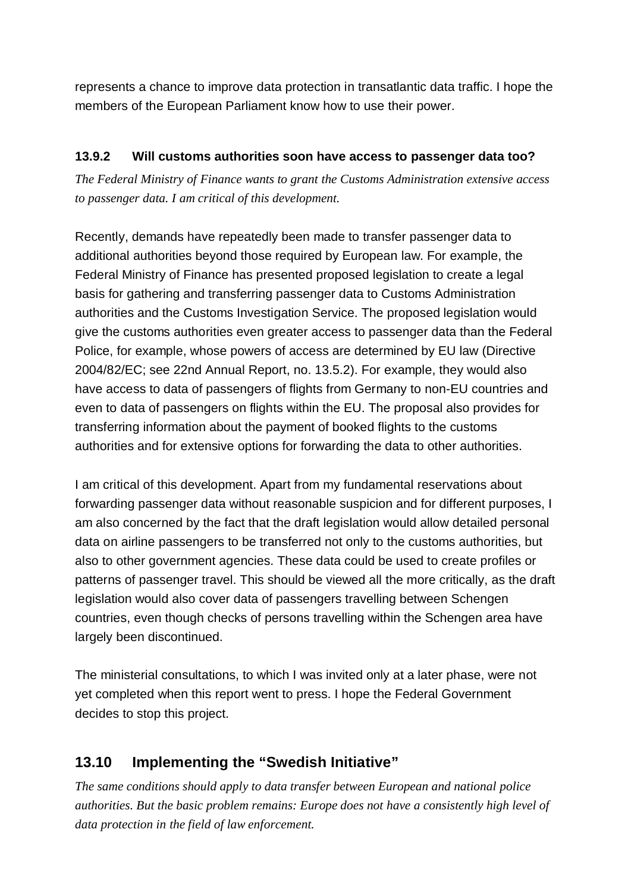represents a chance to improve data protection in transatlantic data traffic. I hope the members of the European Parliament know how to use their power.

### **13.9.2 Will customs authorities soon have access to passenger data too?**

*The Federal Ministry of Finance wants to grant the Customs Administration extensive access to passenger data. I am critical of this development.*

Recently, demands have repeatedly been made to transfer passenger data to additional authorities beyond those required by European law. For example, the Federal Ministry of Finance has presented proposed legislation to create a legal basis for gathering and transferring passenger data to Customs Administration authorities and the Customs Investigation Service. The proposed legislation would give the customs authorities even greater access to passenger data than the Federal Police, for example, whose powers of access are determined by EU law (Directive 2004/82/EC; see 22nd Annual Report, no. 13.5.2). For example, they would also have access to data of passengers of flights from Germany to non-EU countries and even to data of passengers on flights within the EU. The proposal also provides for transferring information about the payment of booked flights to the customs authorities and for extensive options for forwarding the data to other authorities.

I am critical of this development. Apart from my fundamental reservations about forwarding passenger data without reasonable suspicion and for different purposes, I am also concerned by the fact that the draft legislation would allow detailed personal data on airline passengers to be transferred not only to the customs authorities, but also to other government agencies. These data could be used to create profiles or patterns of passenger travel. This should be viewed all the more critically, as the draft legislation would also cover data of passengers travelling between Schengen countries, even though checks of persons travelling within the Schengen area have largely been discontinued.

The ministerial consultations, to which I was invited only at a later phase, were not yet completed when this report went to press. I hope the Federal Government decides to stop this project.

# **13.10 Implementing the "Swedish Initiative"**

*The same conditions should apply to data transfer between European and national police authorities. But the basic problem remains: Europe does not have a consistently high level of data protection in the field of law enforcement.*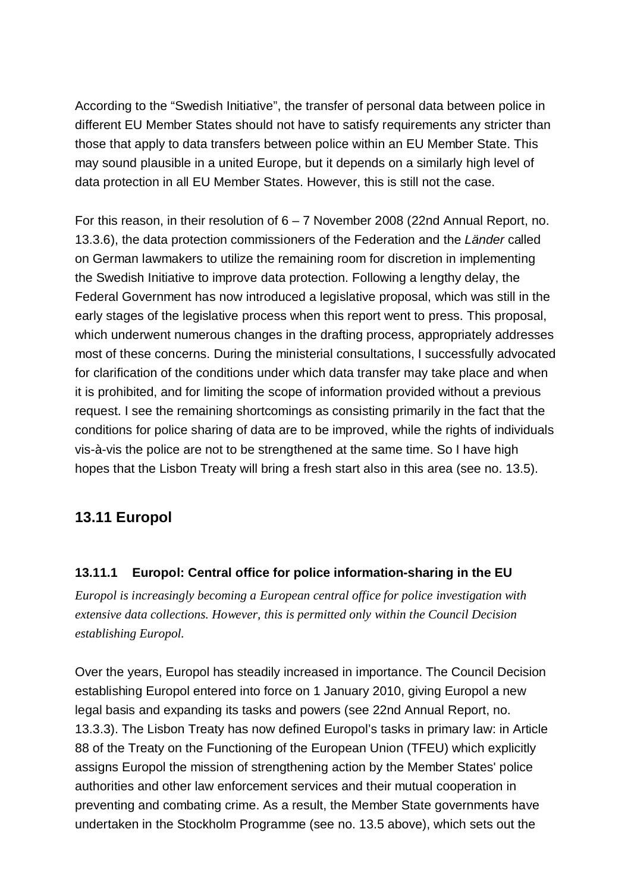According to the "Swedish Initiative", the transfer of personal data between police in different EU Member States should not have to satisfy requirements any stricter than those that apply to data transfers between police within an EU Member State. This may sound plausible in a united Europe, but it depends on a similarly high level of data protection in all EU Member States. However, this is still not the case.

For this reason, in their resolution of 6 – 7 November 2008 (22nd Annual Report, no. 13.3.6), the data protection commissioners of the Federation and the *Länder* called on German lawmakers to utilize the remaining room for discretion in implementing the Swedish Initiative to improve data protection. Following a lengthy delay, the Federal Government has now introduced a legislative proposal, which was still in the early stages of the legislative process when this report went to press. This proposal, which underwent numerous changes in the drafting process, appropriately addresses most of these concerns. During the ministerial consultations, I successfully advocated for clarification of the conditions under which data transfer may take place and when it is prohibited, and for limiting the scope of information provided without a previous request. I see the remaining shortcomings as consisting primarily in the fact that the conditions for police sharing of data are to be improved, while the rights of individuals vis-à-vis the police are not to be strengthened at the same time. So I have high hopes that the Lisbon Treaty will bring a fresh start also in this area (see no. 13.5).

### **13.11 Europol**

#### **13.11.1 Europol: Central office for police information-sharing in the EU**

*Europol is increasingly becoming a European central office for police investigation with extensive data collections. However, this is permitted only within the Council Decision establishing Europol.*

Over the years, Europol has steadily increased in importance. The Council Decision establishing Europol entered into force on 1 January 2010, giving Europol a new legal basis and expanding its tasks and powers (see 22nd Annual Report, no. 13.3.3). The Lisbon Treaty has now defined Europol's tasks in primary law: in Article 88 of the Treaty on the Functioning of the European Union (TFEU) which explicitly assigns Europol the mission of strengthening action by the Member States' police authorities and other law enforcement services and their mutual cooperation in preventing and combating crime. As a result, the Member State governments have undertaken in the Stockholm Programme (see no. 13.5 above), which sets out the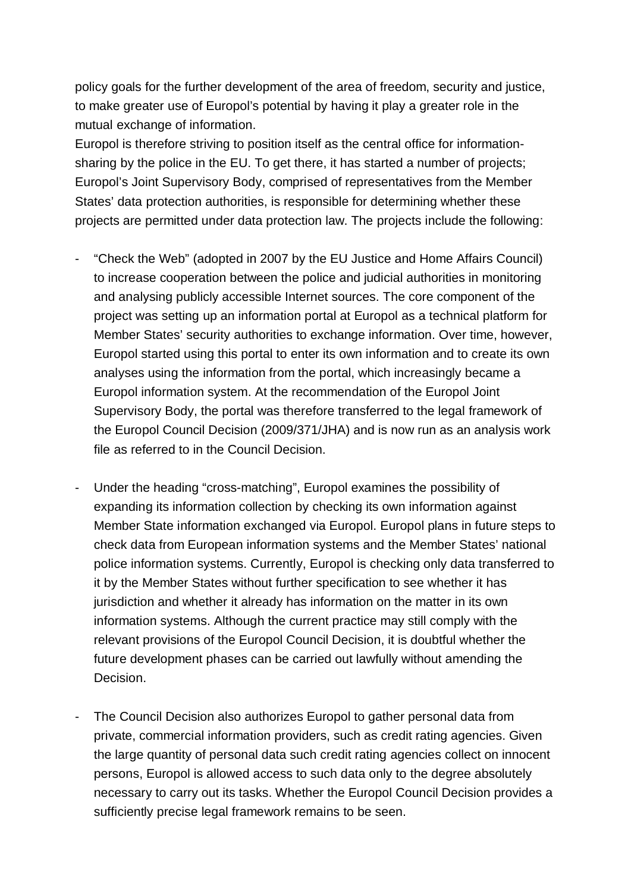policy goals for the further development of the area of freedom, security and justice, to make greater use of Europol's potential by having it play a greater role in the mutual exchange of information.

Europol is therefore striving to position itself as the central office for information sharing by the police in the EU. To get there, it has started a number of projects; Europol's Joint Supervisory Body, comprised of representatives from the Member States' data protection authorities, is responsible for determining whether these projects are permitted under data protection law. The projects include the following:

- "Check the Web" (adopted in 2007 by the EU Justice and Home Affairs Council) to increase cooperation between the police and judicial authorities in monitoring and analysing publicly accessible Internet sources. The core component of the project was setting up an information portal at Europol as a technical platform for Member States' security authorities to exchange information. Over time, however, Europol started using this portal to enter its own information and to create its own analyses using the information from the portal, which increasingly became a Europol information system. At the recommendation of the Europol Joint Supervisory Body, the portal was therefore transferred to the legal framework of the Europol Council Decision (2009/371/JHA) and is now run as an analysis work file as referred to in the Council Decision.
- Under the heading "cross-matching", Europol examines the possibility of expanding its information collection by checking its own information against Member State information exchanged via Europol. Europol plans in future steps to check data from European information systems and the Member States' national police information systems. Currently, Europol is checking only data transferred to it by the Member States without further specification to see whether it has jurisdiction and whether it already has information on the matter in its own information systems. Although the current practice may still comply with the relevant provisions of the Europol Council Decision, it is doubtful whether the future development phases can be carried out lawfully without amending the Decision.
- The Council Decision also authorizes Europol to gather personal data from private, commercial information providers, such as credit rating agencies. Given the large quantity of personal data such credit rating agencies collect on innocent persons, Europol is allowed access to such data only to the degree absolutely necessary to carry out its tasks. Whether the Europol Council Decision provides a sufficiently precise legal framework remains to be seen.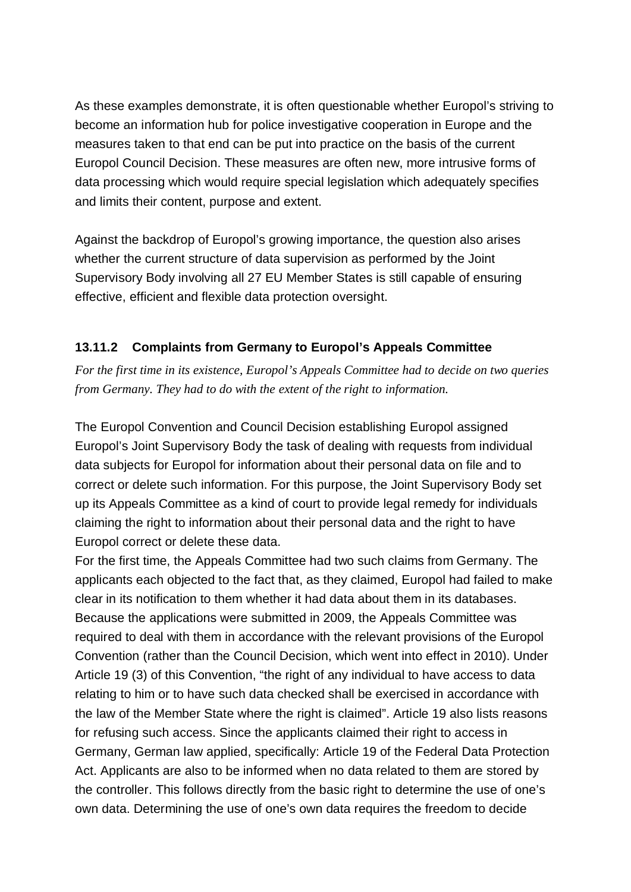As these examples demonstrate, it is often questionable whether Europol's striving to become an information hub for police investigative cooperation in Europe and the measures taken to that end can be put into practice on the basis of the current Europol Council Decision. These measures are often new, more intrusive forms of data processing which would require special legislation which adequately specifies and limits their content, purpose and extent.

Against the backdrop of Europol's growing importance, the question also arises whether the current structure of data supervision as performed by the Joint Supervisory Body involving all 27 EU Member States is still capable of ensuring effective, efficient and flexible data protection oversight.

#### **13.11.2 Complaints from Germany to Europol's Appeals Committee**

*For the first time in its existence, Europol's Appeals Committee had to decide on two queries from Germany. They had to do with the extent of the right to information.*

The Europol Convention and Council Decision establishing Europol assigned Europol's Joint Supervisory Body the task of dealing with requests from individual data subjects for Europol for information about their personal data on file and to correct or delete such information. For this purpose, the Joint Supervisory Body set up its Appeals Committee as a kind of court to provide legal remedy for individuals claiming the right to information about their personal data and the right to have Europol correct or delete these data.

For the first time, the Appeals Committee had two such claims from Germany. The applicants each objected to the fact that, as they claimed, Europol had failed to make clear in its notification to them whether it had data about them in its databases. Because the applications were submitted in 2009, the Appeals Committee was required to deal with them in accordance with the relevant provisions of the Europol Convention (rather than the Council Decision, which went into effect in 2010). Under Article 19 (3) of this Convention, "the right of any individual to have access to data relating to him or to have such data checked shall be exercised in accordance with the law of the Member State where the right is claimed". Article 19 also lists reasons for refusing such access. Since the applicants claimed their right to access in Germany, German law applied, specifically: Article 19 of the Federal Data Protection Act. Applicants are also to be informed when no data related to them are stored by the controller. This follows directly from the basic right to determine the use of one's own data. Determining the use of one's own data requires the freedom to decide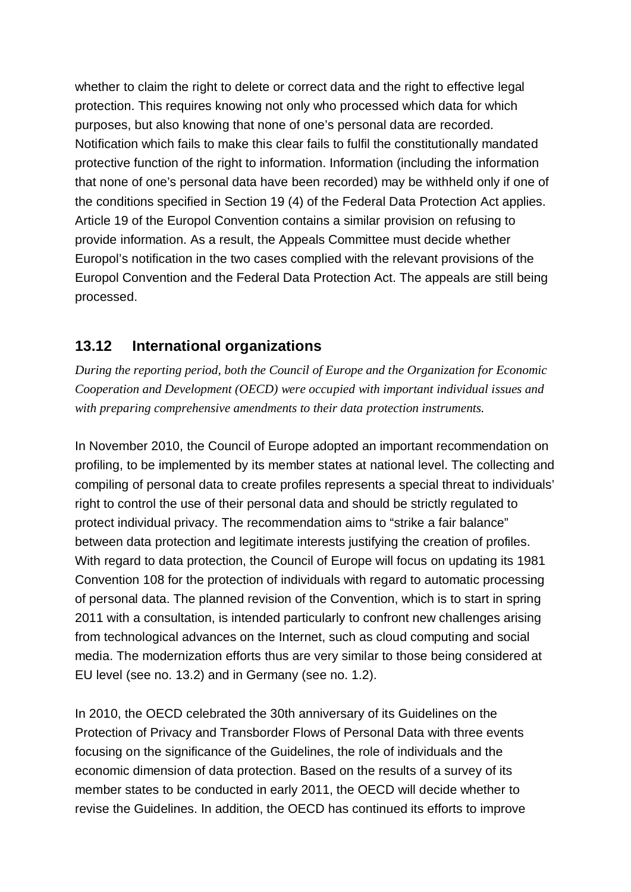whether to claim the right to delete or correct data and the right to effective legal protection. This requires knowing not only who processed which data for which purposes, but also knowing that none of one's personal data are recorded. Notification which fails to make this clear fails to fulfil the constitutionally mandated protective function of the right to information. Information (including the information that none of one's personal data have been recorded) may be withheld only if one of the conditions specified in Section 19 (4) of the Federal Data Protection Act applies. Article 19 of the Europol Convention contains a similar provision on refusing to provide information. As a result, the Appeals Committee must decide whether Europol's notification in the two cases complied with the relevant provisions of the Europol Convention and the Federal Data Protection Act. The appeals are still being processed.

## **13.12 International organizations**

*During the reporting period, both the Council of Europe and the Organization for Economic Cooperation and Development (OECD) were occupied with important individual issues and with preparing comprehensive amendments to their data protection instruments.*

In November 2010, the Council of Europe adopted an important recommendation on profiling, to be implemented by its member states at national level. The collecting and compiling of personal data to create profiles represents a special threat to individuals' right to control the use of their personal data and should be strictly regulated to protect individual privacy. The recommendation aims to "strike a fair balance" between data protection and legitimate interests justifying the creation of profiles. With regard to data protection, the Council of Europe will focus on updating its 1981 Convention 108 for the protection of individuals with regard to automatic processing of personal data. The planned revision of the Convention, which is to start in spring 2011 with a consultation, is intended particularly to confront new challenges arising from technological advances on the Internet, such as cloud computing and social media. The modernization efforts thus are very similar to those being considered at EU level (see no. 13.2) and in Germany (see no. 1.2).

In 2010, the OECD celebrated the 30th anniversary of its Guidelines on the Protection of Privacy and Transborder Flows of Personal Data with three events focusing on the significance of the Guidelines, the role of individuals and the economic dimension of data protection. Based on the results of a survey of its member states to be conducted in early 2011, the OECD will decide whether to revise the Guidelines. In addition, the OECD has continued its efforts to improve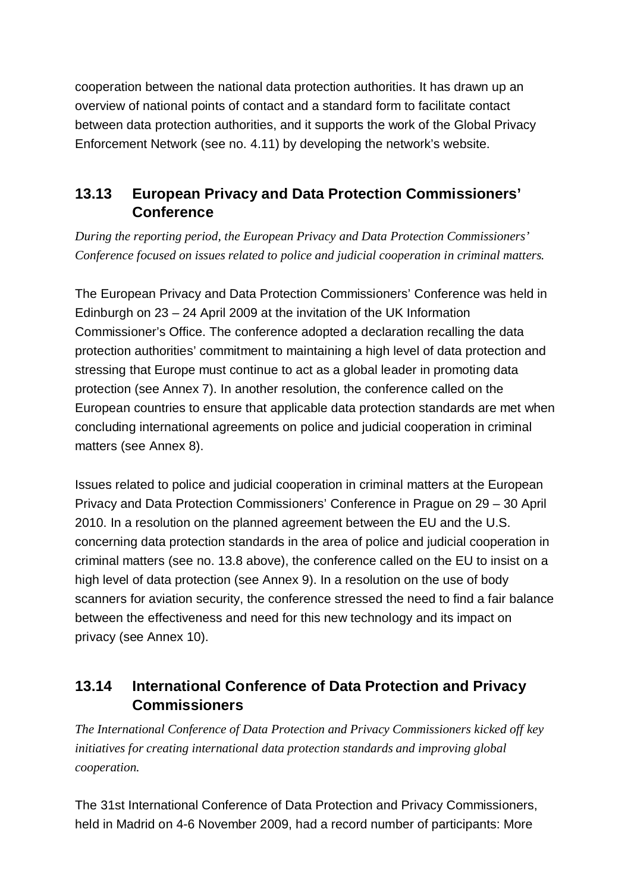cooperation between the national data protection authorities. It has drawn up an overview of national points of contact and a standard form to facilitate contact between data protection authorities, and it supports the work of the Global Privacy Enforcement Network (see no. 4.11) by developing the network's website.

# **13.13 European Privacy and Data Protection Commissioners' Conference**

*During the reporting period, the European Privacy and Data Protection Commissioners' Conference focused on issues related to police and judicial cooperation in criminal matters.*

The European Privacy and Data Protection Commissioners' Conference was held in Edinburgh on 23 – 24 April 2009 at the invitation of the UK Information Commissioner's Office. The conference adopted a declaration recalling the data protection authorities' commitment to maintaining a high level of data protection and stressing that Europe must continue to act as a global leader in promoting data protection (see Annex 7). In another resolution, the conference called on the European countries to ensure that applicable data protection standards are met when concluding international agreements on police and judicial cooperation in criminal matters (see Annex 8).

Issues related to police and judicial cooperation in criminal matters at the European Privacy and Data Protection Commissioners' Conference in Prague on 29 – 30 April 2010. In a resolution on the planned agreement between the EU and the U.S. concerning data protection standards in the area of police and judicial cooperation in criminal matters (see no. 13.8 above), the conference called on the EU to insist on a high level of data protection (see Annex 9). In a resolution on the use of body scanners for aviation security, the conference stressed the need to find a fair balance between the effectiveness and need for this new technology and its impact on privacy (see Annex 10).

# **13.14 International Conference of Data Protection and Privacy Commissioners**

*The International Conference of Data Protection and Privacy Commissioners kicked off key initiatives for creating international data protection standards and improving global cooperation.*

The 31st International Conference of Data Protection and Privacy Commissioners, held in Madrid on 4-6 November 2009, had a record number of participants: More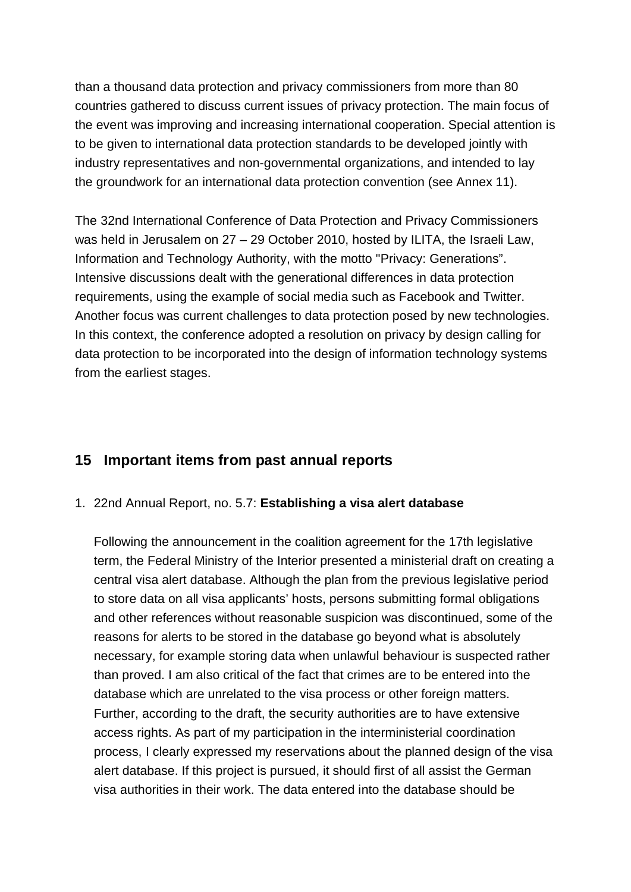than a thousand data protection and privacy commissioners from more than 80 countries gathered to discuss current issues of privacy protection. The main focus of the event was improving and increasing international cooperation. Special attention is to be given to international data protection standards to be developed jointly with industry representatives and non-governmental organizations, and intended to lay the groundwork for an international data protection convention (see Annex 11).

The 32nd International Conference of Data Protection and Privacy Commissioners was held in Jerusalem on 27 – 29 October 2010, hosted by ILITA, the Israeli Law, Information and Technology Authority, with the motto "Privacy: Generations". Intensive discussions dealt with the generational differences in data protection requirements, using the example of social media such as Facebook and Twitter. Another focus was current challenges to data protection posed by new technologies. In this context, the conference adopted a resolution on privacy by design calling for data protection to be incorporated into the design of information technology systems from the earliest stages.

## **15 Important items from past annual reports**

#### 1. 22nd Annual Report, no. 5.7: **Establishing a visa alert database**

Following the announcement in the coalition agreement for the 17th legislative term, the Federal Ministry of the Interior presented a ministerial draft on creating a central visa alert database. Although the plan from the previous legislative period to store data on all visa applicants' hosts, persons submitting formal obligations and other references without reasonable suspicion was discontinued, some of the reasons for alerts to be stored in the database go beyond what is absolutely necessary, for example storing data when unlawful behaviour is suspected rather than proved. I am also critical of the fact that crimes are to be entered into the database which are unrelated to the visa process or other foreign matters. Further, according to the draft, the security authorities are to have extensive access rights. As part of my participation in the interministerial coordination process, I clearly expressed my reservations about the planned design of the visa alert database. If this project is pursued, it should first of all assist the German visa authorities in their work. The data entered into the database should be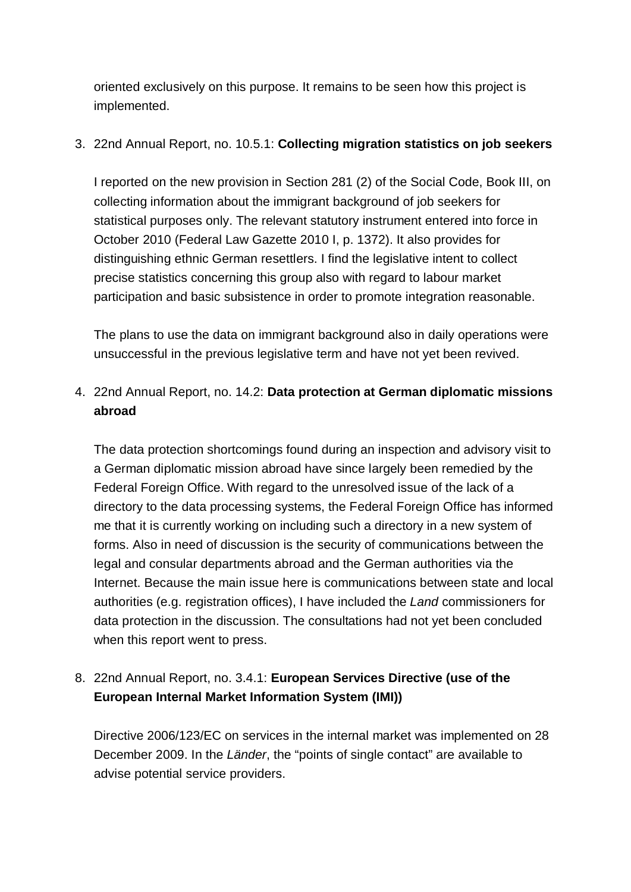oriented exclusively on this purpose. It remains to be seen how this project is implemented.

#### 3. 22nd Annual Report, no. 10.5.1: **Collecting migration statistics on job seekers**

I reported on the new provision in Section 281 (2) of the Social Code, Book III, on collecting information about the immigrant background of job seekers for statistical purposes only. The relevant statutory instrument entered into force in October 2010 (Federal Law Gazette 2010 I, p. 1372). It also provides for distinguishing ethnic German resettlers. I find the legislative intent to collect precise statistics concerning this group also with regard to labour market participation and basic subsistence in order to promote integration reasonable.

The plans to use the data on immigrant background also in daily operations were unsuccessful in the previous legislative term and have not yet been revived.

### 4. 22nd Annual Report, no. 14.2: **Data protection at German diplomatic missions abroad**

The data protection shortcomings found during an inspection and advisory visit to a German diplomatic mission abroad have since largely been remedied by the Federal Foreign Office. With regard to the unresolved issue of the lack of a directory to the data processing systems, the Federal Foreign Office has informed me that it is currently working on including such a directory in a new system of forms. Also in need of discussion is the security of communications between the legal and consular departments abroad and the German authorities via the Internet. Because the main issue here is communications between state and local authorities (e.g. registration offices), I have included the *Land* commissioners for data protection in the discussion. The consultations had not yet been concluded when this report went to press.

## 8. 22nd Annual Report, no. 3.4.1: **European Services Directive (use of the European Internal Market Information System (IMI))**

Directive 2006/123/EC on services in the internal market was implemented on 28 December 2009. In the *Länder*, the "points of single contact" are available to advise potential service providers.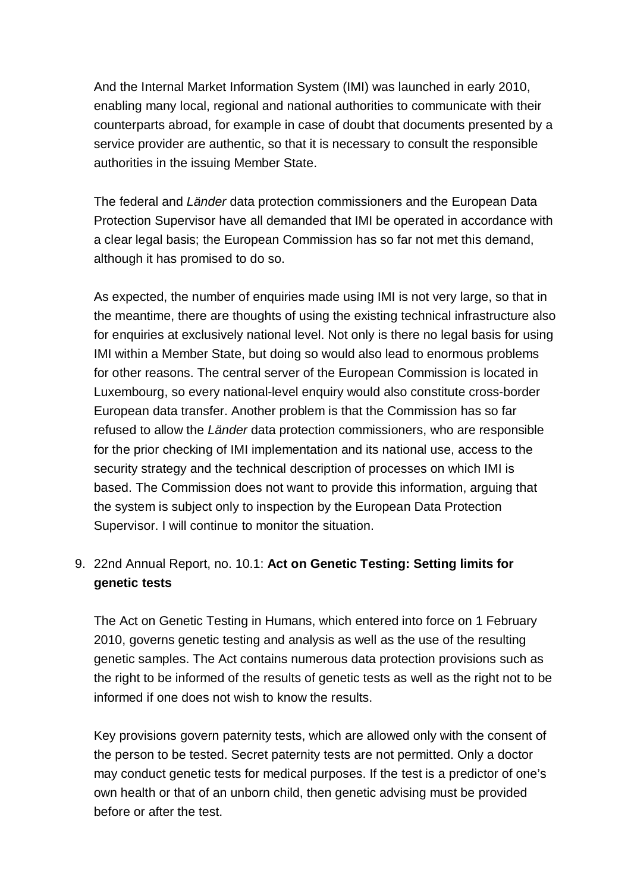And the Internal Market Information System (IMI) was launched in early 2010, enabling many local, regional and national authorities to communicate with their counterparts abroad, for example in case of doubt that documents presented by a service provider are authentic, so that it is necessary to consult the responsible authorities in the issuing Member State.

The federal and *Länder* data protection commissioners and the European Data Protection Supervisor have all demanded that IMI be operated in accordance with a clear legal basis; the European Commission has so far not met this demand, although it has promised to do so.

As expected, the number of enquiries made using IMI is not very large, so that in the meantime, there are thoughts of using the existing technical infrastructure also for enquiries at exclusively national level. Not only is there no legal basis for using IMI within a Member State, but doing so would also lead to enormous problems for other reasons. The central server of the European Commission is located in Luxembourg, so every national-level enquiry would also constitute cross-border European data transfer. Another problem is that the Commission has so far refused to allow the *Länder* data protection commissioners, who are responsible for the prior checking of IMI implementation and its national use, access to the security strategy and the technical description of processes on which IMI is based. The Commission does not want to provide this information, arguing that the system is subject only to inspection by the European Data Protection Supervisor. I will continue to monitor the situation.

### 9. 22nd Annual Report, no. 10.1: **Act on Genetic Testing: Setting limits for genetic tests**

The Act on Genetic Testing in Humans, which entered into force on 1 February 2010, governs genetic testing and analysis as well as the use of the resulting genetic samples. The Act contains numerous data protection provisions such as the right to be informed of the results of genetic tests as well as the right not to be informed if one does not wish to know the results.

Key provisions govern paternity tests, which are allowed only with the consent of the person to be tested. Secret paternity tests are not permitted. Only a doctor may conduct genetic tests for medical purposes. If the test is a predictor of one's own health or that of an unborn child, then genetic advising must be provided before or after the test.